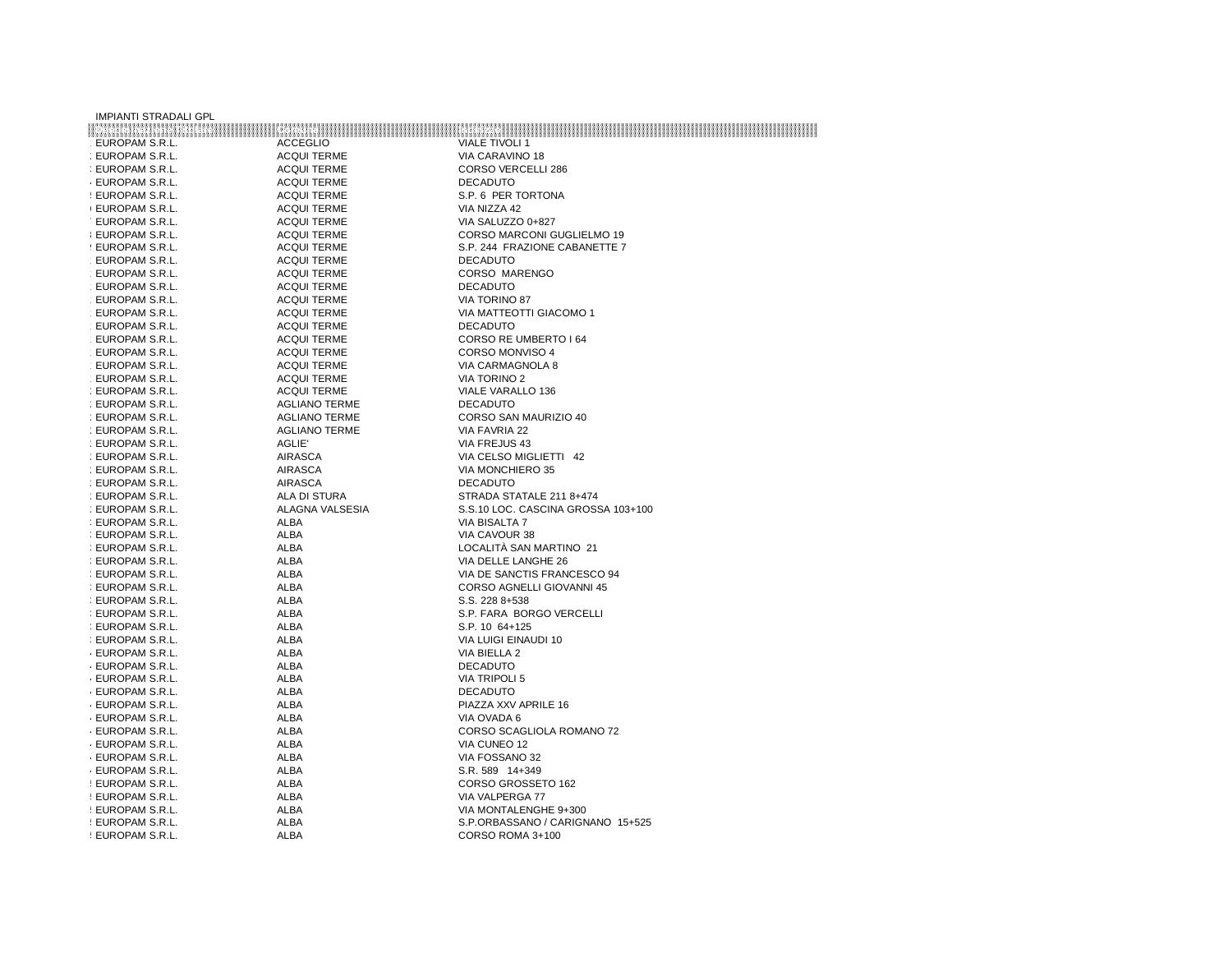| <b>IMPIANTI STRADALI GPL</b> |                      |                                                                             |
|------------------------------|----------------------|-----------------------------------------------------------------------------|
|                              |                      | tottu 2001.000 - Potuo III - Potuo III - Milao III - Internationalista est. |
| EUROPAM S.R.L.               | <b>ACCEGLIO</b>      | <b>VIALE TIVOLI 1</b>                                                       |
| : EUROPAM S.R.L.             | <b>ACQUI TERME</b>   | VIA CARAVINO 18                                                             |
| : EUROPAM S.R.L.             | <b>ACQUI TERME</b>   | <b>CORSO VERCELLI 286</b>                                                   |
| <b>EUROPAM S.R.L.</b>        | <b>ACQUI TERME</b>   | <b>DECADUTO</b>                                                             |
| ! EUROPAM S.R.L.             | <b>ACQUI TERME</b>   | S.P. 6 PER TORTONA                                                          |
| <b>(EUROPAM S.R.L.</b>       | <b>ACQUI TERME</b>   | VIA NIZZA 42                                                                |
| : EUROPAM S.R.L.             | <b>ACQUI TERME</b>   | VIA SALUZZO 0+827                                                           |
| <b>EUROPAM S.R.L.</b>        | <b>ACQUI TERME</b>   | CORSO MARCONI GUGLIELMO 19                                                  |
| ! EUROPAM S.R.L.             | <b>ACQUI TERME</b>   | S.P. 244 FRAZIONE CABANETTE 7                                               |
| EUROPAM S.R.L.               | <b>ACQUI TERME</b>   | <b>DECADUTO</b>                                                             |
| EUROPAM S.R.L.               | <b>ACQUI TERME</b>   | CORSO MARENGO                                                               |
| EUROPAM S.R.L.               | <b>ACQUI TERME</b>   | <b>DECADUTO</b>                                                             |
| EUROPAM S.R.L.               | <b>ACQUI TERME</b>   | VIA TORINO 87                                                               |
| EUROPAM S.R.L.               | <b>ACQUI TERME</b>   | VIA MATTEOTTI GIACOMO 1                                                     |
| EUROPAM S.R.L.               | <b>ACQUI TERME</b>   | <b>DECADUTO</b>                                                             |
| EUROPAM S.R.L.               | <b>ACQUI TERME</b>   | CORSO RE UMBERTO I 64                                                       |
| EUROPAM S.R.L.               | <b>ACQUI TERME</b>   | CORSO MONVISO 4                                                             |
| EUROPAM S.R.L.               | <b>ACQUI TERME</b>   | VIA CARMAGNOLA 8                                                            |
| EUROPAM S.R.L.               | <b>ACQUI TERME</b>   | <b>VIA TORINO 2</b>                                                         |
| : EUROPAM S.R.L.             | <b>ACQUI TERME</b>   | VIALE VARALLO 136                                                           |
| : EUROPAM S.R.L.             | <b>AGLIANO TERME</b> | <b>DECADUTO</b>                                                             |
| : EUROPAM S.R.L.             | <b>AGLIANO TERME</b> | CORSO SAN MAURIZIO 40                                                       |
| : EUROPAM S.R.L.             | <b>AGLIANO TERME</b> | VIA FAVRIA 22                                                               |
| : EUROPAM S.R.L.             | AGLIE'               | VIA FREJUS 43                                                               |
| : EUROPAM S.R.L.             | <b>AIRASCA</b>       | VIA CELSO MIGLIETTI 42                                                      |
| : EUROPAM S.R.L.             | <b>AIRASCA</b>       | <b>VIA MONCHIERO 35</b>                                                     |
| : EUROPAM S.R.L.             | <b>AIRASCA</b>       | <b>DECADUTO</b>                                                             |
| : EUROPAM S.R.L.             | ALA DI STURA         | STRADA STATALE 211 8+474                                                    |
| : EUROPAM S.R.L.             | ALAGNA VALSESIA      | S.S.10 LOC. CASCINA GROSSA 103+100                                          |
| : EUROPAM S.R.L.             | <b>ALBA</b>          | VIA BISALTA 7                                                               |
| : EUROPAM S.R.L.             | ALBA                 | VIA CAVOUR 38                                                               |
| : EUROPAM S.R.L.             | ALBA                 | LOCALITÀ SAN MARTINO 21                                                     |
| : EUROPAM S.R.L.             | <b>ALBA</b>          | VIA DELLE LANGHE 26                                                         |
| : EUROPAM S.R.L.             | <b>ALBA</b>          | VIA DE SANCTIS FRANCESCO 94                                                 |
| : EUROPAM S.R.L.             | ALBA                 | CORSO AGNELLI GIOVANNI 45                                                   |
| : EUROPAM S.R.L.             | <b>ALBA</b>          | S.S. 228 8+538                                                              |
| : EUROPAM S.R.L.             | ALBA                 | S.P. FARA BORGO VERCELLI                                                    |
| : EUROPAM S.R.L.             | ALBA                 | S.P. 10 64+125                                                              |
| : EUROPAM S.R.L.             | ALBA                 | VIA LUIGI EINAUDI 10                                                        |
| <b>EUROPAM S.R.L.</b>        | ALBA                 | VIA BIELLA 2                                                                |
| <b>EUROPAM S.R.L.</b>        | <b>ALBA</b>          | <b>DECADUTO</b>                                                             |
| EUROPAM S.R.L.               | ALBA                 | VIA TRIPOLI 5                                                               |
| ⋅ EUROPAM S.R.L.             | ALBA                 | <b>DECADUTO</b>                                                             |
| <b>EUROPAM S.R.L.</b>        | ALBA                 | PIAZZA XXV APRILE 16                                                        |
| EUROPAM S.R.L.               | ALBA                 | VIA OVADA 6                                                                 |
| <b>EUROPAM S.R.L.</b>        | ALBA                 | CORSO SCAGLIOLA ROMANO 72                                                   |
| <b>EUROPAM S.R.L.</b>        | ALBA                 | VIA CUNEO 12                                                                |
| EUROPAM S.R.L.               | ALBA                 | VIA FOSSANO 32                                                              |
| <b>EUROPAM S.R.L.</b>        | <b>ALBA</b>          | S.R. 589 14+349                                                             |
| ! EUROPAM S.R.L.             | ALBA                 | CORSO GROSSETO 162                                                          |
| : EUROPAM S.R.L.             | <b>ALBA</b>          | VIA VALPERGA 77                                                             |
| : EUROPAM S.R.L.             | ALBA                 | VIA MONTALENGHE 9+300                                                       |
| : EUROPAM S.R.L.             | <b>ALBA</b>          | S.P.ORBASSANO / CARIGNANO 15+525                                            |
| ! EUROPAM S.R.L.             | ALBA                 | CORSO ROMA 3+100                                                            |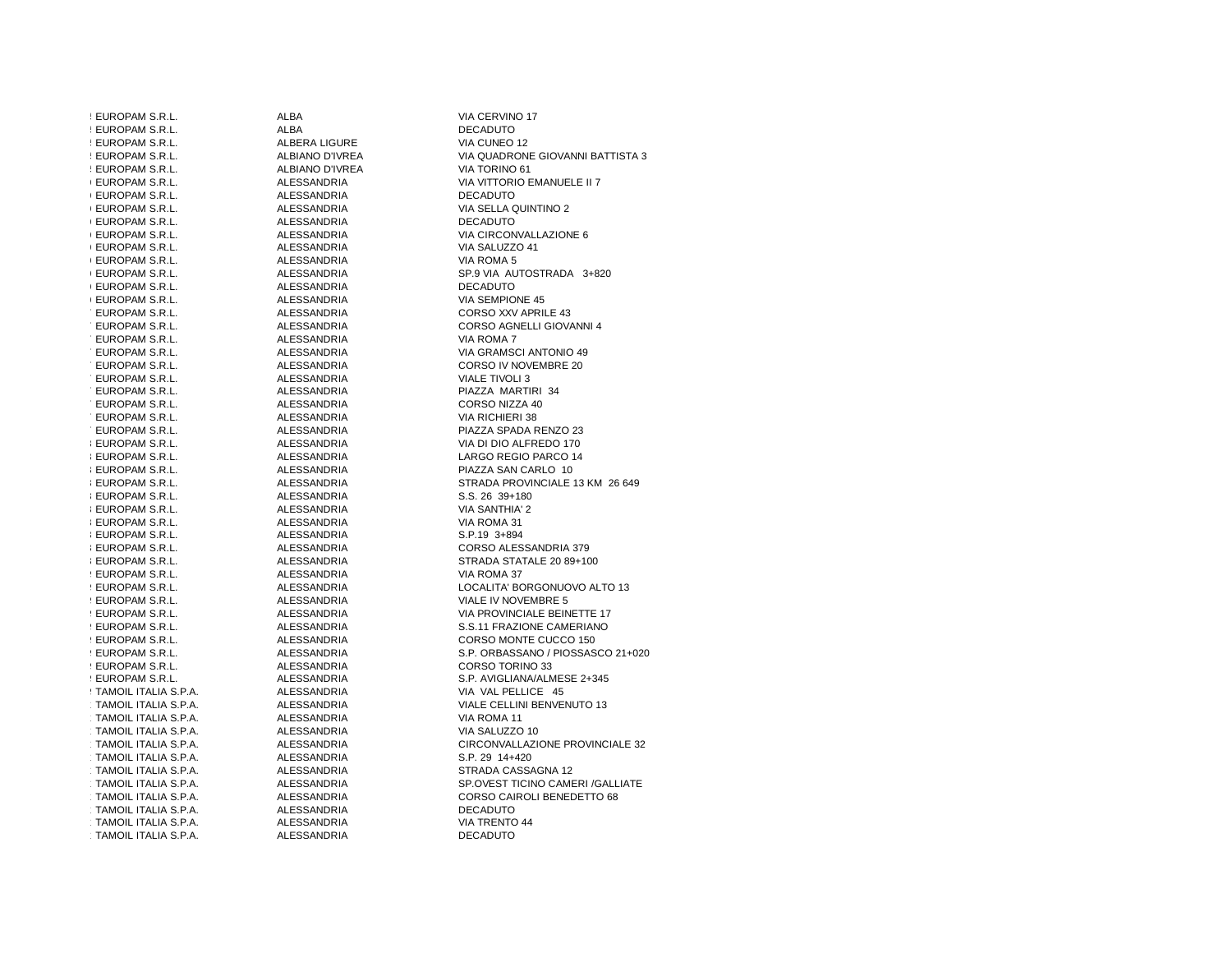| : EUROPAM S.R.L.                             | <b>ALBA</b>                | VIA CERVINO 17                                |
|----------------------------------------------|----------------------------|-----------------------------------------------|
| ! EUROPAM S.R.L.                             | <b>ALBA</b>                | <b>DECADUTO</b>                               |
| ! EUROPAM S.R.L.                             | ALBERA LIGURE              | VIA CUNEO 12                                  |
| : EUROPAM S.R.L.                             | ALBIANO D'IVREA            | VIA QUADRONE GIOVANNI BATTISTA 3              |
| ! EUROPAM S.R.L.                             | ALBIANO D'IVREA            | VIA TORINO 61                                 |
| <b>(EUROPAM S.R.L.</b>                       | ALESSANDRIA                | VIA VITTORIO EMANUELE II 7                    |
| <b>EUROPAM S.R.L.</b>                        | ALESSANDRIA                | <b>DECADUTO</b>                               |
| <b>(EUROPAM S.R.L.</b>                       | ALESSANDRIA                | VIA SELLA QUINTINO 2                          |
| <b>(EUROPAM S.R.L.</b>                       | ALESSANDRIA                | <b>DECADUTO</b>                               |
| <b>EUROPAM S.R.L.</b>                        | ALESSANDRIA                | VIA CIRCONVALLAZIONE 6                        |
| <b>(EUROPAM S.R.L.</b>                       | ALESSANDRIA                | VIA SALUZZO 41                                |
| <b>(EUROPAM S.R.L.</b>                       | ALESSANDRIA                | VIA ROMA 5                                    |
| <b>(EUROPAM S.R.L.</b>                       | ALESSANDRIA                | SP.9 VIA AUTOSTRADA 3+820                     |
| <b>(EUROPAM S.R.L.</b>                       | ALESSANDRIA                | <b>DECADUTO</b>                               |
| <b>(EUROPAM S.R.L.</b>                       | ALESSANDRIA                | VIA SEMPIONE 45                               |
| : EUROPAM S.R.L.                             | ALESSANDRIA                | CORSO XXV APRILE 43                           |
| : EUROPAM S.R.L.                             | ALESSANDRIA                | CORSO AGNELLI GIOVANNI 4                      |
| : EUROPAM S.R.L.                             | ALESSANDRIA                | VIA ROMA 7                                    |
| : EUROPAM S.R.L.                             | ALESSANDRIA                | VIA GRAMSCI ANTONIO 49                        |
| : EUROPAM S.R.L.                             | ALESSANDRIA                | CORSO IV NOVEMBRE 20                          |
| EUROPAM S.R.L.                               | ALESSANDRIA                | <b>VIALE TIVOLI 3</b>                         |
| : EUROPAM S.R.L.                             | ALESSANDRIA                | PIAZZA MARTIRI 34                             |
| : EUROPAM S.R.L.                             | ALESSANDRIA                | CORSO NIZZA 40                                |
| : EUROPAM S.R.L.                             | ALESSANDRIA                | VIA RICHIERI 38                               |
| : EUROPAM S.R.L.                             | ALESSANDRIA                | PIAZZA SPADA RENZO 23                         |
| <b>I EUROPAM S.R.L.</b>                      | ALESSANDRIA                | VIA DI DIO ALFREDO 170                        |
| <b>I EUROPAM S.R.L.</b>                      | ALESSANDRIA                | LARGO REGIO PARCO 14                          |
| <b>I EUROPAM S.R.L.</b>                      | ALESSANDRIA                | PIAZZA SAN CARLO 10                           |
| <b>I EUROPAM S.R.L.</b>                      | ALESSANDRIA                | STRADA PROVINCIALE 13 KM 26 649               |
| <b>I EUROPAM S.R.L.</b>                      | ALESSANDRIA                | S.S. 26 39+180                                |
| <b>I EUROPAM S.R.L.</b>                      | ALESSANDRIA                | <b>VIA SANTHIA' 2</b>                         |
| <b>I EUROPAM S.R.L.</b>                      | ALESSANDRIA                | VIA ROMA 31                                   |
| <b>I EUROPAM S.R.L.</b>                      | ALESSANDRIA                | S.P.19 3+894                                  |
| <b>I EUROPAM S.R.L.</b>                      | ALESSANDRIA                | CORSO ALESSANDRIA 379                         |
| <b>I EUROPAM S.R.L.</b>                      | ALESSANDRIA                | STRADA STATALE 20 89+100                      |
| <b>EUROPAM S.R.L.</b>                        | ALESSANDRIA                | VIA ROMA 37                                   |
| ! EUROPAM S.R.L.                             | ALESSANDRIA                | LOCALITA' BORGONUOVO ALTO 13                  |
| ! EUROPAM S.R.L.                             | ALESSANDRIA                | VIALE IV NOVEMBRE 5                           |
| ! EUROPAM S.R.L.                             | ALESSANDRIA                | VIA PROVINCIALE BEINETTE 17                   |
| ! EUROPAM S.R.L.                             | ALESSANDRIA                | S.S.11 FRAZIONE CAMERIANO                     |
| ! EUROPAM S.R.L.                             | ALESSANDRIA                | CORSO MONTE CUCCO 150                         |
| ! EUROPAM S.R.L.                             | ALESSANDRIA                | S.P. ORBASSANO / PIOSSASCO 21+020             |
| ! EUROPAM S.R.L.                             | ALESSANDRIA                | CORSO TORINO 33                               |
| ! EUROPAM S.R.L.                             | ALESSANDRIA                | S.P. AVIGLIANA/ALMESE 2+345                   |
| : TAMOIL ITALIA S.P.A.                       | ALESSANDRIA                | VIA VAL PELLICE 45                            |
| TAMOIL ITALIA S.P.A.                         | ALESSANDRIA                | VIALE CELLINI BENVENUTO 13                    |
| TAMOIL ITALIA S.P.A.                         | ALESSANDRIA                | VIA ROMA 11                                   |
| TAMOIL ITALIA S.P.A.                         | ALESSANDRIA                | VIA SALUZZO 10                                |
| TAMOIL ITALIA S.P.A.                         | ALESSANDRIA                | CIRCONVALLAZIONE PROVINCIALE 32               |
| TAMOIL ITALIA S.P.A.                         |                            | S.P. 29 14+420                                |
| TAMOIL ITALIA S.P.A.                         | ALESSANDRIA<br>ALESSANDRIA | STRADA CASSAGNA 12                            |
| TAMOIL ITALIA S.P.A.                         | ALESSANDRIA                | SP.OVEST TICINO CAMERI / GALLIATE             |
|                                              |                            |                                               |
| TAMOIL ITALIA S.P.A.<br>TAMOIL ITALIA S.P.A. | ALESSANDRIA<br>ALESSANDRIA | CORSO CAIROLI BENEDETTO 68<br><b>DECADUTO</b> |
| TAMOIL ITALIA S.P.A.                         | ALESSANDRIA                | <b>VIA TRENTO 44</b>                          |
|                                              |                            |                                               |
| TAMOIL ITALIA S.P.A.                         | ALESSANDRIA                | <b>DECADUTO</b>                               |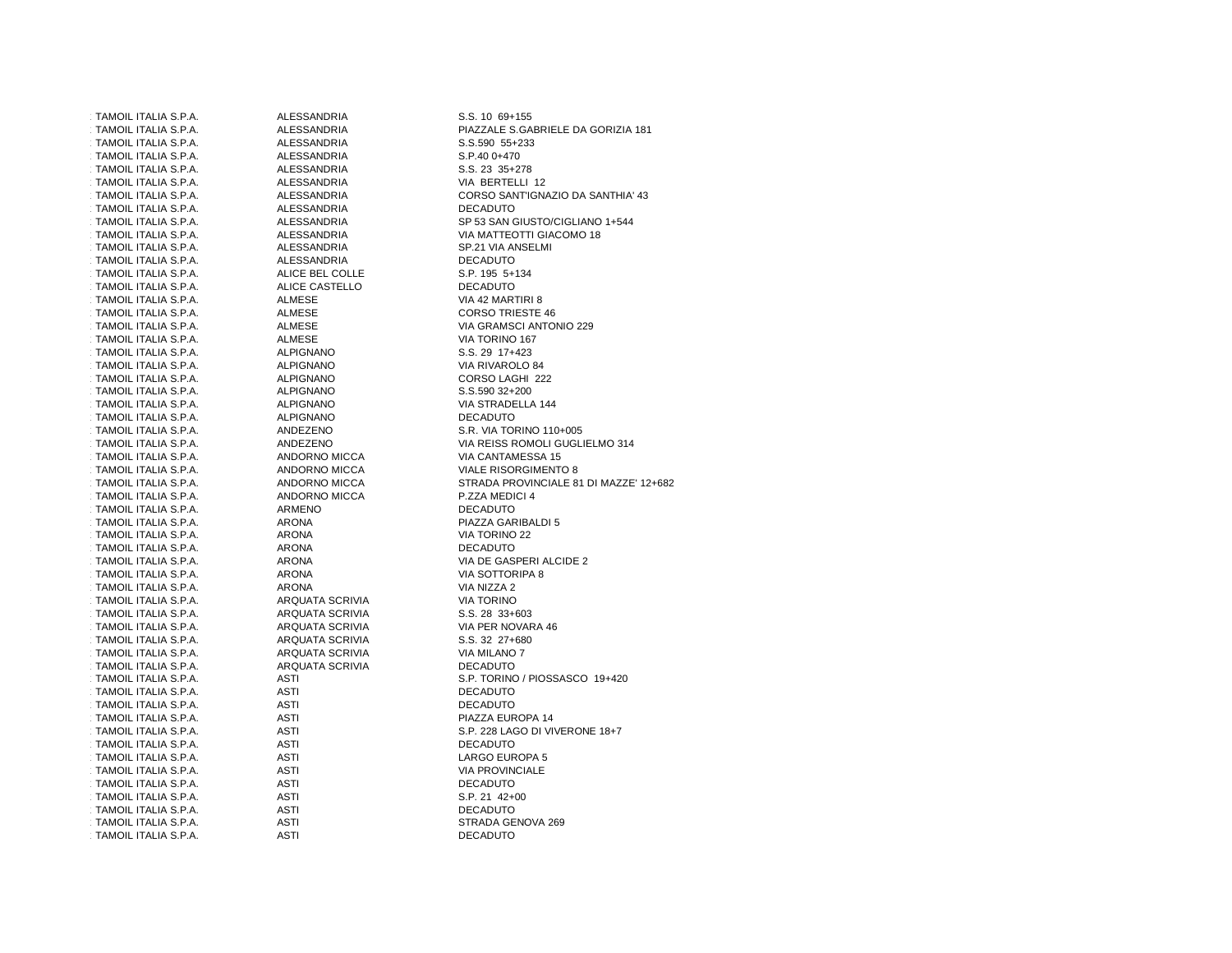1111 TAMOIL ITALIA S.P.A. ALESSANDRIA S.S. 10 69+155 113TAMOIL ITALIA S.P.A. ALESSANDRIA S.S.590 55+233114TAMOIL ITALIA S.P.A. ALESSANDRIA S.P.40 0+470115 TAMOIL ITALIA S.P.A. ALESSANDRIA<br>115 - TAMOIL ITALIA S.P.A. 23 35 25 26 26 27 35 115TAMOIL ITALIA S.P.A. 118TAMOIL ITALIA S.P.A. ALESSANDRIA DECADUTO120TAMOIL ITALIA S.P.A. ALESSANDRIA VIA MATTEOTTI GIACOMO 18121 TAMOIL ITALIA S.P.A. ALESSANDRIA SERIA SP.21 VIA ANSELMI 122TAMOIL ITALIA S.P.A. ALESSANDRIA DECADUTO 123TAMOIL ITALIA S.P.A. ALICE BEL COLLE S.P. 195 5+134120 TAMOIL ITALIA S.P.A. ALICE C.<br>124 TAMOIL ITALIA S.P.A. ALMESE 125 TAMOIL ITALIA S.P.A. ALMESE VALMESE VIA 42 MARTIRI 8.<br>125 TAMOIL ITALIA S.P.A. ALMESE TAMOIL ITALIA S.P.A. 127TAMOIL ITALIA S.P.A. ALMESE VIA GRAMSCI ANTONIO 229128TAMOIL ITALIA S.P.A. ALMESE VIA TORINO 167129TAMOIL ITALIA S.P.A. ALPIGNANO في ALPIGNANO 17ALIA S.P.A. 29 1742.<br>ALPIGNANO S.P.A. 20 17:42 130 TAMOIL ITALIA S.P.A. ALPIGNANO في ALPIGNANO 130 ALPIGNANO 130 ALPIGNANO و ALPIGNANO في المستوى التي يتم ال 131TAMOIL ITALIA S.P.A. 132TAMOIL ITALIA S.P.A. ALPIGNANO S.S.590 32+200133TAMOIL ITALIA S.P.A. ALPIGNANO VIA STRADELLA 144134TAMOIL ITALIA S.P.A. ALPIGNANO ALPIGNANO DECADU<br>134TAMOIL ITALIA S.P.A. ANDEZENO 135TAMOIL ITALIA S.P.A. ANDEZENO S.R. VIA TORINO 110+005137TAMOIL ITALIA S.P.A. ANDORNO MICCA VIA CANTAMESSA 15 138TAMOIL ITALIA S.P.A. ANDORNO MICCA VIALE RISORGIMENTO 8140TAMOIL ITALIA S.P.A. ANDORNO MICCA P.ZZA MEDICI 4**TAMOIL ITALIA S.P.A.** 142TAMOIL ITALIA S.P.A. ARONA 143TAMOIL ITALIA S.P.A. ARONA VIA TORINO 22144TAMOIL ITALIA S.P.A. ARONA DECADUTO 145TAMOIL ITALIA S.P.A. ARONA VIA DE GASPERI ALCIDE 2146TAMOIL ITALIA S.P.A. ARONA VIA SOTTORIPA 8147TAMOIL ITALIA S.P.A. ARONA VIA NIZZA 2147 TAMOIL ITALIA S.P.A. ARQUATA SCRIVIA<br>148 TAMOIL ITALIA S.P.A. ARQUATA SCRIVIA 149TAMOIL ITALIA S.P.A. ARQUATA SCRIVIA S.P.A. ARQUATA S.<br>149TA AROUATA S.C. 28 33-603-603 150TAMOIL ITALIA S.P.A. ARQUATA SCRIVIA VIA PER NOVARA 46151 TAMOIL ITALIA S.P.A. ARQUATA SCRIVIA 152 TAMOIL ITALIA S.P.A. ARQUATA SCRIVIA 153TAMOIL ITALIA S.P.A. ARQUATA SCRIVIA DECADUTO155TAMOIL ITALIA S.P.A. ASTI DECADUTOTAMOIL ITALIA S.P.A. 157TAMOIL ITALIA S.P.A. ASTI PIAZZA EUROPA 14159TAMOIL ITALIA S.P.A. ASTI DECADUTO160TAMOIL ITALIA S.P.A. ASTI LARGO EUROPA 5TAMOIL ITALIA S.P.A. 162TAMOIL ITALIA S.P.A. ASTI ASTI DECADUTO 163TAMOIL ITALIA S.P.A. ASTI S.P. 21 42+00164TAMOIL ITALIA S.P.A. ASTI DECADUTO 165TAMOIL ITALIA S.P.A. ASTI STRADA GENOVA 269166TAMOIL ITALIA S.P.A. ASTI DECADUTO

 112TAMOIL ITALIA S.P.A. ALESSANDRIA PIAZZALE S.GABRIELE DA GORIZIA 181S.S. 23 35+278 VIA BERTELLI 12 117TAMOIL ITALIA S.P.A. ALESSANDRIA CORSO SANT'IGNAZIO DA SANTHIA' 43 119TAMOIL ITALIA S.P.A. ALESSANDRIA SP 53 SAN GIUSTO/CIGLIANO 1+544S.P. 195 5+134 VIA 42 MARTIRI 8 **CORSO TRIESTE 46** S.S. 29 17+423 VIA RIVAROLO 84 CORSO LAGHI 222 VIA STRADELLA 144 136TAMOIL ITALIA S.P.A. ANDEZENO VIA REISS ROMOLI GUGLIELMO 314 139TAMOIL ITALIA S.P.A. ANDORNO MICCA STRADA PROVINCIALE 81 DI MAZZE' 12+682PIAZZA GARIBALDI 5 **VIA TORINO** S.S. 28 33+603 VIA PFR NOVARA 46 VIA MILANO 7 154TAMOIL ITALIA S.P.A. ASTI S.P. TORINO / PIOSSASCO 19+420**DECADUTO** PIAZZA EUROPA 14 158TAMOIL ITALIA S.P.A. ASTI S.P. 228 LAGO DI VIVERONE 18+7LARGO EUROPA 5 **VIA PROVINCIALE** S.P. 21 42+00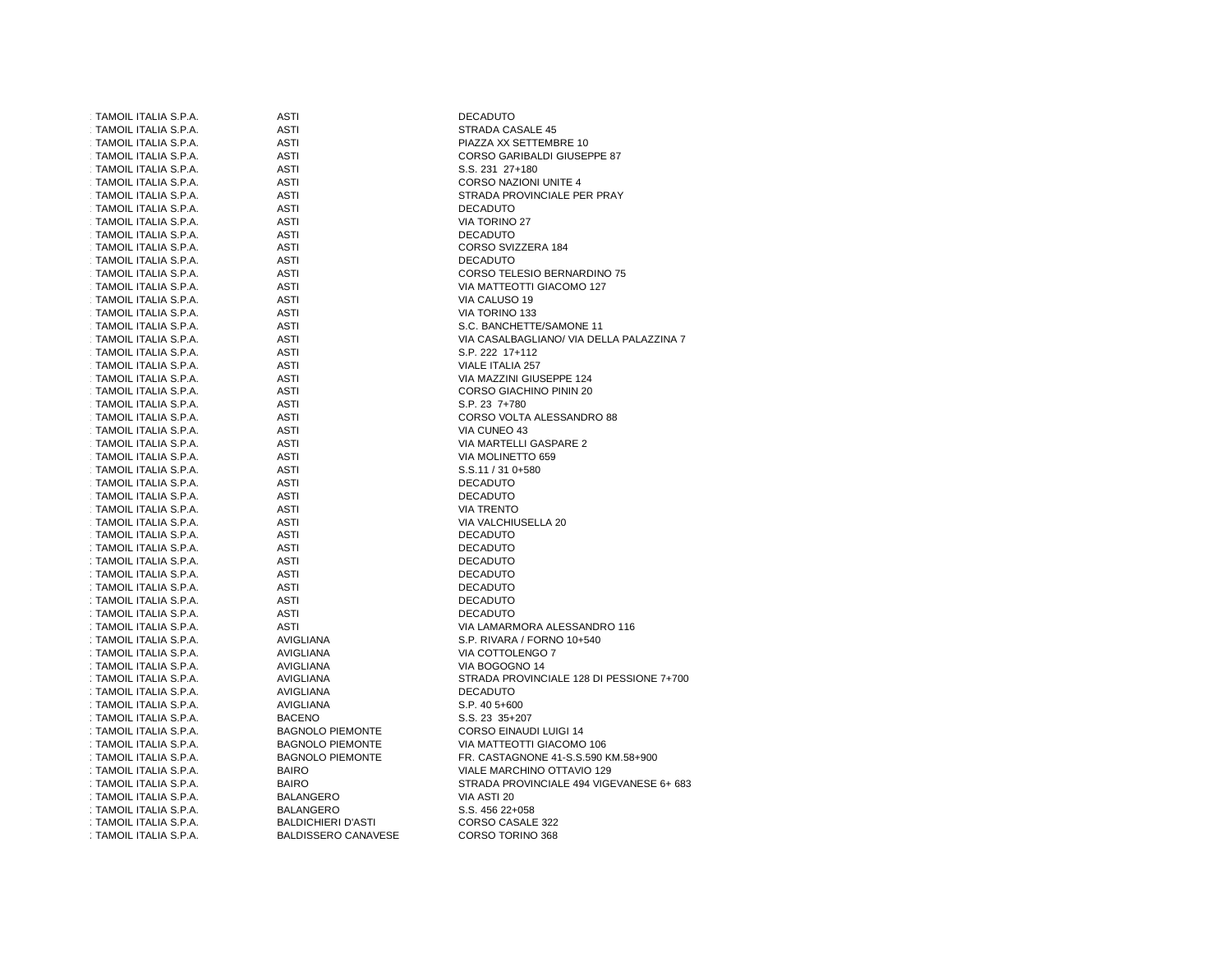| TAMOIL ITALIA S.P.A.   | ASTI                       | <b>DECADUTO</b>                                             |
|------------------------|----------------------------|-------------------------------------------------------------|
| TAMOIL ITALIA S.P.A.   | ASTI                       | STRADA CASALE 45                                            |
| TAMOIL ITALIA S.P.A.   | <b>ASTI</b>                | PIAZZA XX SETTEMBRE 10                                      |
| TAMOIL ITALIA S.P.A.   | <b>ASTI</b>                | CORSO GARIBALDI GIUSEPPE 87                                 |
| TAMOIL ITALIA S.P.A.   | <b>ASTI</b>                | S.S. 231 27+180                                             |
| TAMOIL ITALIA S.P.A.   | ASTI                       | <b>CORSO NAZIONI UNITE 4</b>                                |
| TAMOIL ITALIA S.P.A.   | ASTI                       | STRADA PROVINCIALE PER PRAY                                 |
| TAMOIL ITALIA S.P.A.   | ASTI                       | <b>DECADUTO</b>                                             |
| TAMOIL ITALIA S.P.A.   | ASTI                       | VIA TORINO 27                                               |
| TAMOIL ITALIA S.P.A.   | ASTI                       | <b>DECADUTO</b>                                             |
| TAMOIL ITALIA S.P.A.   | ASTI                       | CORSO SVIZZERA 184                                          |
| TAMOIL ITALIA S.P.A.   | ASTI                       | <b>DECADUTO</b>                                             |
| TAMOIL ITALIA S.P.A.   | <b>ASTI</b>                | CORSO TELESIO BERNARDINO 75                                 |
| TAMOIL ITALIA S.P.A.   | ASTI                       | VIA MATTEOTTI GIACOMO 127                                   |
| TAMOIL ITALIA S.P.A.   | ASTI                       | VIA CALUSO 19                                               |
| TAMOIL ITALIA S.P.A.   | <b>ASTI</b>                | VIA TORINO 133                                              |
| TAMOIL ITALIA S.P.A.   | ASTI                       | S.C. BANCHETTE/SAMONE 11                                    |
|                        | <b>ASTI</b>                |                                                             |
| TAMOIL ITALIA S.P.A.   | <b>ASTI</b>                | VIA CASALBAGLIANO/ VIA DELLA PALAZZINA 7<br>S.P. 222 17+112 |
| TAMOIL ITALIA S.P.A.   |                            |                                                             |
| TAMOIL ITALIA S.P.A.   | ASTI                       | VIALE ITALIA 257                                            |
| TAMOIL ITALIA S.P.A.   | ASTI                       | VIA MAZZINI GIUSEPPE 124                                    |
| TAMOIL ITALIA S.P.A.   | <b>ASTI</b>                | CORSO GIACHINO PININ 20                                     |
| TAMOIL ITALIA S.P.A.   | <b>ASTI</b>                | S.P. 23 7+780                                               |
| TAMOIL ITALIA S.P.A.   | ASTI                       | CORSO VOLTA ALESSANDRO 88                                   |
| TAMOIL ITALIA S.P.A.   | <b>ASTI</b>                | VIA CUNEO 43                                                |
| TAMOIL ITALIA S.P.A.   | <b>ASTI</b>                | VIA MARTELLI GASPARE 2                                      |
| TAMOIL ITALIA S.P.A.   | <b>ASTI</b>                | VIA MOLINETTO 659                                           |
| TAMOIL ITALIA S.P.A.   | <b>ASTI</b>                | S.S.11 / 31 0+580                                           |
| TAMOIL ITALIA S.P.A.   | ASTI                       | <b>DECADUTO</b>                                             |
| TAMOIL ITALIA S.P.A.   | <b>ASTI</b>                | <b>DECADUTO</b>                                             |
| TAMOIL ITALIA S.P.A.   | <b>ASTI</b>                | <b>VIA TRENTO</b>                                           |
| TAMOIL ITALIA S.P.A.   | ASTI                       | VIA VALCHIUSELLA 20                                         |
| TAMOIL ITALIA S.P.A.   | <b>ASTI</b>                | <b>DECADUTO</b>                                             |
| : TAMOIL ITALIA S.P.A. | <b>ASTI</b>                | <b>DECADUTO</b>                                             |
| : TAMOIL ITALIA S.P.A. | ASTI                       | <b>DECADUTO</b>                                             |
| : TAMOIL ITALIA S.P.A. | <b>ASTI</b>                | <b>DECADUTO</b>                                             |
| : TAMOIL ITALIA S.P.A. | <b>ASTI</b>                | <b>DECADUTO</b>                                             |
| : TAMOIL ITALIA S.P.A. | <b>ASTI</b>                | <b>DECADUTO</b>                                             |
| : TAMOIL ITALIA S.P.A. | <b>ASTI</b>                | <b>DECADUTO</b>                                             |
| : TAMOIL ITALIA S.P.A. | <b>ASTI</b>                | VIA LAMARMORA ALESSANDRO 116                                |
| : TAMOIL ITALIA S.P.A. | AVIGLIANA                  | S.P. RIVARA / FORNO 10+540                                  |
| : TAMOIL ITALIA S.P.A. | AVIGLIANA                  | VIA COTTOLENGO 7                                            |
| : TAMOIL ITALIA S.P.A. | AVIGLIANA                  | VIA BOGOGNO 14                                              |
| : TAMOIL ITALIA S.P.A. | AVIGLIANA                  | STRADA PROVINCIALE 128 DI PESSIONE 7+700                    |
| : TAMOIL ITALIA S.P.A. | AVIGLIANA                  | <b>DECADUTO</b>                                             |
| : TAMOIL ITALIA S.P.A. | AVIGLIANA                  | $S.P.405+600$                                               |
| : TAMOIL ITALIA S.P.A. | <b>BACENO</b>              | S.S. 23 35+207                                              |
| : TAMOIL ITALIA S.P.A. | <b>BAGNOLO PIEMONTE</b>    | CORSO EINAUDI LUIGI 14                                      |
| : TAMOIL ITALIA S.P.A. | <b>BAGNOLO PIEMONTE</b>    | VIA MATTEOTTI GIACOMO 106                                   |
| : TAMOIL ITALIA S.P.A. | <b>BAGNOLO PIEMONTE</b>    | FR. CASTAGNONE 41-S.S.590 KM.58+900                         |
| : TAMOIL ITALIA S.P.A. | <b>BAIRO</b>               | VIALE MARCHINO OTTAVIO 129                                  |
| : TAMOIL ITALIA S.P.A. | <b>BAIRO</b>               | STRADA PROVINCIALE 494 VIGEVANESE 6+ 683                    |
| : TAMOIL ITALIA S.P.A. | <b>BALANGERO</b>           | VIA ASTI 20                                                 |
| : TAMOIL ITALIA S.P.A. | <b>BALANGERO</b>           | S.S. 456 22+058                                             |
| : TAMOIL ITALIA S.P.A. | BALDICHIERI D'ASTI         | CORSO CASALE 322                                            |
| : TAMOIL ITALIA S.P.A. | <b>BALDISSERO CANAVESE</b> | CORSO TORINO 368                                            |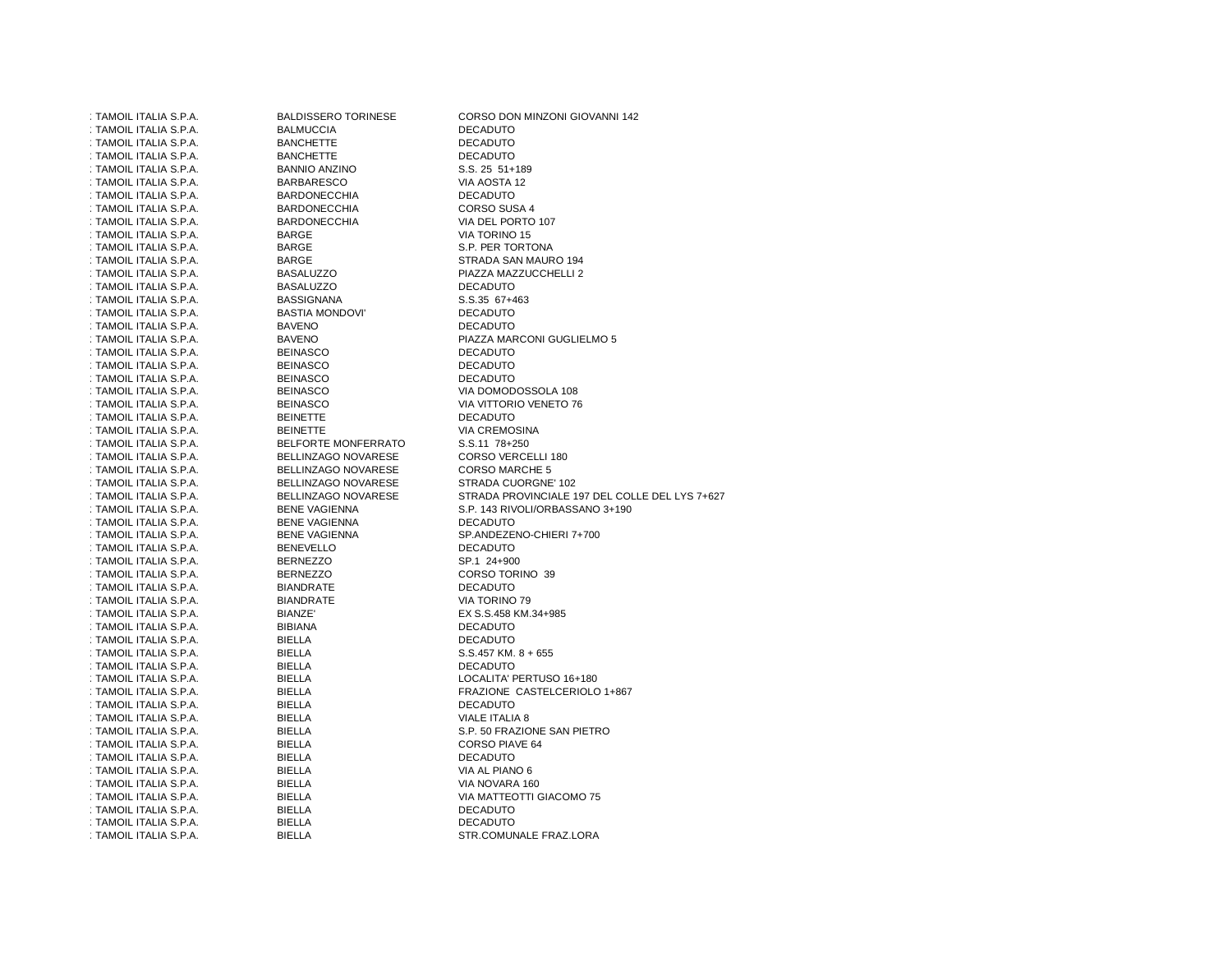| : TAMOIL ITALIA S.P.A. | <b>BALDISSERO TORINESE</b> | CORSO DON MINZONI GIOVANNI 142                 |
|------------------------|----------------------------|------------------------------------------------|
| : TAMOIL ITALIA S.P.A. | <b>BALMUCCIA</b>           | <b>DECADUTO</b>                                |
| : TAMOIL ITALIA S.P.A. | <b>BANCHETTE</b>           | <b>DECADUTO</b>                                |
| : TAMOIL ITALIA S.P.A. | <b>BANCHETTE</b>           | <b>DECADUTO</b>                                |
| : TAMOIL ITALIA S.P.A. | <b>BANNIO ANZINO</b>       | S.S. 25 51+189                                 |
| : TAMOIL ITALIA S.P.A. | <b>BARBARESCO</b>          | VIA AOSTA 12                                   |
| : TAMOIL ITALIA S.P.A. | <b>BARDONECCHIA</b>        | <b>DECADUTO</b>                                |
| : TAMOIL ITALIA S.P.A. | <b>BARDONECCHIA</b>        | CORSO SUSA 4                                   |
| : TAMOIL ITALIA S.P.A. | <b>BARDONECCHIA</b>        | VIA DEL PORTO 107                              |
| : TAMOIL ITALIA S.P.A. | <b>BARGE</b>               | VIA TORINO 15                                  |
| : TAMOIL ITALIA S.P.A. | <b>BARGE</b>               | S.P. PER TORTONA                               |
| : TAMOIL ITALIA S.P.A. | <b>BARGE</b>               | STRADA SAN MAURO 194                           |
| : TAMOIL ITALIA S.P.A. | <b>BASALUZZO</b>           | PIAZZA MAZZUCCHELLI 2                          |
| : TAMOIL ITALIA S.P.A. | <b>BASALUZZO</b>           | <b>DECADUTO</b>                                |
| : TAMOIL ITALIA S.P.A. | <b>BASSIGNANA</b>          | S.S.35 67+463                                  |
| : TAMOIL ITALIA S.P.A. | <b>BASTIA MONDOVI'</b>     | <b>DECADUTO</b>                                |
| : TAMOIL ITALIA S.P.A. | <b>BAVENO</b>              | <b>DECADUTO</b>                                |
| : TAMOIL ITALIA S.P.A. | <b>BAVENO</b>              | PIAZZA MARCONI GUGLIELMO 5                     |
| : TAMOIL ITALIA S.P.A. | <b>BEINASCO</b>            | <b>DECADUTO</b>                                |
| : TAMOIL ITALIA S.P.A. | <b>BEINASCO</b>            | <b>DECADUTO</b>                                |
| : TAMOIL ITALIA S.P.A. | <b>BEINASCO</b>            | <b>DECADUTO</b>                                |
| : TAMOIL ITALIA S.P.A. | <b>BEINASCO</b>            | VIA DOMODOSSOLA 108                            |
| : TAMOIL ITALIA S.P.A. | <b>BEINASCO</b>            | VIA VITTORIO VENETO 76                         |
| : TAMOIL ITALIA S.P.A. | <b>BEINETTE</b>            | <b>DECADUTO</b>                                |
| : TAMOIL ITALIA S.P.A. | <b>BEINETTE</b>            | <b>VIA CREMOSINA</b>                           |
| : TAMOIL ITALIA S.P.A. | <b>BELFORTE MONFERRATO</b> | S.S.11 78+250                                  |
| : TAMOIL ITALIA S.P.A. | BELLINZAGO NOVARESE        | CORSO VERCELLI 180                             |
| : TAMOIL ITALIA S.P.A. | BELLINZAGO NOVARESE        | <b>CORSO MARCHE 5</b>                          |
| : TAMOIL ITALIA S.P.A. | BELLINZAGO NOVARESE        | STRADA CUORGNE' 102                            |
| : TAMOIL ITALIA S.P.A. | BELLINZAGO NOVARESE        | STRADA PROVINCIALE 197 DEL COLLE DEL LYS 7+627 |
| : TAMOIL ITALIA S.P.A. | <b>BENE VAGIENNA</b>       | S.P. 143 RIVOLI/ORBASSANO 3+190                |
| : TAMOIL ITALIA S.P.A. | <b>BENE VAGIENNA</b>       | <b>DECADUTO</b>                                |
| : TAMOIL ITALIA S.P.A. | <b>BENE VAGIENNA</b>       | SP.ANDEZENO-CHIERI 7+700                       |
| : TAMOIL ITALIA S.P.A. | <b>BENEVELLO</b>           | <b>DECADUTO</b>                                |
| : TAMOIL ITALIA S.P.A. | <b>BERNEZZO</b>            | SP.1 24+900                                    |
| : TAMOIL ITALIA S.P.A. | <b>BERNEZZO</b>            | CORSO TORINO 39                                |
| : TAMOIL ITALIA S.P.A. | <b>BIANDRATE</b>           | <b>DECADUTO</b>                                |
| : TAMOIL ITALIA S.P.A. | <b>BIANDRATE</b>           | VIA TORINO 79                                  |
| : TAMOIL ITALIA S.P.A. | <b>BIANZE</b>              | EX S.S.458 KM.34+985                           |
| : TAMOIL ITALIA S.P.A. | <b>BIBIANA</b>             | DECADUTO                                       |
| : TAMOIL ITALIA S.P.A. | <b>BIELLA</b>              | <b>DECADUTO</b>                                |
| : TAMOIL ITALIA S.P.A. | <b>BIELLA</b>              | S.S.457 KM. 8 + 655                            |
| : TAMOIL ITALIA S.P.A. | <b>BIELLA</b>              | <b>DECADUTO</b>                                |
| : TAMOIL ITALIA S.P.A. | <b>BIELLA</b>              | LOCALITA' PERTUSO 16+180                       |
| : TAMOIL ITALIA S.P.A. | <b>BIELLA</b>              | FRAZIONE CASTELCERIOLO 1+867                   |
| : TAMOIL ITALIA S.P.A. | BIELLA                     | <b>DECADUTO</b>                                |
| : TAMOIL ITALIA S.P.A. | <b>BIELLA</b>              | VIALE ITALIA 8                                 |
| : TAMOIL ITALIA S.P.A. | BIELLA                     | S.P. 50 FRAZIONE SAN PIETRO                    |
| : TAMOIL ITALIA S.P.A. | BIELLA                     | <b>CORSO PIAVE 64</b>                          |
| : TAMOIL ITALIA S.P.A. | BIELLA                     | <b>DECADUTO</b>                                |
| : TAMOIL ITALIA S.P.A. | BIELLA                     | VIA AL PIANO 6                                 |
| : TAMOIL ITALIA S.P.A. | BIELLA                     | VIA NOVARA 160                                 |
| : TAMOIL ITALIA S.P.A. | BIELLA                     | VIA MATTEOTTI GIACOMO 75                       |
| : TAMOIL ITALIA S.P.A. | BIELLA                     | <b>DECADUTO</b>                                |
| : TAMOIL ITALIA S.P.A. | BIELLA                     | <b>DECADUTO</b>                                |
| : TAMOIL ITALIA S.P.A. | BIELLA                     | STR.COMUNALE FRAZ.LORA                         |
|                        |                            |                                                |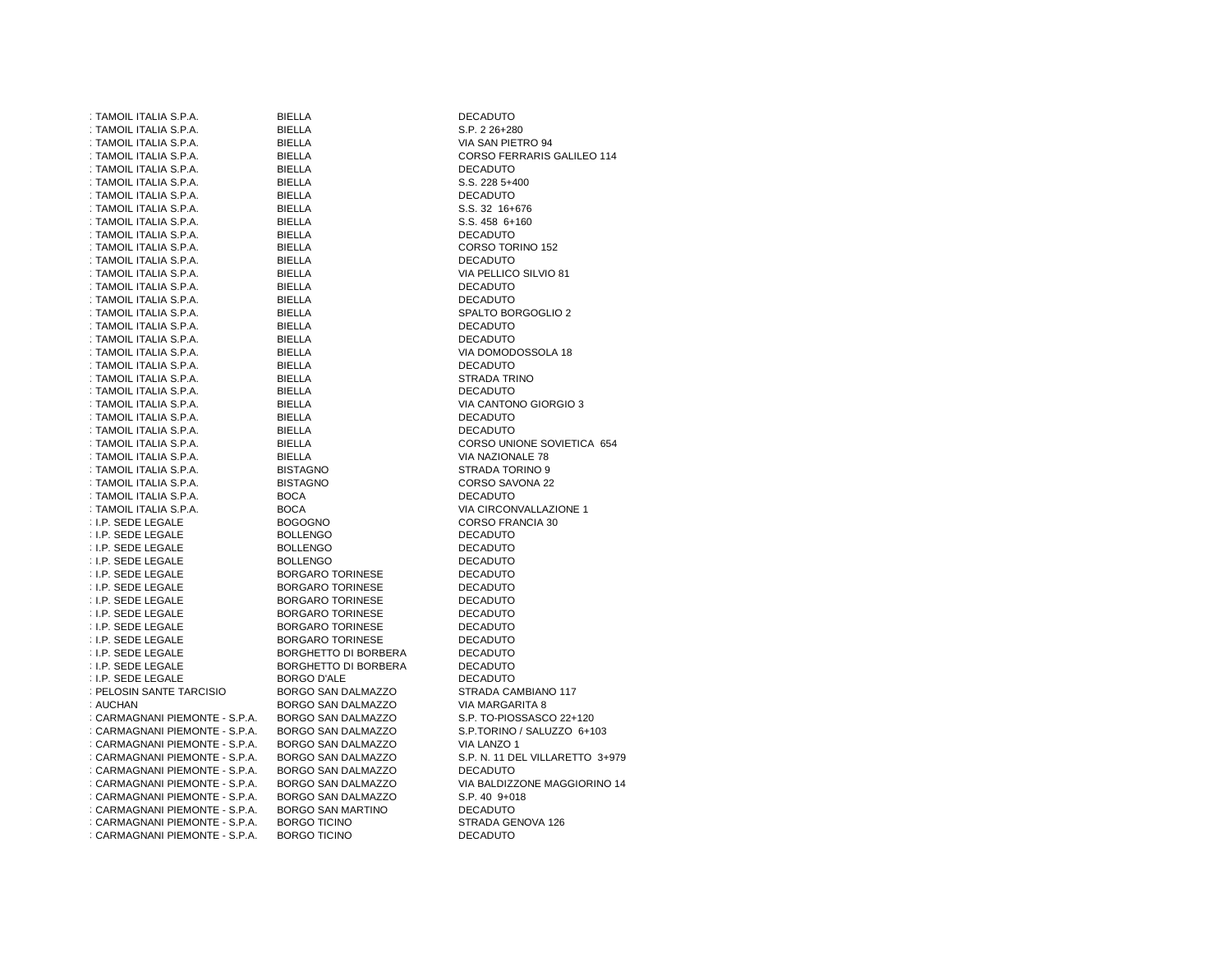| : TAMOIL ITALIA S.P.A.         | <b>BIELLA</b>               | <b>DECADUTO</b>                 |
|--------------------------------|-----------------------------|---------------------------------|
| : TAMOIL ITALIA S.P.A.         | <b>BIELLA</b>               | S.P. 2 26+280                   |
| : TAMOIL ITALIA S.P.A.         | <b>BIELLA</b>               | VIA SAN PIETRO 94               |
| : TAMOIL ITALIA S.P.A.         | <b>BIELLA</b>               | CORSO FERRARIS GALILEO 114      |
| : TAMOIL ITALIA S.P.A.         | <b>BIELLA</b>               | <b>DECADUTO</b>                 |
| : TAMOIL ITALIA S.P.A.         | <b>BIELLA</b>               | S.S. 228 5+400                  |
| : TAMOIL ITALIA S.P.A.         | <b>BIELLA</b>               | <b>DECADUTO</b>                 |
| : TAMOIL ITALIA S.P.A.         | <b>BIELLA</b>               | S.S. 32 16+676                  |
| : TAMOIL ITALIA S.P.A.         | <b>BIELLA</b>               | S.S. 458 6+160                  |
| : TAMOIL ITALIA S.P.A.         | BIELLA                      | <b>DECADUTO</b>                 |
| : TAMOIL ITALIA S.P.A.         | <b>BIELLA</b>               | CORSO TORINO 152                |
| : TAMOIL ITALIA S.P.A.         | <b>BIELLA</b>               | <b>DECADUTO</b>                 |
| : TAMOIL ITALIA S.P.A.         | <b>BIELLA</b>               | VIA PELLICO SILVIO 81           |
| : TAMOIL ITALIA S.P.A.         | <b>BIELLA</b>               | <b>DECADUTO</b>                 |
| : TAMOIL ITALIA S.P.A.         | BIELLA                      | <b>DECADUTO</b>                 |
| : TAMOIL ITALIA S.P.A.         | <b>BIELLA</b>               | SPALTO BORGOGLIO 2              |
| : TAMOIL ITALIA S.P.A.         | <b>BIELLA</b>               | <b>DECADUTO</b>                 |
| : TAMOIL ITALIA S.P.A.         | <b>BIELLA</b>               | <b>DECADUTO</b>                 |
| : TAMOIL ITALIA S.P.A.         | <b>BIELLA</b>               | VIA DOMODOSSOLA 18              |
| : TAMOIL ITALIA S.P.A.         | BIELLA                      | <b>DECADUTO</b>                 |
| : TAMOIL ITALIA S.P.A.         | <b>BIELLA</b>               | STRADA TRINO                    |
| : TAMOIL ITALIA S.P.A.         | <b>BIELLA</b>               | <b>DECADUTO</b>                 |
| : TAMOIL ITALIA S.P.A.         | <b>BIELLA</b>               | VIA CANTONO GIORGIO 3           |
| : TAMOIL ITALIA S.P.A.         | <b>BIELLA</b>               | <b>DECADUTO</b>                 |
| : TAMOIL ITALIA S.P.A.         | <b>BIELLA</b>               | <b>DECADUTO</b>                 |
| : TAMOIL ITALIA S.P.A.         | <b>BIELLA</b>               | CORSO UNIONE SOVIETICA 654      |
| : TAMOIL ITALIA S.P.A.         | <b>BIELLA</b>               | VIA NAZIONALE 78                |
| : TAMOIL ITALIA S.P.A.         | <b>BISTAGNO</b>             | STRADA TORINO 9                 |
| : TAMOIL ITALIA S.P.A.         | <b>BISTAGNO</b>             | CORSO SAVONA 22                 |
| : TAMOIL ITALIA S.P.A.         | <b>BOCA</b>                 | <b>DECADUTO</b>                 |
| : TAMOIL ITALIA S.P.A.         | <b>BOCA</b>                 | VIA CIRCONVALLAZIONE 1          |
| <b>I.P. SEDE LEGALE</b>        | <b>BOGOGNO</b>              | CORSO FRANCIA 30                |
| : I.P. SEDE LEGALE             | <b>BOLLENGO</b>             | <b>DECADUTO</b>                 |
| : I.P. SEDE LEGALE             | <b>BOLLENGO</b>             | <b>DECADUTO</b>                 |
| <b>I.P. SEDE LEGALE</b>        | <b>BOLLENGO</b>             | <b>DECADUTO</b>                 |
| : I.P. SEDE LEGALE             | <b>BORGARO TORINESE</b>     | <b>DECADUTO</b>                 |
| : I.P. SEDE LEGALE             | <b>BORGARO TORINESE</b>     | <b>DECADUTO</b>                 |
| : I.P. SEDE LEGALE             | <b>BORGARO TORINESE</b>     | <b>DECADUTO</b>                 |
| : I.P. SEDE LEGALE             | <b>BORGARO TORINESE</b>     | <b>DECADUTO</b>                 |
| : I.P. SEDE LEGALE             | <b>BORGARO TORINESE</b>     | <b>DECADUTO</b>                 |
| : I.P. SEDE LEGALE             | <b>BORGARO TORINESE</b>     | DECADUTO                        |
| : I.P. SEDE LEGALE             | <b>BORGHETTO DI BORBERA</b> | <b>DECADUTO</b>                 |
| <b>I.P. SEDE LEGALE</b>        | <b>BORGHETTO DI BORBERA</b> | <b>DECADUTO</b>                 |
| : I.P. SEDE LEGALE             | <b>BORGO D'ALE</b>          | <b>DECADUTO</b>                 |
| : PELOSIN SANTE TARCISIO       | <b>BORGO SAN DALMAZZO</b>   | STRADA CAMBIANO 117             |
| : AUCHAN                       | BORGO SAN DALMAZZO          | VIA MARGARITA 8                 |
| : CARMAGNANI PIEMONTE - S.P.A. | BORGO SAN DALMAZZO          | S.P. TO-PIOSSASCO 22+120        |
| : CARMAGNANI PIEMONTE - S.P.A. | BORGO SAN DALMAZZO          | S.P.TORINO / SALUZZO 6+103      |
| : CARMAGNANI PIEMONTE - S.P.A. | BORGO SAN DALMAZZO          | VIA LANZO 1                     |
| : CARMAGNANI PIEMONTE - S.P.A. | BORGO SAN DALMAZZO          | S.P. N. 11 DEL VILLARETTO 3+979 |
| : CARMAGNANI PIEMONTE - S.P.A. | BORGO SAN DALMAZZO          | <b>DECADUTO</b>                 |
| : CARMAGNANI PIEMONTE - S.P.A. | BORGO SAN DALMAZZO          | VIA BALDIZZONE MAGGIORINO 14    |
| : CARMAGNANI PIEMONTE - S.P.A. | BORGO SAN DALMAZZO          | S.P. 40 9+018                   |
| : CARMAGNANI PIEMONTE - S.P.A. | BORGO SAN MARTINO           | <b>DECADUTO</b>                 |
| : CARMAGNANI PIEMONTE - S.P.A. | <b>BORGO TICINO</b>         | STRADA GENOVA 126               |
| : CARMAGNANI PIEMONTE - S.P.A. | <b>BORGO TICINO</b>         | <b>DECADUTO</b>                 |
|                                |                             |                                 |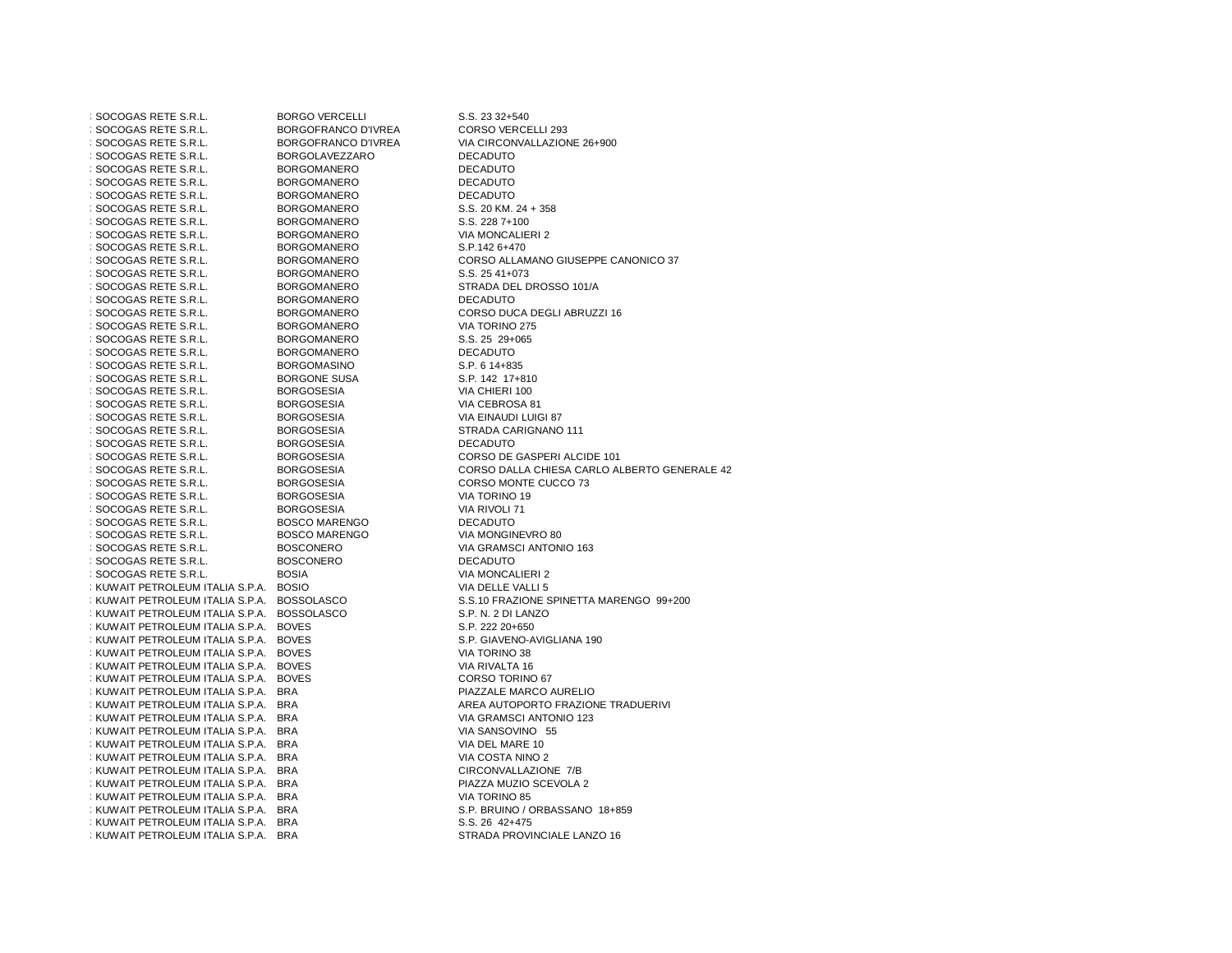| : SOCOGAS RETE S.R.L.                       | <b>BORGO VERCELLI</b>      | S.S. 23 32+540                               |
|---------------------------------------------|----------------------------|----------------------------------------------|
| : SOCOGAS RETE S.R.L.                       | <b>BORGOFRANCO D'IVREA</b> | CORSO VERCELLI 293                           |
| : SOCOGAS RETE S.R.L.                       | <b>BORGOFRANCO D'IVREA</b> | VIA CIRCONVALLAZIONE 26+900                  |
| : SOCOGAS RETE S.R.L.                       | <b>BORGOLAVEZZARO</b>      | <b>DECADUTO</b>                              |
| : SOCOGAS RETE S.R.L.                       | <b>BORGOMANERO</b>         | <b>DECADUTO</b>                              |
| : SOCOGAS RETE S.R.L.                       | <b>BORGOMANERO</b>         | <b>DECADUTO</b>                              |
| : SOCOGAS RETE S.R.L.                       | <b>BORGOMANERO</b>         | <b>DECADUTO</b>                              |
| : SOCOGAS RETE S.R.L.                       | <b>BORGOMANERO</b>         | S.S. 20 KM. 24 + 358                         |
| : SOCOGAS RETE S.R.L.                       | <b>BORGOMANERO</b>         | S.S. 228 7+100                               |
| : SOCOGAS RETE S.R.L.                       | <b>BORGOMANERO</b>         | <b>VIA MONCALIERI 2</b>                      |
| : SOCOGAS RETE S.R.L.                       | <b>BORGOMANERO</b>         | S.P.142 6+470                                |
| : SOCOGAS RETE S.R.L.                       | <b>BORGOMANERO</b>         | CORSO ALLAMANO GIUSEPPE CANONICO 37          |
| : SOCOGAS RETE S.R.L.                       | <b>BORGOMANERO</b>         | S.S. 25 41+073                               |
| : SOCOGAS RETE S.R.L.                       | <b>BORGOMANERO</b>         | STRADA DEL DROSSO 101/A                      |
| : SOCOGAS RETE S.R.L.                       |                            | <b>DECADUTO</b>                              |
|                                             | <b>BORGOMANERO</b>         |                                              |
| : SOCOGAS RETE S.R.L.                       | <b>BORGOMANERO</b>         | CORSO DUCA DEGLI ABRUZZI 16                  |
| : SOCOGAS RETE S.R.L.                       | <b>BORGOMANERO</b>         | VIA TORINO 275                               |
| : SOCOGAS RETE S.R.L.                       | <b>BORGOMANERO</b>         | S.S. 25 29+065                               |
| : SOCOGAS RETE S.R.L.                       | <b>BORGOMANERO</b>         | <b>DECADUTO</b>                              |
| : SOCOGAS RETE S.R.L.                       | <b>BORGOMASINO</b>         | S.P. 6 14+835                                |
| : SOCOGAS RETE S.R.L.                       | <b>BORGONE SUSA</b>        | S.P. 142 17+810                              |
| : SOCOGAS RETE S.R.L.                       | <b>BORGOSESIA</b>          | VIA CHIERI 100                               |
| : SOCOGAS RETE S.R.L.                       | <b>BORGOSESIA</b>          | VIA CEBROSA 81                               |
| : SOCOGAS RETE S.R.L.                       | <b>BORGOSESIA</b>          | VIA EINAUDI LUIGI 87                         |
| : SOCOGAS RETE S.R.L.                       | <b>BORGOSESIA</b>          | STRADA CARIGNANO 111                         |
| : SOCOGAS RETE S.R.L.                       | <b>BORGOSESIA</b>          | <b>DECADUTO</b>                              |
| : SOCOGAS RETE S.R.L.                       | <b>BORGOSESIA</b>          | CORSO DE GASPERI ALCIDE 101                  |
| : SOCOGAS RETE S.R.L.                       | <b>BORGOSESIA</b>          | CORSO DALLA CHIESA CARLO ALBERTO GENERALE 42 |
| : SOCOGAS RETE S.R.L.                       | <b>BORGOSESIA</b>          | CORSO MONTE CUCCO 73                         |
| : SOCOGAS RETE S.R.L.                       | <b>BORGOSESIA</b>          | VIA TORINO 19                                |
| : SOCOGAS RETE S.R.L.                       | <b>BORGOSESIA</b>          | VIA RIVOLI 71                                |
| : SOCOGAS RETE S.R.L.                       | <b>BOSCO MARENGO</b>       | <b>DECADUTO</b>                              |
| : SOCOGAS RETE S.R.L.                       | <b>BOSCO MARENGO</b>       | VIA MONGINEVRO 80                            |
| : SOCOGAS RETE S.R.L.                       | <b>BOSCONERO</b>           | VIA GRAMSCI ANTONIO 163                      |
| : SOCOGAS RETE S.R.L.                       | <b>BOSCONERO</b>           | <b>DECADUTO</b>                              |
| : SOCOGAS RETE S.R.L.                       | <b>BOSIA</b>               | <b>VIA MONCALIERI 2</b>                      |
| : KUWAIT PETROLEUM ITALIA S.P.A. BOSIO      |                            | VIA DELLE VALLI 5                            |
| : KUWAIT PETROLEUM ITALIA S.P.A. BOSSOLASCO |                            | S.S.10 FRAZIONE SPINETTA MARENGO 99+200      |
| : KUWAIT PETROLEUM ITALIA S.P.A. BOSSOLASCO |                            | S.P. N. 2 DI LANZO                           |
| : KUWAIT PETROLEUM ITALIA S.P.A. BOVES      |                            | S.P. 222 20+650                              |
| : KUWAIT PETROLEUM ITALIA S.P.A. BOVES      |                            | S.P. GIAVENO-AVIGLIANA 190                   |
| : KUWAIT PETROLEUM ITALIA S.P.A. BOVES      |                            | VIA TORINO 38                                |
| : KUWAIT PETROLEUM ITALIA S.P.A. BOVES      |                            | VIA RIVALTA 16                               |
| : KUWAIT PETROLEUM ITALIA S.P.A. BOVES      |                            | CORSO TORINO 67                              |
| : KUWAIT PETROLEUM ITALIA S.P.A.            | <b>BRA</b>                 | PIAZZALE MARCO AURELIO                       |
| : KUWAIT PETROLEUM ITALIA S.P.A. BRA        |                            | AREA AUTOPORTO FRAZIONE TRADUERIVI           |
| : KUWAIT PETROLEUM ITALIA S.P.A.            | <b>BRA</b>                 | VIA GRAMSCI ANTONIO 123                      |
|                                             |                            |                                              |
| : KUWAIT PETROLEUM ITALIA S.P.A.            | <b>BRA</b>                 | VIA SANSOVINO 55                             |
| : KUWAIT PETROLEUM ITALIA S.P.A. BRA        |                            | VIA DEL MARE 10                              |
| : KUWAIT PETROLEUM ITALIA S.P.A.            | <b>BRA</b>                 | VIA COSTA NINO 2                             |
| : KUWAIT PETROLEUM ITALIA S.P.A.            | <b>BRA</b>                 | CIRCONVALLAZIONE 7/B                         |
| : KUWAIT PETROLEUM ITALIA S.P.A. BRA        |                            | PIAZZA MUZIO SCEVOLA 2                       |
| : KUWAIT PETROLEUM ITALIA S.P.A.            | <b>BRA</b>                 | VIA TORINO 85                                |
| : KUWAIT PETROLEUM ITALIA S.P.A.            | <b>BRA</b>                 | S.P. BRUINO / ORBASSANO 18+859               |
| : KUWAIT PETROLEUM ITALIA S.P.A. BRA        |                            | S.S. 26 42+475                               |
| : KUWAIT PETROLEUM ITALIA S.P.A.            | <b>BRA</b>                 | STRADA PROVINCIALE LANZO 16                  |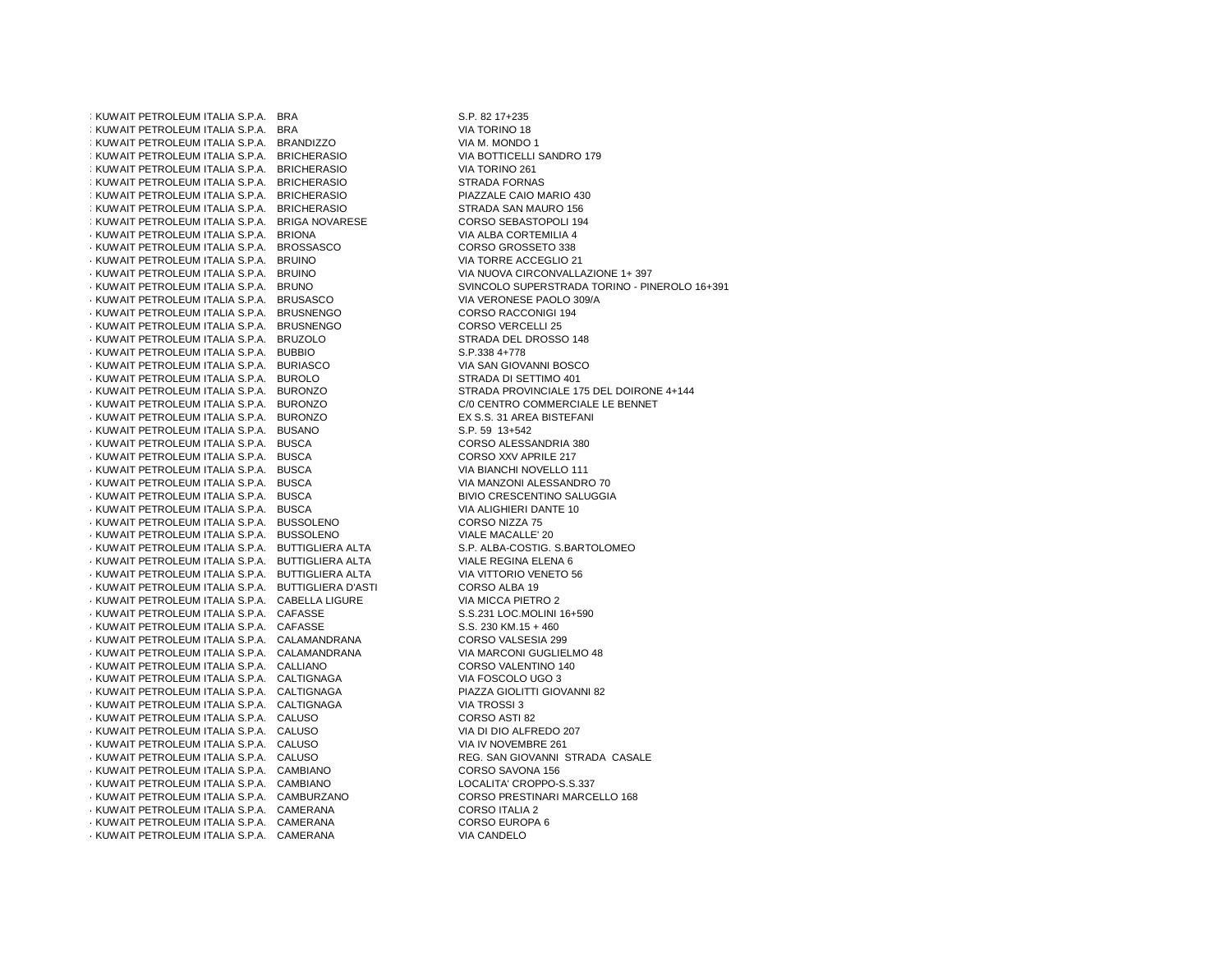391KUWAIT PETROLEUM ITALIA S.P.A. BRA392KUWAIT PETROLEUM ITALIA S.P.A. BRA: KUWAIT PETROLEUM ITALIA S.P.A. BRANDIZZO 394 KUWAIT PETROLEUM ITALIA S.P.A. BRICHERASIO VIA BOTTICELLI SANDAT VIA BOTTICELLI SANDRO 261 ; KUWAIT PETROLEUM ITALIA S.P.A. BRICHERASIO : KUWAIT PETROLEUM ITALIA S.P.A. BRICHERASIO : KUWAIT PETROLEUM ITALIA S.P.A. BRICHERASIO ; KUWAIT PETROLEUM ITALIA S.P.A. BRICHERASIO ; KUWAIT PETROLEUM ITALIA S.P.A. BRIGA NOVARESE 400KUWAIT PETROLEUM ITALIA S.P.A. BRIONA VIA ALBA CORTEMILIA 4 $\cdot$  KUWAIT PETROLEUM ITALIA S.P.A. BROSSASCO  $\cdot$  KUWAIT PETROLEUM ITALIA S.P.A. BRUINO 403KUWAIT PETROLEUM ITALIA S.P.A. BRUINO VIA NUOVA CIRCONVALLAZIONE 1+ 397 404KUWAIT PETROLEUM ITALIA S.P.A. BRUNO SVINCOLO SUPERSTRADA TORINO - PINEROLO 16+3914 KUWAIT PETROLEUM ITALIA S.P.A. BRUSASCO VIA VIA VERONESE PAOLO 309/A<br>4 KUWAIT PETROLEUM ITALIA S.P.A. BRUSNENGO VIA VIA VIA VIA CORSO RACCONIGI 194  $\cdot$  KUWAIT PETROLEUM ITALIA S.P.A. BRUSNENGO 407KUWAIT PETROLEUM ITALIA S.P.A. BRUSNENGO CORSO VERCELLI 254 KUWAIT PETROLEUM ITALIA S.P.A. BRUZOLO STRADA DEL I STRADA DEL I STRADA DEL I S.P.338 4+778  $\cdot$  KUWAIT PETROLEUM ITALIA S.P.A. BUBBIO  $\cdot$  KUWAIT PETROLEUM ITALIA S.P.A. BURIASCO 411KUWAIT PETROLEUM ITALIA S.P.A. BUROLO STRADA DI SETTIMO 401 412KUWAIT PETROLEUM ITALIA S.P.A. BURONZO STRADA PROVINCIALE 175 DEL DOIRONE 4+144413KUWAIT PETROLEUM ITALIA S.P.A. BURONZO C/0 CENTRO COMMERCIALE LE BENNET414KUWAIT PETROLEUM ITALIA S.P.A. BURONZO EX S.S. 31 AREA BISTEFANI  $\cdot$  KUWAIT PETROLEUM ITALIA S.P.A. BUSANO  $\cdot$  KUWAIT PETROLEUM ITALIA S.P.A. BUSCA 417KUWAIT PETROLEUM ITALIA S.P.A. BUSCA CORSO XXV APRILE 217 $\cdot$  KUWAIT PETROLEUM ITALIA S.P.A. BUSCA 4 KUWAIT PETROLEUM ITALIA S.P.A. BUSCA<br>4 KUWAIT PETROLEUM ITALIA S.P.A. BUSCA 420 KUWAIT PETROLEUM ITALIA S.P.A. BUSCA ARREST EN BIVIO CRESCENTINO SALAT EN BIVIO CRESCENTINO SALATE ANNO 19<br>420 KUWAIT PETROLEUM ITALIA S.P.A. BUSCA 4 KUWAIT PETROLEUM ITALIA S.P.A. BUSCA VIA ALIGHIERI DANA VIA ALIGHIERI DANA VIA ALIGHIERI DANA VIA ALIGHIERI DAN<br>4 KUWAIT PETROLEUM ITALIA S.P.A. BUSSOLENO  $\cdot$  KUWAIT PETROLEUM ITALIA S.P.A. BUSSOLENO  $\cdot$  KUWAIT PETROLEUM ITALIA S.P.A. BUSSOLENO 424KUWAIT PETROLEUM ITALIA S.P.A. BUTTIGLIERA ALTA S.P. ALBA-COSTIG. S.BARTOLOMEO425KUWAIT PETROLEUM ITALIA S.P.A. BUTTIGLIERA ALTA VIALE REGINA ELENA 6 $\cdot$  KUWAIT PETROLEUM ITALIA S.P.A. BUTTIGLIERA ALTA 427KUWAIT PETROLEUM ITALIA S.P.A. BUTTIGLIERA D'ASTI CORSO ALBA 19 $\cdot$  KUWAIT PETROLEUM ITALIA S.P.A. CABELLA LIGURE 429 KUWAIT PETROLEUM ITALIA S.P.A. CAFASSE S.S.231 LOC.MOLINI 1990 S.S.231 LOC.MOLINI 15+460<br>4 KUWAIT PETROLEUM ITALIA S.P.A. CAFASSE S.S. 230 KM 15 +460  $\cdot$  KUWAIT PETROLEUM ITALIA S.P.A. CAFASSE  $\cdot$  KUWAIT PETROLEUM ITALIA S.P.A. CALAMANDRANA  $\cdot$  KUWAIT PETROLEUM ITALIA S.P.A. CALAMANDRANA 433KUWAIT PETROLEUM ITALIA S.P.A. CALLIANO CORSO VALENTINO 140434KUWAIT PETROLEUM ITALIA S.P.A. CALTIGNAGA VIA FOSCOLO UGO 343 KUWAIT PETROLEUM ITALIA S.P.A. CALTIGNAGA PIAZZA GIOLITALIA S.P.A. CALTIGNAGA PIAZZA GIOLITALIA S.P.A. CALTIGNAGA  $\cdot$  KUWAIT PETROLEUM ITALIA S.P.A. CALTIGNAGA  $\cdot$  KUWAIT PETROLEUM ITALIA S.P.A. CALUSO 43 KUWAIT PETROLEUM ITALIA S.P.A. CALUSO AND SAN MONTANO VIA DI DIO ALFREDO 2<br>4 KUWAIT PETROLEUM ITALIA S.P.A. CALUSO 4 VIA IV NOVEMBRE 261  $\cdot$  KUWAIT PETROLEUM ITALIA S.P.A. CALUSO  $\cdot$  KUWAIT PETROLEUM ITALIA S.P.A. CALUSO 441KUWAIT PETROLEUM ITALIA S.P.A. CAMBIANO CORSO SAVONA 156 $\cdot$  KUWAIT PETROLEUM ITALIA S.P.A. CAMBIANO 4 KUWAIT PETROLEUM ITALIA S.P.A. CAMBURZANO 444KUWAIT PETROLEUM ITALIA S.P.A. CAMERANA CORSO ITALIA 24 KUWAIT PETROLEUM ITALIA S.P.A. CAMERANA CORSO EUROPA CORSO EUROPA 4 KUWAIT PETROLEUM ITALIA S.P.A. CAMERANA  $\cdot$  KUWAIT PETROLEUM ITALIA S.P.A. CAMERANA

 S.P. 82 17+235 VIA TORINO 18<br>VIA M. MONDO 1 VIA BOTTICELLI SANDRO 179 STRADA FORNAS PIAZZALE CAIO MARIO 430 STRADA SAN MAURO 156 CORSO SEBASTOPOLI 194 CORSO GROSSETO 338 VIA TORRE ACCEGLIO 21 STRADA DEL DROSSO 148 VIA SAN GIOVANNI BOSCO CORSO ALESSANDRIA 380 VIA BIANCHI NOVELLO 111 VIA MANZONI ALESSANDRO 70 **BIVIO CRESCENTINO SALUGGIA** VIALE MACALLE' 20 S.P. ALBA-COSTIG. S.BARTOLOMEO VIA VITTORIO VENETO 56 VIA MICCA PIETRO 2 S.S.231 LOC.MOLINI 16+590 CORSO VALSESIA 299 VIA MARCONI GUGLIELMO 48 PIAZZA GIOLITTI GIOVANNI 82 CORSO ASTI 82 VIA DI DIO ALFREDO 207 REG. SAN GIOVANNI STRADA CASALE LOCALITA' CROPPO-S.S.337 CORSO PRESTINARI MARCELLO 168 CORSO EUROPA 6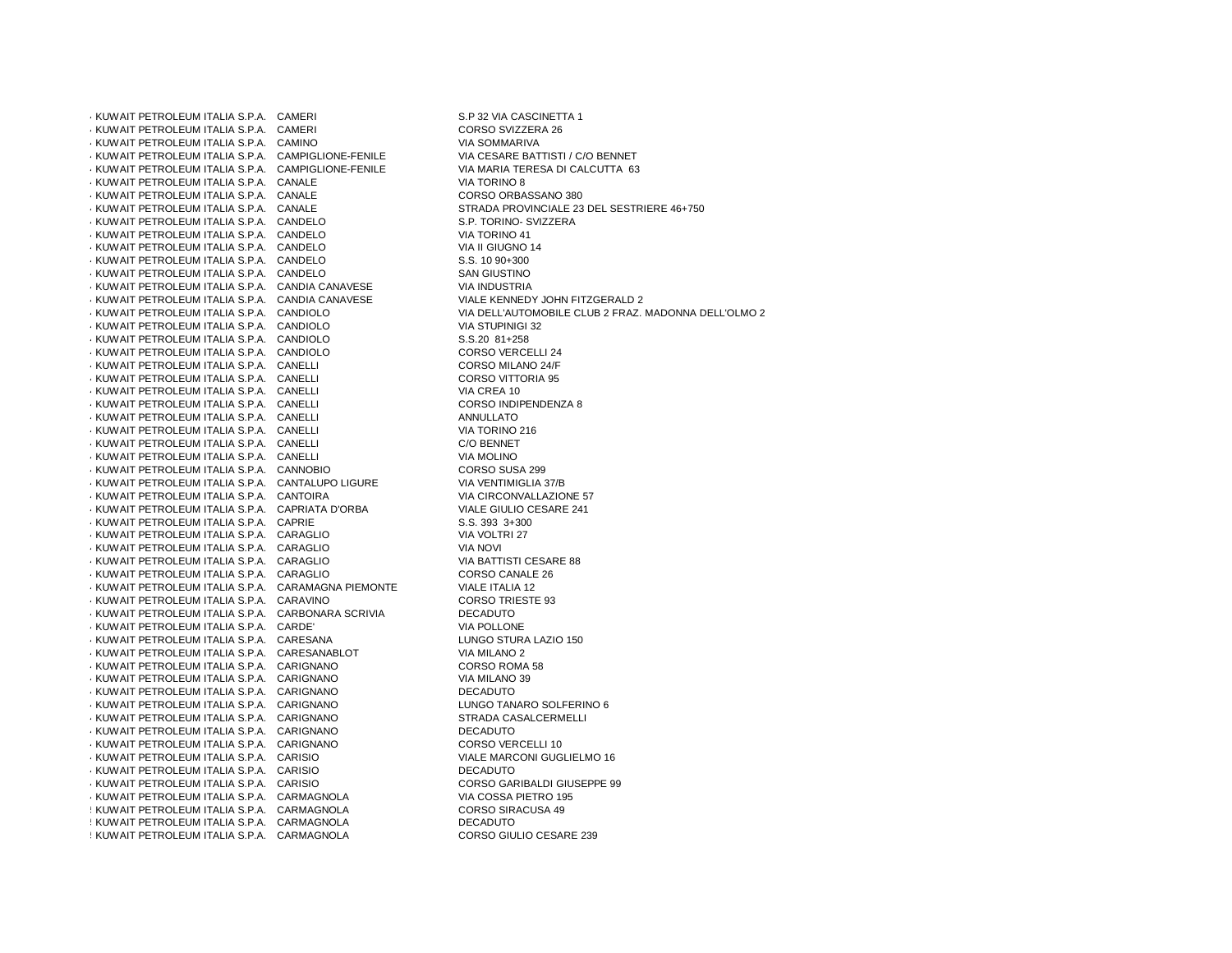447KUWAIT PETROLEUM ITALIA S.P.A. CAMERI S.P 32 VIA CASCINETTA 1448KUWAIT PETROLEUM ITALIA S.P.A. CAMERI CORSO SVIZZERA 26449KUWAIT PETROLEUM ITALIA S.P.A. CAMINO VIA SOMMARIVA $\cdot$  KUWAIT PETROLEUM ITALIA S.P.A. CAMPIGLIONE-FENILE 4 KUWAIT PETROLEUM ITALIA S.P.A. CAMPIGLIONE-FENILE VIA MARIA TERESA DI CAMPIGLIONE-FENILE VIA TORINO 8<br>4 KUWAIT PETROLEUM ITALIA S.P.A. CANALE  $\cdot$  KUWAIT PETROLEUM ITALIA S.P.A. CANALE  $\cdot$  KUWAIT PETROLEUM ITALIA S.P.A. CANALE  $\cdot$  KUWAIT PETROLEUM ITALIA S.P.A. CANALE 455KUWAIT PETROLEUM ITALIA S.P.A. CANDELO S.P. TORINO- SVIZZERA456KUWAIT PETROLEUM ITALIA S.P.A. CANDELO VIA TORINO 41 $\cdot$  KUWAIT PETROLEUM ITALIA S.P.A. CANDELO 458KUWAIT PETROLEUM ITALIA S.P.A. CANDELO S.S. 10 90+300 $\cdot$  KUWAIT PETROLEUM ITALIA S.P.A. CANDELO  $\cdot$  KUWAIT PETROLEUM ITALIA S.P.A. CANDIA CANAVESE 4 KUWAIT PETROLEUM ITALIA S.P.A. CANDIA CANAVESE<br>4 KUWAIT PETROLEUM ITALIA S.P.A. CANDIOLO 462KUWAIT PETROLEUM ITALIA S.P.A. CANDIOLO VIA DELL'AUTOMOBILE CLUB 2 FRAZ. MADONNA DELL'OLMO 2463KUWAIT PETROLEUM ITALIA S.P.A. CANDIOLO VIA STUPINIGI 32464KUWAIT PETROLEUM ITALIA S.P.A. CANDIOLO S.S.20 81+258 $\cdot$  KUWAIT PETROLEUM ITALIA S.P.A. CANDIOLO  $\cdot$  KUWAIT PETROLEUM ITALIA S.P.A. CANELLI  $4$  KUWAIT PETROLEUM ITALIA S.P.A. CANELLI 468KUWAIT PETROLEUM ITALIA S.P.A. CANELLI VIA CREA 104 KUWAIT PETROLEUM ITALIA S.P.A. CANELLI AND ANNO 1999 CORSO INDIPENDENT CORSO INDIPENDENT CORSO INDIPENDENT CORSO INDIPENDENT CORSO INDIPENDENT CORSO INDIPENDENT CORSO INDIPENDENT CORSO INDIPENDENT CORSO INDIPENDENT CORSO  $\cdot$  KUWAIT PETROLEUM ITALIA S.P.A. CANELLI 4 KUWAIT PETROLEUM ITALIA S.P.A. CANELLI 472KUWAIT PETROLEUM ITALIA S.P.A. CANELLI C/O BENNET $\cdot$  KUWAIT PETROLEUM ITALIA S.P.A. CANELLI  $\cdot$  KUWAIT PETROLEUM ITALIA S.P.A. CANNOBIO  $\cdot$  KUWAIT PETROLEUM ITALIA S.P.A. CANTALUPO LIGURE  $\cdot$  KUWAIT PETROLEUM ITALIA S.P.A. CANTOIRA 477KUWAIT PETROLEUM ITALIA S.P.A. CAPRIATA D'ORBA VIALE GIULIO CESARE 241478KUWAIT PETROLEUM ITALIA S.P.A. CAPRIE S.S. 393 3+300 $\cdot$  KUWAIT PETROLEUM ITALIA S.P.A. CARAGLIO 480KUWAIT PETROLEUM ITALIA S.P.A. CARAGLIO VIA NOVI 481KUWAIT PETROLEUM ITALIA S.P.A. CARAGLIO VIA BATTISTI CESARE 88482KUWAIT PETROLEUM ITALIA S.P.A. CARAGLIO CORSO CANALE 26483KUWAIT PETROLEUM ITALIA S.P.A. CARAMAGNA PIEMONTE VIALE ITALIA 124 KUWAIT PETROLEUM ITALIA S.P.A. CARAVINO 4 KUWAIT PETROLEUM ITALIA S.P.A. CARBONARA SCRIVIA 4 CORSO TRIESTE 9<br>4 KUWAIT PETROLEUM ITALIA S.P.A. CARBONARA SCRIVIA  $\cdot$  KUWAIT PETROLEUM ITALIA S.P.A. CARBONARA SCRIVIA  $\cdot$  KUWAIT PETROLEUM ITALIA S.P.A. CARDE'  $\cdot$  KUWAIT PETROLEUM ITALIA S.P.A. CARESANA 488KUWAIT PETROLEUM ITALIA S.P.A. CARESANABLOT VIA MILANO 2 $\cdot$  KUWAIT PETROLEUM ITALIA S.P.A. CARIGNANO 490KUWAIT PETROLEUM ITALIA S.P.A. CARIGNANO VIA MILANO 39 $\cdot$  KUWAIT PETROLEUM ITALIA S.P.A. CARIGNANO 492KUWAIT PETROLEUM ITALIA S.P.A. CARIGNANO LUNGO TANARO SOLFERINO 6493KUWAIT PETROLEUM ITALIA S.P.A. CARIGNANO STRADA CASALCERMELLI 494KUWAIT PETROLEUM ITALIA S.P.A. CARIGNANO DECADUTOKUWAIT PETROLEUM ITALIA S.P.A. CARIGNANO  $\cdot$  KUWAIT PETROLEUM ITALIA S.P.A. CARISIO 497KUWAIT PETROLEUM ITALIA S.P.A. CARISIO DECADUTO $\cdot$  KUWAIT PETROLEUM ITALIA S.P.A. CARISIO 4 KUWAIT PETROLEUM ITALIA S.P.A. CARMAGNOLA VIA COSSA PIETRO 195<br>4 KUWAIT PETROLEUM ITALIA S.P.A. CARMAGNOLA CORSO SIRACUSA 49  $\frac{1}{2}$  KUWAIT PETROLEUM ITALIA S.P.A. CARMAGNOLA 501KUWAIT PETROLEUM ITALIA S.P.A. CARMAGNOLA DECADUTO: KUWAIT PETROLEUM ITALIA S.P.A. CARMAGNOLA

VIA CESARE BATTISTI / C/O BENNET VIA MARIA TERESA DI CALCUTTA 63 CORSO ORBASSANO 380 STRADA PROVINCIALE 23 DEL SESTRIERE 46+750 VIA II GIUGNO 14 **SAN GIUSTINO VIA INDUSTRIA** VIALE KENNEDY JOHN FITZGERALD 2 **CORSO VERCELLI 24** CORSO MILANO 24/F CORSO VITTORIA 95 CORSO INDIPENDENZA 8 VIA TORINO 216 **VIA MOLINO** CORSO SUSA 299 VIA VENTIMIGLIA 37/B VIA CIRCONVALLAZIONE 57 VIALE GIULIO CESARE 241 VIA VOLTRI 27 **CORSO TRIESTE 93** VIA POLLONE LUNGO STURA LAZIO 150 CORSO ROMA 58 LUNGO TANARO SOLFERINO 6 CORSO VERCELLI 10 **VIALE MARCONI GUGLIELMO 16** CORSO GARIBALDI GIUSEPPE 99 CORSO GIULIO CESARE 239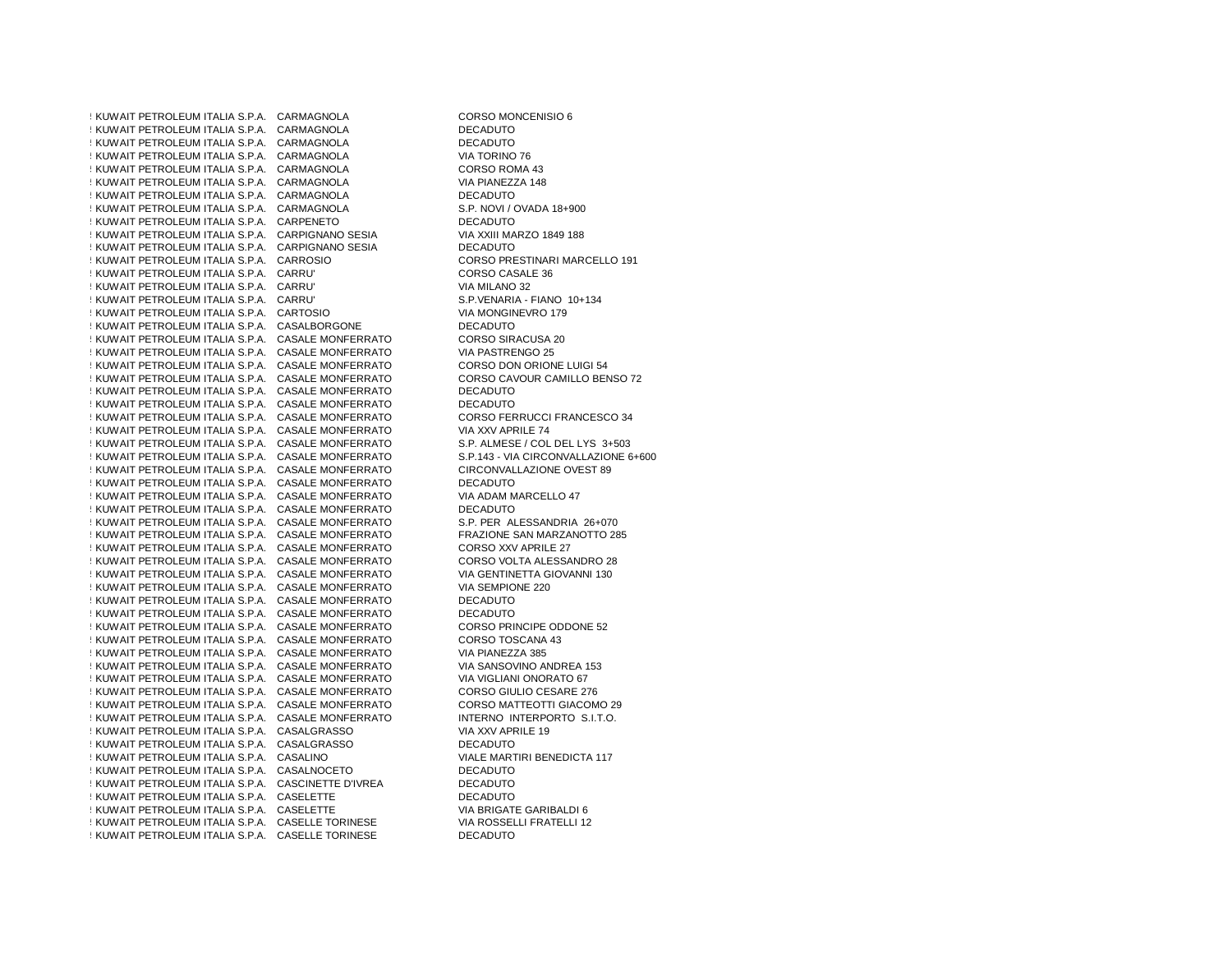503KUWAIT PETROLEUM ITALIA S.P.A. CARMAGNOLA CORSO MONCENISIO 6504KUWAIT PETROLEUM ITALIA S.P.A. CARMAGNOLA DECADUTO: KUWAIT PETROLEUM ITALIA S.P.A. CARMAGNOLA : KUWAIT PETROLEUM ITALIA S.P.A. CARMAGNOLA  $\frac{1}{2}$  KUWAIT PETROLEUM ITALIA S.P.A. CARMAGNOLA : KUWAIT PETROLEUM ITALIA S.P.A. CARMAGNOLA 509KUWAIT PETROLEUM ITALIA S.P.A. CARMAGNOLA DECADUTO: KUWAIT PETROLEUM ITALIA S.P.A. CARMAGNOLA 511KUWAIT PETROLEUM ITALIA S.P.A. CARPENETO DECADUTO512KUWAIT PETROLEUM ITALIA S.P.A. CARPIGNANO SESIA VIA XXIII MARZO 1849 188513KUWAIT PETROLEUM ITALIA S.P.A. CARPIGNANO SESIA DECADUTO: KUWAIT PETROLEUM ITALIA S.P.A. CARROSIO 515KUWAIT PETROLEUM ITALIA S.P.A. CARRU' CORSO CASALE 36516KUWAIT PETROLEUM ITALIA S.P.A. CARRU' VIA MILANO 32: KUWAIT PETROLEUM ITALIA S.P.A. CARRU' 518KUWAIT PETROLEUM ITALIA S.P.A. CARTOSIO VIA MONGINEVRO 179519KUWAIT PETROLEUM ITALIA S.P.A. CASALBORGONE DECADUTO520 KUWAIT PETROLEUM ITALIA S.P.A. CASALE MONFERRATO CORSO SIRACUSA 2:<br>520 KUWAIT PETROLEUM ITALIA S.P.A. CASALE MONFERRATO VIA PASTRENGO 25  $\pm$  KUWAIT PETROLEUM ITALIA S.P.A. CASALE MONFERRATO 522KUWAIT PETROLEUM ITALIA S.P.A. CASALE MONFERRATO CORSO DON ORIONE LUIGI 54: KUWAIT PETROLEUM ITALIA S.P.A. CASALE MONFERRATO 524KUWAIT PETROLEUM ITALIA S.P.A. CASALE MONFERRATO DECADUTO**: KUWAIT PETROLEUM ITALIA S.P.A. CASALE MONFERRATO**  $\pm$  KUWAIT PETROLEUM ITALIA S.P.A. CASALE MONFERRATO 527KUWAIT PETROLEUM ITALIA S.P.A. CASALE MONFERRATO VIA XXV APRILE 74 $\pm$  KUWAIT PETROLEUM ITALIA S.P.A. CASALE MONFERRATO  $14$  KUWAIT PETROLEUM ITALIA S.P.A. CASALE MONFERRATO 530KUWAIT PETROLEUM ITALIA S.P.A. CASALE MONFERRATO CIRCONVALLAZIONE OVEST 89531KUWAIT PETROLEUM ITALIA S.P.A. CASALE MONFERRATO DECADUTO53 KUWAIT PETROLEUM ITALIA S.P.A. CASALE MONFERRATO VIA ADAM M<br>532 KUWAIT PETROLEUM ITALIA S.P.A. CASALE MONFERRATO 400 DECADUTO : KUWAIT PETROLEUM ITALIA S.P.A. CASALE MONFERRATO  $\pm$  KUWAIT PETROLEUM ITALIA S.P.A. CASALE MONFERRATO  $\pm$  KUWAIT PETROLEUM ITALIA S.P.A. CASALE MONFERRATO 536KUWAIT PETROLEUM ITALIA S.P.A. CASALE MONFERRATO CORSO XXV APRILE 27537KUWAIT PETROLEUM ITALIA S.P.A. CASALE MONFERRATO CORSO VOLTA ALESSANDRO 28: KUWAIT PETROLEUM ITALIA S.P.A. CASALE MONFERRATO 539KUWAIT PETROLEUM ITALIA S.P.A. CASALE MONFERRATO VIA SEMPIONE 220540KUWAIT PETROLEUM ITALIA S.P.A. CASALE MONFERRATO DECADUTO $\frac{1}{2}$  KUWAIT PETROLEUM ITALIA S.P.A. CASALE MONFERRATO  $44$  KUWAIT PETROLEUM ITALIA S.P.A. CASALE MONFERRATO 543KUWAIT PETROLEUM ITALIA S.P.A. CASALE MONFERRATO CORSO TOSCANA 43544KUWAIT PETROLEUM ITALIA S.P.A. CASALE MONFERRATO VIA PIANEZZA 385545KUWAIT PETROLEUM ITALIA S.P.A. CASALE MONFERRATO VIA SANSOVINO ANDREA 153546KUWAIT PETROLEUM ITALIA S.P.A. CASALE MONFERRATO VIA VIGLIANI ONORATO 67 $\pm$ KUWAIT PETROLEUM ITALIA S.P.A. CASALE MONFERRATO : KUWAIT PETROLEUM ITALIA S.P.A. CASALE MONFERRATO  $\pm$  KUWAIT PETROLEUM ITALIA S.P.A. CASALE MONFERRATO 550 KUWAIT PETROLEUM ITALIA S.P.A. CASALGRASSO VIA XXV APRILE 19<br>5 KUWAIT PETROLEUM ITALIA S.P.A. CASALGRASSO VIANALE DECADUTO  $\frac{1}{2}$  KUWAIT PETROLEUM ITALIA S.P.A. CASALGRASSO 5 KUWAIT PETROLEUM ITALIA S.P.A. CASALINO 553KUWAIT PETROLEUM ITALIA S.P.A. CASALNOCETO DECADUTO $\pm$  KUWAIT PETROLEUM ITALIA S.P.A. CASCINETTE D'IVREA **KUWAIT PETROLEUM ITALIA S.P.A. CASELETTE** 556KUWAIT PETROLEUM ITALIA S.P.A. CASELETTE VIA BRIGATE GARIBALDI 655 KUWAIT PETROLEUM ITALIA S.P.A. CASELLE TORINESE VIA ROSSEL!<br>15 KUWAIT PETROLEUM ITALIA S.P.A. CASELLE TORINESE : KUWAIT PETROLEUM ITALIA S.P.A. CASELLE TORINESE

**DECADUTO** VIA TORINO 76 CORSO ROMA 43 VIA PIANEZZA 148 S.P. NOVI / OVADA 18+900 VIA XXIII MARZO 1849 188 CORSO PRESTINARI MARCELLO 191 S.P.VENARIA - FIANO 10+134 CORSO SIRACUSA 20 CORSO DON ORIONE LUIGI 54 CORSO CAVOUR CAMILLO BENSO 72 **DECADUTO** CORSO FERRUCCI FRANCESCO 34 S.P. ALMESE / COL DEL LYS 3+503 S.P.143 - VIA CIRCONVALLAZIONE 6+600 VIA ADAM MARCELLO 47 S.P. PER ALESSANDRIA 26+070 FRAZIONE SAN MARZANOTTO 285 CORSO VOLTA ALESSANDRO 28 VIA GENTINETTA GIOVANNI 130 **DECADUTO** CORSO PRINCIPE ODDONE 52 VIA SANSOVINO ANDREA 153 CORSO GIULIO CESARE 276 CORSO MATTEOTTI GIACOMO 29 INTERNO INTERPORTO S.I.T.O. **VIALE MARTIRI BENEDICTA 117 DECADUTO** DECADUTO VIA BRIGATE GARIBALDI 6 VIA ROSSELLI FRATELLI 12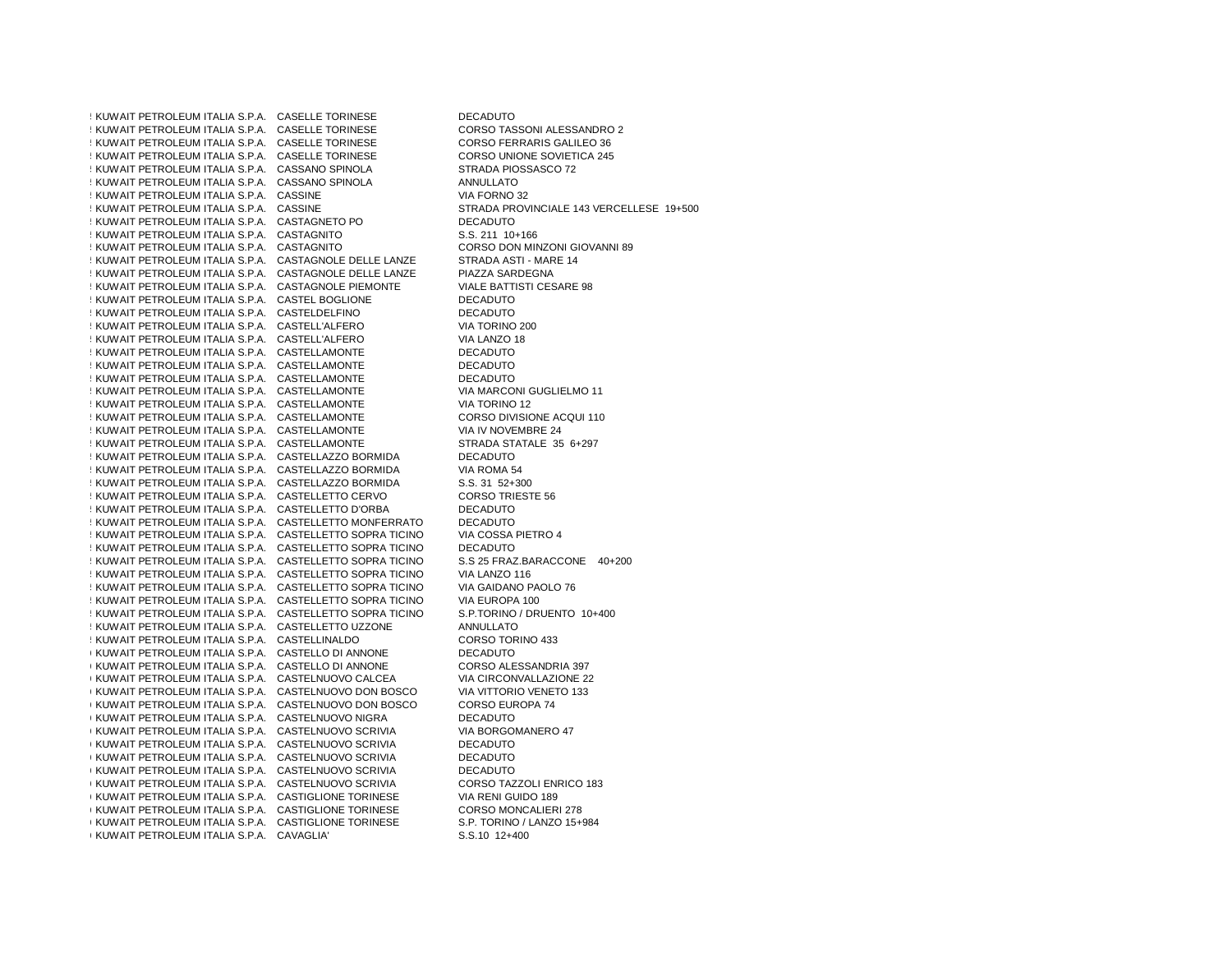559KUWAIT PETROLEUM ITALIA S.P.A. CASELLE TORINESE DECADUTO $\frac{1}{2}$  KUWAIT PETROLEUM ITALIA S.P.A. CASELLE TORINESE 561KUWAIT PETROLEUM ITALIA S.P.A. CASELLE TORINESE CORSO FERRARIS GALILEO 36552 KUWAIT PETROLEUM ITALIA S.P.A. CASELLE TORINESE CORSO UNIONE SOVIETI<br>26 KUWAIT PETROLEUM ITALIA S.P.A. CASSANO SPINOLA 2455 STRADA PIOSSASCO 72 555 KUWAIT PETROLEUM ITALIA S.P.A. CASSANO SPINOLA STRADA PIOS STRADA PIOS STRADA PIOS SERADA PIOS S.<br>STRADA TETROLEUM ITALIA S.P.A. CASSANO SPINOLA : KUWAIT PETROLEUM ITALIA S.P.A. CASSANO SPINOLA : KUWAIT PETROLEUM ITALIA S.P.A. CASSINE 566KUWAIT PETROLEUM ITALIA S.P.A. CASSINE STRADA PROVINCIALE 143 VERCELLESE 19+500567KUWAIT PETROLEUM ITALIA S.P.A. CASTAGNETO PO DECADUTO5 KUWAIT PETROLEUM ITALIA S.P.A. CASTAGNITO  $\pm$  KUWAIT PETROLEUM ITALIA S.P.A. CASTAGNITO 570KUWAIT PETROLEUM ITALIA S.P.A. CASTAGNOLE DELLE LANZE STRADA ASTI - MARE 14571KUWAIT PETROLEUM ITALIA S.P.A. CASTAGNOLE DELLE LANZE PIAZZA SARDEGNA572KUWAIT PETROLEUM ITALIA S.P.A. CASTAGNOLE PIEMONTE VIALE BATTISTI CESARE 98 $\frac{1}{2}$  KUWAIT PETROLEUM ITALIA S.P.A. CASTEL BOGLIONE : KUWAIT PETROLEUM ITALIA S.P.A. CASTELDELFINO 575KUWAIT PETROLEUM ITALIA S.P.A. CASTELL'ALFERO VIA TORINO 200576KUWAIT PETROLEUM ITALIA S.P.A. CASTELL'ALFERO VIA LANZO 18 $175$  KUWAIT PETROLEUM ITALIA S.P.A. CASTELLAMONTE **KUWAIT PETROLEUM ITALIA S.P.A. CASTELLAMONTE** : KUWAIT PETROLEUM ITALIA S.P.A. CASTELLAMONTE **: KUWAIT PETROLEUM ITALIA S.P.A. CASTELLAMONTE** 581KUWAIT PETROLEUM ITALIA S.P.A. CASTELLAMONTE VIA TORINO 12 $183.1$  KUWAIT PETROLEUM ITALIA S.P.A. CASTELLAMONTE 583KUWAIT PETROLEUM ITALIA S.P.A. CASTELLAMONTE VIA IV NOVEMBRE 24 $\frac{1}{2}$  KUWAIT PETROLEUM ITALIA S.P.A. CASTELLAMONTE 585KUWAIT PETROLEUM ITALIA S.P.A. CASTELLAZZO BORMIDA DECADUTO $\frac{1}{2}$  KUWAIT PETROLEUM ITALIA S.P.A. CASTELLAZZO BORMIDA 5 KUWAIT PETROLEUM ITALIA S.P.A. CASTELLAZZO BORMIDA 58 KUWAIT PETROLEUM ITALIA S.P.A. CASTELLETTO CERVO CORSO TRIESTE 56 CORSO TRIEST.<br>5 ALIMAIT PETROLEUM ITALIA S.P.A. CASTELLETTO D'ORBA 5889 KUWAIT PETROLEUM ITALIA S.P.A. CASTELLETTO D'ORBA  $\pm$  KUWAIT PETROLEUM ITALIA S.P.A. CASTELLETTO MONFERRATO  $\pm$  KUWAIT PETROLEUM ITALIA S.P.A. CASTELLETTO SOPRA TICINO 592KUWAIT PETROLEUM ITALIA S.P.A. CASTELLETTO SOPRA TICINO DECADUTO5 KUWAIT PETROLEUM ITALIA S.P.A. CASTELLETTO SOPRA TICINO 594KUWAIT PETROLEUM ITALIA S.P.A. CASTELLETTO SOPRA TICINO VIA LANZO 116 $\frac{1}{2}$  KUWAIT PETROLEUM ITALIA S.P.A. CASTELLETTO SOPRA TICINO 596KUWAIT PETROLEUM ITALIA S.P.A. CASTELLETTO SOPRA TICINO VIA EUROPA 100 $\frac{1}{2}$  KUWAIT PETROLEUM ITALIA S.P.A. CASTELLETTO SOPRA TICINO 598KUWAIT PETROLEUM ITALIA S.P.A. CASTELLETTO UZZONE ANNULLATO $\frac{1}{2}$  KUWAIT PETROLEUM ITALIA S.P.A. CASTELLINALDO 600KUWAIT PETROLEUM ITALIA S.P.A. CASTELLO DI ANNONE DECADUTO6 KUWAIT PETROLEUM ITALIA S.P.A. CASTELLO DI ANNONE 6 KUWAIT PETROLEUM ITALIA S.P.A. CASTELNUOVO CALCEA 6 KUWAIT PETROLEUM ITALIA S.P.A. CASTELNUOVO DON BOSCO VIA VITTORIO VENETO VENETO VENETO 1333 EUROPA 74 6 KUWAIT PETROLEUM ITALIA S.P.A. CASTELNUOVO DON BOSCO 605KUWAIT PETROLEUM ITALIA S.P.A. CASTELNUOVO NIGRA DECADUTO6 KUWAIT PETROLEUM ITALIA S.P.A. CASTELNUOVO SCRIVIA VIA BORGOMANERO VIA BORGOMANERO 4 KUWAIT PETROLEUM ITALIA S.P.A. CASTELNUOVO SCRIVIA VIA DECADUTO 6 KUWAIT PETROLEUM ITALIA S.P.A. CASTELNUOVO SCRIVIA 6 KUWAIT PETROLEUM ITALIA S.P.A. CASTELNUOVO SCRIVIA 6 KUWAIT PETROLEUM ITALIA S.P.A. CASTELNUOVO SCRIVIA 6 KUWAIT PETROLEUM ITALIA S.P.A. CASTELNUOVO SCRIVIA 611KUWAIT PETROLEUM ITALIA S.P.A. CASTIGLIONE TORINESE VIA RENI GUIDO 1896 KUWAIT PETROLEUM ITALIA S.P.A. CASTIGLIONE TORINESE 6 KUWAIT PETROLEUM ITALIA S.P.A. CASTIGLIONE TORINESE S.P. TORINO / LANGO 194400<br>6 KUWAIT PETROLEUM ITALIA S.P.A. CAVAGLIA' CARISTER S.S.10 12+400 6 KUWAIT PETROLEUM ITALIA S.P.A. CAVAGLIA'

CORSO TASSONI ALESSANDRO 2 CORSO UNIONE SOVIETICA 245 VIA FORNO 32 S.S. 211 10+166 CORSO DON MINZONI GIOVANNI 89 **VIALE BATTISTI CESARE 98 DECADUTO** VIA TORINO 200 **DECADUTO DECADUTO** VIA MARCONI GUGLIELMO 11 CORSO DIVISIONE ACQUI 110 STRADA STATALE 35 6+297 VIA ROMA 54 S.S. 31 52+300 **CORSO TRIESTE 56 DECADUTO** VIA COSSA PIETRO 4 S.S 25 FRAZ.BARACCONE 40+200 VIA GAIDANO PAOLO 76 S.P.TORINO / DRUENTO 10+400 CORSO TORINO 433 CORSO ALESSANDRIA 397 VIA CIRCONVALLAZIONE 22 VIA VITTORIO VENETO 133 VIA BORGOMANERO 47 **DECADUTO DECADUTO** CORSO TAZZOLI ENRICO 183 **CORSO MONCALIERI 278** S.P. TORINO / LANZO 15+984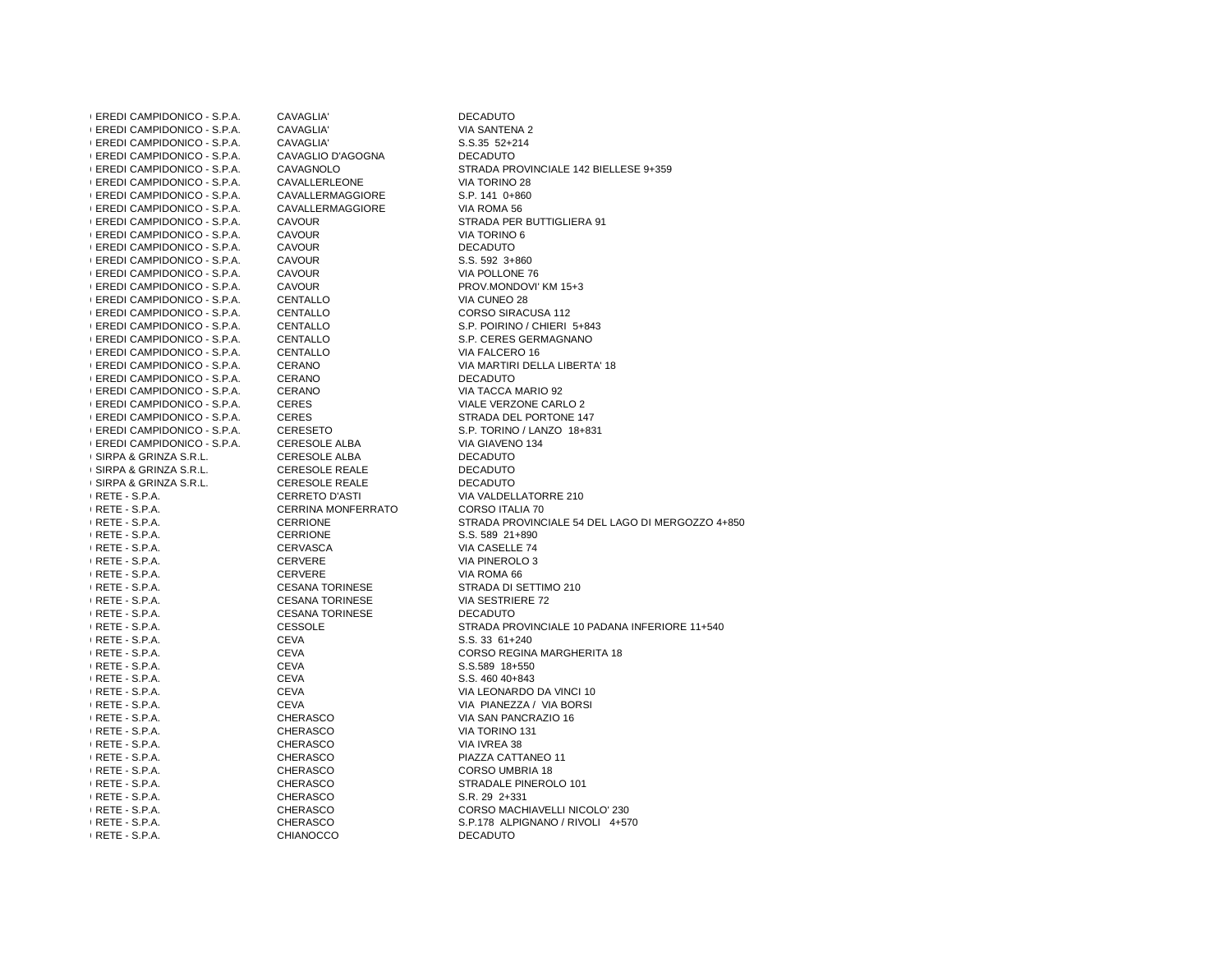| <b>(EREDI CAMPIDONICO - S.P.A.</b> | CAVAGLIA'                 | <b>DECADUTO</b>                                  |
|------------------------------------|---------------------------|--------------------------------------------------|
| <b>(EREDI CAMPIDONICO - S.P.A.</b> | CAVAGLIA'                 | VIA SANTENA 2                                    |
| <b>(EREDI CAMPIDONICO - S.P.A.</b> | CAVAGLIA'                 | S.S.35 52+214                                    |
| <b>(EREDI CAMPIDONICO - S.P.A.</b> | CAVAGLIO D'AGOGNA         | <b>DECADUTO</b>                                  |
| <b>(EREDI CAMPIDONICO - S.P.A.</b> | CAVAGNOLO                 | STRADA PROVINCIALE 142 BIELLESE 9+359            |
| <b>(EREDI CAMPIDONICO - S.P.A.</b> | CAVALLERLEONE             | VIA TORINO 28                                    |
| <b>(EREDI CAMPIDONICO - S.P.A.</b> | CAVALLERMAGGIORE          | S.P. 141 0+860                                   |
| <b>(EREDI CAMPIDONICO - S.P.A.</b> | CAVALLERMAGGIORE          | VIA ROMA 56                                      |
| <b>(EREDI CAMPIDONICO - S.P.A.</b> | <b>CAVOUR</b>             | STRADA PER BUTTIGLIERA 91                        |
| <b>(EREDI CAMPIDONICO - S.P.A.</b> | <b>CAVOUR</b>             | VIA TORINO 6                                     |
| <b>(EREDI CAMPIDONICO - S.P.A.</b> | <b>CAVOUR</b>             | <b>DECADUTO</b>                                  |
| <b>(EREDI CAMPIDONICO - S.P.A.</b> | CAVOUR                    | S.S. 592 3+860                                   |
| <b>(EREDI CAMPIDONICO - S.P.A.</b> | <b>CAVOUR</b>             | VIA POLLONE 76                                   |
| <b>(EREDI CAMPIDONICO - S.P.A.</b> | <b>CAVOUR</b>             | PROV.MONDOVI' KM 15+3                            |
| <b>(EREDI CAMPIDONICO - S.P.A.</b> | CENTALLO                  | VIA CUNEO 28                                     |
| (EREDI CAMPIDONICO - S.P.A.        | CENTALLO                  | CORSO SIRACUSA 112                               |
| <b>(EREDI CAMPIDONICO - S.P.A.</b> | CENTALLO                  | S.P. POIRINO / CHIERI 5+843                      |
| <b>(EREDI CAMPIDONICO - S.P.A.</b> | CENTALLO                  | S.P. CERES GERMAGNANO                            |
| <b>(EREDI CAMPIDONICO - S.P.A.</b> | CENTALLO                  | VIA FALCERO 16                                   |
| <b>(EREDI CAMPIDONICO - S.P.A.</b> | CERANO                    | VIA MARTIRI DELLA LIBERTA' 18                    |
| <b>(EREDI CAMPIDONICO - S.P.A.</b> | CERANO                    | <b>DECADUTO</b>                                  |
| (EREDI CAMPIDONICO - S.P.A.        | <b>CERANO</b>             | VIA TACCA MARIO 92                               |
| <b>(EREDI CAMPIDONICO - S.P.A.</b> | <b>CERES</b>              | VIALE VERZONE CARLO 2                            |
| <b>(EREDI CAMPIDONICO - S.P.A.</b> | <b>CERES</b>              | STRADA DEL PORTONE 147                           |
| <b>(EREDI CAMPIDONICO - S.P.A.</b> | <b>CERESETO</b>           | S.P. TORINO / LANZO 18+831                       |
| <b>(EREDI CAMPIDONICO - S.P.A.</b> | CERESOLE ALBA             | VIA GIAVENO 134                                  |
| I SIRPA & GRINZA S.R.L.            | CERESOLE ALBA             | <b>DECADUTO</b>                                  |
| I SIRPA & GRINZA S.R.L.            | <b>CERESOLE REALE</b>     | <b>DECADUTO</b>                                  |
| I SIRPA & GRINZA S.R.L.            | <b>CERESOLE REALE</b>     | <b>DECADUTO</b>                                  |
| I RETE - S.P.A.                    | <b>CERRETO D'ASTI</b>     | VIA VALDELLATORRE 210                            |
|                                    |                           | <b>CORSO ITALIA 70</b>                           |
| I RETE - S.P.A.                    | <b>CERRINA MONFERRATO</b> |                                                  |
| I RETE - S.P.A.                    | <b>CERRIONE</b>           | STRADA PROVINCIALE 54 DEL LAGO DI MERGOZZO 4+850 |
| I RETE - S.P.A.                    | <b>CERRIONE</b>           | S.S. 589 21+890                                  |
| I RETE - S.P.A.                    | CERVASCA                  | VIA CASELLE 74                                   |
| $(RETE - S.P.A.$                   | CERVERE                   | VIA PINEROLO 3                                   |
| $(RETE - S.P.A.$                   | <b>CERVERE</b>            | VIA ROMA 66                                      |
| I RETE - S.P.A.                    | <b>CESANA TORINESE</b>    | STRADA DI SETTIMO 210                            |
| $(RETE - S.P.A.$                   | <b>CESANA TORINESE</b>    | VIA SESTRIERE 72                                 |
| I RETE - S.P.A.                    | <b>CESANA TORINESE</b>    | <b>DECADUTO</b>                                  |
| I RETE - S.P.A.                    | <b>CESSOLE</b>            | STRADA PROVINCIALE 10 PADANA INFERIORE 11+540    |
| $R$ RETE - S.P.A.                  | <b>CEVA</b>               | S.S. 33 61+240                                   |
| I RETE - S.P.A.                    | <b>CEVA</b>               | <b>CORSO REGINA MARGHERITA 18</b>                |
| I RETE - S.P.A.                    | <b>CEVA</b>               | S.S.589 18+550                                   |
| I RETE - S.P.A.                    | <b>CEVA</b>               | S.S. 460 40+843                                  |
| I RETE - S.P.A.                    | <b>CEVA</b>               | VIA LEONARDO DA VINCI 10                         |
| I RETE - S.P.A.                    | <b>CEVA</b>               | VIA PIANEZZA / VIA BORSI                         |
| I RETE - S.P.A.                    | CHERASCO                  | VIA SAN PANCRAZIO 16                             |
| I RETE - S.P.A.                    | CHERASCO                  | VIA TORINO 131                                   |
| I RETE - S.P.A.                    | CHERASCO                  | VIA IVREA 38                                     |
| I RETE - S.P.A.                    | CHERASCO                  | PIAZZA CATTANEO 11                               |
| I RETE - S.P.A.                    | CHERASCO                  | CORSO UMBRIA 18                                  |
| I RETE - S.P.A.                    | CHERASCO                  | STRADALE PINEROLO 101                            |
| I RETE - S.P.A.                    | CHERASCO                  | S.R. 29 2+331                                    |
| $(RETE - S.P.A.$                   | CHERASCO                  | CORSO MACHIAVELLI NICOLO' 230                    |
| $(RETE - S.P.A.$                   | <b>CHERASCO</b>           | S.P.178 ALPIGNANO / RIVOLI 4+570                 |
| I RETE - S.P.A.                    | <b>CHIANOCCO</b>          | <b>DECADUTO</b>                                  |
|                                    |                           |                                                  |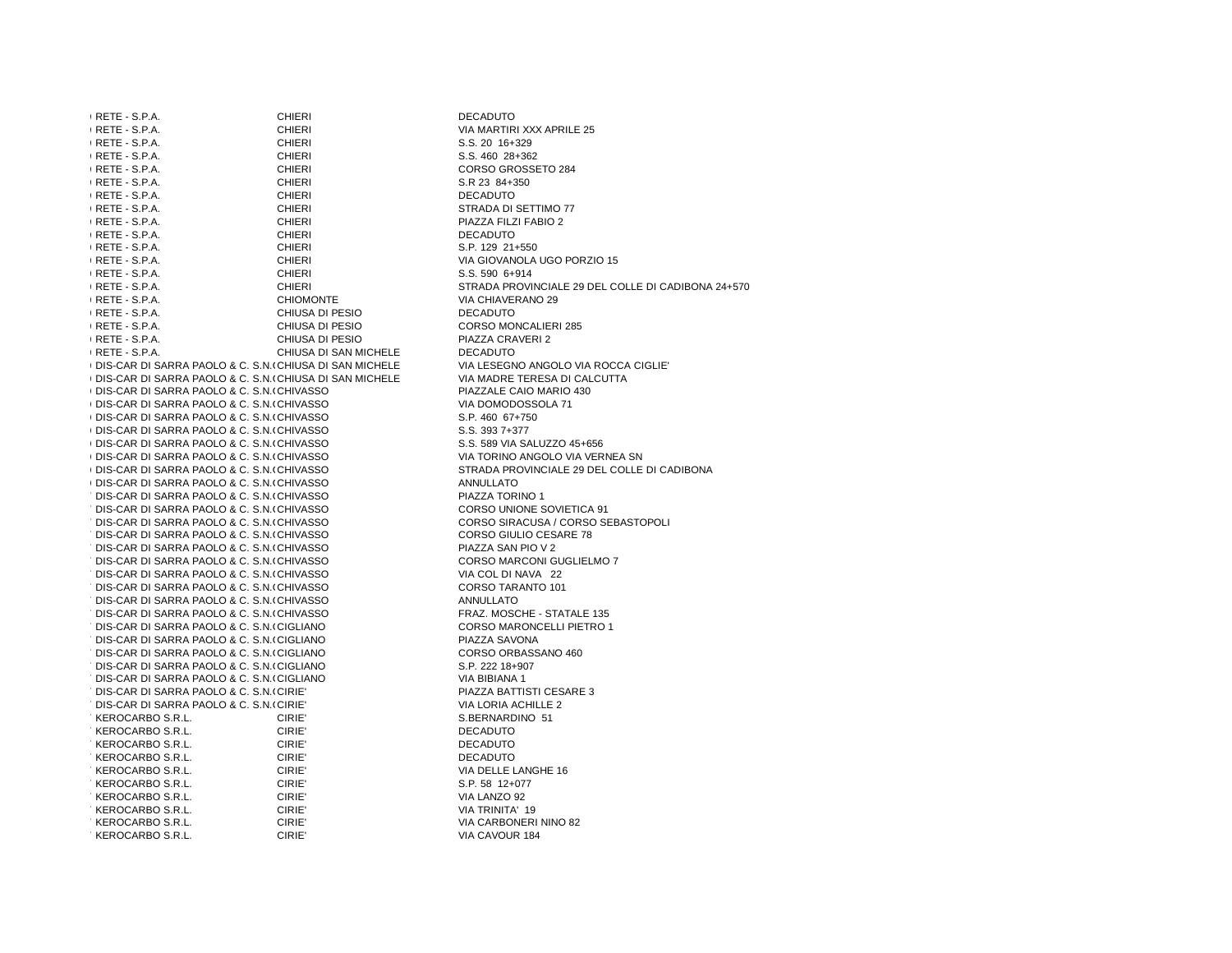| $R$ RETE - S.P.A.                                        | <b>CHIERI</b>         | <b>DECADUTO</b>                                    |
|----------------------------------------------------------|-----------------------|----------------------------------------------------|
| RETE - S.P.A.                                            | <b>CHIERI</b>         | VIA MARTIRI XXX APRILE 25                          |
| I RETE - S.P.A.                                          | <b>CHIERI</b>         | S.S. 20 16+329                                     |
| I RETE - S.P.A.                                          | <b>CHIERI</b>         | S.S. 460 28+362                                    |
| RETE - S.P.A.                                            | <b>CHIERI</b>         | CORSO GROSSETO 284                                 |
| I RETE - S.P.A.                                          | <b>CHIERI</b>         | S.R 23 84+350                                      |
| I RETE - S.P.A.                                          | <b>CHIERI</b>         | <b>DECADUTO</b>                                    |
| $R$ RETE - S.P.A.                                        | <b>CHIERI</b>         | STRADA DI SETTIMO 77                               |
| I RETE - S.P.A.                                          | <b>CHIERI</b>         | PIAZZA FILZI FABIO 2                               |
| I RETE - S.P.A.                                          | <b>CHIERI</b>         | <b>DECADUTO</b>                                    |
| I RETE - S.P.A.                                          | <b>CHIERI</b>         | S.P. 129 21+550                                    |
| I RETE - S.P.A.                                          | <b>CHIERI</b>         | VIA GIOVANOLA UGO PORZIO 15                        |
| I RETE - S.P.A.                                          | <b>CHIERI</b>         | S.S. 590 6+914                                     |
| I RETE - S.P.A.                                          | <b>CHIERI</b>         | STRADA PROVINCIALE 29 DEL COLLE DI CADIBONA 24+570 |
| I RETE - S.P.A.                                          | <b>CHIOMONTE</b>      | VIA CHIAVERANO 29                                  |
| I RETE - S.P.A.                                          | CHIUSA DI PESIO       | <b>DECADUTO</b>                                    |
| I RETE - S.P.A.                                          | CHIUSA DI PESIO       | <b>CORSO MONCALIERI 285</b>                        |
| I RETE - S.P.A.                                          | CHIUSA DI PESIO       | PIAZZA CRAVERI 2                                   |
| I RETE - S.P.A.                                          | CHIUSA DI SAN MICHELE | <b>DECADUTO</b>                                    |
| (DIS-CAR DI SARRA PAOLO & C. S.N. (CHIUSA DI SAN MICHELE |                       | VIA LESEGNO ANGOLO VIA ROCCA CIGLIE'               |
| (DIS-CAR DI SARRA PAOLO & C. S.N. (CHIUSA DI SAN MICHELE |                       | VIA MADRE TERESA DI CALCUTTA                       |
| (DIS-CAR DI SARRA PAOLO & C. S.N. (CHIVASSO)             |                       | PIAZZALE CAIO MARIO 430                            |
| (DIS-CAR DI SARRA PAOLO & C. S.N. (CHIVASSO              |                       | VIA DOMODOSSOLA 71                                 |
| (DIS-CAR DI SARRA PAOLO & C. S.N. (CHIVASSO              |                       | S.P. 460 67+750                                    |
| (DIS-CAR DI SARRA PAOLO & C. S.N. (CHIVASSO)             |                       | S.S. 393 7+377                                     |
| I DIS-CAR DI SARRA PAOLO & C. S.N. (CHIVASSO             |                       | S.S. 589 VIA SALUZZO 45+656                        |
| (DIS-CAR DI SARRA PAOLO & C. S.N. (CHIVASSO              |                       | VIA TORINO ANGOLO VIA VERNEA SN                    |
| (DIS-CAR DI SARRA PAOLO & C. S.N. (CHIVASSO)             |                       | STRADA PROVINCIALE 29 DEL COLLE DI CADIBONA        |
| I DIS-CAR DI SARRA PAOLO & C. S.N. (CHIVASSO             |                       | <b>ANNULLATO</b>                                   |
| : DIS-CAR DI SARRA PAOLO & C. S.N. (CHIVASSO             |                       | PIAZZA TORINO 1                                    |
| : DIS-CAR DI SARRA PAOLO & C. S.N.(CHIVASSO              |                       | <b>CORSO UNIONE SOVIETICA 91</b>                   |
| DIS-CAR DI SARRA PAOLO & C. S.N. (CHIVASSO               |                       | CORSO SIRACUSA / CORSO SEBASTOPOLI                 |
| DIS-CAR DI SARRA PAOLO & C. S.N. (CHIVASSO               |                       | CORSO GIULIO CESARE 78                             |
| : DIS-CAR DI SARRA PAOLO & C. S.N.(CHIVASSO              |                       | PIAZZA SAN PIO V 2                                 |
| DIS-CAR DI SARRA PAOLO & C. S.N. (CHIVASSO               |                       | <b>CORSO MARCONI GUGLIELMO 7</b>                   |
| DIS-CAR DI SARRA PAOLO & C. S.N. (CHIVASSO               |                       | VIA COL DI NAVA 22                                 |
| : DIS-CAR DI SARRA PAOLO & C. S.N.(CHIVASSO              |                       | CORSO TARANTO 101                                  |
| DIS-CAR DI SARRA PAOLO & C. S.N. (CHIVASSO               |                       | <b>ANNULLATO</b>                                   |
| DIS-CAR DI SARRA PAOLO & C. S.N. (CHIVASSO               |                       | FRAZ. MOSCHE - STATALE 135                         |
| : DIS-CAR DI SARRA PAOLO & C. S.N.(CIGLIANO              |                       | <b>CORSO MARONCELLI PIETRO 1</b>                   |
| DIS-CAR DI SARRA PAOLO & C. S.N. (CIGLIANO               |                       | PIAZZA SAVONA                                      |
| : DIS-CAR DI SARRA PAOLO & C. S.N.(CIGLIANO              |                       | CORSO ORBASSANO 460                                |
| : DIS-CAR DI SARRA PAOLO & C. S.N.(CIGLIANO              |                       | S.P. 222 18+907                                    |
| : DIS-CAR DI SARRA PAOLO & C. S.N.(CIGLIANO              |                       | <b>VIA BIBIANA 1</b>                               |
| : DIS-CAR DI SARRA PAOLO & C. S.N.(CIRIE'                |                       | PIAZZA BATTISTI CESARE 3                           |
| : DIS-CAR DI SARRA PAOLO & C. S.N.(CIRIE'                |                       | VIA LORIA ACHILLE 2                                |
| : KEROCARBO S.R.L.                                       | CIRIE'                | S.BERNARDINO 51                                    |
| : KEROCARBO S.R.L.                                       | CIRIE'                | <b>DECADUTO</b>                                    |
| : KEROCARBO S.R.L.                                       | CIRIE'                | <b>DECADUTO</b>                                    |
| : KEROCARBO S.R.L.                                       | CIRIE'                | <b>DECADUTO</b>                                    |
| KEROCARBO S.R.L.                                         | CIRIE'                | VIA DELLE LANGHE 16                                |
| : KEROCARBO S.R.L.                                       | CIRIE'                | S.P. 58 12+077                                     |
| : KEROCARBO S.R.L.                                       | CIRIE'                | VIA LANZO 92                                       |
| : KEROCARBO S.R.L.                                       | CIRIE'                | VIA TRINITA' 19                                    |
| : KEROCARBO S.R.L.                                       | CIRIE'                | VIA CARBONERI NINO 82                              |
| : KEROCARBO S.R.L.                                       | CIRIE'                | VIA CAVOUR 184                                     |
|                                                          |                       |                                                    |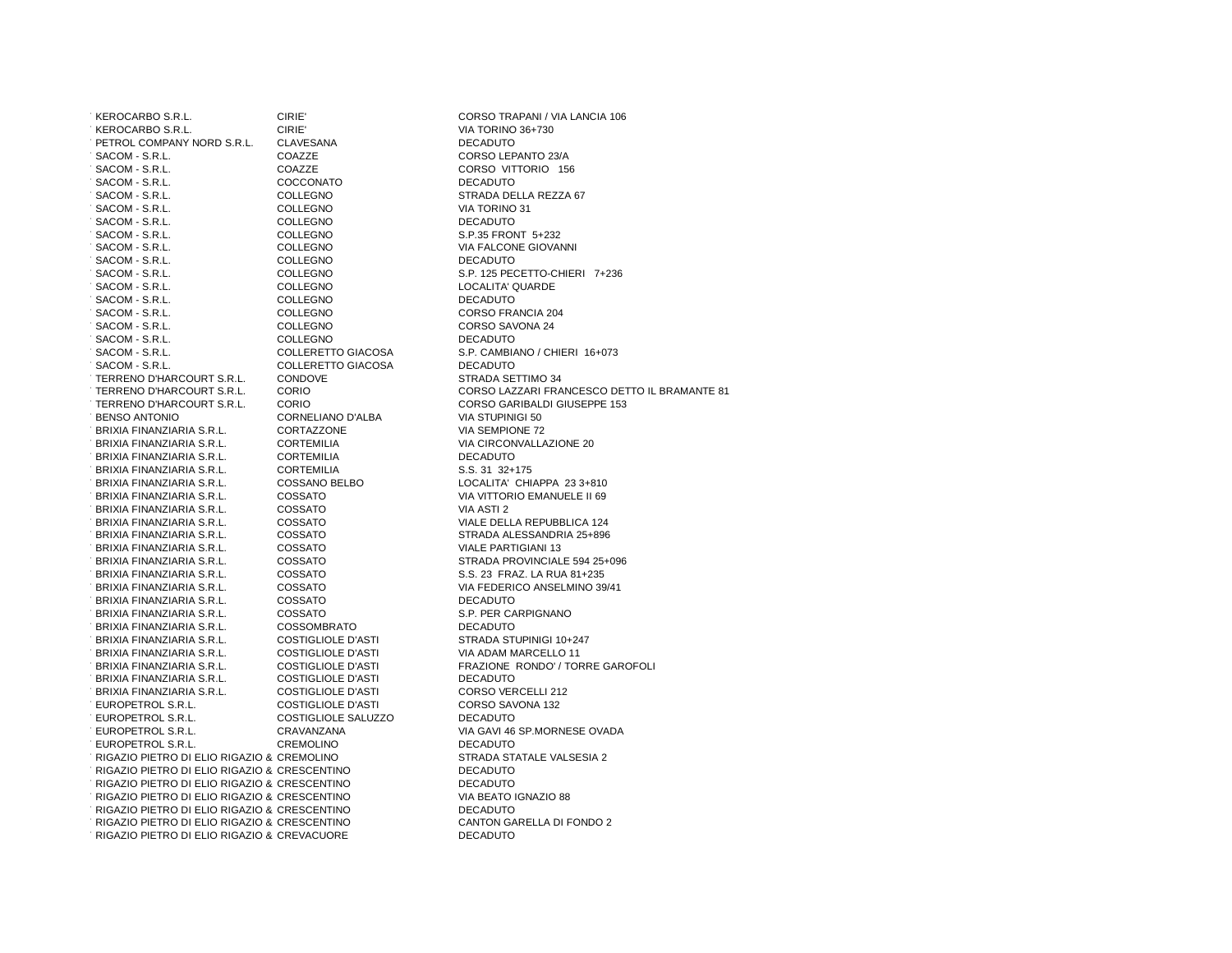727KEROCARBO S.R.L. CIRIE' CORSO TRAPANI / VIA LANCIA 106728KEROCARBO S.R.L. CIRIE' VIA TORINO 36+730729PETROL COMPANY NORD S.R.L. CLAVESANA DECADUTO 730SACOM - S.R.L. COAZZE CORSO LEPANTO 23/A 731SACOM - S.R.L. COAZZE CORSO VITTORIO 156732SACOM - S.R.L. COCCONATO DECADUTO 733SACOM - S.R.L. COLLEGNO STRADA DELLA REZZA 67734SACOM - S.R.L. COLLEGNO VIA TORINO 31735SACOM - S.R.L. COLLEGNO DECADUTO736 SACOM - S.R.L. COLLEGNO S.P.35 FRONT 5+232 737SACOM - S.R.L. COLLEGNO VIA FALCONE GIOVANNI The S.R.L. COLLEGNO DECADUTO 74236 SACOM - S.R.L. COLLEGNO S.P. 125 PECETTO-CHIERI 7+236 740SACOM - S.R.L. COLLEGNO LOCALITA' QUARDE741 SACOM - S.R.L.<br>741 SACOM - S.R.L. COLLEGNO DECADU TACOM - S.R.L. COLLEGNO COLLEGO CORSO FRANCIA 204  $\overline{C}$ SACOM - S.R.L. COLLEGNO COLLEGNO CORSO SAVONA 24 7546 - S.R.L. COLLEGNO - COLLEGO DECADUTO - COLLEGO DECADUTO - COLLERETTO GIACOSA A S.P. CAMBIA . SACOM - S.R.L. COLLERETTO GIACOSA S.P. CAMBIANO / CHIERI 16+073 7546 - S.R.L. COLLERETTO GIACOSA DECADUTO<br>7546 TERRENO D'HARCOURT S.R.L. CONDOVE TERRENO D'HARCOURT S.R.L. 748TERRENO D'HARCOURT S.R.L. CORIO CORSO LAZZARI FRANCESCO DETTO IL BRAMANTE 81749TERRENO D'HARCOURT S.R.L. CORIO CORSO GARIBALDI GIUSEPPE 153750BENSO ANTONIO ANTONIO EN CORNELIANO D'ALBA VIA STUPINIGI 50 CORNELIANO D'ALBA VIA SEMPIONE 72 CORTAZZONE 7 BRIXIA FINANZIARIA S.R.L. 752BRIXIA FINANZIARIA S.R.L. CORTEMILIA VIA CIRCONVALLAZIONE 20753BRIXIA FINANZIARIA S.R.L. CORTEMILIA DECADUTOTBRIXIA FINANZIARIA S.R.L. CORTEMILIA 755BRIXIA FINANZIARIA S.R.L. COSSANO BELBO LOCALITA' CHIAPPA 23 3+810 756BRIXIA FINANZIARIA S.R.L. COSSATO VIA VITTORIO EMANUELE II 69757BRIXIA FINANZIARIA S.R.L. COSSATO VIA ASTI 2 758BRIXIA FINANZIARIA S.R.L. COSSATO VIALE DELLA REPUBBLICA 124 759BRIXIA FINANZIARIA S.R.L. COSSATO STRADA ALESSANDRIA 25+896760BRIXIA FINANZIARIA S.R.L. COSSATO VIALE PARTIGIANI 13 761BRIXIA FINANZIARIA S.R.L. COSSATO STRADA PROVINCIALE 594 25+096762BRIXIA FINANZIARIA S.R.L. COSSATO S.S. 23 FRAZ. LA RUA 81+235 763BRIXIA FINANZIARIA S.R.L. COSSATO VIA FEDERICO ANSELMINO 39/41764BRIXIA FINANZIARIA S.R.L. COSSATO DECADUTO765 BRIXIA FINANZIARIA S.R.L. COSSATO S.P. PER CARRICA S.P. PER CARPITO 7 BRIXIA FINANZIARIA S.R.L. COSSOMBRATO<br>7 BRIXIA FINANZIARIA S.R.L. COSTIGLIOLE D'ASTI **BRIXIA FINANZIARIA S.R.L.** 768BRIXIA FINANZIARIA S.R.L. COSTIGLIOLE D'ASTI VIA ADAM MARCELLO 11 769BRIXIA FINANZIARIA S.R.L. COSTIGLIOLE D'ASTI FRAZIONE RONDO' / TORRE GAROFOLI 770BRIXIA FINANZIARIA S.R.L. COSTIGLIOLE D'ASTI DECADUTO771 BRIXIA FINANZIARIA S.R.L. COSTIGLIOLE D'ASTI CORSO VERCELLI ANNI 2007 EL COSTIGLIOLE D'ASTI FUROPETROL S.R.L. TEUROPETROL S.R.L. COSTIGLIOLE SALUZZO DECADUTO 774EUROPETROL S.R.L. CRAVANZANA VIA GAVI 46 SP.MORNESE OVADA775EUROPETROL S.R.L. CREMOLINO DECADUTO7 RIGAZIO PIETRO DI ELIO RIGAZIO & CREMOLINO 777RIGAZIO PIETRO DI ELIO RIGAZIO & C. - S.N.C. CRESCENTINO DECADUTO. RIGAZIO PIETRO DI ELIO RIGAZIO & CRESCENTINO DECADUTO CRESCENTINO VIA BEATO IGNAZIO 887 RIGAZIO PIETRO DI ELIO RIGAZIO & CRESCENTINO . RIGAZIO PIETRO DI ELIO RIGAZIO & CRESCENTINO DECADUTO 7 RIGAZIO PIETRO DI ELIO RIGAZIO & CRESCENTINO 782RIGAZIO PIETRO DI ELIO RIGAZIO & C. - S.N.C. CREVACUORE DECADUTO

STRADA SETTIMO 34 VIA SEMPIONE 72 S.S. 31 32+175 S.P. PER CARPIGNANO STRADA STUPINIGI 10+247 CORSO VERCELLI 212 CORSO SAVONA 132 CREMOLINO STRADA STATALE VALSESIA 2**DECADUTO** CRESCENTINO CANTON GARELLA DI FONDO 2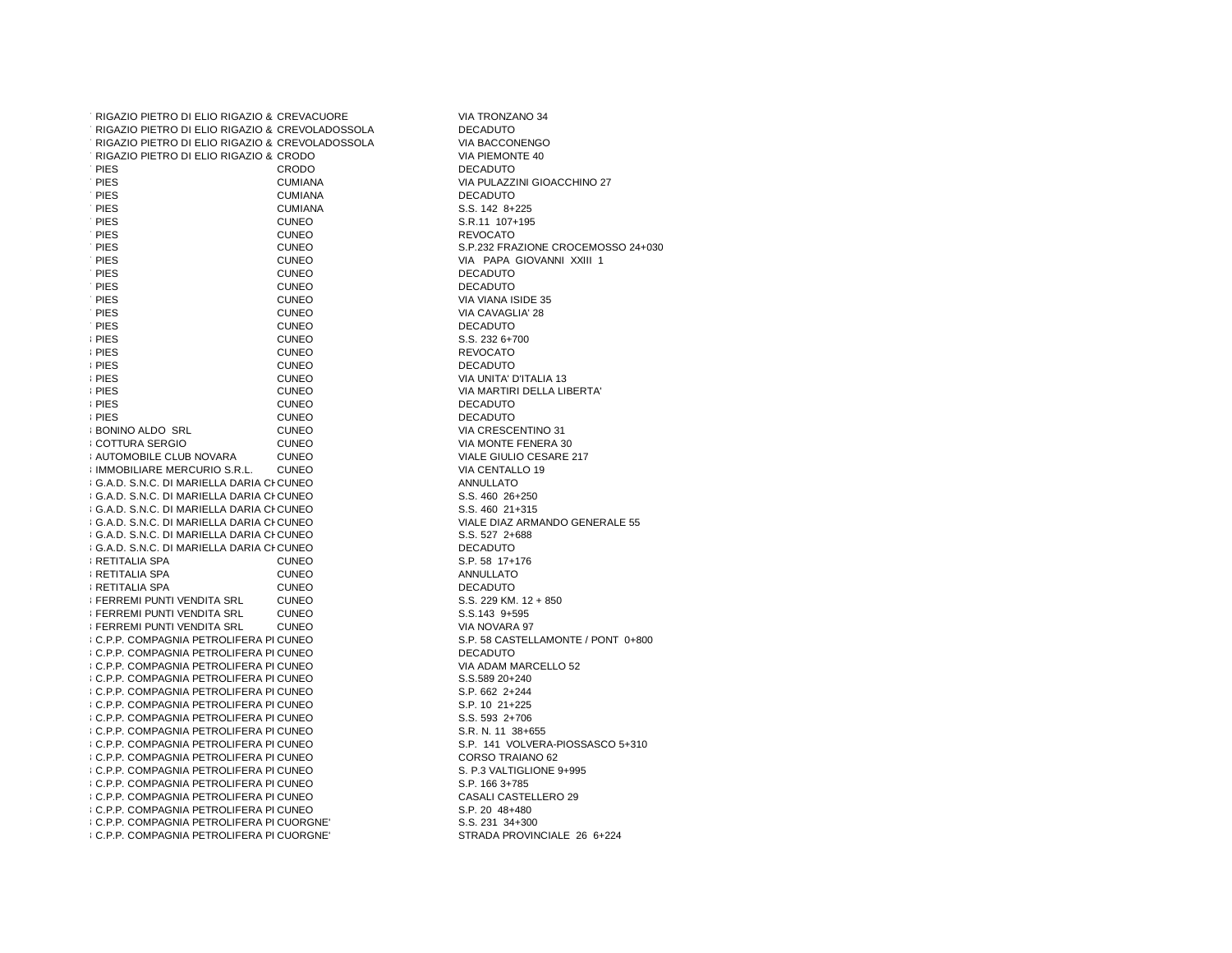| RIGAZIO PIETRO DI ELIO RIGAZIO & CREVACUORE                              |                | VIA TRONZANO 34                        |
|--------------------------------------------------------------------------|----------------|----------------------------------------|
| : RIGAZIO PIETRO DI ELIO RIGAZIO & CREVOLADOSSOLA                        |                | <b>DECADUTO</b>                        |
| : RIGAZIO PIETRO DI ELIO RIGAZIO & CREVOLADOSSOLA                        |                | VIA BACCONENGO                         |
| : RIGAZIO PIETRO DI ELIO RIGAZIO & CRODO                                 |                | VIA PIEMONTE 40                        |
| : PIES                                                                   | CRODO          | <b>DECADUTO</b>                        |
| : PIES                                                                   | <b>CUMIANA</b> | VIA PULAZZINI GIOACCHINO 27            |
| : PIES                                                                   | <b>CUMIANA</b> | <b>DECADUTO</b>                        |
| : PIES                                                                   | <b>CUMIANA</b> | S.S. 142 8+225                         |
| : PIES                                                                   | <b>CUNEO</b>   | S.R.11 107+195                         |
| : PIES                                                                   | <b>CUNEO</b>   | <b>REVOCATO</b>                        |
| : PIES                                                                   | <b>CUNEO</b>   | S.P.232 FRAZIONE CROCEMOSSO 24+030     |
| : PIES                                                                   | <b>CUNEO</b>   | VIA PAPA GIOVANNI XXIII 1              |
| : PIES                                                                   | <b>CUNEO</b>   | <b>DECADUTO</b>                        |
| : PIES                                                                   |                |                                        |
|                                                                          | <b>CUNEO</b>   | <b>DECADUTO</b>                        |
| : PIES                                                                   | <b>CUNEO</b>   | VIA VIANA ISIDE 35                     |
| : PIES                                                                   | <b>CUNEO</b>   | VIA CAVAGLIA' 28                       |
| : PIES                                                                   | <b>CUNEO</b>   | <b>DECADUTO</b>                        |
| <i>I</i> PIES                                                            | <b>CUNEO</b>   | S.S. 232 6+700                         |
| <i>I</i> PIES                                                            | <b>CUNEO</b>   | <b>REVOCATO</b>                        |
| <i>I</i> PIES                                                            | <b>CUNEO</b>   | <b>DECADUTO</b>                        |
| <i>I</i> PIES                                                            | <b>CUNEO</b>   | VIA UNITA' D'ITALIA 13                 |
| <i>I</i> PIES                                                            | <b>CUNEO</b>   | VIA MARTIRI DELLA LIBERTA'             |
| <i>I</i> PIES                                                            | <b>CUNEO</b>   | <b>DECADUTO</b>                        |
| <i>I</i> PIES                                                            | <b>CUNEO</b>   | <b>DECADUTO</b>                        |
| <b>BONINO ALDO SRL</b>                                                   | <b>CUNEO</b>   | VIA CRESCENTINO 31                     |
| <b>I COTTURA SERGIO</b>                                                  | <b>CUNEO</b>   | VIA MONTE FENERA 30                    |
| <b>AUTOMOBILE CLUB NOVARA</b>                                            | <b>CUNEO</b>   | VIALE GIULIO CESARE 217                |
| <b>I IMMOBILIARE MERCURIO S.R.L.</b>                                     | <b>CUNEO</b>   | VIA CENTALLO 19                        |
| I G.A.D. S.N.C. DI MARIELLA DARIA CI CUNEO                               |                | <b>ANNULLATO</b>                       |
| I G.A.D. S.N.C. DI MARIELLA DARIA CI CUNEO                               |                | S.S. 460 26+250                        |
| I G.A.D. S.N.C. DI MARIELLA DARIA CI CUNEO                               |                | S.S. 460 21+315                        |
| I G.A.D. S.N.C. DI MARIELLA DARIA CI CUNEO                               |                | VIALE DIAZ ARMANDO GENERALE 55         |
| I G.A.D. S.N.C. DI MARIELLA DARIA CI CUNEO                               |                | S.S. 527 2+688                         |
| I G.A.D. S.N.C. DI MARIELLA DARIA CI CUNEO                               |                | <b>DECADUTO</b>                        |
| <b>I RETITALIA SPA</b>                                                   | <b>CUNEO</b>   | S.P. 58 17+176                         |
| <b>I RETITALIA SPA</b>                                                   | <b>CUNEO</b>   | <b>ANNULLATO</b>                       |
| <b>I RETITALIA SPA</b>                                                   | <b>CUNEO</b>   | <b>DECADUTO</b>                        |
|                                                                          |                |                                        |
| <b>I FERREMI PUNTI VENDITA SRL</b><br><b>I FERREMI PUNTI VENDITA SRL</b> | <b>CUNEO</b>   | S.S. 229 KM. 12 + 850<br>S.S.143 9+595 |
|                                                                          | <b>CUNEO</b>   |                                        |
| <b>I FERREMI PUNTI VENDITA SRL</b>                                       | <b>CUNEO</b>   | VIA NOVARA 97                          |
| <i>I</i> C.P.P. COMPAGNIA PETROLIFERA PI CUNEO                           |                | S.P. 58 CASTELLAMONTE / PONT 0+800     |
| I C.P.P. COMPAGNIA PETROLIFERA PI CUNEO                                  |                | <b>DECADUTO</b>                        |
| <i>I</i> C.P.P. COMPAGNIA PETROLIFERA PI CUNEO                           |                | VIA ADAM MARCELLO 52                   |
| & C.P.P. COMPAGNIA PETROLIFERA PI CUNEO                                  |                | S.S.589 20+240                         |
| & C.P.P. COMPAGNIA PETROLIFERA PI CUNEO                                  |                | S.P. 662 2+244                         |
| <b>(C.P.P. COMPAGNIA PETROLIFERA PI CUNEO)</b>                           |                | S.P. 10 21+225                         |
| & C.P.P. COMPAGNIA PETROLIFERA PI CUNEO                                  |                | S.S. 593 2+706                         |
| & C.P.P. COMPAGNIA PETROLIFERA PI CUNEO                                  |                | S.R. N. 11 38+655                      |
| & C.P.P. COMPAGNIA PETROLIFERA PI CUNEO                                  |                | S.P. 141 VOLVERA-PIOSSASCO 5+310       |
| <i>I</i> C.P.P. COMPAGNIA PETROLIFERA PI CUNEO                           |                | CORSO TRAIANO 62                       |
| <i>I</i> C.P.P. COMPAGNIA PETROLIFERA PI CUNEO                           |                | S. P.3 VALTIGLIONE 9+995               |
| <b>(C.P.P. COMPAGNIA PETROLIFERA PI CUNEO)</b>                           |                | S.P. 166 3+785                         |
| <b>(C.P.P. COMPAGNIA PETROLIFERA PI CUNEO)</b>                           |                | CASALI CASTELLERO 29                   |
| & C.P.P. COMPAGNIA PETROLIFERA PI CUNEO                                  |                | S.P. 20 48+480                         |
| ¿C.P.P. COMPAGNIA PETROLIFERA PI CUORGNE'                                |                | S.S. 231 34+300                        |
| LC P.P. COMPAGNIA PETROLIFERA PLCUORGNE'                                 |                | STRADA PROVINCIALE 26 6+224            |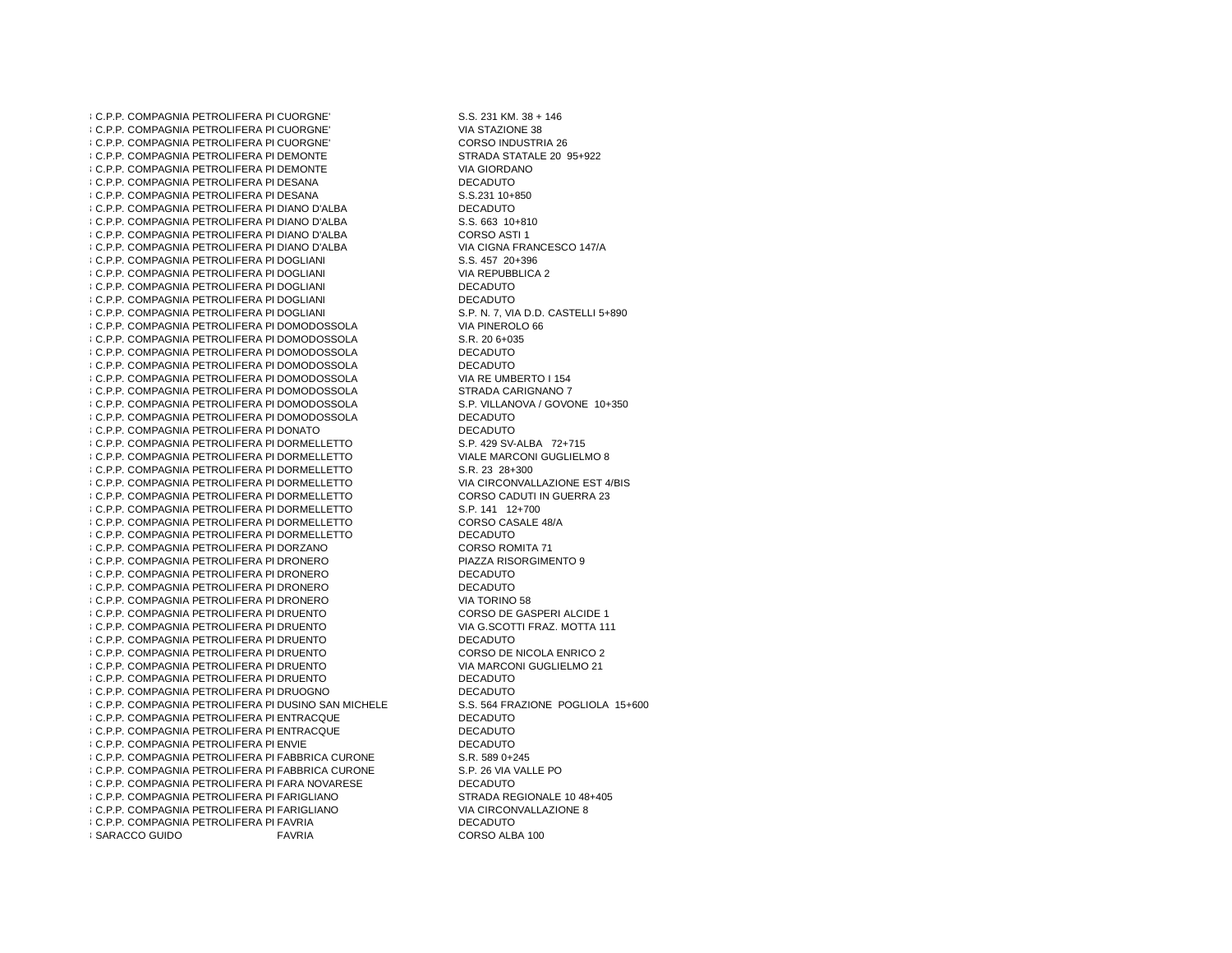8 C.P.P. COMPAGNIA PETROLIFERA PI CUORGNE **8 C.P.P. COMPAGNIA PETROLIFERA PI CUORGNE'**  CUORGNE' CORSO INDUSTRIA 26**8 C.P.P. COMPAGNIA PETROLIFERA PI CUORGNE 8 C.P.P. COMPAGNIA PETROLIFERA PI DEMONTE 8 C.P.P. COMPAGNIA PETROLIFERA PI DEMONTE 8 C.P.P. COMPAGNIA PETROLIFERA PI DESANA**  DESANA S.S.231 10+8508 C.P.P. COMPAGNIA PETROLIFERA PI DESANA  $86.$ P.P. COMPAGNIA PETROLIFERA PI DIANO D'ALBA  $\blacksquare$ DECADUTO DIANO D'ALBA S.S. 663 10+8108 C.P.P. COMPAGNIA PETROLIFERA PI DIANO D'ALBA 8 C.P.P. COMPAGNIA PETROLIFERA PI DIANO D'ALBA **8 C.P.P. COMPAGNIA PETROLIFERA PI DIANO D'ALBA** 8 C.P.P. COMPAGNIA PETROLIFERA PI DOGLIANI DOGLIANI VIA REPUBBLICA 2**8 C.P.P. COMPAGNIA PETROLIFERA PI DOGLIANI 8 C.P.P. COMPAGNIA PETROLIFERA PI DOGLIANI**  DOGLIANI DECADUTO**8 C.P.P. COMPAGNIA PETROLIFERA PI DOGLIANI** 8 C.P.P. COMPAGNIA PETROLIFERA PI DOGLIANI 8 C.P.P. COMPAGNIA PETROLIFERA PI DOMODOSSOLA t C.P.P. COMPAGNIA PETROLIFERA PI DOMODOSSOLA S.R. 20 6+035 8 C.P.P. COMPAGNIA PETROLIFERA PI DOMODOSSOLA DECADUTO l C.P.P. COMPAGNIA PETROLIFERA PI DOMODOSSOLA DECADUTO DOMODOSSOLA VIA RE UMBERTO I 1548 C.P.P. COMPAGNIA PETROLIFERA PI DOMODOSSOLA DOMODOSSOLA STRADA CARIGNANO 78 C.P.P. COMPAGNIA PETROLIFERA PI DOMODOSSOLA 8 C.P.P. COMPAGNIA PETROLIFERA PI DOMODOSSOLA t C.P.P. COMPAGNIA PETROLIFERA PI DOMODOSSOLA DECADUTO DONATO DECADUTO**8 C.P.P. COMPAGNIA PETROLIFERA PI DONATO** 8 C.P.P. COMPAGNIA PETROLIFERA PI DORMELLETTO 8 C.P.P. COMPAGNIA PETROLIFERA PI DORMELLETTO 86.P.P. COMPAGNIA PETROLIFERA PI DORMELLETTO S.R. 23 28+300 8 C.P.P. COMPAGNIA PETROLIFERA PI DORMELLETTO 8 C.P.P. COMPAGNIA PETROLIFERA PI DORMELLETTO 8 C.P.P. COMPAGNIA PETROLIFERA PI DORMELLETTO DORMELLETTO CORSO CASALE 48/A8 C.P.P. COMPAGNIA PETROLIFERA PI DORMELLETTO 8 C.P.P. COMPAGNIA PETROLIFERA PI DORMELLETTO DECADUTO DORZANO CORSO ROMITA 71**8 C.P.P. COMPAGNIA PETROLIFERA PI DORZANO** 8 C.P.P. COMPAGNIA PETROLIFERA PI DRONERO 8 C.P.P. COMPAGNIA PETROLIFERA PI DRONERO DRONERO DECADUTO**8 C.P.P. COMPAGNIA PETROLIFERA PI DRONERO**  DRONERO VIA TORINO 58**8 C.P.P. COMPAGNIA PETROLIFERA PI DRONERO 8 C.P.P. COMPAGNIA PETROLIFERA PI DRUENTO** 8 C.P.P. COMPAGNIA PETROLIFERA PI DRUENTO 8 C.P.P. COMPAGNIA PETROLIFERA PI DRUENTO - S.R.L. DECADUTO DECADUTO 8 C.P.P. COMPAGNIA PETROLIFERA PI DRUENTO 8 C.P.P. COMPAGNIA PETROLIFERA PI DRUENTO 8 C.P.P. COMPAGNIA PETROLIFERA PI DRUENTO 8 C.P.P. COMPAGNIA PETROLIFERA PI DRUOGNO - S.R.L. DECADUTO 8 C.P.P. COMPAGNIA PETROLIFERA PI DUSINO SAN MICHELE 8 C.P.P. COMPAGNIA PETROLIFERA PI ENTRACQUE - S.R.L. DECADUTO 8 C.P.P. COMPAGNIA PETROLIFERA PIENTRACQUE - S.R.L. DECADUTO ENVIE DECADUTO8 C.P.P. COMPAGNIA PETROLIFERA PI ENVIE l C.P.P. COMPAGNIA PETROLIFERA PI FABBRICA CURONE S.R. 589 0+245 FABBRICA CURONE S.P. 26 VIA VALLE PO8 C.P.P. COMPAGNIA PETROLIFERA PI FABBRICA CURONE 8 C.P.P. COMPAGNIA PETROLIFERA PI FARA NOVARESE DECADUTO 8 C.P.P. COMPAGNIA PETROLIFERA PI FARIGLIANO **8 C.P.P. COMPAGNIA PETROLIFERA PI FARIGLIANO 8 C.P.P. COMPAGNIA PETROLIFERA PI FAVRIA**  FAVRIA DECADUTO**8 SARACCO GUIDO** 

 $S.S. 231 KM. 38 + 146$ VIA STAZIONE 38 DEMONTE STRADA STATALE 20 95+922VIA GIORDANO **DECADUTO** CORSO ASTI 1 DIANO D'ALBA VIA CIGNA FRANCESCO 147/AS.S. 457 20+396 DECADUTO DOGLIANI S.P. N. 7, VIA D.D. CASTELLI 5+890VIA PINEROLO 66 **DECADUTO**  DOMODOSSOLA S.P. VILLANOVA / GOVONE 10+350 DORMELLETTO S.P. 429 SV-ALBA 72+715 DORMELLETTO VIALE MARCONI GUGLIELMO 8 DORMELLETTO VIA CIRCONVALLAZIONE EST 4/BISCORSO CADUTI IN GUERRA 23  $S.P. 141 12+700$  DRONERO PIAZZA RISORGIMENTO 9DECADUTO DRUENTO CORSO DE GASPERI ALCIDE 1 DRUENTO VIA G.SCOTTI FRAZ. MOTTA 111 DRUENTO CORSO DE NICOLA ENRICO 2 DRUENTO VIA MARCONI GUGLIELMO 21DECADUTO **DECADUTO**  DUSINO SAN MICHELE S.S. 564 FRAZIONE POGLIOLA 15+600DECADUTO S.R. 589 0+245 FARIGLIANO STRADA REGIONALE 10 48+405VIA CIRCONVALLAZIONE 8 CORSO ALBA 100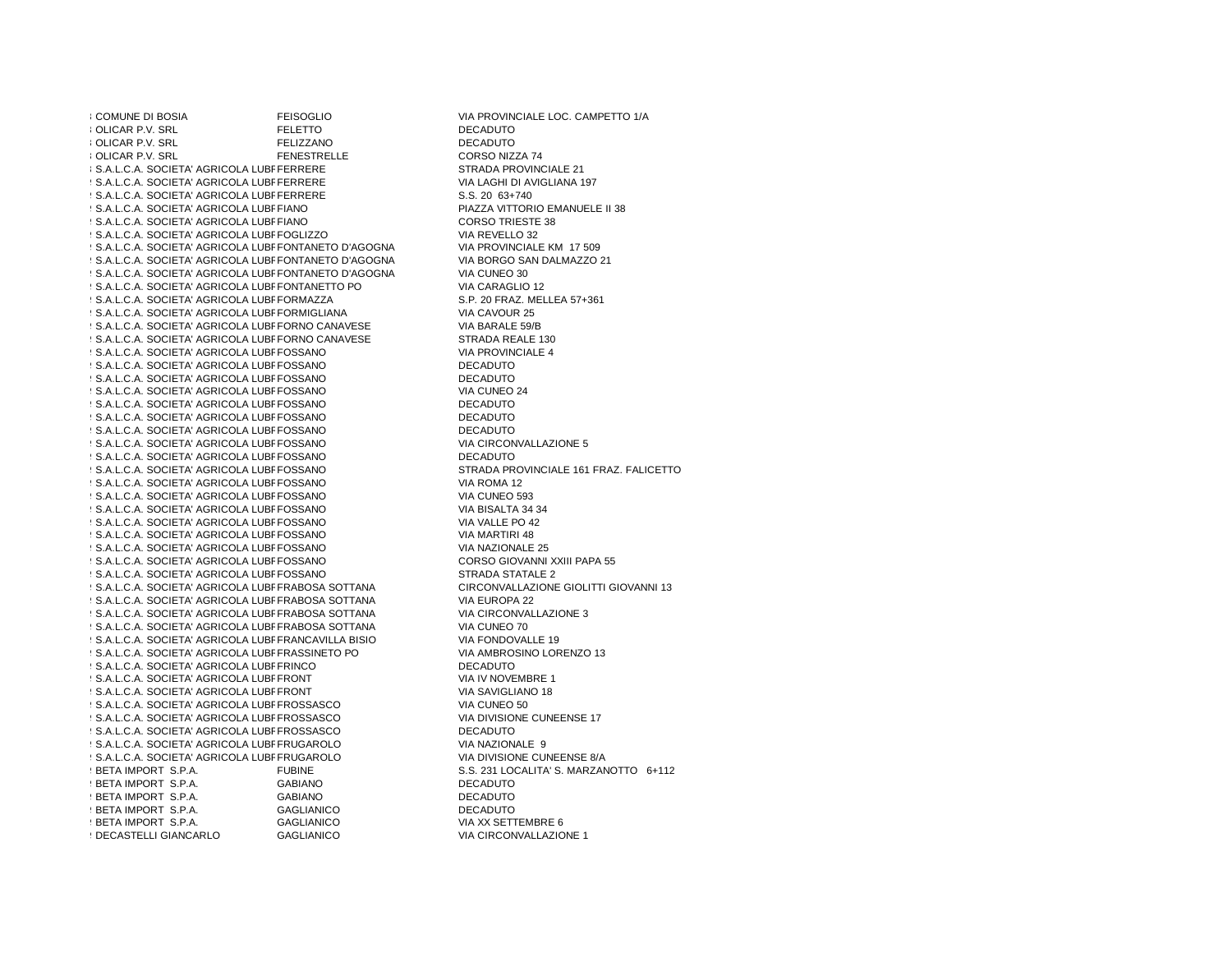8895 COMUNE DI BOSIA FEISOGLIO COMUNE DI BOSIA ESSE FEISOGLIO 896 OLICAR P.V. SRL FELETTO DECADUTO 897 UNICAR P.V. SRL FELIZZANO FELIZZANO DECARDENTE FENESTRELLE 8 OLICAR P.V. SRL FERRERE STRADA PROVINCIALE 21 **8 S.A.L.C.A. SOCIETA' AGRICOLA LUBFFERRERE** 9 S.A.L.C.A. SOCIETA' AGRICOLA LUBFFERRERE 9 S.A.L.C.A. SOCIETA' AGRICOLA LUBFFERRERE 9 S.A.L.C.A. SOCIETA' AGRICOLA LUBFFIANO 9 S.A.L.C.A. SOCIETA' AGRICOLA LUBFFIANO 9 S.A.L.C.A. SOCIETA' AGRICOLA LUBFFOGLIZZO 9 S.A.L.C.A. SOCIETA' AGRICOLA LUBFFONTANETO D'AGOGNA 9 S.A.L.C.A. SOCIETA' AGRICOLA LUBFFONTANETO D'AGOGNA 907 S.A.L.C.A. SOCIETA' AGRICOLA LUBRFONTANETO D'AGOGNA VIA CUNEO 30 D AFFINITI E FONTANETO D'AGOGNA VIA CUNEO 908.A.L.C.A. SOCIETA' AGRICOLA LUBFFONTANETTO PO VIA CARAGLIO 12 D AFFINI CARAGLIO 12 9 S.A.L.C.A. SOCIETA' AGRICOLA LUBFFORMAZZA 910 S.A.L.C.A. SOCIETA' AGRICOLA LUBREORMIGLIANA VIA CAVOUR 25 D AFFINI CARBURANTI E FORMIGLIANA VIA CAVOUR 25<br>D AFFINI E FORME I FORME I FORMIGLIANA VIA CARBURANTI E FORME I FORME I FORME I FORME I FORME I FORME I FORME 9.A.L.C.A. SOCIETA' AGRICOLA LUBFFORNO CANAVESE VIA BARALE 59/B 1 S.A.L.C.A. SOCIETA' AGRICOLA LUBFFORNO CANAVESE 1 S.A.L.C.A. SOCIETA' AGRICOLA LUBFFOSSANO 9 S.A.L.C.A. SOCIETA' AGRICOLA LUBFFOSSANO FOSSANO DECADUTO D AFFINI 9 S.A.L.C.A. SOCIETA' AGRICOLA LUBEFOSSANO FOSSANO DECADUTO<br>EQQQANQ 1 S.A.L.C.A. SOCIETA' AGRICOLA LUBFFOSSANO 1 S.A.L.C.A. SOCIETA' AGRICOLA LUBFFOSSANO FOSSANO DECADUTO<br>ESSANIC 9 S.A.L.C.A. SOCIETA' AGRICOLA LUBFFOSSANO FOSSANO DECADUTO D AFFINI 9919.A.L.C.A. SOCIETA' AGRICOLA LUBRFOSSANO DECADUTO 92.S.A.L.C.A. SOCIETA' AGRICOLA LUBFFOSSANO 92.S.A.L.C.A. SOCIETA' AGRICOLA LUBFFOSSANO FOSSANO DECADUTO D AFFINI 922 S.A.L.C.A. SOCIETA' AGRICOLA LUBEFOSSANO 923 S.A.L.C.A. SOCIETA' AGRICOLA LUBFFOSSANO 925.A.L.C.A. SOCIETA' AGRICOLA LUBFFOSSANO 9 S.A.L.C.A. SOCIETA' AGRICOLA LUBFFOSSANO 926.A.L.C.A. SOCIETA' AGRICOLA LUBFFOSSANO 927 S.A.L.C.A. SOCIETA' AGRICOLA LUBFFOSSANO 9 S.A.L.C.A. SOCIETA' AGRICOLA LUBFFOSSANO 9 S.A.L.C.A. SOCIETA' AGRICOLA LUBFFOSSANO 9 S.A.L.C.A. SOCIETA' AGRICOLA LUBFFOSSANO 93.A.L.C.A. SOCIETA' AGRICOLA LUBFFRABOSA SOTTANA 93.A.L.C.A. SOCIETA' AGRICOLA LUBFFRABOSA SOTTANA VIA EUROPA 22 D AFFINI CARBURANTI E FRABOSA SOTTANA VIA EUROPA 22 9 S.A.L.C.A. SOCIETA' AGRICOLA LUBFFRABOSA SOTTANA 93.A.L.C.A. SOCIETA' AGRICOLA LUBFFRABOSA SOTTANA VIA CUNEO 70 9 S.A.L.C.A. SOCIETA' AGRICOLA LUBFFRANCAVILLA BISIO 9 S.A.L.C.A. SOCIETA' AGRICOLA LUBFFRASSINETO PO 93.A.L.C.A. SOCIETA' AGRICOLA LUBFERINCO FRINCO DECADUTO 93.A.L.C.A. SOCIETA' AGRICOLA LUBFFRONT **93.A.L.C.A. SOCIETA' AGRICOLA LUBFFRONT** 9 S.A.L.C.A. SOCIETA' AGRICOLA LUBFFROSSASCO 95.A.L.C.A. SOCIETA' AGRICOLA LUBFFROSSASCO 9944.L.C.A. SOCIETA' AGRICOLA LUBFFROSSASCO DECADUTO 95.A.L.C.A. SOCIETA' AGRICOLA LUBFFRUGAROLO 95.A.L.C.A. SOCIETA' AGRICOLA LUBFFRUGAROLO 945BETA IMPORT S.P.A. FUBINE S.S. 231 LOCALITA' S. MARZANOTTO 6+112946BETA IMPORT S.P.A. GABIANO DECADUTO9 1997 S.P.A. GABIANO 1997 S.P.A. GABIANO 1997 S.P.A. GAGLIANICO 99991 BETA IMPORT S.P.A. GAGLIANICO :<br>1949 BETA IMPORT S.P.A. GAGLIANICO 99 BETA IMPORT S.P.A. GAGLIANICO :<br>1994 DECASTELLI GIANCARLO 1994 GAGLIANICO 950DECASTELLI GIANCARLO GAGLIANICO VIA CIRCONVALLAZIONE 1

**DECADUTO** CORSO NIZZA 74 VIA LAGHI DI AVIGLIANA 197  $S.S. 20 63+740$ PIAZZA VITTORIO EMANUELE II 38 CORSO TRIESTE 38 VIA REVELLO 32 VIA PROVINCIALE KM 17 509 VIA BORGO SAN DALMAZZO 21<br>VIA CUNEO 30 S.P. 20 FRAZ. MELLEA 57+361<br>VIA CAVOUR 25 STRADA REALE 130 VIA PROVINCIALE 4 VIA CUNEO 24 **DECADUTO** VIA CIRCONVALLAZIONE 5 FOSSANO STRADA PROVINCIALE 161 FRAZ. FALICETTO STRADA PROVINCIALE 161 FRAZ. FALICETTO VIA ROMA 12 VIA CUNEO 593 VIA BISALTA 34 34 VIA VALLE PO 42 VIA MARTIRI 48 VIA NAZIONALE 25 CORSO GIOVANNI XXIII PAPA 55 STRADA STATALE 2 CIRCONVALLAZIONE GIOLITTI GIOVANNI 13<br>VIA EUROPA 22 VIA CIRCONVALLAZIONE 3<br>VIA CUNEO 70 VIA FONDOVALLE 19 VIA AMBROSINO LORENZO 13 VIA IV NOVEMBRE 1 VIA SAVIGLIANO 18 VIA CUNEO 50 VIA DIVISIONE CUNEENSE 17 **DECADUTO** VIA NAZIONALE 9 FRUGAROLO VIA DIVISIONE CUNEENSE 8/A D AFFINI **DECADUTO DECADUTO** VIA XX SETTEMBRE 6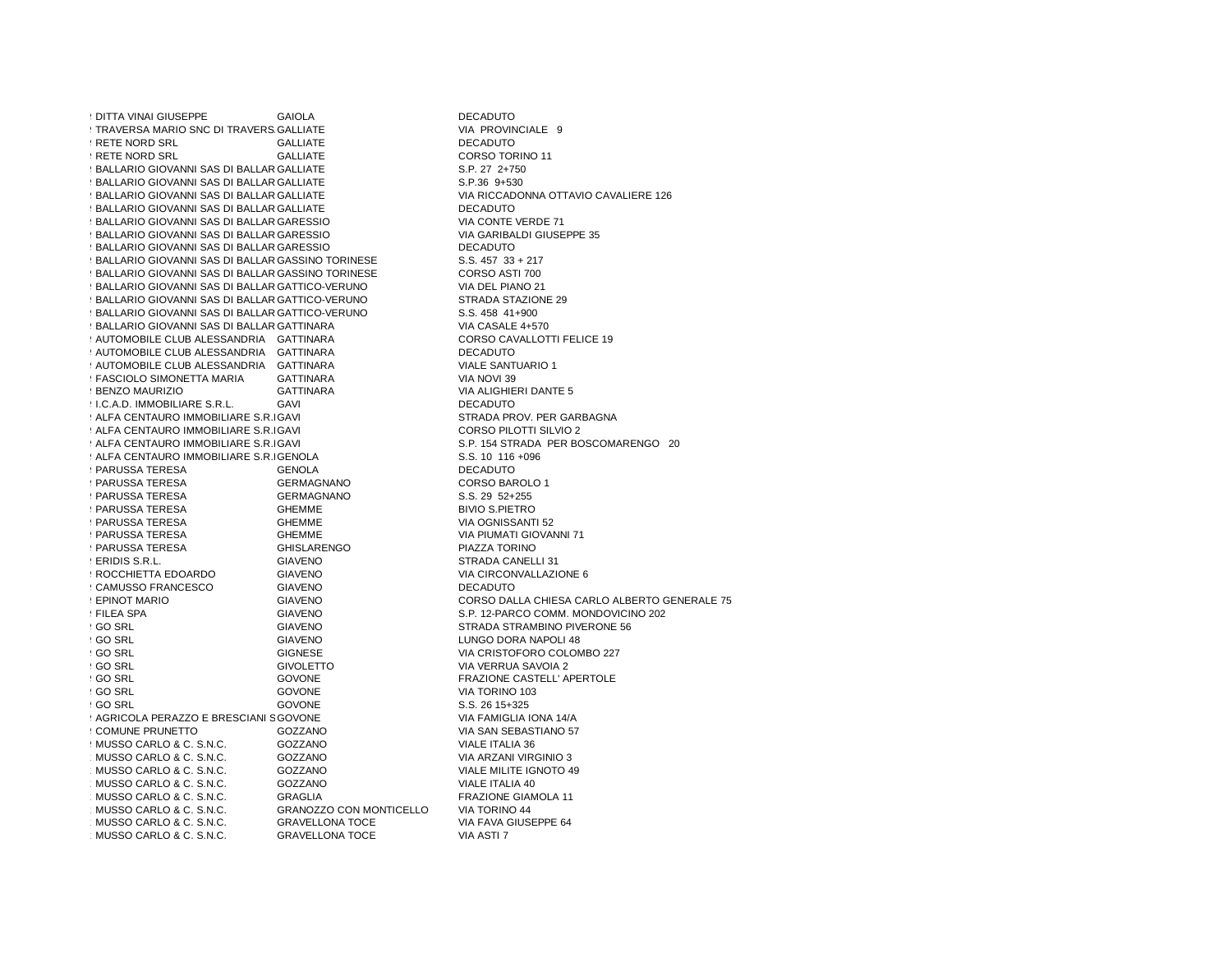951 | 9521 | 9521 | 9521 | 9521 | 9521 | 9521 | 952 | 952 | 952 | 952 | 952 | 952 | 952 | 952 | 952 | 952 | 95 GALLIATE VIA PROVINCIALE 9 ! TRAVERSA MARIO SNC DI TRAVERS GALLIATE 953RETE NORD SRL GALLIATE DECADUTO 954RETE NORD SRL GALLIATE CORSO TORINO 1195 BALLARIO GIOVANNI SAS DI BALLAR GALLIATE GALLIATE S.P.36 9+530 9 BALLARIO GIOVANNI SAS DI BALLAR GALLIATE 957 BALLARIO GIOVANNI SAS DI BALLAR GALLIATE 958 BALLARIO GIOVANNI SAS DI BALLAR GALLIATE GARESSIO VIA CONTE VERDE 719 BALLARIO GIOVANNI SAS DI BALLAR GARESSIO GARESSIO VIA GARIBALDI GIUSEPPE 35960 BALLARIO GIOVANNI SAS DI BALLAR GARESSIO 961BALLARIO GIOVANNI SAS DI BALLARIO BRUNO E C. GARESSIO DECADUTO962 BALLARIO GIOVANNI SAS DI BALLAR GASSINO TORINESE S.S. 457 33 + 217 963 BALLARIO GIOVANNI SAS DI BALLAR GASSINO TORINESE CORSO ASTI 700 964 BALLARIO GIOVANNI SAS DI BALLAR GATTICO-VERUNO E CONSENTINA DEL PIANO 21 I GATTICO-VERUNO STRADA STAZIONE 299 BALLARIO GIOVANNI SAS DI BALLAR GATTICO-VERUNO 966BALLARIO GIOVANNI SAS DI BALLARIO BRUNO E C. GATTICO-VERUNO S.S. 458 41+900 GATTINARA VIA CASALE 4+5709 BALLARIO GIOVANNI SAS DI BALLAR GATTINARA 9999 AUTOMOBILE CLUB ALESSANDRIA GATTINARA CORSO CAVALLOTS CORSO CAVALLOT ALESSANDRIA GATTINARA CORSO CAVALLOTO 9 AUTOMOBILE CLUB ALESSANDRIA 970 AUTOMOBILE CLUB ALESSANDRIA GATTINARA VIALE SANTI VIALE SANTI VIALE SANTI VIALE SANTI VIALE SANTI VIALE SANTI 971 FASCIOLO SIMONETTA MARIA GATTINARA<br>1971 BENZO MAURIZIO GATTINARA 972BENZO MAURIZIO GATTINARA VIA ALIGHIERI DANTE 5973I.C.A.D. IMMOBILIARE S.R.L. GAVI DECADUTO**974 ALFA CENTAURO IMMOBILIARE S.R.IGAVI** 975ALFA CENTAURO IMMOBILIARE S.R.L.GAVI CORSO PILOTTI SILVIO 2 976ALFA CENTAURO IMMOBILIARE S.R.L.GAVI S.P. 154 STRADA PER BOSCOMARENGO 20977ALFA CENTAURO IMMOBILIARE S.R.L.GENOLA S.S. 10 116 +096979999979789979787878979797878979797878979797878979797978789797979797979797979797<br>1978 PARUSSA TERESA GERMAGNANO 979 PARUSSA TERESA GERMAGNANO CORSO BAROL CORSO BAROL CORSO BAROL<br>1979 PARUSSA TERESA GERMAGNANO CORSO 1995 - S.S. 291 99 PARUSSA TERESA GERMAGI<br>1980 PARUSSA TERESA SHEMME 9 PARUSSA TERESA 982PARUSSA TERESA GHEMME VIA OGNISSANTI 52 983PARUSSA TERESA GHEMME VIA PIUMATI GIOVANNI 71984PARUSSA TERESA GHISLARENGO PIAZZA TORINO 985ERIDIS S.R.L. GIAVENO STRADA CANELLI 31 986ROCCHIETTA EDOARDO GIAVENO VIA CIRCONVALLAZIONE 6987CAMUSSO FRANCESCO GIAVENO DECADUTO 988EPINOT MARIO GIAVENO CORSO DALLA CHIESA CARLO ALBERTO GENERALE 75EILEA SPA GIAVENO SIAVENO S.P. 12-PARCO COMM. MONDOVICINO 202<br>GIAVENO STRADA STRAMENO PIVERONE 56 990 SRL GIAVENO STRADA STRAMBINO PIVERONE 56<br>1990 SRL SIGNETIO STRADA STRADA STRAMBINO PIVERONE 56 992GO SRL GIGNESE VIA CRISTOFORO COLOMBO 227993GO SRL GIVOLETTO VIA VERRUA SAVOIA 2 994GO SRL GOVONE FRAZIONE CASTELL' APERTOLE995 (SO SRL GOVONE SOVONE VIA TORINO 103<br>1995 - GO SRL GOVONE S.S. 26 15+325 GOVONE VIA FAMIGLIA IONA 14/A9979 AGRICOLA PERAZZO E BRESCIANI SGOVONE 998COMUNE PRUNETTO GOZZANO VIA SAN SEBASTIANO 57999MUSSO CARLO & C. S.N.C. GOZZANO VIALE ITALIA 361.000 MUSSO CARLO & C. S.N.C. GOZZANO VIA ARZANI VIRGINIO 3 1.001 MUSSO CARLO & C. S.N.C. GOZZANO VIALE MILITE IGNOTO 49 1.002 MUSSO CARLO & C. S.N.C. GOZZANO VIALE ITALIA 40 1.003 MUSSO CARLO & C. S.N.C. GRAGLIA FRAZIONE GIAMOLA 11 MUSSO CARLO & C. S.N.C. GRANOZZO CON MONTICELLO VIA TORINO 44<br>GRAVELLONA TOCE VIA FAVA GIUSEPPE 64 1.005 MUSSO CARLO & C. S.N.C. GRAVELLONA TOCE VIA FAVA GIUSEPPE 64 MUSSO CARLO & C. S.N.C. GRAVELLONA TOCE VIA ASTI 7

S.P. 27 2+750 GALLIATE VIA RICCADONNA OTTAVIO CAVALIERE 126DECADUTO  $S.S. 457 33 + 217$ CORSO ASTI 700 VIA DEL PIANO 21 CORSO CAVALLOTTI FELICE 19 **VIALE SANTUARIO 1** STRADA PROV. PER GARBAGNA CORSO BAROLO 1 **BIVIO S.PIETRO** LUNGO DORA NAPOLI 48 S.S. 26 15+325 VIA ARZANI VIRGINIO 3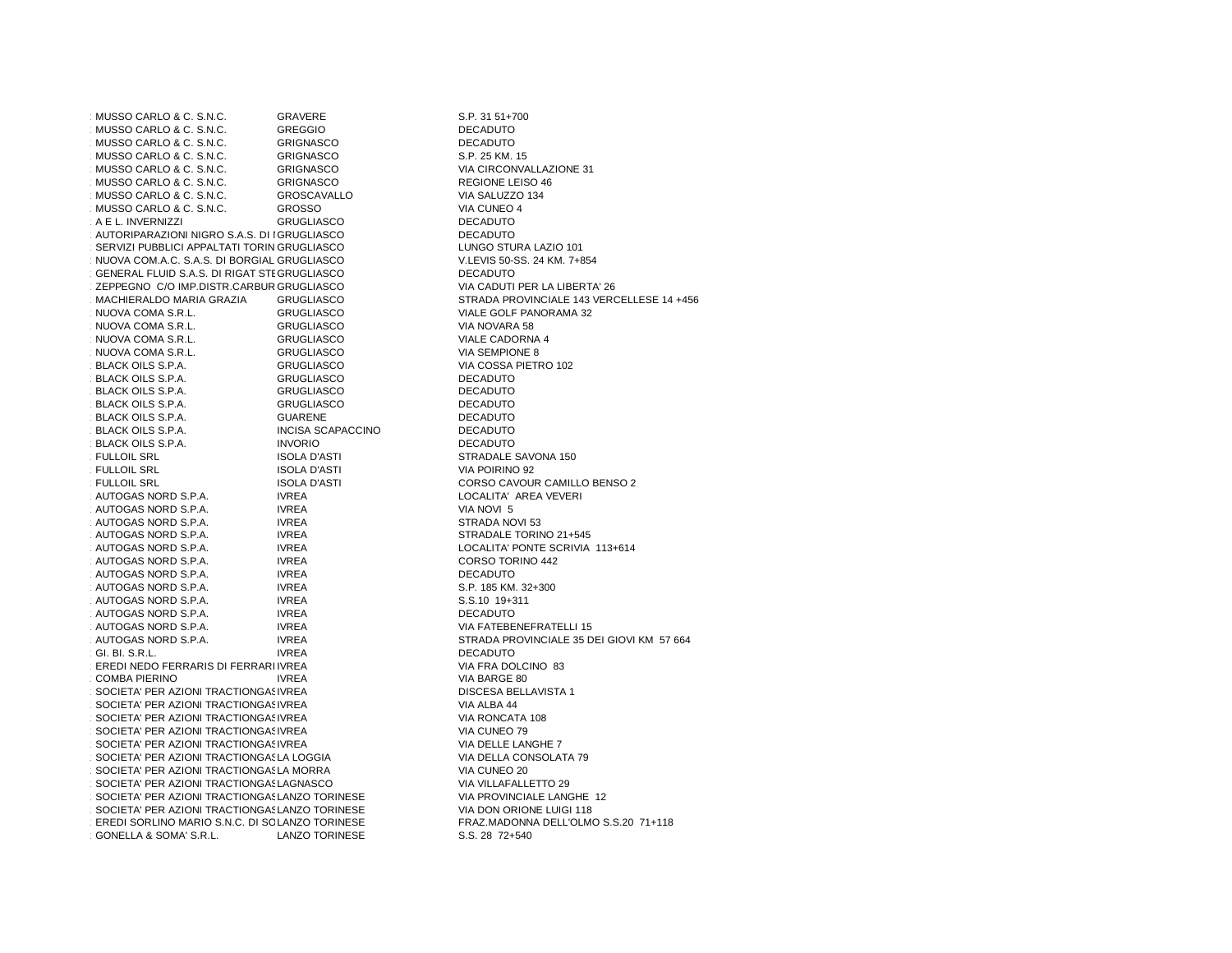1.007 MUSSO CARLO & C. S.N.C. GRAVERE S.P. 31 51+700 MUSSO CARLO & C. S.N.C. GREGGIO GREGGIO MUSSO CARLO & C. S.N.C. GRIGNASCO DECADUTO MUSSO CARLO & C. S.N.C. GRIGNASCO S.P. 25 KM. 15 MUSSO CARLO & C. S.N.C. MUSSO CARLO & C. S.N.C. GRIGNASCO GENERAL REGIONE LEISO 46 1.013 MUSSO CARLO & C. S.N.C. GROSCAVALLO VIA SALUZZO 134 MUSSO CARLO & C. S.N.C. GROSSO GARLO & C. S.N.C. 1.015 A E L. INVERNIZZI GRUGLIASCO DECADUTO1.0116 AUTORIPARAZIONI NIGRO S.A.S. DI IGRUGLIASCO DECADUTO DECADUTO  $\cdot$  SERVIZI PUBBLICI APPALTATI TORIN GRUGLIASCO 1.0018 NUOVA COM.A.C. S.A.S. DI BORGIALI GRUGLIASCO VILLEVIS 50-SS. 24 KM. 7+854 1.0119 GENERAL FLUID S.A.S. DI RIGAT STEGRUGLIASCO 2EPPEGNO C/O IMP.DISTR.CARBUR GRUGLIASCO VIA CADUTI PER LA LIBERTA' 26 MACHIERALDO MARIA GRAZIA NUOVA COMA S.R.L. 1.023 NUOVA COMA S.R.L. GRUGLIASCO VIA NOVARA 58 NUOVA COMA S.R.L. GRUGLIASCO VIALE CADORNA 4 NUOVA COMA S.R.L. GRUGLIASCO VIA SEMPIONE 8 BLACK OILS S.P.A. GRUGLIASCO VIA COSSA PIETRO 102<br>GRUGLIASCO DECADUTO 1.027 BLACK OILS S.P.A. GRUGLIASCO GRUGLIASCO **BLACK OILS S.P.A.** GRUGLIASCO GROUGLIASCO 1.029 BLACK OILS S.P.A. GRUGLIASCO GRUGLIASCO **BLACK OILS S.P.A.** GUARENE GUARENE DECADUTO BLACK OILS S.P.A. INCISA SCAPACCINO<br>INVORIO 1.032 BLACK OILS S.P.A. INVORIO FULLOIL SRL ISOLA D'ASTI STRADALE SAVONA 150 FULLOIL SRL FULLOIL SRL FULLA D'ASTI DE SOLA D'ASTINA EN 1992 EN 1992. EL SOLA D'ASTINATION DE L'ANNET DE L'ANNET DE L'ANNET DE L'ANNE<br>INSOLA D'ASTINATION DE L'ANNET DE L'ANNET DE L'ANNET DE L'ANNET DE L'ANNET DE L'ANNET DE L'ANNET DE L'ANNET DE FULLOIL SRL AUTOGAS NORD S.P.A. AUTOGAS NORD S.P.A. IVREA LOCALITA' AREA VEVERI 1.037 AUTOGAS NORD S.P.A. IVREA IVREA VIA NOVI 5 AUTOGAS NORD S.P.A. IVREA IVREA STRADA NOVI 53 AUTOGAS NORD S.P.A. AUTOGAS NORD S.P.A. IVREA STRADALE TORINO 21+545 AUTOGAS NORD S.P.A. AUTOGAS NORD S.P.A. IVREA IVREA CORSO TORINO 442 AUTOGAS NORD S.P.A. IVREA INDECADUTO  $1.40$ TOGAS NORD S.P.A. IVREA IVREA S.P. 185 KM. 32+300 AUTOGAS NORD S.P.A. IVREA IVREA S.S.10 19+311 1.045 AUTOGAS NORD S.P.A. IVREA IVREA DECADUTO AUTOGAS NORD S.P.A. IVREA VIA FATEBENEFRATELLI 15 AUTOGAS NORD S.P.A. AUTOGAS NORD S.P.A.  $-$ GI. BI. S.R.L. GI. BI. S.R.L. IVREA DECADUTO IVREA VIA FRA DOLCINO 83  $\pm$ EREDI NEDO FERRARIS DI FERRARI $\pm$ NREA **COMBA PIERINO**  COMBA PIERINO IVREA VIA BARGE 80 1.051 SOCIETA' PER AZIONI TRACTIONGASIVREA DISCESA BELLAVISTA 1 1.052 SOCIETA' PER AZIONI TRACTIONGASIVREA VIA ALBA 44 1.053 SOCIETA' PER AZIONI TRACTIONGASIVREA VIA RONCATA 108 1.054 SOCIETA' PER AZIONI TRACTIONGASIVREA VIA CUNEO 79 1.05 SOCIETA' PER AZIONI TRACTIONGASIVREA VIA DELLE LANGHE 7 1.056 SOCIETA' PER AZIONI TRACTIONGASLA LOGGIA VIA DELLA CONSOLATA 79 1.057 SOCIETA' PER AZIONI TRACTIONGASLA MORRA VIA CUNEO 20 1.058 SOCIETA' PER AZIONI TRACTIONGASLAGNASCO VIA VILLAFALLETTO 29 1.059 SOCIETA' PER AZIONI TRACTIONGASLANZO TORINESE VIA PROVINCIALE LANGHE 12 1.060 SOCIETA' PER AZIONI TRACTIONGASLANZO TORINESE VIA DON ORIONE LUIGI 118 ⊤EREDI SORLINO MARIO S.N.C. DI SOLANZO TORINESE FRAZ.MADONNA DELL'OLMO S.S.20 71+118 1.062 GONELLA & SOMA' S.R.L. LANZO TORINESE S.S. 28 72+540

**DECADUTO** S.P. 25 KM. 15 GRIGNASCO VIA CIRCONVALLAZIONE 31<br>GRIGNASCO REGIONE LEISO 46 **DECADUTO** LUNGO STURA LAZIO 101<br>V.LEVIS 50-SS. 24 KM. 7+854 VIA CADUTI PER LA LIBERTA' 26 GRUGLIASCO STRADA PROVINCIALE 143 VERCELLESE 14 +456<br>GRUGLIASCO STRADA BOLF PANORAMA 32 GRUGLIASCO VIALE GOLF PANORAMA 32<br>GRUGLIASCO VIA NOVARA 58 **DECADUTO DECADUTO DECADUTO** DECADUTO **DECADUTO** FULLO ISOLA D'ASTI EN ENSEGUEL DE LOCALITA' AREA VEVERICIA EN ENSO 2<br>IVREA AUTOGAS NORD S.P.A. IVREA LOCALITA' PONTE SCRIVIA 113+614 S.P. 185 KM. 32+300 AUTOGAS NORD S.P.A. IVREA STRADA PROVINCIALE 35 DEI GIOVI KM 57 664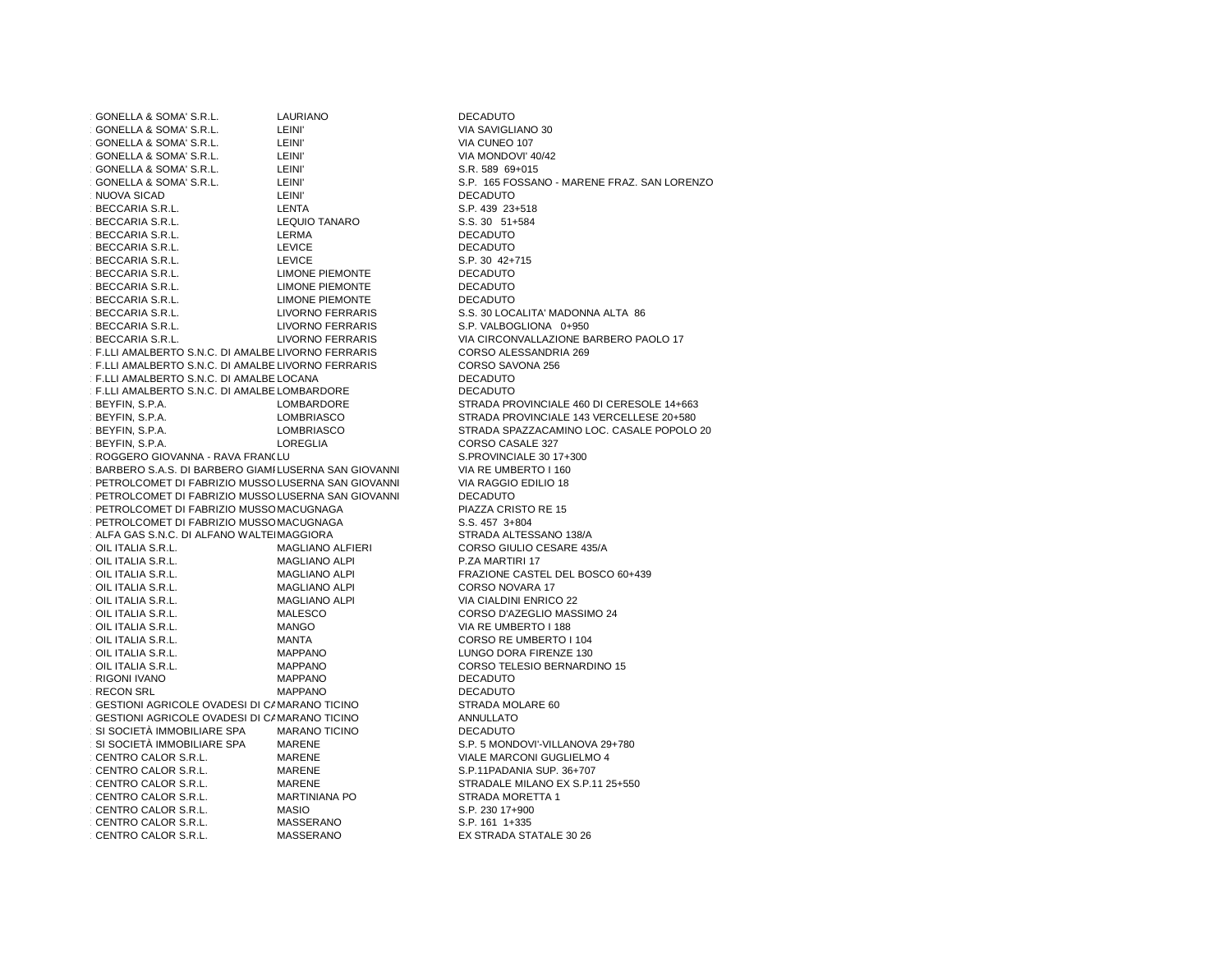| GONELLA & SOMA' S.R.L.                              | LAURIANO                | <b>DECADUTO</b>                           |
|-----------------------------------------------------|-------------------------|-------------------------------------------|
| GONELLA & SOMA' S.R.L.                              | LEINI'                  | VIA SAVIGLIANO 30                         |
| GONELLA & SOMA' S.R.L.                              | LEINI'                  | VIA CUNEO 107                             |
| GONELLA & SOMA' S.R.L.                              | LEINI'                  | VIA MONDOVI' 40/42                        |
| GONELLA & SOMA' S.R.L.                              | LEINI'                  | S.R. 589 69+015                           |
| GONELLA & SOMA' S.R.L.                              | LEINI'                  | S.P. 165 FOSSANO - MARENE FRAZ. SAN LOREN |
| NUOVA SICAD                                         | LEINI'                  | <b>DECADUTO</b>                           |
| BECCARIA S.R.L.                                     | LENTA                   | S.P. 439 23+518                           |
| BECCARIA S.R.L.                                     | <b>LEQUIO TANARO</b>    | S.S. 30 51+584                            |
| BECCARIA S.R.L.                                     | LERMA                   | <b>DECADUTO</b>                           |
| BECCARIA S.R.L.                                     | <b>LEVICE</b>           | <b>DECADUTO</b>                           |
| BECCARIA S.R.L.                                     | <b>LEVICE</b>           | S.P. 30 42+715                            |
| BECCARIA S.R.L.                                     | <b>LIMONE PIEMONTE</b>  | <b>DECADUTO</b>                           |
| BECCARIA S.R.L.                                     | <b>LIMONE PIEMONTE</b>  | <b>DECADUTO</b>                           |
| BECCARIA S.R.L.                                     | <b>LIMONE PIEMONTE</b>  | <b>DECADUTO</b>                           |
| BECCARIA S.R.L.                                     | LIVORNO FERRARIS        | S.S. 30 LOCALITA' MADONNA ALTA 86         |
| BECCARIA S.R.L.                                     | LIVORNO FERRARIS        | S.P. VALBOGLIONA 0+950                    |
| BECCARIA S.R.L.                                     | <b>LIVORNO FERRARIS</b> | VIA CIRCONVALLAZIONE BARBERO PAOLO 17     |
| F.LLI AMALBERTO S.N.C. DI AMALBE LIVORNO FERRARIS   |                         | CORSO ALESSANDRIA 269                     |
| F.LLI AMALBERTO S.N.C. DI AMALBE LIVORNO FERRARIS   |                         | CORSO SAVONA 256                          |
| F.LLI AMALBERTO S.N.C. DI AMALBE LOCANA             |                         | <b>DECADUTO</b>                           |
| F.LLI AMALBERTO S.N.C. DI AMALBE LOMBARDORE         |                         | <b>DECADUTO</b>                           |
| BEYFIN, S.P.A.                                      | LOMBARDORE              | STRADA PROVINCIALE 460 DI CERESOLE 14+663 |
| BEYFIN, S.P.A.                                      | LOMBRIASCO              | STRADA PROVINCIALE 143 VERCELLESE 20+580  |
| BEYFIN, S.P.A.                                      | LOMBRIASCO              | STRADA SPAZZACAMINO LOC. CASALE POPOLO    |
| BEYFIN, S.P.A.                                      | LOREGLIA                | CORSO CASALE 327                          |
| ROGGERO GIOVANNA - RAVA FRANCLU                     |                         | S.PROVINCIALE 30 17+300                   |
| BARBERO S.A.S. DI BARBERO GIAMILUSERNA SAN GIOVANNI |                         | VIA RE UMBERTO I 160                      |
| PETROLCOMET DI FABRIZIO MUSSOLUSERNA SAN GIOVANNI   |                         | VIA RAGGIO EDILIO 18                      |
| PETROLCOMET DI FABRIZIO MUSSOLUSERNA SAN GIOVANNI   |                         | <b>DECADUTO</b>                           |
| PETROLCOMET DI FABRIZIO MUSSO MACUGNAGA             |                         | PIAZZA CRISTO RE 15                       |
| PETROLCOMET DI FABRIZIO MUSSOMACUGNAGA              |                         | S.S. 457 3+804                            |
| ALFA GAS S.N.C. DI ALFANO WALTEIMAGGIORA            |                         | STRADA ALTESSANO 138/A                    |
| OIL ITALIA S.R.L.                                   | MAGLIANO ALFIERI        | CORSO GIULIO CESARE 435/A                 |
| OIL ITALIA S.R.L.                                   | <b>MAGLIANO ALPI</b>    | P.ZA MARTIRI 17                           |
| OIL ITALIA S.R.L.                                   | <b>MAGLIANO ALPI</b>    | FRAZIONE CASTEL DEL BOSCO 60+439          |
| OIL ITALIA S.R.L.                                   | <b>MAGLIANO ALPI</b>    | CORSO NOVARA 17                           |
| OIL ITALIA S.R.L.                                   | <b>MAGLIANO ALPI</b>    | VIA CIALDINI ENRICO 22                    |
| OIL ITALIA S.R.L.                                   | MALESCO                 | CORSO D'AZEGLIO MASSIMO 24                |
| OIL ITALIA S.R.L.                                   | <b>MANGO</b>            | VIA RE UMBERTO I 188                      |
| OIL ITALIA S.R.L.                                   | MANTA                   | CORSO RE UMBERTO I 104                    |
| OIL ITALIA S.R.L.                                   | <b>MAPPANO</b>          | LUNGO DORA FIRENZE 130                    |
| OIL ITALIA S.R.L.                                   | <b>MAPPANO</b>          | CORSO TELESIO BERNARDINO 15               |
| <b>RIGONI IVANO</b>                                 | <b>MAPPANO</b>          | <b>DECADUTO</b>                           |
| <b>RECON SRL</b>                                    | <b>MAPPANO</b>          | <b>DECADUTO</b>                           |
| GESTIONI AGRICOLE OVADESI DI CAMARANO TICINO        |                         | STRADA MOLARE 60                          |
| GESTIONI AGRICOLE OVADESI DI CAMARANO TICINO        |                         | <b>ANNULLATO</b>                          |
| SI SOCIETÀ IMMOBILIARE SPA                          | <b>MARANO TICINO</b>    | <b>DECADUTO</b>                           |
| SI SOCIETÀ IMMOBILIARE SPA                          | MARENE                  | S.P. 5 MONDOVI'-VILLANOVA 29+780          |
| CENTRO CALOR S.R.L.                                 | MARENE                  | VIALE MARCONI GUGLIELMO 4                 |
| CENTRO CALOR S.R.L.                                 | MARENE                  | S.P.11PADANIA SUP. 36+707                 |
| CENTRO CALOR S.R.L.                                 | MARENE                  | STRADALE MILANO EX S.P.11 25+550          |
| CENTRO CALOR S.R.L.                                 | <b>MARTINIANA PO</b>    | STRADA MORETTA 1                          |
| CENTRO CALOR S.R.L.                                 | <b>MASIO</b>            | S.P. 230 17+900                           |
| CENTRO CALOR S.R.L.                                 | <b>MASSERANO</b>        | S.P. 161 1+335                            |
|                                                     |                         |                                           |
| CENTRO CALOR S.R.L.                                 | <b>MASSERANO</b>        | EX STRADA STATALE 30 26                   |

**IGLIANO 30** i FOSSANO - MARENE FRAZ. SAN LORENZO<br>JTO  $23 + 518$ **OTL**  $42 + 715$ **DTL DTL** BOGLIONA 0+950 CONVALLAZIONE BARBERO PAOLO 17 ALESSANDRIA 269<br>SAVONA 256 **OTL** BEYORTHING BETTHERE STRANDALE 143 VERCELLESE 20+580 . SPAZZACAMINO LOC. CASALE POPOLO 20<br>CASALE 327 NCIALE 30 17+300<br>JMBERTO I 160 CRISTO RE 15 ALTESSANO 138/A NE CASTEL DEL BOSCO 60+439<br>NOVARA 17 D'AZEGLIO MASSIMO 24<br>JMBERTO I 188 RE UMBERTO I 104 DORA FIRENZE 130 TELESIO BERNARDINO 15<br>JTO **OTL** ARCONI GUGLIELMO 4 DANIA SUP. 36+707 LE MILANO EX S.P.11 25+550<br>MORETTA 1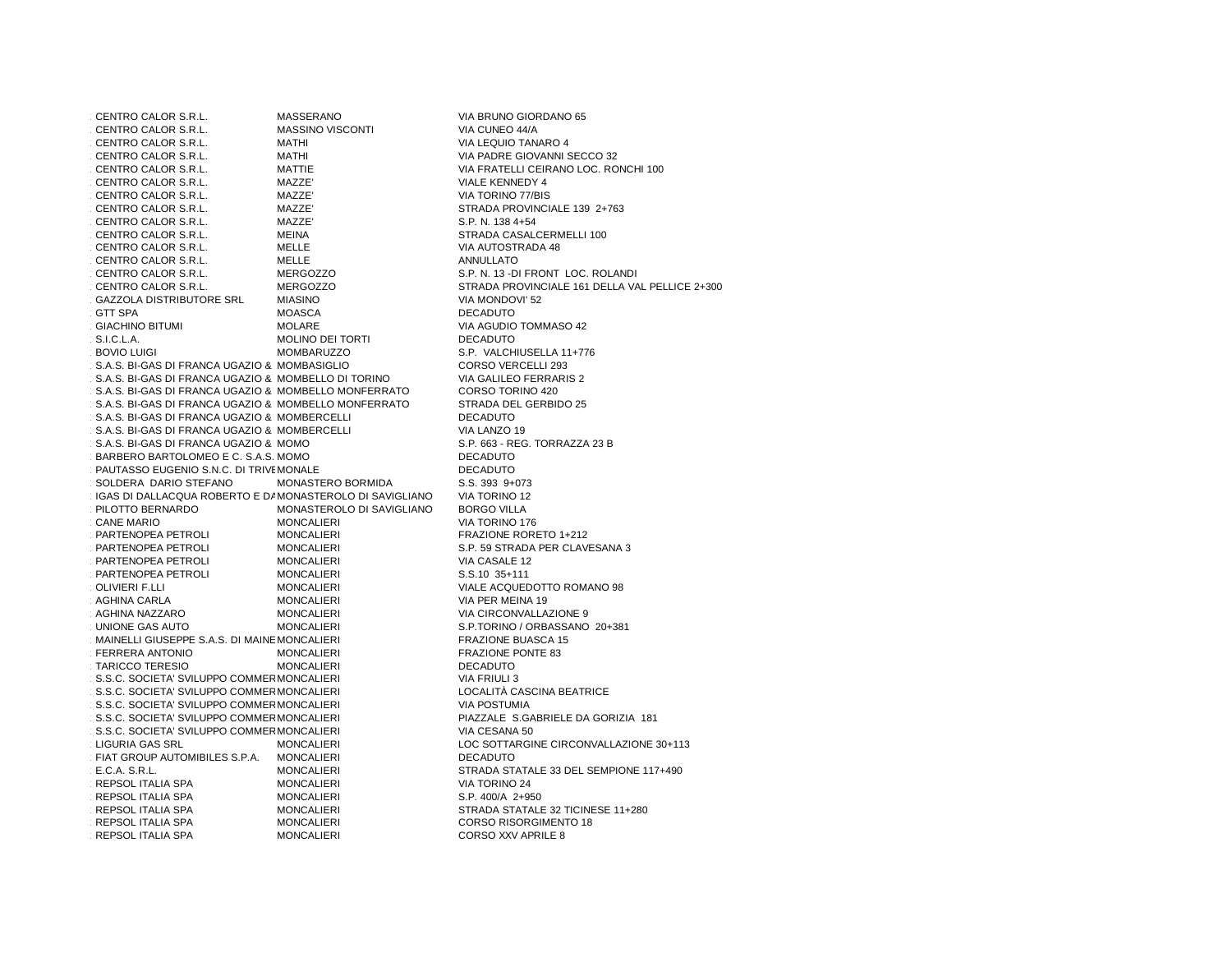CENTRO CALOR S.R.L. MASSERANO VIA BRUNO GIORDANO 65<br>MASSINO VISCONTI VIA CUNEO 44/A 1.120 CENTRO CALOR S.R.L. MASSINO VISCONTI VIA CUNEO 44/A CENTRO CALOR S.R.L. MATHI VIA LEQUIO TANARO 4 CENTRO CALOR S.R.L. CENTRO CALOR S.R.L. CENTRO CALOR S.R.L. MATHI VIA PADRE GIOVANNI SECCO 32 CENTRO CALOR S.R.L. MATTIE VIA FRATELLI CEIRANO LOC. RONCHI 100<br>MAZZE' VIALE KENNEDY 4 1.124 CENTRO CALOR S.R.L. MAZZE' VIALE KENNEDY 4 1.125 CENTRO CALOR S.R.L. MAZZE' VIA TORINO 77/BIS CENTRO CALOR S.R.L. MAZZE' STRADA PROVINCIALE 139 2+763 CENTRO CALOR S.R.L. 1.138 4+54 CENTRO CALOR S.R.L. MAZZE' S.P. N. 138 4+54 CENTRO CALOR S.R.L. MEINA CHENTRO CONTROL STRADA CASALCERMELLI 100<br>VIA AUTOSTRADA 48 1.129 CENTRO CALOR S.R.L. MELLE VIA AUTOSTRADA 48 1.130 CENTRO CALOR S.R.L. MELLE MELLE ANNULLATO CENTRO CALOR S.R.L. MERGOZZO S.P. N. 13 -DI FRONT LOC. ROLANDI  $C$ FNTRO CALOR S R L CENTRO CALOR S.R.L. MERGOZZO STRADA PROVINCIALE 161 DELLA VAL PELLICE 2+300<br>MIASINO SALOR VIA MONDOVI' 52 1.133 GAZZOLA DISTRIBUTORE SRL MIASINO VIA MONDOVI' 52 **GTT SPA** GTT SPA DECADUTO GIACHINO BITUMI MOLARE VIA AGUDIO TOMMASO 42 **GIACHINO BITUMI**  $\cdot$  S.I.C.L.A. S.I.C.L.A. MOLINO DEI TORTI DECADUTO BOVIO LUIGI MOMBARUZZO S.P. VALCHIUSELLA 11+776 **BOVIO LUIGI** 1.15.15. BI-GAS DI FRANCA UGAZIO & MOMBASIGLIO CORSO VERCELLI 293 1.139 S.A.S. BI-GAS DI FRANCA UGAZIO & MOMBELLO DI TORINO VIA GALILEO FERRARIS 2 1.140 S.A.S. BI-GAS DI FRANCA UGAZIO & MOMBELLO MONFERRATO CORSO TORINO 420 1.141 S.A.S. BI-GAS DI FRANCA UGAZIO & MOMBELLO MONFERRATO STRADA DEL GERBIDO 25 1.142 S.A.S. BI-GAS DI FRANCA UGAZIO & MOMBERCELLI DECADUTO VIA LANZO 19 1.143 S.A.S. BI-GAS DI FRANCA UGAZIO & MOMBERCELLI VIA LANZO 19 1.144 S.A.S. BI-GAS DI FRANCA UGAZIO & MOMO 1.145 BARBERO BARTOLOMEO E C. S.A.S. MOMO **DECADUTO** 1.146 PAUTASSO EUGENIO S.N.C. DI TRIVEMONALE **AUGUSTA ELISABETTA ELISABETTA ELISABETTA ELISABETTA ELISABETTA EL** S.S. 393 9+073 SOLDERA DARIO STEFANO SOLDERA DARIO STEFANO MONASTERO BORMIDA S.S. 393 9+073 1.148 IGAS DI DALLACQUA ROBERTO E DAVIDE SNC MONASTEROLO DI SAVIGLIANO VIA TORINO 12 PILOTTO BERNARDO MONASTEROLO DI SAVIGLIANO BORGO VILLA<br>17 VIA TORINO 17 CANE MARIO **MONCALIERI** MONCALIERI VIA TORINO 176 CANE MARIO PARTENOPEA PETROLI PARTENOPEA PETROLI MONCALIERI FRAZIONE RORETO 1+212 PARTENOPEA PETROLI MONCALIERI S.P. 59 STRADA PER CLAVESANA 3<br>MONCALIERI SANA SI VIA CASALE 12 1.153 PARTENOPEA PETROLI MONCALIERI VIA CASALE 12 PARTENOPEA PETROLI MONCALIERI S.S.10 35+111 OLIVIERI F.LLI MONCALIERI VIALE ACQUEDOTTO ROMANO 98<br>MONCALIERI VIA PER MEINA 19 AGHINA CARLA MONCALIERI VIA PER MEINA 19<br>MONCALIERI VIA CIRCONVALLA AGHINA NAZZARO MONCALIERI VIA CIRCONVALLAZIONE 9<br>MONCALIERI S P TORINO / ORBASSANO **UNIONE GAS AUTO** S.P.TORINO / ORBASSANO 20+381<br>FRAZIONE BUASCA 15 1.159 MAINELLI GIUSEPPE S.A.S. DI MAINEMONCALIERI ETA ELECTRI FRAZIONE BUASCA 15 **FERRERA ANTONIO** MONCALIERI FRAZIONE PONTE 83<br>MONCALIERI FRAZIONE DECADUTO TARICCO TERESIO **MONCALIERI** DECADUTO VIA FRIULI 3 1.16.S.C. SOCIETA' SVILUPPO COMMERMONCALIERI S.R.L. MONTANI VIA FRIULI 3 1.163 S.S.C. SOCIETA' SVILUPPO COMMERCIALE S.R.L. MONCALIERI LOCALITÀ CASCINA BEATRICE1.16.5.C. SOCIETA' SVILUPPO COMMERMONCALIERI S.R.L. MONTUMIA PIAZZALE S.GABRIELE DA GORIZIA 181 S.S.C. SOCIETA' SVILUPPO COMMERMONCALIERI PIAZZALE S.GABRIELE DA GORIZIA 181 1.166.S.C. SOCIETA' SVILUPPO COMMERMONCALIERI S.R.L. MONTANA SO LIGURIA GAS SRL MONCALIERI LOC SOTTARGINE CIRCONVALLAZIONE 30+113<br>MONCALIERI DECADUTO 1.168 FIAT GROUP AUTOMIBILES S.P.A. MONCALIERI DECADUTO E.C.A. S.R.L. MONCALIERI STRADA STATALE 33 DEL SEMPIONE 117+490  $E.C.A. S.R.L.$ REPSOL ITALIA SPA **MONCALIERI** MONCALIERI VIA TORINO 24 1.171 REPSOL ITALIA SPA MONCALIERI S.P. 400/A 2+950 REPSOL ITALIA SPA MONCALIERI STRADA STATALE 32 TICINESE 11+280<br>MONCALIERI STATALE STATA STATA STATA STANDA STATA STATA STATA STATA STATA STATA STATA STATA STATA STATA STATA REPSOL ITALIA SPA MONCALIERI CORSO RISORGIMENTO 18<br>MONCALIERI CORSO XXV APRILE 8 REPSOL ITALIA SPA CORSO XXV APRILE 8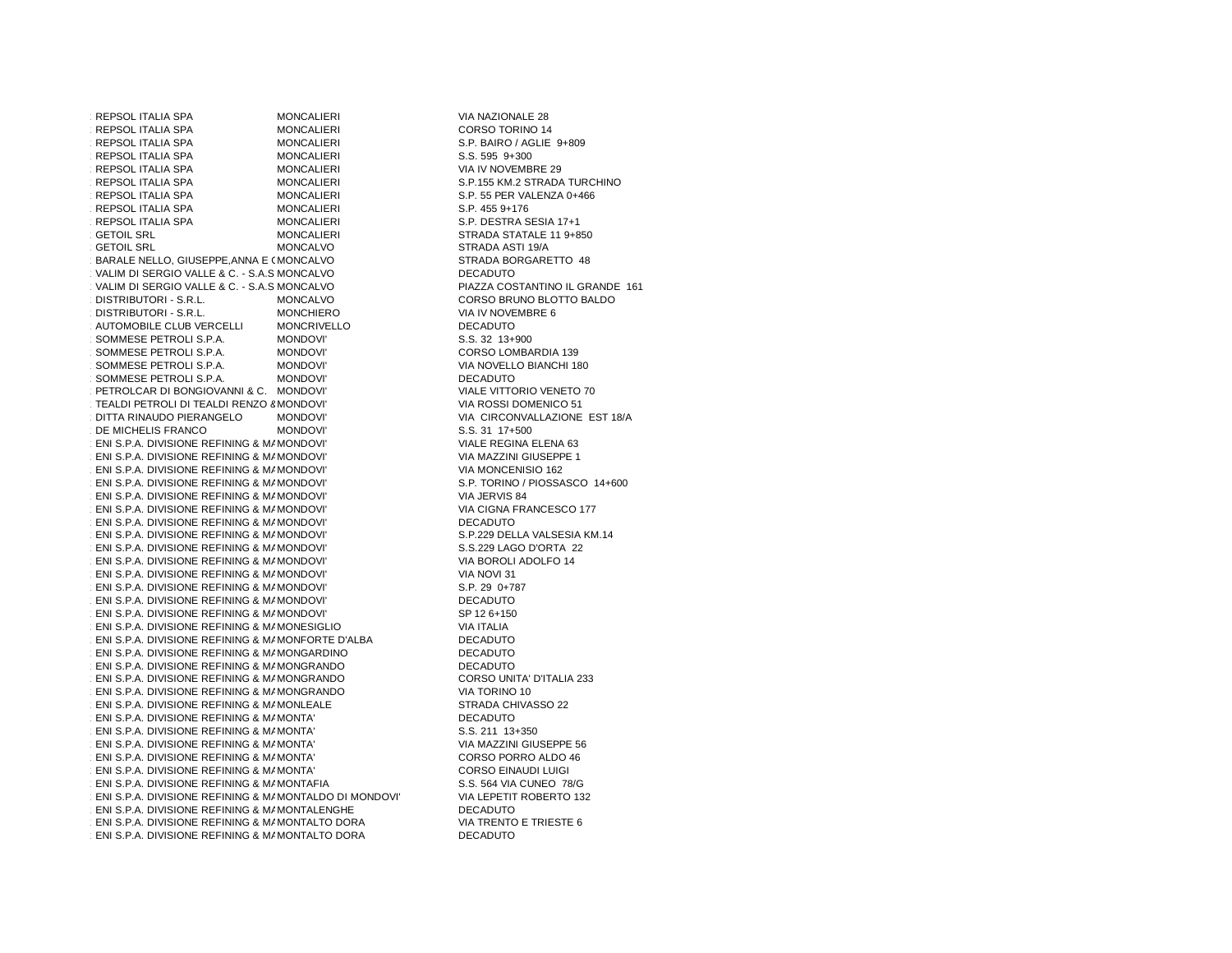1.175 REPSOL ITALIA SPA MONCALIERI KONCALIERI VIA NAZIONALE 28 REPSOL ITALIA SPA **MONCALIERI** CORSO TORINO 14 REPSOL ITALIA SPA MONCALIERI S.P. BAIRO / AGLIE 9+809<br>MONCALIERI S.S. 595 9+300 REPSOL ITALIA SPA MONCALIERI S.S. 595 9+300 REPSOL ITALIA SPA MONCALIERI VIA IV NOVEMBRE 29<br>MONCALIERI S.P.155 KM.2 STRADA **REPSOL ITALIA SPA** REPSOL ITALIA SPA REPSOL ITALIA SPA MONCALIERI S.P. 455 9+176 REPSOL ITALIA SPA REPSOLATION SPACE IN STRAIN SESS MONCALIERI STRADA STATALE 11 9+8 **GETOIL SRL** MONCALIERI STRADA STATALE 11 9+850<br>MONCALVO STRADA ASTI 19/A **GETOIL SRL**  MONCALVO STRADA BORGARETTO 48  $1.186$ BARALE NELLO, GIUSEPPE,ANNA E CMONC 1.187 VALIM DI SERGIO VALLE & C. - S.A.S.MONCALVO DECADUTO1.188 VALIM DI SERGIO VALLE & C. - S.A.S.MONCALVO PIAZZA COSTANTINO IL GRANDE 161 DISTRIBUTORI - S.R.L. DISTRIBUTORI - S.R.L. MONCHIERO VIA IV NOVEMBRE 6 AUTOMOBILE CLUB VERCELLI MONCRIVELLO DECADUTO 1.192 SOMMESE PETROLI S.P.A. MONDOVI' S.S. 32 13+900 1.193 SOMMESE PETROLI S.P.A. MONDOVI' CORSO LOMBARDIA 139 SOMMESE PETROLI S.P.A. MONDOVI' VIA NOVELLO BIANCHI 180<br>NONDOVI' DECADUTO 1.195 SOMMESE PETROLI S.P.A. MONDOVI' DECADUTO1.196 PETROLCAR DI BONGIOVANNI & C. MONDOVI' VIALE VITTORIO VENETO 70  $\cdot$  TEALDI PETROLI DI TEALDI RENZO  $8$  MOND( MONDOVI' VIA ROSSI DOMENICO 51<br>MONDOVI' VIA CIRCONVALI AZIONE DITTA RINAUDO PIERANGELO 1.199 DE MICHELIS FRANCO MONDOVI' S.S. 31 17+500  $\cdot$  ENI S.P.A. DIVISIONE REFINING & MAMONDOV  $\cdot$  ENI S.P.A. DIVISIONE REFINING & MAMONDOV  $\cdot$  ENI S.P.A. DIVISIONE REFINING & MAMONDOV  $\cdot$  ENI S.P.A. DIVISIONE REFINING & MAMONDOV  $\cdot$  ENI S.P.A. DIVISIONE REFINING & MAMONDOV  $\cdot$  ENI S.P.A. DIVISIONE REFINING & MAMONDOV  $\cdot$  ENI S.P.A. DIVISIONE REFINING & MAMONDOV  $\cdot$  ENI S.P.A. DIVISIONE REFINING & MAMONDOV  $\cdot$  ENI S.P.A. DIVISIONE REFINING & MAMONDOV  $\cdot$  ENI S.P.A. DIVISIONE REFINING & MAMONDOV  $\cdot$  ENI S.P.A. DIVISIONE REFINING & MAMONDOV  $\cdot$  ENI S.P.A. DIVISIONE REFINING & MAMONDOV  $\cdot$  ENI S.P.A. DIVISIONE REFINING & MAMONDOV  $\cdot$  ENI S.P.A. DIVISIONE REFINING & MAMONDOV 1.214 ENI S.P.A. DIVISIONE REFINING & MARKETING MONESIGLIO VIA ITALIA  $1.215$  ENI S.P.A. DIVISIONE REFINING & MAMONFORTE D'ALBA DECADUTO DECADUTO DE CADUTO ANNO MONTO A MONTO A MONTO A DECADUTO DE CADUTO DE CADUTO DE CADUTO DE CADUTO DE CADUTO DE CADUTO DE CADUTO DE CADUTO DE CADUTO DE CADU 1.216 ENI S.P.A. DIVISIONE REFINING & MAMONGARDINO DECADUTO DECADUTO 1.217 ENI S.P.A. DIVISIONE REFINING & MAMONGRANDO DECADUTO  $\cdot$  ENI S.P.A. DIVISIONE REFINING & MAMONGRA 1.219 ENI S.P.A. DIVISIONE REFINING & MARKETING MONGRANDO VIA TORINO 10  $\cdot$  ENI S.P.A. DIVISIONE REFINING & MAMONLEAI  $1$  ENI S.P.A. DIVISIONE REFINING & MAMONTA'  $\cdot$  ENI S.P.A. DIVISIONE REFINING & MAMONTA'  $1.2$  ENI S.P.A. DIVISIONE REFINING & MAMONTA  $2.2$  $1.2$  ENI S.P.A. DIVISIONE REFINING & MAMONTA  $1.2$  $\cdot$  ENI S.P.A. DIVISIONE REFINING & MAMONTA'  $\cdot$  ENI S.P.A. DIVISIONE REFINING & MAMONTAFI  $1$  ENI S.P.A. DIVISIONE REFINING & MAMONTALI 1.228 ENI S.P.A. DIVISIONE REFINING & MAMONTALENGHE DECADUTO DECADUTO DESCRIPTION DESCRIPTION DESCRIPTION DE L<br>DECADUR DE LA PILICIONE REFINING A MAMONTALEO ROBA  $1.2$ ENI S.P.A. DIVISIONE REFINING & MAMONTAL  $\cdot$  ENI S.P.A. DIVISIONE REFINING & MAMONTALTO DORA DECADUTO

MONCALIERI S.P.155 KM.2 STRADA TURCHINO<br>MONCALIERI S.P. 55 PER VALENZA 0+466 MONCALIERI S.P. 55 PER VALENZA 0+466<br>MONCALIERI S.P. 455 9+176 STRADA ASTI 19/A PIAZZA COSTANTINO IL GRANDE 161 MONCALVO CORSO BRUNO BLOTTO BALDO<br>MONCHIERO VIA IV NOVEMBRE 6 S.S. 32 13+900 VIALE VITTORIO VENETO 70 DITTA RINAUDO PIERANGELO MONDOVI' VIA CIRCONVALLAZIONE EST 18/AVIALE REGINA ELENA 63 VIA MAZZINI GIUSEPPE 1 VIA MONCENISIO 162 S.P. TORINO / PIOSSASCO 14+600 VIA JERVIS 84 VIA CIGNA FRANCESCO 177 **DECADUTO** S.P.229 DELLA VALSESIA KM.14 S.S.229 LAGO D'ORTA 22 VIA BOROLI ADOLFO 14 VIA NOVI 31 S.P. 29 0+787 **DECADUTO** SP 12 6+150<br>VIA ITALIA CORSO UNITA' D'ITALIA 233<br>VIA TORINO 10 STRADA CHIVASSO 22 DECADUTO S.S. 211 13+350 VIA MAZZINI GIUSEPPE 56 CORSO PORRO ALDO 46 CORSO EINAUDI LUIGI S.S. 564 VIA CUNEO 78/G VIA LEPETIT ROBERTO 132<br>DECADUTO VIA TRENTO E TRIESTE 6<br>DECADUTO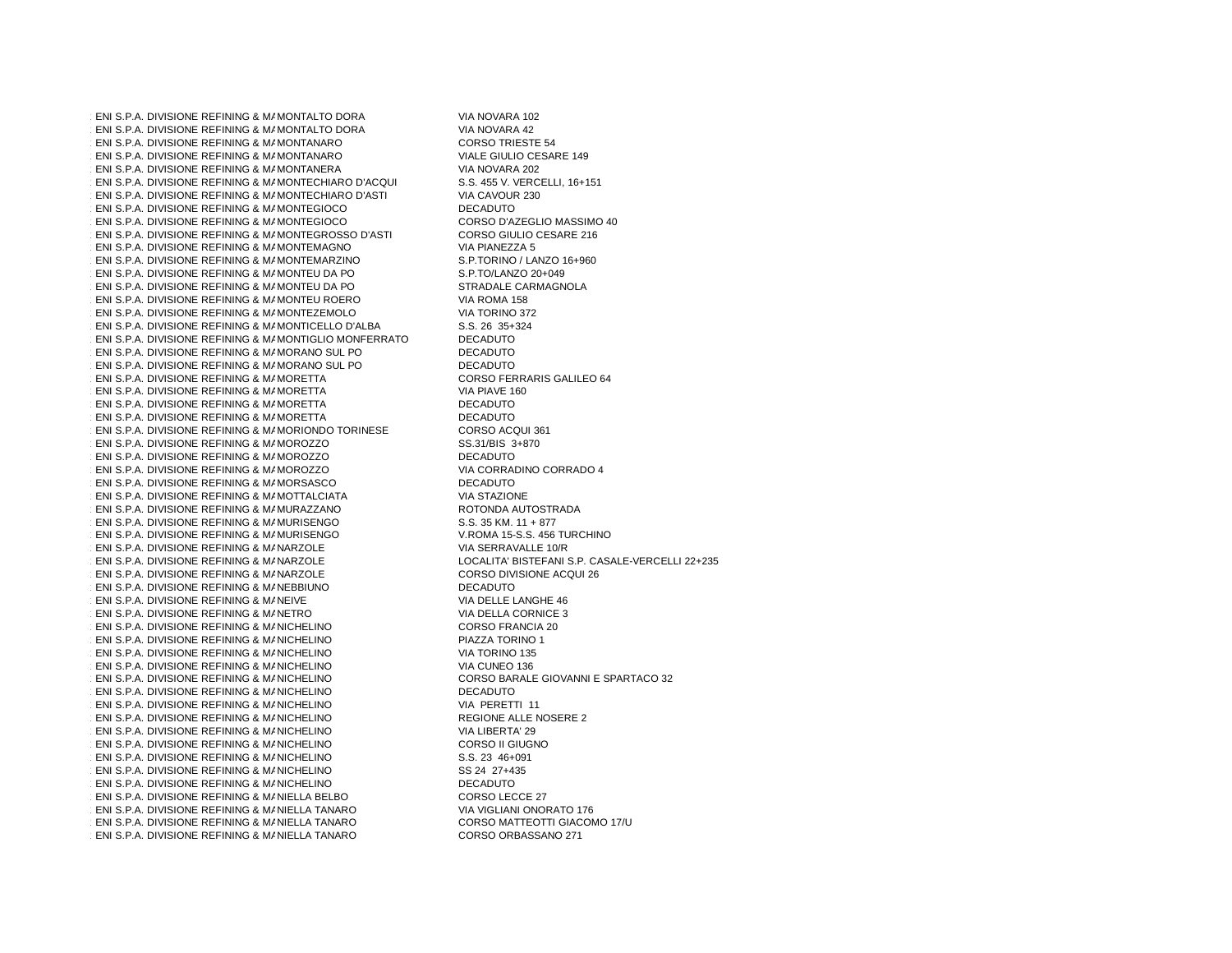1.231 ENI S.P.A. DIVISIONE REFINING & MAMONTALTO DORA VIA NOVARA 102<br>A ENILO DIALENTING DE EN INCLUSIONE DO PODIA 1.232 ENI S.P.A. DIVISIONE REFINING & MARKETING MONTALTO DORA VIA NOVARA 42  $\cdot$  ENI S.P.A. DIVISIONE REFINING & MAMONTAN.  $\cdot$  ENI S.P.A. DIVISIONE REFINING & MAMONTAN.  $\cdot$  ENI S.P.A. DIVISIONE REFINING & MAMONTAN MONTANERA VIA NOVARA 202 1.236 ENI S.P.A. DIVISIONE REFINING & MARKETING1.237 ENI S.P.A. DIVISIONE REFINING & MAMONTECHIARO D'ASTI VIA CAVOUR 230<br>LENI O DIA DIVISIONE REFINING & L'ULOUTE CIOQUE 1.238 ENI S.P.A. DIVISIONE REFINING & MAMONTEGIOCO DECADUTO DECADUTO  $\cdot$  ENI S.P.A. DIVISIONE REFINING & MAMONTEG  $\cdot$  ENI S.P.A. DIVISIONE REFINING & MAMONTEG  $1$  ENI S.P.A. DIVISIONE REFINING & MAMONTEM  $\cdot$  ENI S.P.A. DIVISIONE REFINING & MAMONTEM  $\cdot$  ENI S.P.A. DIVISIONE REFINING & MAMONTEU  $\pm$  ENI S.P.A. DIVISIONE REFINING & MAMONTEU  $1.241$  S.P.A. DIVISIONE REFINING & MAMONTEU ROERO VIA ROMA 158 1.25 ENI S.P.A. DIVISIONE REFINING & MAMONTEZEMOLO AND MONTEVERSION OF MONTHS MONEY AND MONEY AND MONEY WAS COMM<br>A 200 AND MONTE REFINING A MAMONTICELLO RIALDA  $1.24$  ENI S.P.A. DIVISIONE REFINING & MAMONTICELLO D'ALBA S.S. 26 35+324<br>ENI O DA DIVISIONE REFINING & MAMONTICUO MONEERDATO  $1.248$  ENI S.P.A. DIVISIONE REFINING & MAMONTIGLIO MONFERRATO DECADUTO  $1.24$  ENI S.P.A. DIVISIONE REFINING & MAMORANO SUL PO DECADUTO DECADUTO DECADUTO ANNO SUL PO  $1.25$ ni S.P.A. DIVISIONE REFINING & MAMORANO SUL PO DECADUTO DECADUTO DECADUTO ANNO SUL PO DE CADADO SETTING ANNO SUL PO  $1.25$  ENI S.P.A. DIVISIONE REFINING & MAMORETT  $1.25$  ENI S.P.A. DIVISIONE REFINING & MAMORETT  $1.25$  ENI S.P.A. DIVISIONE REFINING & MAMORETT  $1.25$  ENI S.P.A. DIVISIONE REFINING & MAMORETT MORETTA DECADUTO 1.255 ENI S.P.A. DIVISIONE REFINING & MARKETING MORIONDO TORINESE CORSO ACQUI 361  $\cdot$  ENI S.P.A. DIVISIONE REFINING & MAMOROZZ 1.257 ENI S.P.A. DIVISIONE REFINING & MARKETING MOROZZO DECADUTO  $\cdot$  ENI S.P.A. DIVISIONE REFINING & MAMOROZZ  $\cdot$  ENI S.P.A. DIVISIONE REFINING & MAMORSAS  $\cdot$  ENI S.P.A. DIVISIONE REFINING & MAMOTTALG  $1$  ENI S.P.A. DIVISIONE REFINING & MAMURAZZ  $\cdot$  ENI S.P.A. DIVISIONE REFINING & MAMURISEN  $\cdot$  ENI S.P.A. DIVISIONE REFINING & MAMURISEN  $1.26$  ENI S.P.A. DIVISIONE REFINING & MANARZOLE  $\cdot$  ENI S.P.A. DIVISIONE REFINING & MANARZOLE  $1.26$  ENI S.P.A. DIVISIONE REFINING & MANARZOLE  $\cdot$  ENI S.P.A. DIVISIONE REFINING & MANEBBIUN  $\cdot$  ENI S.P.A. DIVISIONE REFINING & MANEIVE  $1.26$  ENI S.P.A. DIVISIONE REFINING & MANETRO  $\cdot$  ENI S.P.A. DIVISIONE REFINING & MANICHELIN  $1.27$  ENI S.P.A. DIVISIONE REFINING & MANICHELING  $\cdot$  ENI S.P.A. DIVISIONE REFINING & MANICHELIN  $1.27$  ENI S.P.A. DIVISIONE REFINING & MANICHELING  $\cdot$  ENI S.P.A. DIVISIONE REFINING & MANICHELIN 1.275 ENI S.P.A. DIVISIONE REFINING & MARKETING NICHELINO DECADUTO  $1.27$  ENI S.P.A. DIVISIONE REFINING & MANICHELING  $\cdot$  ENI S.P.A. DIVISIONE REFINING & MANICHELIN  $1.27$  ENI S.P.A. DIVISIONE REFINING & MANICHELING  $\cdot$  ENI S.P.A. DIVISIONE REFINING & MANICHELIN  $\cdot$  ENI S.P.A. DIVISIONE REFINING & MANICHELIN  $1.28$  ENI S.P.A. DIVISIONE REFINING & MANICHELING  $\cdot$  ENI S.P.A. DIVISIONE REFINING & MANICHELIN  $\cdot$  ENI S.P.A. DIVISIONE REFINING & MANIELLA B  $\cdot$  ENI S.P.A. DIVISIONE REFINING & MANIELLA T.  $\cdot$  ENI S.P.A. DIVISIONE REFINING & MANIELLA T.  $\cdot$  ENI S.P.A. DIVISIONE REFINING & MANIELLA T.

CORSO TRIESTE 54 VIALE GIULIO CESARE 149<br>VIA NOVARA 202 S.S. 455 V. VERCELLI, 16+151<br>VIA CAVOUR 230 CORSO D'AZEGLIO MASSIMO 40 CORSO GIULIO CESARE 216 VIA PIANEZZA 5 S.P.TORINO / LANZO 16+960 S.P.TO/LANZO 20+049 STRADALE CARMAGNOLA<br>VIA ROMA 158 CORSO FERRARIS GALILEO 64 VIA PIAVE 160 DECADUTO<br>DECADUTO SS.31/BIS 3+870<br>DECADUTO VIA CORRADINO CORRADO 4 DECADUTO **VIA STAZIONE** ROTONDA AUTOSTRADA  $S.S. 35 KM. 11 + 877$ V.ROMA 15-S.S. 456 TURCHINO VIA SERRAVALLE 10/R LOCALITA' BISTEFANI S.P. CASALE-VERCELLI 22+235 CORSO DIVISIONE ACQUI 26 DECADUTO VIA DELLE LANGHE 46 VIA DELLA CORNICE 3 CORSO FRANCIA 20 PIAZZA TORINO 1 VIA TORINO 135 VIA CUNEO 136 CORSO BARALE GIOVANNI E SPARTACO 32<br>DECADUTO VIA PERETTI 11 REGIONE ALLE NOSERE 2 VIA LIBERTA' 29 CORSO II GIUGNO S.S. 23 46+091 SS 24 27+435 DECADUTO CORSO LECCE 27 VIA VIGLIANI ONORATO 176 CORSO MATTEOTTI GIACOMO 17/U CORSO ORBASSANO 271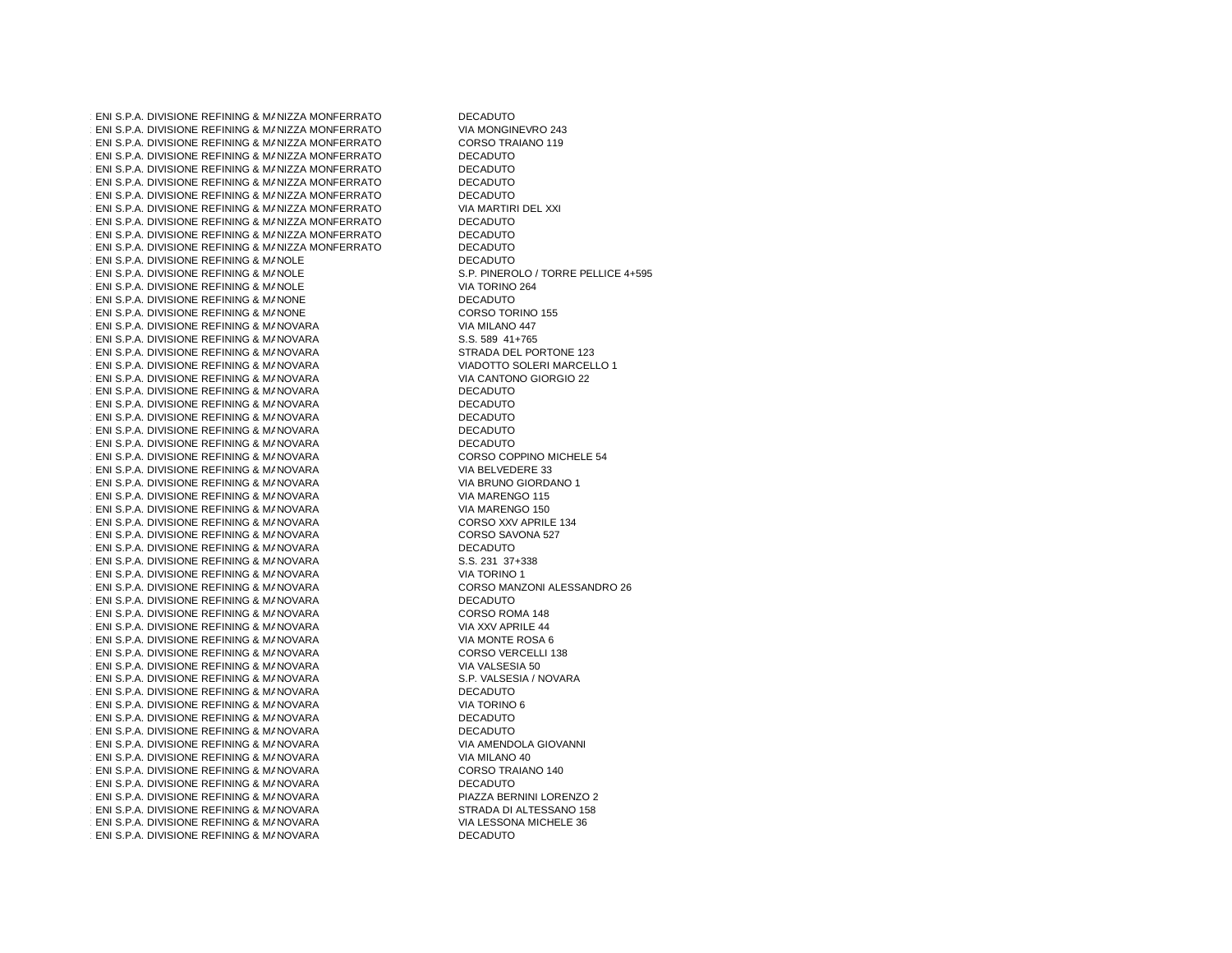$1.287$  ENI S.P.A. DIVISIONE REFINING & MANIZZA MONFERRATO DECADUTO DECADUTO  $\cdot$  ENI S.P.A. DIVISIONE REFINING & MANIZZA MO  $1.28$  ENI S.P.A. DIVISIONE REFINING & MANIZZA MO 1.290 ENI S.P.A. DIVISIONE REFINING & MANIZZA MONFERRATO DECADUTO DECADUTO DE SERVICIO DE SERVICIO DE SERVICIO<br>DECADUTO  $1.291$  ENI S.P.A. DIVISIONE REFINING & MANIZZA MONFERRATO DECADUTO  $1.29$  ENI S.P.A. DIVISIONE REFINING & MANIZZA MONFERRATO DECADUTO DECADUTO 1.293 ENI S.P.A. DIVISIONE REFINING & MANIZZA MONFERRATO DECADUTO  $1$  ENI S.P.A. DIVISIONE REFINING & MANIZZA MO  $1.291$  S.P.A. DIVISIONE REFINING & MANIZZA MONFERRATO DECADUTO DECADUTO  $1.298$  ENI S.P.A. DIVISIONE REFINING & MANIZZA MONFERRATO DECADUTO  $1.297$  ENI S.P.A. DIVISIONE REFINING & MANIZZA MONFERRATO DECADUTO DECADUTO  $1.29$  ENI S.P.A. DIVISIONE REFINING & MANOLE  $1$  ENI S.P.A. DIVISIONE REFINING & MANOLE  $1$  ENI S.P.A. DIVISIONE REFINING & MANOLE . ENI S.P.A. DIVISIONE REFINING & MANONE  $\cdot$  ENI S.P.A. DIVISIONE REFINING & MANONE  $1.5$  ENI S.P.A. DIVISIONE REFINING & MANOVARA  $\pm$  ENI S.P.A. DIVISIONE REFINING & MANOVARA  $\pm$  ENI S.P.A. DIVISIONE REFINING & MANOVARA  $\pm$  ENI S.P.A. DIVISIONE REFINING & MANOVARA  $\cdot$  ENI S.P.A. DIVISIONE REFINING & MANOVARA  $\pm$  ENI S.P.A. DIVISIONE REFINING & MANOVARA  $\cdot$  ENI S.P.A. DIVISIONE REFINING & MANOVARA  $1$  ENI S.P.A. DIVISIONE REFINING & MANOVARA  $1$  ENI S.P.A. DIVISIONE REFINING & MANOVARA  $\pm$  ENI S.P.A. DIVISIONE REFINING & MANOVARA  $1$  ENI S.P.A. DIVISIONE REFINING & MANOVARA  $\pm$  ENI S.P.A. DIVISIONE REFINING & MANOVARA  $1.5$  ENI S.P.A. DIVISIONE REFINING & MANOVARA  $1.5$  ENI S.P.A. DIVISIONE REFINING & MANOVARA  $\cdot$  ENI S.P.A. DIVISIONE REFINING & MANOVARA  $1.5$  ENI S.P.A. DIVISIONE REFINING & MANOVARA  $\cdot$  ENI S.P.A. DIVISIONE REFINING & MANOVARA  $1.5$ ENI S.P.A. DIVISIONE REFINING & MANOVARA  $1.5$ ENI S.P.A. DIVISIONE REFINING & MANOVARA  $\pm$  ENI S.P.A. DIVISIONE REFINING & MANOVARA  $1.5$ ENI S.P.A. DIVISIONE REFINING & MANOVARA  $\pm$  ENI S.P.A. DIVISIONE REFINING & MANOVARA  $\pm$  ENI S.P.A. DIVISIONE REFINING & MANOVARA  $\pm$  ENI S.P.A. DIVISIONE REFINING & MANOVARA  $\cdot$  ENI S.P.A. DIVISIONE REFINING & MANOVARA  $1.5$ ENI S.P.A. DIVISIONE REFINING & MANOVARA  $\pm$  ENI S.P.A. DIVISIONE REFINING & MANOVARA  $\pm$  ENI S.P.A. DIVISIONE REFINING & MANOVARA  $1.5$  ENI S.P.A. DIVISIONE REFINING & MANOVARA  $\pm$  ENI S.P.A. DIVISIONE REFINING & MANOVARA  $\pm$  ENI S.P.A. DIVISIONE REFINING & MANOVARA  $\pm$  ENI S.P.A. DIVISIONE REFINING & MANOVARA  $\pm$  ENI S.P.A. DIVISIONE REFINING & MANOVARA  $\pm$  ENI S.P.A. DIVISIONE REFINING & MANOVARA  $\cdot$  ENI S.P.A. DIVISIONE REFINING & MANOVARA  $1.5$  ENI S.P.A. DIVISIONE REFINING & MANOVARA  $\cdot$  ENI S.P.A. DIVISIONE REFINING & MANOVARA  $1.54$  ENI S.P.A. DIVISIONE REFINING & MANOVARA  $1.5$  ENI S.P.A. DIVISIONE REFINING & MANOVARA  $\pm$  ENI S.P.A. DIVISIONE REFINING & MANOVARA

VIA MONGINEVRO 243 CORSO TRAIANO 119<br>DECADUTO VIA MARTIRI DEL XXI<br>DECADUTO DECADUTO S.P. PINEROLO / TORRE PELLICE 4+595 VIA TORINO 264 **DECADUTO** CORSO TORINO 155 VIA MILANO 447 S.S. 589 41+765 STRADA DEL PORTONE 123 VIADOTTO SOLERI MARCELLO 1 VIA CANTONO GIORGIO 22 DECADUTO DECADUTO DECADUTO DECADUTO DECADUTO CORSO COPPINO MICHELE 54 VIA BELVEDERE 33 VIA BRUNO GIORDANO 1 VIA MARENGO 115 VIA MARENGO 150 CORSO XXV APRILE 134 CORSO SAVONA 527 DECADUTO S.S. 231 37+338 VIA TORINO 1 CORSO MANZONI ALESSANDRO 26 DECADUTO CORSO ROMA 148 VIA XXV APRILE 44 VIA MONTE ROSA 6 CORSO VERCELLI 138 VIA VALSESIA 50 S.P. VALSESIA / NOVARA DECADUTO VIA TORINO 6 DECADUTO DECADUTO VIA AMENDOLA GIOVANNI VIA MILANO 40 CORSO TRAIANO 140 DECADUTO PIAZZA BERNINI LORENZO 2 STRADA DI ALTESSANO 158 VIA LESSONA MICHELE 36 **DECADUTO**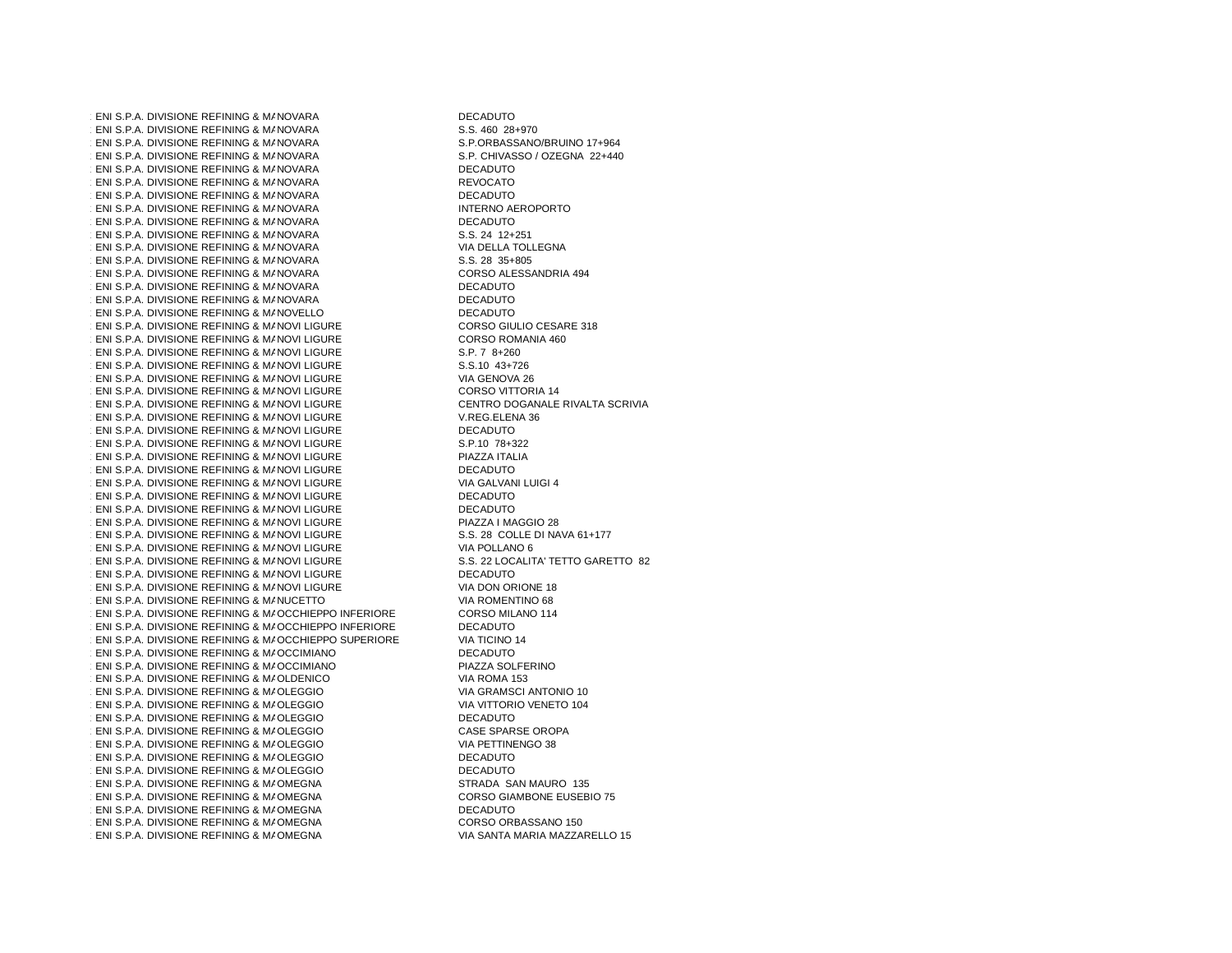$\pm$  ENI S.P.A. DIVISIONE REFINING & MANOVARA  $1.54$  ENI S.P.A. DIVISIONE REFINING & MANOVARA  $\pm$  ENI S.P.A. DIVISIONE REFINING & MANOVARA  $1.54$  ENI S.P.A. DIVISIONE REFINING & MANOVARA  $1.57$  ENI S.P.A. DIVISIONE REFINING & MANOVARA  $\pm$  ENI S.P.A. DIVISIONE REFINING & MANOVARA  $1.54$  ENI S.P.A. DIVISIONE REFINING & MANOVARA  $\cdot$  ENI S.P.A. DIVISIONE REFINING & MANOVARA  $1.5$  ENI S.P.A. DIVISIONE REFINING & MANOVARA  $\pm$  ENI S.P.A. DIVISIONE REFINING & MANOVARA  $\cdot$  ENI S.P.A. DIVISIONE REFINING & MANOVARA  $\pm$  ENI S.P.A. DIVISIONE REFINING & MANOVARA  $\pm$  ENI S.P.A. DIVISIONE REFINING & MANOVARA  $\pm$  ENI S.P.A. DIVISIONE REFINING & MANOVARA  $\pm$  ENI S.P.A. DIVISIONE REFINING & MANOVARA  $\cdot$  ENI S.P.A. DIVISIONE REFINING & MANOVELLO  $\cdot$  ENI S.P.A. DIVISIONE REFINING & MANOVI LIG  $\cdot$  ENI S.P.A. DIVISIONE REFINING & MANOVI LIG  $1.361$  ENI S.P.A. DIVISIONE REFINING & MANOVI LIGURE S.P. 7 8+260<br>- ENI O.D.A. DIVISIONE REFINING & MANOVI LIGURE  $\cdot$  ENI S.P.A. DIVISIONE REFINING & MANOVI LIG  $\cdot$  ENI S.P.A. DIVISIONE REFINING & MANOVI LIG  $\pm$  ENI S.P.A. DIVISIONE REFINING & MANOVI LIG  $\cdot$  ENI S.P.A. DIVISIONE REFINING & MANOVI LIG  $\cdot$  ENI S.P.A. DIVISIONE REFINING & MANOVI LIG 1.3.167 ENI S.P.A. DIVISIONE REFINING & MANOVI LIGURE DECADUTO<br>Thu a b a busique refunito a manovi ligure  $\cdot$  ENI S.P.A. DIVISIONE REFINING & MANOVI LIG  $\cdot$  ENI S.P.A. DIVISIONE REFINING & MANOVI LIG  $1.370$  ENI S.P.A. DIVISIONE REFINING & MANOVI LIGURE DECADUTO  $1.571$  ENI S.P.A. DIVISIONE REFINING & MANOVI LIG 1.372 ENI S.P.A. DIVISIONE REFINING & MANOVI LIGURE DECADUTO<br>Thu a b a bulgued for filming a manovi ligure  $1.373$  ENI S.P.A. DIVISIONE REFINING & MANOVI LIGURE DECADUTO DECADUTO  $\cdot$  ENI S.P.A. DIVISIONE REFINING & MANOVI LIG  $\cdot$  ENI S.P.A. DIVISIONE REFINING & MANOVI LIG  $\cdot$  ENI S.P.A. DIVISIONE REFINING & MANOVI LIG  $\cdot$  ENI S.P.A. DIVISIONE REFINING & MANOVI LIG  $1.378 \pm 0.0000$  ENI SIONE REFINING & MANOVI LIGURE DECADUTO DECADUTO  $\cdot$  ENI S.P.A. DIVISIONE REFINING & MANOVI LIG  $\cdot$  ENI S.P.A. DIVISIONE REFINING & MANUCETTO 1.581 ENI S.P.A. DIVISIONE REFINING & MAOCCHIEPPO INFERIORE CORSO MILANO 114 − CORSO MILANO 114<br>CORSO AL DIVISIONE REFINING A MAQQOUERRO INFERIORE 1.582 ENI S.P.A. DIVISIONE REFINING & MAOCCHIEPPO INFERIORE DECADUTO 1.583 ENI S.P.A. DIVISIONE REFINING & MAOCCHIEPPO SUPERIORE VIA TICINO 14<br>DECADLER OCCHIERETINING A MARCOLINANO  $\pm$  ENI S.P.A. DIVISIONE REFINING & MAQCCIMIA  $\cdot$  ENI S.P.A. DIVISIONE REFINING & MAOCCIMIA  $\cdot$  ENI S.P.A. DIVISIONE REFINING & MAQLDENIC  $1.587$  ENI S.P.A. DIVISIONE REFINING & MAQLEGGIO  $1.58$  ENI S.P.A. DIVISIONE REFINING & MAOLEGGIC  $1.58$  ENI S.P.A. DIVISIONE REFINING & MAQLEGGIO  $1.5$  ENI S.P.A. DIVISIONE REFINING & MAOLEGGIC  $1.591$  ENI S.P.A. DIVISIONE REFINING & MAQLEGGIO  $1.5$  ENI S.P.A. DIVISIONE REFINING & MAQLEGGIO  $1.5$  ENI S.P.A. DIVISIONE REFINING & MAOLEGGIC  $\pm$  ENI S.P.A. DIVISIONE REFINING & MAOMEGNA  $\cdot$  ENI S.P.A. DIVISIONE REFINING & MAOMEGNA  $\cdot$  ENI S.P.A. DIVISIONE REFINING & MAOMEGNA  $\cdot$  ENI S.P.A. DIVISIONE REFINING & MAOMEGNA  $\cdot$  ENI S.P.A. DIVISIONE REFINING & MAOMEGNA

DECADUTO S.S. 460 28+970 S.P.ORBASSANO/BRUINO 17+964 S.P. CHIVASSO / OZEGNA 22+440 DECADUTO REVOCATO DECADUTO INTERNO AEROPORTO DECADUTO S.S. 24 12+251 VIA DELLA TOLLEGNA S.S. 28 35+805 CORSO ALESSANDRIA 494 DECADUTO DECADUTO DECADUTO CORSO GIULIO CESARE 318 CORSO ROMANIA 460<br>S.P. 7 8+260 S.S.10 43+726 VIA GENOVA 26 CORSO VITTORIA 14 CENTRO DOGANALE RIVALTA SCRIVIA V.REG.ELENA 36<br>DECADUTO S.P.10 78+322 PIAZZA ITALIA<br>DECADUTO VIA GALVANI LUIGI 4<br>DECADUTO PIAZZA I MAGGIO 28 S.S. 28 COLLE DI NAVA 61+177 VIA POLLANO 6 S.S. 22 LOCALITA' TETTO GARETTO 82<br>DECADUTO VIA DON ORIONE 18 VIA ROMENTINO 68<br>CORSO MILANO 114 DECADUTO PIAZZA SOLFERINO VIA ROMA 153 VIA GRAMSCI ANTONIO 10 VIA VITTORIO VENETO 104 **DECADUTO** CASE SPARSE OROPA VIA PETTINENGO 38 **DECADUTO DECADUTO** STRADA SAN MAURO 135 CORSO GIAMBONE EUSEBIO 75 **DECADUTO** CORSO ORBASSANO 150 VIA SANTA MARIA MAZZARELLO 15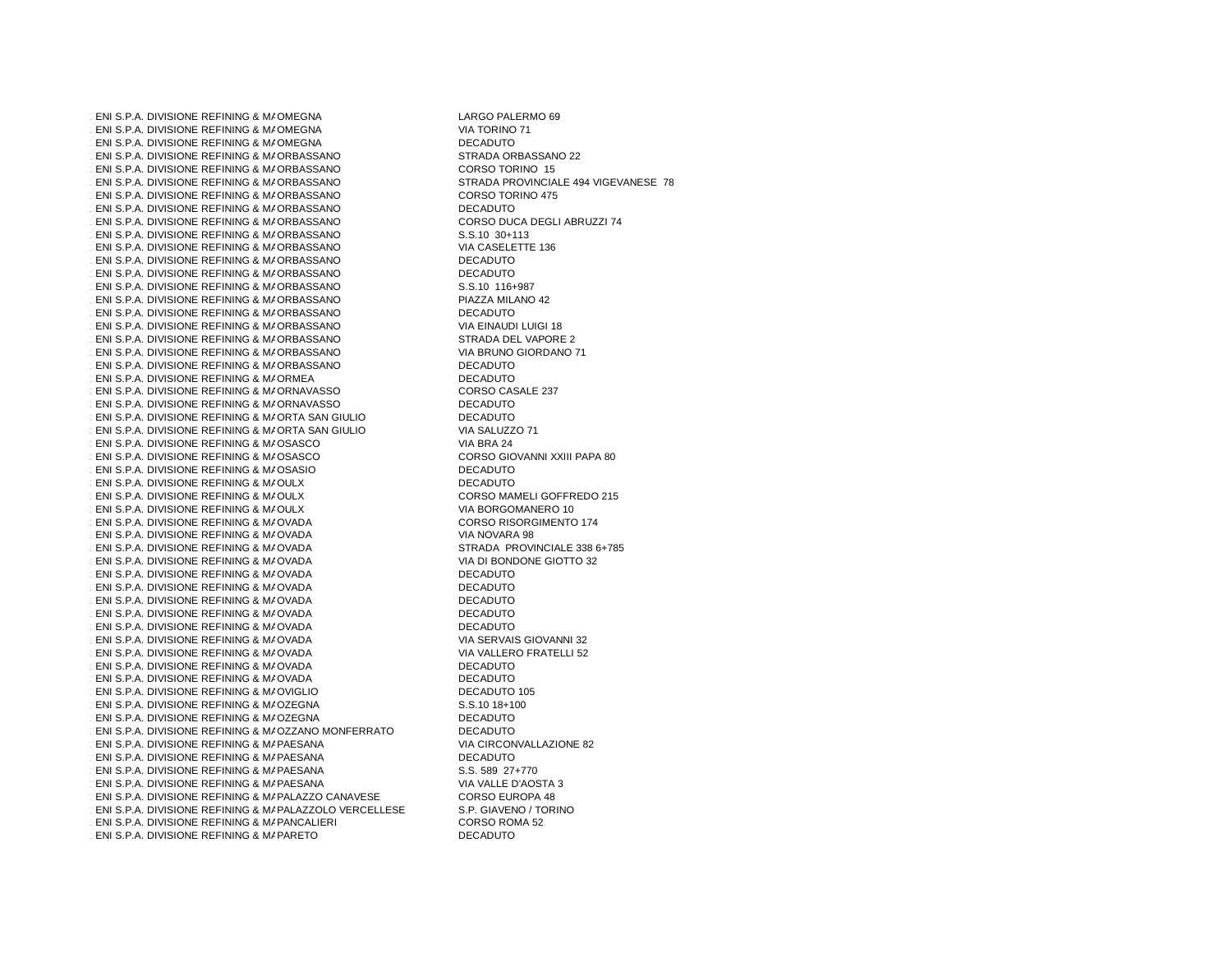$\cdot$  ENI S.P.A. DIVISIONE REFINING & MAOMEGNA  $\cdot$  ENI S.P.A. DIVISIONE REFINING & MAOMEGNA  $\cdot$  ENI S.P.A. DIVISIONE REFINING & MAOMEGNA  $1.4$  ENI S.P.A. DIVISIONE REFINING & MAORBASS  $1.5$  ENI S.P.A. DIVISIONE REFINING & MAORBASS  $1.4$  ENI S.P.A. DIVISIONE REFINING & MAORBASS  $1.5$  ENI S.P.A. DIVISIONE REFINING & MAORBASS 1.406 ENI S.P.A. DIVISIONE REFINING & MAORBASSANO DECADUTO  $1.4$  ENI S.P.A. DIVISIONE REFINING & MAORBASS  $1.4$  ENI S.P.A. DIVISIONE REFINING & MAORBASS  $1.4$  ENI S.P.A. DIVISIONE REFINING & MAORBASS 1.410 ENI S.P.A. DIVISIONE REFINING & MARKETING ORBASSANO DECADUTO 1.411 ENI S.P.A. DIVISIONE REFINING & MAORBASSANO DECADUTO  $1.4$  ENI S.P.A. DIVISIONE REFINING & MAORBASS  $1.5$  ENI S.P.A. DIVISIONE REFINING & MAORBASS 1.414 ENI S.P.A. DIVISIONE REFINING & MAORBASSANO DECADUTO DECADUTO  $1.5$  ENI S.P.A. DIVISIONE REFINING & MAORBASS  $1.4$  ENI S.P.A. DIVISIONE REFINING & MAORBASS  $1$  ENI S.P.A. DIVISIONE REFINING & MAORBASS. 1.41 ENI S.P.A. DIVISIONE REFINING & MAORBASSANO DECADUTO DECADUTO  $\cdot$  ENI S.P.A. DIVISIONE REFINING & MAORMEA  $1.4$  ENI S.P.A. DIVISIONE REFINING & MAORNAVAS 1.421 ENI S.P.A. DIVISIONE REFINING & MARKETING ORNAVASSO DECADUTO 1.42 ENI S.P.A. DIVISIONE REFINING & MAORTA SAN GIULIO DECADUTO DECADUTO DE L'ANNO DE L'ANNO DE L'ANNO DE L'A<br>DECADO DE LA PILICIONE REFINING A MAORTA CAN QUILIO 1.423 ENI S.P.A. DIVISIONE REFINING & MARKETA SAN GIULIO VIA SALUZZO 71<br>Alian dia amin'ny faritr'i North American  $\pm$  ENI S.P.A. DIVISIONE REFINING & MAOSASCO OSASCO VIA BRA 24  $\pm$  ENI S.P.A. DIVISIONE REFINING & MAOSASCO  $\cdot$  ENI S.P.A. DIVISIONE REFINING & MAOSASIO  $1.4$  ENI S.P.A. DIVISIONE REFINING & MAOULX  $1.4$  ENI S.P.A. DIVISIONE REFINING & MAOULX  $\cdot$  ENI S.P.A. DIVISIONE REFINING & MAOULX . ENI S.P.A. DIVISIONE REFINING & MAOVADA  $\cdot$  ENI S.P.A. DIVISIONE REFINING & MAOVADA . ENI S.P.A. DIVISIONE REFINING & MAOVADA . ENI S.P.A. DIVISIONE REFINING & MAOVADA  $\cdot$  ENI S.P.A. DIVISIONE REFINING & MAOVADA . ENI S.P.A. DIVISIONE REFINING & MAOVADA  $\cdot$  ENI S.P.A. DIVISIONE REFINING & MAOVADA . ENI S.P.A. DIVISIONE REFINING & MAOVADA . ENI S.P.A. DIVISIONE REFINING & MAOVADA  $\cdot$  ENI S.P.A. DIVISIONE REFINING & MAOVADA . ENI S.P.A. DIVISIONE REFINING & MAOVADA  $1$  ENI S.P.A. DIVISIONE REFINING & MAOVADA . ENI S.P.A. DIVISIONE REFINING & MAOVADA  $1.4$  ENI S.P.A. DIVISIONE REFINING & MAQVIGLIO  $\pm$  ENI S.P.A. DIVISIONE REFINING & MAOZEGNA  $1.4$  ENI S.P.A. DIVISIONE REFINING & MAQZEGNA 1.44 ENI S.P.A. DIVISIONE REFINING & MAOZEGNA DONFERRATO DECADUTO<br>1.446 ENI S.P.A. DIVISIONE REFINING & MAOZZANO MONFERRATO DECADUTO<br>2.446 ENI S.P.A. DIVISIONE REFINING & MAOZZANO 1.  $1.4$  ENI S.P.A. DIVISIONE REFINING & MAPAESANA  $1.4$  ENI S.P.A. DIVISIONE REFINING & MAPAESANA  $1.4$  ENI S.P.A. DIVISIONE REFINING & MAPAESANA  $\cdot$  ENI S.P.A. DIVISIONE REFINING & MAPAESANA 1.451 ENI S.P.A. DIVISIONE REFINING & MAPALAZZO CANAVESE CORSO EUROPA 48 1.452 ENI S.P.A. DIVISIONE REFINING & MAPALAZZOLO VERCELLESE S.P. GIAVENO / TORINO → S.P. GIAVENO / TORINO ،<br>PALACE AL DIVISIONE REFINING & MARANGALIERI  $\pm$  ENI S.P.A. DIVISIONE REFINING & MAPANCALII  $\cdot$  ENI S.P.A. DIVISIONE REFINING & MAPARETO

LARGO PALERMO 69 VIA TORINO 71 **DECADUTO** STRADA ORBASSANO 22 CORSO TORINO 15 STRADA PROVINCIALE 494 VIGEVANESE 78 CORSO TORINO 475<br>DECADUTO CORSO DUCA DEGLI ABRUZZI 74  $S.S.10$   $30+113$ VIA CASELETTE 136<br>DECADUTO S.S.<sub>10</sub> 116+987 PIAZZA MILANO 42<br>DECADUTO VIA EINAUDI LUIGI 18 STRADA DEL VAPORE 2 VIA BRUNO GIORDANO 71<br>DECADUTO **DECADUTO** CORSO CASALE 237<br>DECADUTO CORSO GIOVANNI XXIII PAPA 80 DECADUTO **DECADUTO** CORSO MAMELI GOFFREDO 215 VIA BORGOMANERO 10 CORSO RISORGIMENTO 174 VIA NOVARA 98 STRADA PROVINCIALE 338 6+785 VIA DI BONDONE GIOTTO 32 DECADUTO DECADUTO DECADUTO DECADUTO DECADUTO VIA SERVAIS GIOVANNI 32 VIA VALLERO FRATELLI 52 DECADUTO DECADUTO DECADUTO 105 S.S.10 18+100<br>DECADUTO VIA CIRCONVALLAZIONE 82 **DECADUTO** S.S. 589 27+770 VIA VALLE D'AOSTA 3<br>CORSO EUROPA 48 CORSO ROMA 52 **DECADUTO**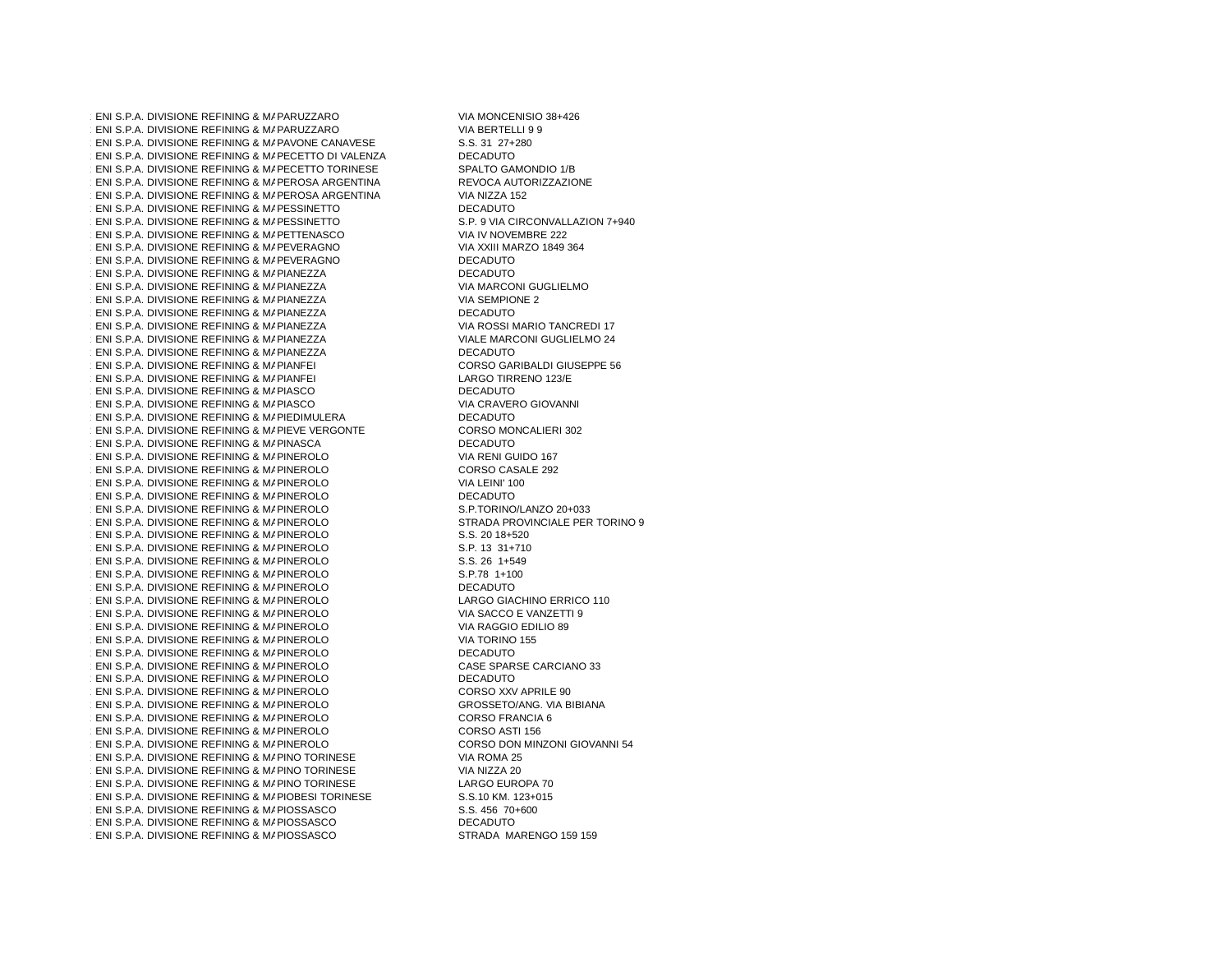$1$  ENI S.P.A. DIVISIONE REFINING & MAPARUZZA  $\cdot$  ENI S.P.A. DIVISIONE REFINING & MAPARUZZA  $1.457$  ENI S.P.A. DIVISIONE REFINING & MAPAVONE CANAVESE S.S. 31 27+280 1.458 ENI S.P.A. DIVISIONE REFINING & MAPECETTO DI VALENZA DECADUTO PECADUTO PECADUTO PECADUTO PECADUTO PECADU<br>DECADO PECADULA DE CENTRALE A MARECETTO TODINESE  $\cdot$  ENI S.P.A. DIVISIONE REFINING & MAPECETTO  $\cdot$  ENI S.P.A. DIVISIONE REFINING & MAPEROSA 1.461 ENI S.P.A. DIVISIONE REFINING & MAPEROSA ARGENTINA VIA NIZZA 152<br>PERSONAL PERODIS PERUMIA A MARGONIETTO  $\sim$  ENI S.P.A. DIVISIONE REFINING & MAPESSINETTO DECADUTO DECADUTO  $\cdot$  ENI S.P.A. DIVISIONE REFINING & MAPESSINE  $\cdot$  ENI S.P.A. DIVISIONE REFINING & MAPETTENA  $\cdot$  ENI S.P.A. DIVISIONE REFINING & MAPEVERAC 1.466 ENI S.P.A. DIVISIONE REFINING & MAPEVERAGNO DECADUTO DECADUTO  $1.4$  ENI S.P.A. DIVISIONE REFINING & MAPIANEZZ  $1.4$  ENI S.P.A. DIVISIONE REFINING & MAPIANEZZ  $1.4$  ENI S.P.A. DIVISIONE REFINING & MAPIANEZZ  $1$  ENI S.P.A. DIVISIONE REFINING & MAPIANEZZ  $1.47$  ENI S.P.A. DIVISIONE REFINING & MAPIANEZZ  $1.47$  ENI S.P.A. DIVISIONE REFINING & MAPIANEZZ  $1.47$  ENI S.P.A. DIVISIONE REFINING & MAPIANEZZ . ENI S.P.A. DIVISIONE REFINING & MAPIANFEI  $\cdot$  ENI S.P.A. DIVISIONE REFINING & MAPIANFEI  $1.47$  ENI S.P.A. DIVISIONE REFINING & MAPIASCO PIASCO DECADUTO  $\cdot$  ENI S.P.A. DIVISIONE REFINING & MAPIASCO 1.478 ENI S.P.A. DIVISIONE REFINING & MAPIEDIMULERA DECADUTO<br>DECADUTO PIAL PINGNONE REFINING & MARIEVE MERCONTE  $\cdot$  ENI S.P.A. DIVISIONE REFINING & MAPIEVE VE  $\cdot$  ENI S.P.A. DIVISIONE REFINING & MAPINASCA  $1.4$  ENI S.P.A. DIVISIONE REFINING & MAPINEROL  $\cdot$  ENI S.P.A. DIVISIONE REFINING & MAPINEROL  $1.4$  ENI S.P.A. DIVISIONE REFINING & MAPINEROL  $\pm$  ENI S.P.A. DIVISIONE REFINING & MAPINEROL  $\cdot$  ENI S.P.A. DIVISIONE REFINING & MAPINEROL  $\pm$  ENI S.P.A. DIVISIONE REFINING & MAPINEROL  $\cdot$  ENI S.P.A. DIVISIONE REFINING & MAPINEROL  $\pm$  ENI S.P.A. DIVISIONE REFINING & MAPINEROL  $\cdot$  ENI S.P.A. DIVISIONE REFINING & MAPINEROL  $\cdot$  ENI S.P.A. DIVISIONE REFINING & MAPINEROL  $1.4$  ENI S.P.A. DIVISIONE REFINING & MAPINEROL  $\cdot$  ENI S.P.A. DIVISIONE REFINING & MAPINEROL  $\cdot$  ENI S.P.A. DIVISIONE REFINING & MAPINEROL  $\pm$  ENI S.P.A. DIVISIONE REFINING & MAPINEROL  $\cdot$  ENI S.P.A. DIVISIONE REFINING & MAPINEROL 1.496 ENI S.P.A. DIVISIONE REFINING & MARKETING PINEROLO DECADUTO  $\cdot$  ENI S.P.A. DIVISIONE REFINING & MAPINEROL  $\cdot$  ENI S.P.A. DIVISIONE REFINING & MAPINEROL  $\cdot$  ENI S.P.A. DIVISIONE REFINING & MAPINEROL  $\cdot$  ENI S.P.A. DIVISIONE REFINING & MAPINEROL  $1.501$  S.P.A. DIVISIONE REFINING & MAPINEROL  $\cdot$  ENI S.P.A. DIVISIONE REFINING & MAPINEROL  $\cdot$  ENI S.P.A. DIVISIONE REFINING & MAPINEROL 1.504 ENI S.P.A. DIVISIONE REFINING & MAPINO TORINESE VIA ROMA 25 1.505 ENI S.P.A. DIVISIONE REFINING & MAPINO TORINESE A MARKETING PINCE VIA NIZZA 20<br>DI ABO ALDINGIONE REFINING A MARINO TORINESE  $\cdot$  ENI S.P.A. DIVISIONE REFINING & MAPINO TOP  $\cdot$  ENI S.P.A. DIVISIONE REFINING & MAPIOBESI $\cdot$  $\cdot$  ENI S.P.A. DIVISIONE REFINING & MAPIOSSAS  $\cdot$  ENI S.P.A. DIVISIONE REFINING & MAPIOSSAS  $\cdot$  ENI S.P.A. DIVISIONE REFINING & MAPIOSSAS

VIA MONCENISIO 38+426 VIA BERTELLI 9 9<br>S.S. 31 27+280 SPALTO GAMONDIO 1/B REVOCA AUTORIZZAZIONE<br>VIA NIZZA 152 S.P. 9 VIA CIRCONVALLAZION 7+940 VIA IV NOVEMBRE 222 VIA XXIII MARZO 1849 364<br>DECADUTO DECADUTO VIA MARCONI GUGLIELMO VIA SEMPIONE 2 DECADUTO VIA ROSSI MARIO TANCREDI 17 VIALE MARCONI GUGLIELMO 24 DECADUTO CORSO GARIBALDI GIUSEPPE 56 LARGO TIRRENO 123/E<br>DECADUTO VIA CRAVERO GIOVANNI<br>DECADUTO CORSO MONCALIERI 302 DECADUTO VIA RENI GUIDO 167 CORSO CASALE 292 VIA LEINI' 100 DECADUTO S.P.TORINO/LANZO 20+033 STRADA PROVINCIALE PER TORINO 9 S.S. 20 18+520 S.P. 13 31+710 S.S. 26 1+549 S.P.78 1+100 DECADUTO LARGO GIACHINO ERRICO 110 VIA SACCO E VANZETTI 9 VIA RAGGIO EDILIO 89 VIA TORINO 155<br>DECADUTO CASE SPARSE CARCIANO 33 DECADUTO CORSO XXV APRILE 90 GROSSETO/ANG. VIA BIBIANA CORSO FRANCIA 6 CORSO ASTI 156 CORSO DON MINZONI GIOVANNI 54<br>VIA ROMA 25 LARGO EUROPA 70 S.S.10 KM. 123+015 S.S. 456 70+600 DECADUTO STRADA MARENGO 159 159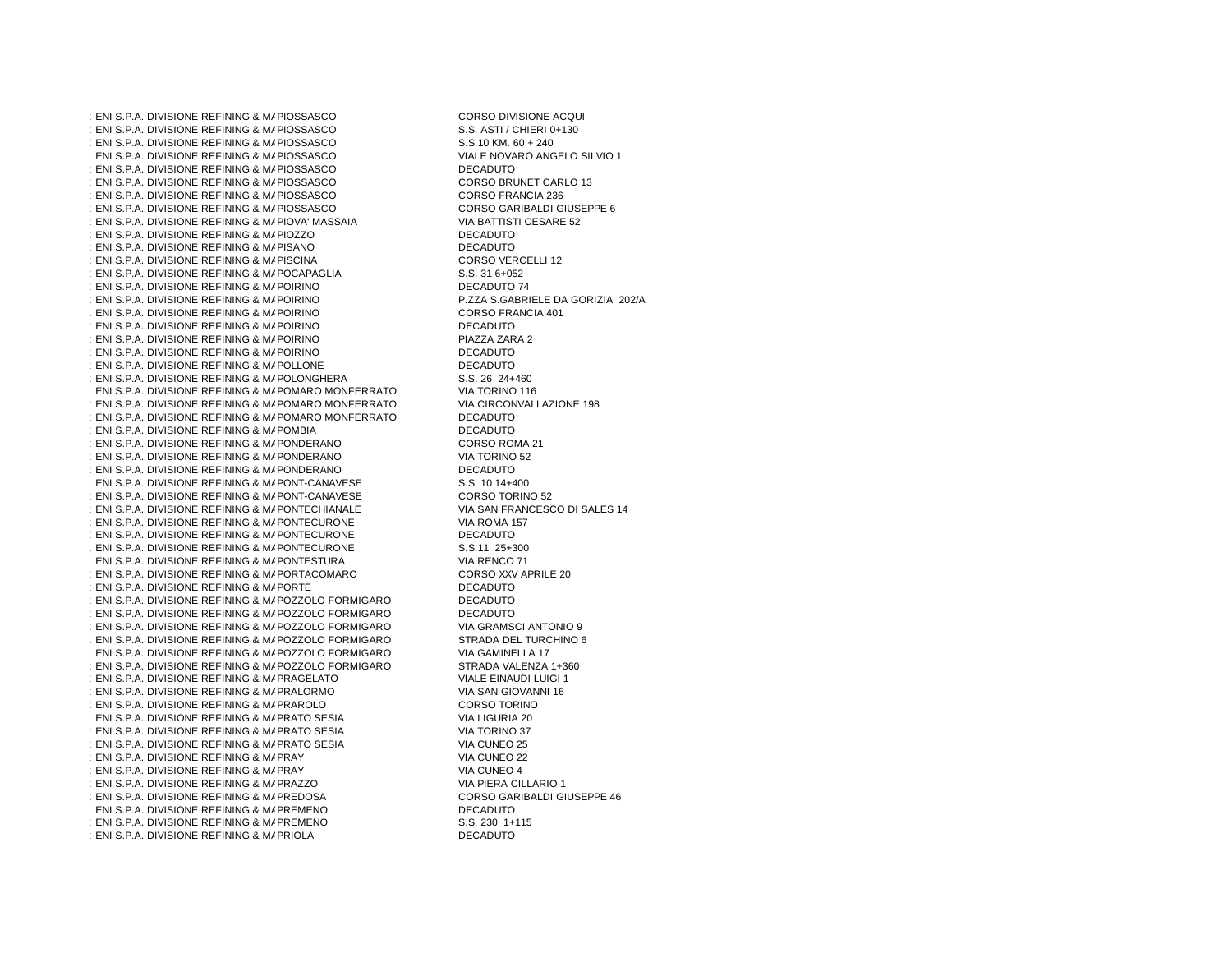$\cdot$  ENI S.P.A. DIVISIONE REFINING & MAPIOSSAS  $\cdot$  ENI S.P.A. DIVISIONE REFINING & MAPIOSSAS  $\cdot$  ENI S.P.A. DIVISIONE REFINING & MAPIOSSAS  $\cdot$  ENI S.P.A. DIVISIONE REFINING & MAPIOSSAS  $\cdot$  ENI S.P.A. DIVISIONE REFINING & MAPIOSSAS  $\cdot$  ENI S.P.A. DIVISIONE REFINING & MAPIOSSAS  $\cdot$  ENI S.P.A. DIVISIONE REFINING & MAPIOSSAS  $\cdot$  ENI S.P.A. DIVISIONE REFINING & MAPIOSSAS  $1$  ENI S.P.A. DIVISIONE REFINING & MAPIOVA' M.  $1.5$ ENI S.P.A. DIVISIONE REFINING & MAPIOZZO  $\cdot$  ENI S.P.A. DIVISIONE REFINING & MAPISANO  $\pm$  ENI S.P.A. DIVISIONE REFINING & MAPISCINA  $1.5$ ENI S.P.A. DIVISIONE REFINING & MAPOCAPA $\alpha$  $1.5$ ENI S.P.A. DIVISIONE REFINING & MAPOIRINO POIRINO DECADUTO 74<br>DECADUTO DE 271.0 0.12P  $1.5$ ENI S.P.A. DIVISIONE REFINING & MAPOIRINO  $\cdot$  ENI S.P.A. DIVISIONE REFINING & MAPOIRINO  $1.527$  ENI S.P.A. DIVISIONE REFINING & MAPOIRINO  $\cdot$  ENI S.P.A. DIVISIONE REFINING & MAPOIRINO  $1.5$ ENI S.P.A. DIVISIONE REFINING & MAPOIRINO  $\cdot$  ENI S.P.A. DIVISIONE REFINING & MAPOLLONE  $1.5$  ENI S.P.A. DIVISIONE REFINING & MAPOLONGI POLONGHERA S.S. 26 24+460 1.532 ENI S.P.A. DIVISIONE REFINING & MARKETING POMARO MONFERRATO VIA TORINO 116  $1.5$  ENI S.P.A. DIVISIONE REFINING & MAPOMARO 1.534 ENI S.P.A. DIVISIONE REFINING & MARKETING POMARO MONFERRATO DECADUTO  $1.5$  ENI S.P.A. DIVISIONE REFINING & MAPOMBIA  $1.5$  ENI S.P.A. DIVISIONE REFINING & MAPONDER  $1.537 \pm 0.557$  ENI S.P.A. DIVISIONE REFINING & MAPONDER 1.538 ENI S.P.A. DIVISIONE REFINING & MAPONDERANO DECADUTO DECADUTO  $1.5$ ni S.P.A. DIVISIONE REFINING & MAPONT-CANAVESE  $1.5$ s. 10 14+400 s.S. 10 14+400 s.S. 10 14+400 s.  $\pm$  ENI S.P.A. DIVISIONE REFINING & MAPONT-CA  $1.5$  ENI S.P.A. DIVISIONE REFINING & MAPONTECH  $1.542$  ENI S.P.A. DIVISIONE REFINING & MAPONTECURONE VIA ROMA 157 1.543 ENI S.P.A. DIVISIONE REFINING & MAPONTECURONE DECADUTO  $1.5431$  ENI S.P.A. DIVISIONE REFINING & MAPONTECURONE  $1.54300$  S.S.11 25+300  $1.54$  ENI S.P.A. DIVISIONE REFINING & MAPONTEST  $1.5$  ENI S.P.A. DIVISIONE REFINING & MAPORTACO  $1.54$  ENI S.P.A. DIVISIONE REFINING & MAPORTE PORTE DECADUTO 1.548 ENI S.P.A. DIVISIONE REFINING & MARKETING POZZOLO FORMIGARO DECADUTO 1.549 ENI S.P.A. DIVISIONE REFINING & MARKETING POZZOLO FORMIGARO DECADUTO **ENI S.P.A. DIVISIONE REFINING & MAPOZZOLO**  $1.5$  ENI S.P.A. DIVISIONE REFINING & MAPOZZOLO 1.552 ENI S.P.A. DIVISIONE REFINING & MARKETING POZZOLO FORMIGARO VIA GAMINELLA 17  $1.5$  ENI S.P.A. DIVISIONE REFINING & MAPOZZOLO  $\pm$  ENI S.P.A. DIVISIONE REFINING & MAPRAGELA  $1.55$  ENI S.P.A. DIVISIONE REFINING & MAPRALORI  $1.55$  ENI S.P.A. DIVISIONE REFINING & MAPRAROLO  $\cdot$  ENI S.P.A. DIVISIONE REFINING & MAPRATO S  $\cdot$  ENI S.P.A. DIVISIONE REFINING & MAPRATO S  $\cdot$  ENI S.P.A. DIVISIONE REFINING & MAPRATO S . ENI S.P.A. DIVISIONE REFINING & MAPRAY  $\cdot$  ENI S.P.A. DIVISIONE REFINING & MAPRAY  $\pm$  ENI S.P.A. DIVISIONE REFINING & MAPRAZZO  $1.5$  ENI S.P.A. DIVISIONE REFINING & MAPREDOS  $1.54$  ENI S.P.A. DIVISIONE REFINING & MAPREMEN  $\cdot$  ENI S.P.A. DIVISIONE REFINING & MAPREMEN  $\cdot$  ENI S.P.A. DIVISIONE REFINING & MAPRIOLA

CORSO DIVISIONE ACQUI S.S. ASTI / CHIERI 0+130  $S.S.10$  KM.  $60 + 240$ VIALE NOVARO ANGELO SILVIO 1 DECADUTO CORSO BRUNET CARLO 13 **CORSO FRANCIA 236** CORSO GARIBALDI GIUSEPPE 6 VIA BATTISTI CESARE 52 DECADUTO **DECADUTO** CORSO VERCELLI 12 **S.S. 31 6+052**<br>DECADUTO 74 POIRINO P.ZZA S.GABRIELE DA GORIZIA 202/A CORSO FRANCIA 401 DECADUTO PIAZZA ZARA 2 DECADUTO DECADUTO<br>S.S. 26 24+460 VIA CIRCONVALLAZIONE 198<br>DECADUTO **DECADUTO** CORSO ROMA 21 VIA TORINO 52<br>DECADUTO CORSO TORINO 52 VIA SAN FRANCESCO DI SALES 14<br>VIA ROMA 157 VIA RENCO 71 CORSO XXV APRILE 20<br>DECADUTO VIA GRAMSCI ANTONIO 9 STRADA DEL TURCHINO 6<br>VIA GAMINELLA 17 STRADA VALENZA 1+360 VIALE EINAUDI LUIGI 1 VIA SAN GIOVANNI 16 CORSO TORINO VIA LIGURIA 20 VIA TORINO 37 VIA CUNEO 25 VIA CUNEO 22 VIA CUNEO 4 VIA PIERA CILLARIO 1 CORSO GARIBALDI GIUSEPPE 46 DECADUTO S.S. 230 1+115 **DECADUTO**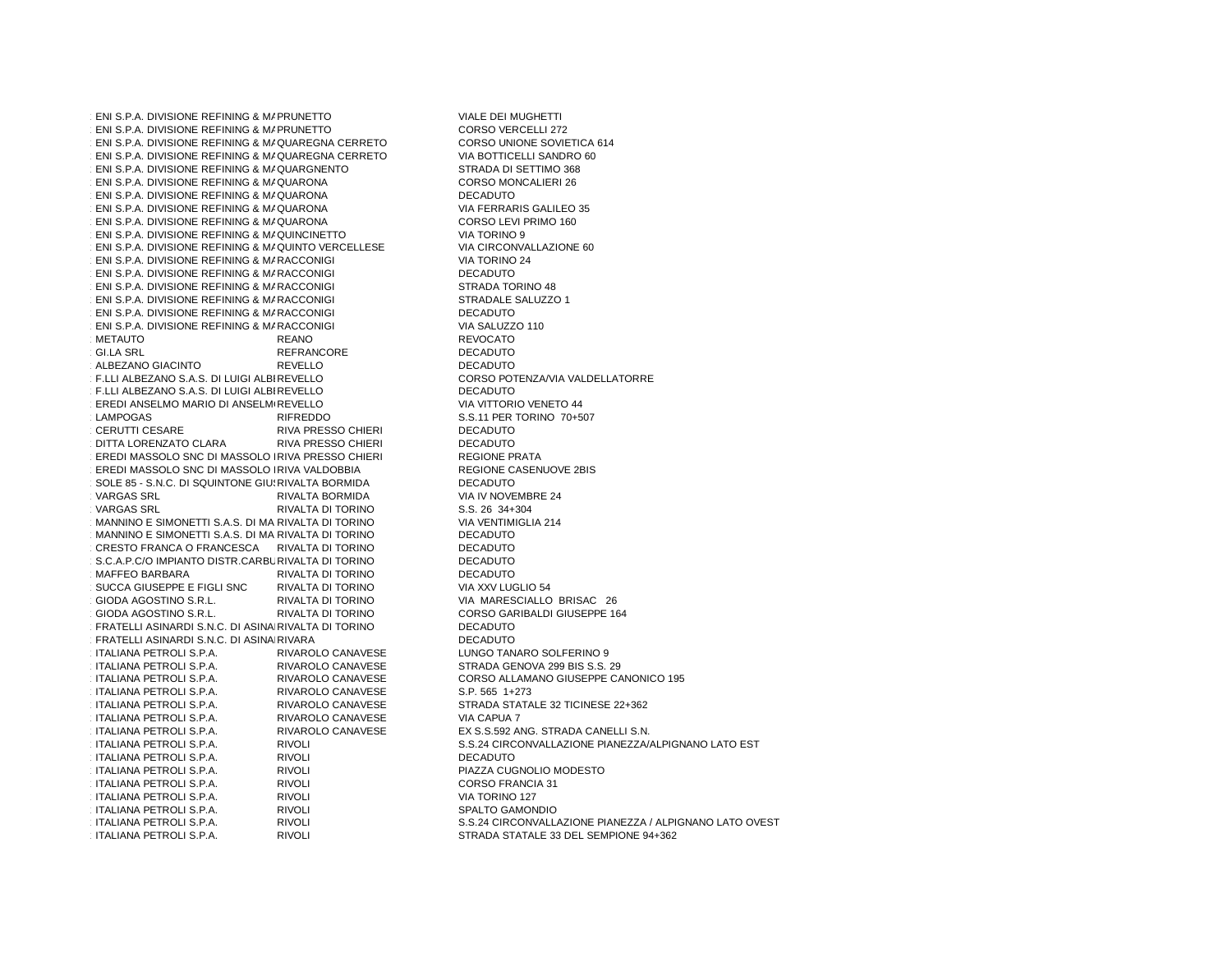$\cdot$  ENI S.P.A. DIVISIONE REFINING & MAPRUNETT  $\cdot$  ENI S.P.A. DIVISIONE REFINING & MAPRUNETT  $\cdot$  ENI S.P.A. DIVISIONE REFINING & MAQUAREG  $1.575$  ENI S.P.A. DIVISIONE REFINING & MAQUAREG  $1.571$  ENI S.P.A. DIVISIONE REFINING & MAQUARGN  $\cdot$  ENI S.P.A. DIVISIONE REFINING & MAQUARON  $1.57$  ENI S.P.A. DIVISIONE REFINING & MAQUARON  $\cdot$  ENI S.P.A. DIVISIONE REFINING & MAQUARON  $1.575$  ENI S.P.A. DIVISIONE REFINING & MAQUARON  $\cdot$  ENI S.P.A. DIVISIONE REFINING & MAQUINCINI  $\cdot$  ENI S.P.A. DIVISIONE REFINING & MAQUINTO  $\sqrt{ }$  $\cdot$  ENI S.P.A. DIVISIONE REFINING & MARACCON  $\cdot$  ENI S.P.A. DIVISIONE REFINING & MARACCON  $\cdot$  ENI S.P.A. DIVISIONE REFINING & MARACCON  $\cdot$  ENI S.P.A. DIVISIONE REFINING & MARACCON  $\cdot$  ENI S.P.A. DIVISIONE REFINING & MARACCON  $\cdot$  ENI S.P.A. DIVISIONE REFINING & MARACCON PACCONIGI VIA SALUZZO 110<br>REANO REANO REVOCATO METAUTO METAUTO REANO REANO REVOCATO  $\cdot$  GI.LA SRL REFRANCORE<br>REVELLO ALBEZANO GIACINTO ALBEZANO GIACINTO ANNO REVELLO DECADUTO<br>1.587 F.LLI ALBEZANO S.A.S. DI LUIGI ALBIREVELLO CORSO POTENZA/VIA VALDELLATORRE 1.588 F.LLI ALBEZANO S.A.S. DI LUIGI ALBIREVELLO  $\pm$  EREDI ANSELMO MARIO DI ANSELM $\overline{\phantom{a}}$  REVELLO LAMPOGAS CERUTTI CESARE RIVA PRESSO CHIERI<br>RIVA PRESSO CHIERI 1.592 DITTA LORENZATO CLARA RIVA PRESSO CHIERI DECADUTO1.593 EREDI MASSOLO SNC DI MASSOLO IRIVA PRESSO CHIERI AND REGIONE PRATA REGIONE PRATA  $\pm$ EREDI MASSOLO SNC DI MASSOLO IRIVA VALDOBBIA  $1.595 - 5.05$ . DI SQUINTONE GIUSEIVALTA BORMIDA DECADUTO RIVALTA BORMIDA DECADUTO ANTONIO E CADUTO ANTONIO E C. **VARGAS SRL** RIVALTA BORMIDA VIA IV NOVEMBRE 24<br>RIVALTA DI TORINO S.S. 26 34+304 VARGAS SRL RIVALTA DI TORINO  $\cdot$ MANNINO E SIMONETTI S.A.S. DI MA $\overline{R}$ IVALTA DI TOP 1.599 MANNINO E SIMONETTI S.A.S. DI MANNINO DANIELE RIVALTA DI TORINO DECADUTO1.600 CRESTO FRANCA O FRANCESCA RIVALTA DI TORINO DECADUTO1.601 S.C.A.P.C/O IMPIANTO DISTR.CARBURIVALTA DI TORINO DECADUTO MAFFEO BARBARA RIVALTA DI TORINO<br>RIVALTA DI TORINO 1.603 SUCCA GIUSEPPE E FIGLI SNC RIVALTA DI TORINO VIA XXV LUGLIO 54 **GIODA AGOSTINO S.R.L. GIODA AGOSTINO S.R.L.** 1.606 FRATELLI ASINARDI S.N.C. DI ASINARDI CARLO, NICOLA, ANT RIVALTA DI TORINO DECADUTO $\cdot$  FRATELLI ASINARDI S.N.C. DI ASINAIRIVARA RIVARA DECADUTO<br>DIVARQUE O ANIMERE ITALIANA PETROLI S.P.A. **ITALIANA PETROLI S.P.A.** ITALIANA PETROLI S.P.A. 1.611 ITALIANA PETROLI S.P.A. RIVAROLO CANAVESE S.P. 565 1+273 **ITALIANA PETROLI S.P.A.** 1.613 ITALIANA PETROLI S.P.A. RIVAROLO CANAVESE VIA CAPUA 7 **ITALIANA PETROLI S.P.A. ITALIANA PETROLI S.P.A.** 1.117 ITALIANA PETROLI S.P.A. RIVOLI RIVOLI PROGRAMA DECADUTO ITALIANA PETROLI S.P.A. RIVOLI PIAZZA CUGNOLIO MODESTOITALIANA PETROLI S.P.A. 1.618 ITALIANA PETROLI S.P.A. RIVOLI CORSO FRANCIA 31 1.619 ITALIANA PETROLI S.P.A. RIVOLI VIA TORINO 127 1.620 ITALIANA PETROLI S.P.A. RIVOLI SPALTO GAMONDIO ITALIANA PETROLI S.P.A. RIVOLI S.S.24 CIRCONVALLAZIONE PIANEZZA / ALPIGNANO LATO OVEST**ITALIANA PETROLI S.P.A. ITALIANA PETROLI S.P.A.** 

VIALE DEI MUGHETTI CORSO VERCELLI 272 CORSO UNIONE SOVIETICA 614 VIA BOTTICELLI SANDRO 60 STRADA DI SETTIMO 368 CORSO MONCALIERI 26 DECADUTO VIA FERRARIS GALILEO 35 CORSO LEVI PRIMO 160 VIA TORINO 9 VIA CIRCONVALLAZIONE 60 VIA TORINO 24 DECADUTO STRADA TORINO 48 STRADALE SALUZZO 1 DECADUTO DECADUTO **DECADUTO** CORSO POTENZA/VIA VALDELLATORRE REVELLO<br>NA VITTORIO VENETO 44 RIFREDDO S.S.11 PER TORINO 70+507<br>RIVA PRESSO CHIERI DECADUTO **DECADUTO REGIONE PRATA** REGIONE CASENUOVE 2BIS<br>DECADUTO VIA VENTIMIGLIA 214<br>DECADUTO **DECADUTO DECADUTO DECADUTO** VIA XXV LUGLIO 54 RIVALTA DI TORINO VIA MARESCIALLO BRISAC 26<br>RIVALTA DI TORINO CORSO GARIBALDI GIUSEPPE 16 CORSO GARIBALDI GIUSEPPE 164 DECADUTO RIVAROLO CANAVESE LUNGO TANARO SOLFERINO 9<br>RIVAROLO CANAVESE STRADA GENOVA 299 BIS S.S. RIVAROLO CANAVESE STRADA GENOVA 299 BIS S.S. 29<br>RIVAROLO CANAVESE CORSO ALLAMANO GIUSEPPE CA RIVAROLO CANAVESE CORSO ALLAMANO GIUSEPPE CANONICO 195<br>RIVAROLO CANAVESE S.P. 565 1+273 RIVAROLO CANAVESE STRADA STATALE 32 TICINESE 22+362<br>RIVAROLO CANAVESE VIA CAPUA 7 RIVAROLO CANAVESE EX S.S.592 ANG. STRADA CANELLI S.N.<br>RIVOLI S.S.24 CIRCONVALLAZIONE PIANEZZA/ ITALIANA PETROLI S.P.A. RIVOLI S.S.24 CIRCONVALLAZIONE PIANEZZA/ALPIGNANO LATO ESTRIVOLI STRADA STATALE 33 DEL SEMPIONE 94+362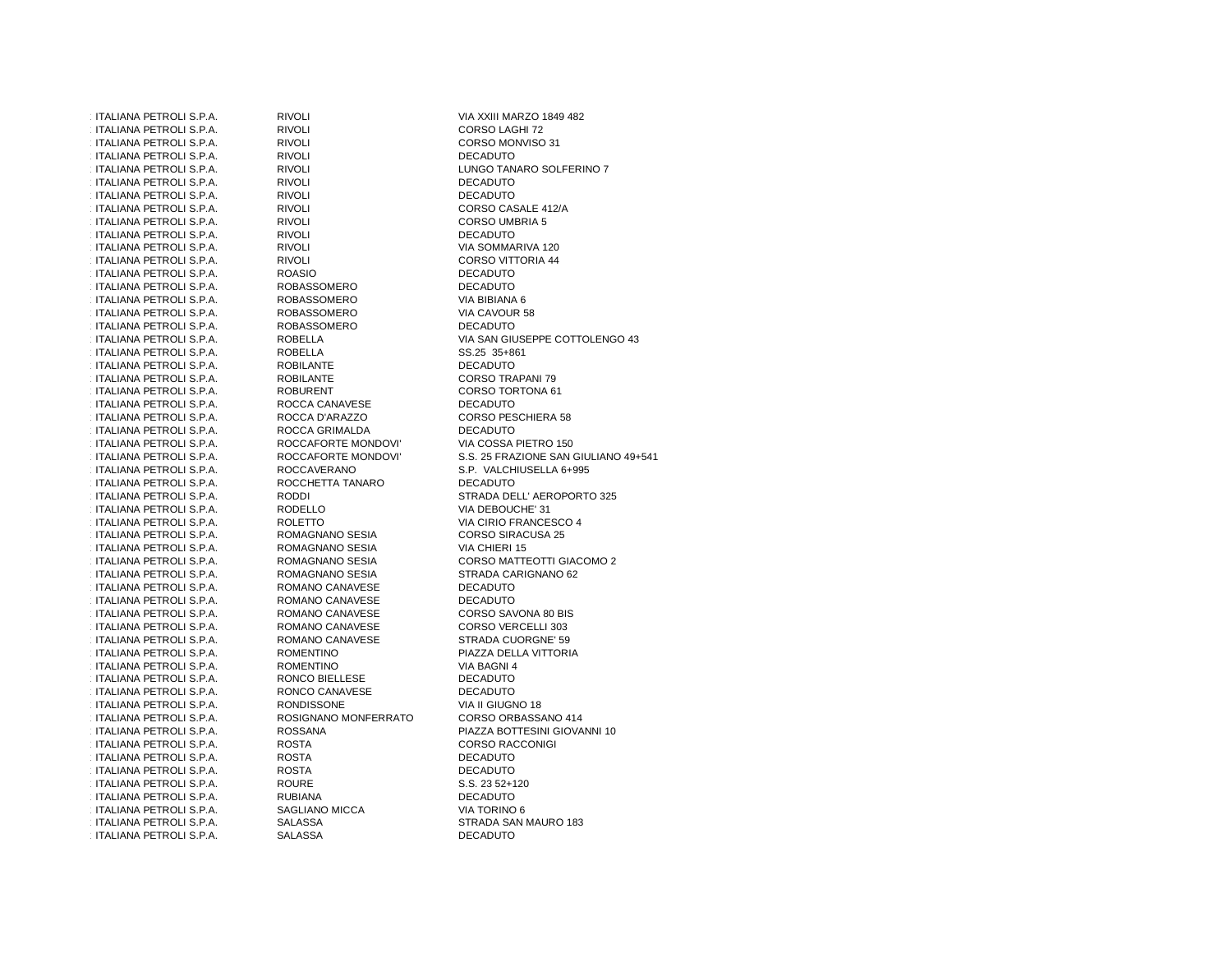ITALIANA PETROLI S.P.A. 1.624 ITALIANA PETROLI S.P.A. RIVOLI CORSO LAGHI 72 ITALIANA PETROLI S.P.A. RIVOLI CORSO MONVISO 31 1.17ALIANA PETROLI S.P.A. RIVOLI RIVOLI DECADUTO ITALIANA PETROLI S.P.A. RIVOLI LUNGO TANARO SOLFERINO 7 **ITALIANA PETROLI S.P.A.** 1.628 ITALIANA PETROLI S.P.A. RIVOLI DECADUTO1.17ALIANA PETROLI S.P.A. RIVOLI RIVOLI DECADUTO ITALIANA PETROLI S.P.A. RIVOLI CORSO CASALE 412/A 1.631 ITALIANA PETROLI S.P.A. RIVOLI CORSO UMBRIA 5 1.17ALIANA PETROLI S.P.A. RIVOLI RIVOLI DECADUTO ITALIANA PETROLI S.P.A. RIVOLI SARA RIVOLI VIA SOMMARIVA 120 1.634 ITALIANA PETROLI S.P.A. RIVOLI CORSO VITTORIA 44 1.635 ITALIANA PETROLI S.P.A. ROASIO DECADUTO1.636 ITALIANA PETROLI S.P.A. ROBASSOMERO DECADUTO1.637 ITALIANA PETROLI S.P.A. ROBASSOMERO VIA BIBIANA 6 1.638 ITALIANA PETROLI S.P.A. ROBASSOMERO VIA CAVOUR 58 1.639 ITALIANA PETROLI S.P.A. ROBASSOMERO DECADUTOITALIANA PETROLI S.P.A. 1.641 ITALIANA PETROLI S.P.A. ROBELLA SS.25 35+861 1.17ALIANA PETROLI S.P.A. ROBILANTE NECADUTO ITALIANA PETROLI S.P.A. ROBILANTE CORSO TRAPANI 79 1.644 ITALIANA PETROLI S.P.A. ROBURENT CORSO TORTONA 61 1.17ALIANA PETROLI S.P.A. ROCCA CANAVESE DECADUTO 1.646 ITALIANA PETROLI S.P.A. ROCCA D'ARAZZO CORSO PESCHIERA 58 1.17 ITALIANA PETROLI S.P.A. ROCCA GRIMALDA PETROLI S.P.A. ITALIANA PETROLI S.P.A. ITALIANA PETROLI S.P.A. **ITALIANA PETROLI S.P.A.** 1.651 ITALIANA PETROLI S.P.A. ROCCHETTA TANARO DECADUTO**ITALIANA PETROLI S.P.A.** ITALIANA PETROLI S.P.A. RODELLO VIA DEBOUCHE' 31 ITALIANA PETROLI S.P.A. 1.655 ITALIANA PETROLI S.P.A. ROMAGNANO SESIA CORSO SIRACUSA 25 1.656 ITALIANA PETROLI S.P.A. ROMAGNANO SESIA VIA CHIERI 15 **ITALIANA PETROLI S.P.A. ITALIANA PETROLI S.P.A.** 1.1TALIANA PETROLI S.P.A. ROMANO CANAVESE DECADUTO ITALIANA PETROLI S.P.A. ROMANO CANAVESE DECADUTO 1.1TALIANA PETROLI S.P.A. ROMANO CANAVESE CORSO SAVONA 80 BIS 1.662 ITALIANA PETROLI S.P.A. ROMANO CANAVESE CORSO VERCELLI 303 ITALIANA PETROLI S.P.A. ROMANO CANAVESE STRADA CUORGNE' 59 ITALIANA PETROLI S.P.A. 1.665 ITALIANA PETROLI S.P.A. ROMENTINO VIA BAGNI 4 1.17ALIANA PETROLI S.P.A. RONCO BIELLESE DECADUTO 1.17 ITALIANA PETROLI S.P.A. RONCO CANAVESE DECADUTO ITALIANA PETROLI S.P.A. RONDISSONE VIA II GIUGNO 18 ITALIANA PETROLI S.P.A. ITALIANA PETROLI S.P.A. 1.671 ITALIANA PETROLI S.P.A. ROSTA CORSO RACCONIGI 1.17ALIANA PETROLI S.P.A. ROSTA ROSTA DECADUTO 1.673 ITALIANA PETROLI S.P.A. ROSTA DECADUTOITALIANA PETROLI S.P.A. ROURE S.S. 23 52+120 1.675 ITALIANA PETROLI S.P.A. RUBIANA DECADUTO1.676 ITALIANA PETROLI S.P.A. SAGLIANO MICCA VIA TORINO 6 **ITALIANA PETROLI S.P.A.** 

 ITALIANA PETROLI S.P.A. RIVOLI VIA XXIII MARZO 1849 482 ROCCAFORTE MONDOVI'<br>ROCCAFORTE MONDOVI' ROCCAVERANO S.P. VALCHIUSELLA 6+995<br>
ROCCHETTA TANARO DECADUTO ROLETTO VIA CIRIO FRANCESCO 4<br>ROMAGNANO SESIA CORSO SIRACUSA 25 ROMAGNANO SESIA STRADA CARIGNANO 62<br>ROMANO CANAVESE DECADUTO ROMENTINO PIAZZA DELLA VITTORIA<br>ITALIANA POMENTINO PIAZZA DELLA VITTORIA ROSIGNANO MONFERRATO CORSO ORBASSANO 414<br>PIAZZA BOTTESINI GIOVA ITALIANA PETRADA SANA SALASSA SALASSA SALASSA SALASSA SECADUTO 1.678 ITALIANA PETROLI S.P.A. SALASSA DECADUTO

**DECADUTO** CORSO CASALE 412/A VIA SOMMARIVA 120 DECADUTO VIA BIBIANA 6 ITALIANA PETROLI S.P.A. ROBELLA VIA SAN GIUSEPPE COTTOLENGO 43 CORSO TRAPANI 79 **CORSO PESCHIERA 58** VIA COSSA PIETRO 150 ROCCAFORTE MONDOVI' S.S. 25 FRAZIONE SAN GIULIANO 49+541<br>ROCCAVERANO S.P. VALCHIUSELLA 6+995 ITALIANA PETROLI S.P.A. RODDI STRADA DELL' AEROPORTO 325 ROMAGNANO SESIA CORSO MATTEOTTI GIACOMO 2<br>ROMAGNANO SESIA CARIGNANO 62 **DECADUTO** CORSO SAVONA 80 BIS CORSO VERCELLI 303 **DECADUTO** VIA II GIUGNO 18 ROSSANA PIAZZA BOTTESINI GIOVANNI 10<br>ROSTA POSTA POSTA PORSO RACCONIGI **DECADUTO** S.S. 23 52+120 VIA TORINO 6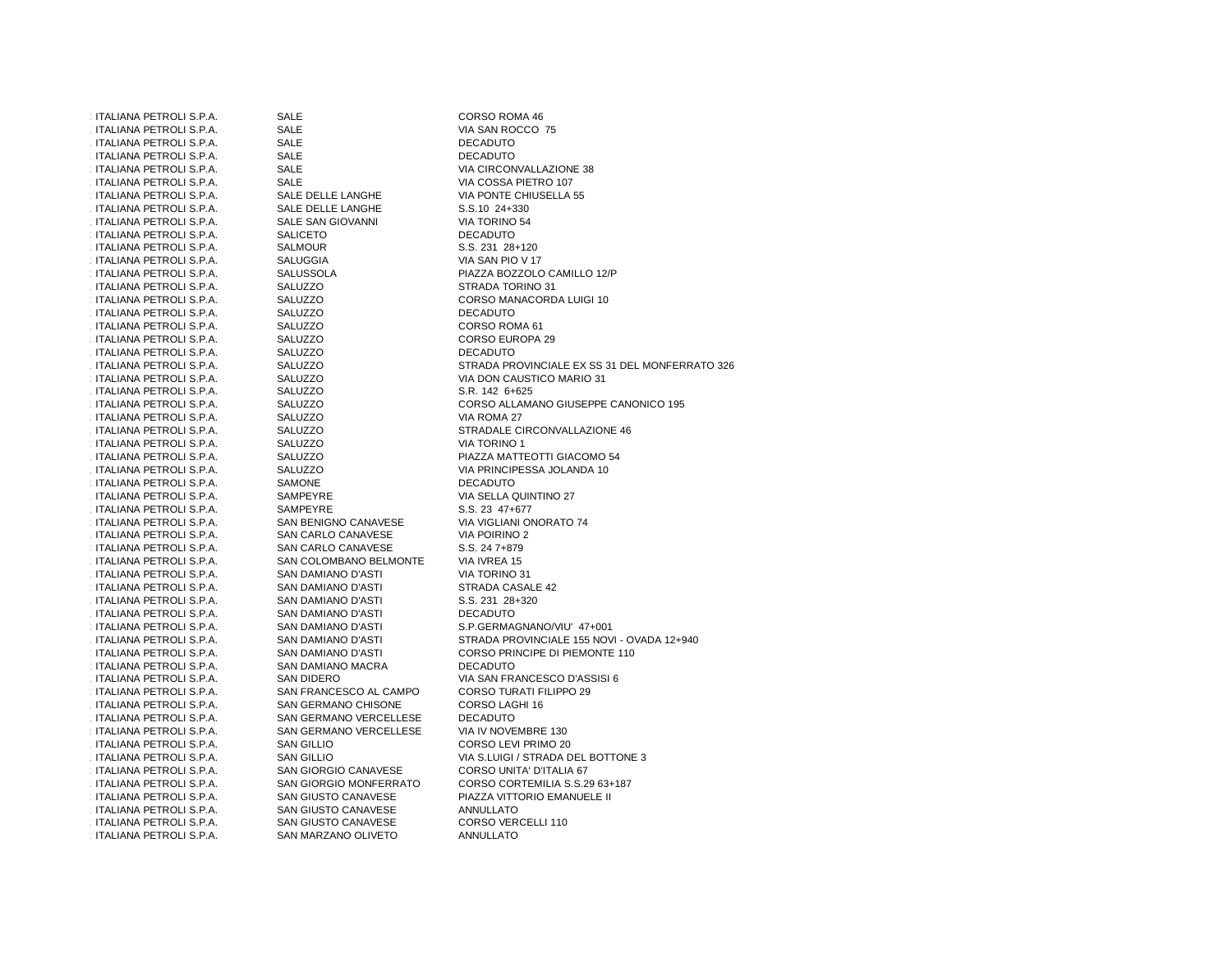| ITALIANA PETROLI S.P.A. | <b>SALE</b>                | CORSO ROMA 46                                  |
|-------------------------|----------------------------|------------------------------------------------|
| ITALIANA PETROLI S.P.A. | SALE                       | VIA SAN ROCCO 75                               |
|                         |                            |                                                |
| ITALIANA PETROLI S.P.A. | <b>SALE</b>                | <b>DECADUTO</b>                                |
| ITALIANA PETROLI S.P.A. | <b>SALE</b>                | <b>DECADUTO</b>                                |
| ITALIANA PETROLI S.P.A. | <b>SALE</b>                | VIA CIRCONVALLAZIONE 38                        |
| ITALIANA PETROLI S.P.A. | <b>SALE</b>                | VIA COSSA PIETRO 107                           |
| ITALIANA PETROLI S.P.A. | SALE DELLE LANGHE          | VIA PONTE CHIUSELLA 55                         |
| ITALIANA PETROLI S.P.A. | SALE DELLE LANGHE          | S.S.10 24+330                                  |
| ITALIANA PETROLI S.P.A. | SALE SAN GIOVANNI          | VIA TORINO 54                                  |
| ITALIANA PETROLI S.P.A. | <b>SALICETO</b>            | <b>DECADUTO</b>                                |
| ITALIANA PETROLI S.P.A. | <b>SALMOUR</b>             | S.S. 231 28+120                                |
| ITALIANA PETROLI S.P.A. | <b>SALUGGIA</b>            | VIA SAN PIO V 17                               |
| ITALIANA PETROLI S.P.A. | <b>SALUSSOLA</b>           | PIAZZA BOZZOLO CAMILLO 12/P                    |
| ITALIANA PETROLI S.P.A. | SALUZZO                    | STRADA TORINO 31                               |
| ITALIANA PETROLI S.P.A. | SALUZZO                    | CORSO MANACORDA LUIGI 10                       |
| ITALIANA PETROLI S.P.A. | SALUZZO                    | <b>DECADUTO</b>                                |
| ITALIANA PETROLI S.P.A. | SALUZZO                    | CORSO ROMA 61                                  |
| ITALIANA PETROLI S.P.A. | SALUZZO                    | <b>CORSO EUROPA 29</b>                         |
| ITALIANA PETROLI S.P.A. | SALUZZO                    | <b>DECADUTO</b>                                |
| ITALIANA PETROLI S.P.A. | SALUZZO                    | STRADA PROVINCIALE EX SS 31 DEL MONFERRATO 326 |
| ITALIANA PETROLI S.P.A. | SALUZZO                    | VIA DON CAUSTICO MARIO 31                      |
| ITALIANA PETROLI S.P.A. | SALUZZO                    | S.R. 142 6+625                                 |
| ITALIANA PETROLI S.P.A. | SALUZZO                    | CORSO ALLAMANO GIUSEPPE CANONICO 195           |
| ITALIANA PETROLI S.P.A. | SALUZZO                    | VIA ROMA 27                                    |
| ITALIANA PETROLI S.P.A. | SALUZZO                    | STRADALE CIRCONVALLAZIONE 46                   |
| ITALIANA PETROLI S.P.A. | SALUZZO                    | <b>VIA TORINO 1</b>                            |
| ITALIANA PETROLI S.P.A. | SALUZZO                    | PIAZZA MATTEOTTI GIACOMO 54                    |
| ITALIANA PETROLI S.P.A. | SALUZZO                    | VIA PRINCIPESSA JOLANDA 10                     |
| ITALIANA PETROLI S.P.A. | <b>SAMONE</b>              | <b>DECADUTO</b>                                |
|                         |                            | VIA SELLA QUINTINO 27                          |
| ITALIANA PETROLI S.P.A. | SAMPEYRE                   |                                                |
| ITALIANA PETROLI S.P.A. | SAMPEYRE                   | S.S. 23 47+677                                 |
| ITALIANA PETROLI S.P.A. | SAN BENIGNO CANAVESE       | VIA VIGLIANI ONORATO 74                        |
| ITALIANA PETROLI S.P.A. | SAN CARLO CANAVESE         | VIA POIRINO 2                                  |
| ITALIANA PETROLI S.P.A. | SAN CARLO CANAVESE         | S.S. 24 7+879                                  |
| ITALIANA PETROLI S.P.A. | SAN COLOMBANO BELMONTE     | VIA IVREA 15                                   |
| ITALIANA PETROLI S.P.A. | SAN DAMIANO D'ASTI         | <b>VIA TORINO 31</b>                           |
| ITALIANA PETROLI S.P.A. | SAN DAMIANO D'ASTI         | STRADA CASALE 42                               |
| ITALIANA PETROLI S.P.A. | SAN DAMIANO D'ASTI         | S.S. 231 28+320                                |
| ITALIANA PETROLI S.P.A. | SAN DAMIANO D'ASTI         | <b>DECADUTO</b>                                |
| ITALIANA PETROLI S.P.A. | SAN DAMIANO D'ASTI         | S.P.GERMAGNANO/VIU' 47+001                     |
| ITALIANA PETROLI S.P.A. | SAN DAMIANO D'ASTI         | STRADA PROVINCIALE 155 NOVI - OVADA 12+940     |
| ITALIANA PETROLI S.P.A. | SAN DAMIANO D'ASTI         | CORSO PRINCIPE DI PIEMONTE 110                 |
| ITALIANA PETROLI S.P.A. | SAN DAMIANO MACRA          | <b>DECADUTO</b>                                |
| ITALIANA PETROLI S.P.A. | SAN DIDERO                 | VIA SAN FRANCESCO D'ASSISI 6                   |
| ITALIANA PETROLI S.P.A. | SAN FRANCESCO AL CAMPO     | <b>CORSO TURATI FILIPPO 29</b>                 |
| ITALIANA PETROLI S.P.A. | SAN GERMANO CHISONE        | CORSO LAGHI 16                                 |
| ITALIANA PETROLI S.P.A. | SAN GERMANO VERCELLESE     | <b>DECADUTO</b>                                |
| ITALIANA PETROLI S.P.A. | SAN GERMANO VERCELLESE     | VIA IV NOVEMBRE 130                            |
| ITALIANA PETROLI S.P.A. | <b>SAN GILLIO</b>          | CORSO LEVI PRIMO 20                            |
| ITALIANA PETROLI S.P.A. | <b>SAN GILLIO</b>          | VIA S.LUIGI / STRADA DEL BOTTONE 3             |
| ITALIANA PETROLI S.P.A. | SAN GIORGIO CANAVESE       | CORSO UNITA' D'ITALIA 67                       |
| ITALIANA PETROLI S.P.A. | SAN GIORGIO MONFERRATO     | CORSO CORTEMILIA S.S.29 63+187                 |
| ITALIANA PETROLI S.P.A. | SAN GIUSTO CANAVESE        | PIAZZA VITTORIO EMANUELE II                    |
| ITALIANA PETROLI S.P.A. | SAN GIUSTO CANAVESE        | <b>ANNULLATO</b>                               |
| ITALIANA PETROLI S.P.A. | <b>SAN GIUSTO CANAVESE</b> | CORSO VERCELLI 110                             |
| ITALIANA PETROLI S.P.A. | SAN MARZANO OLIVETO        | <b>ANNULLATO</b>                               |
|                         |                            |                                                |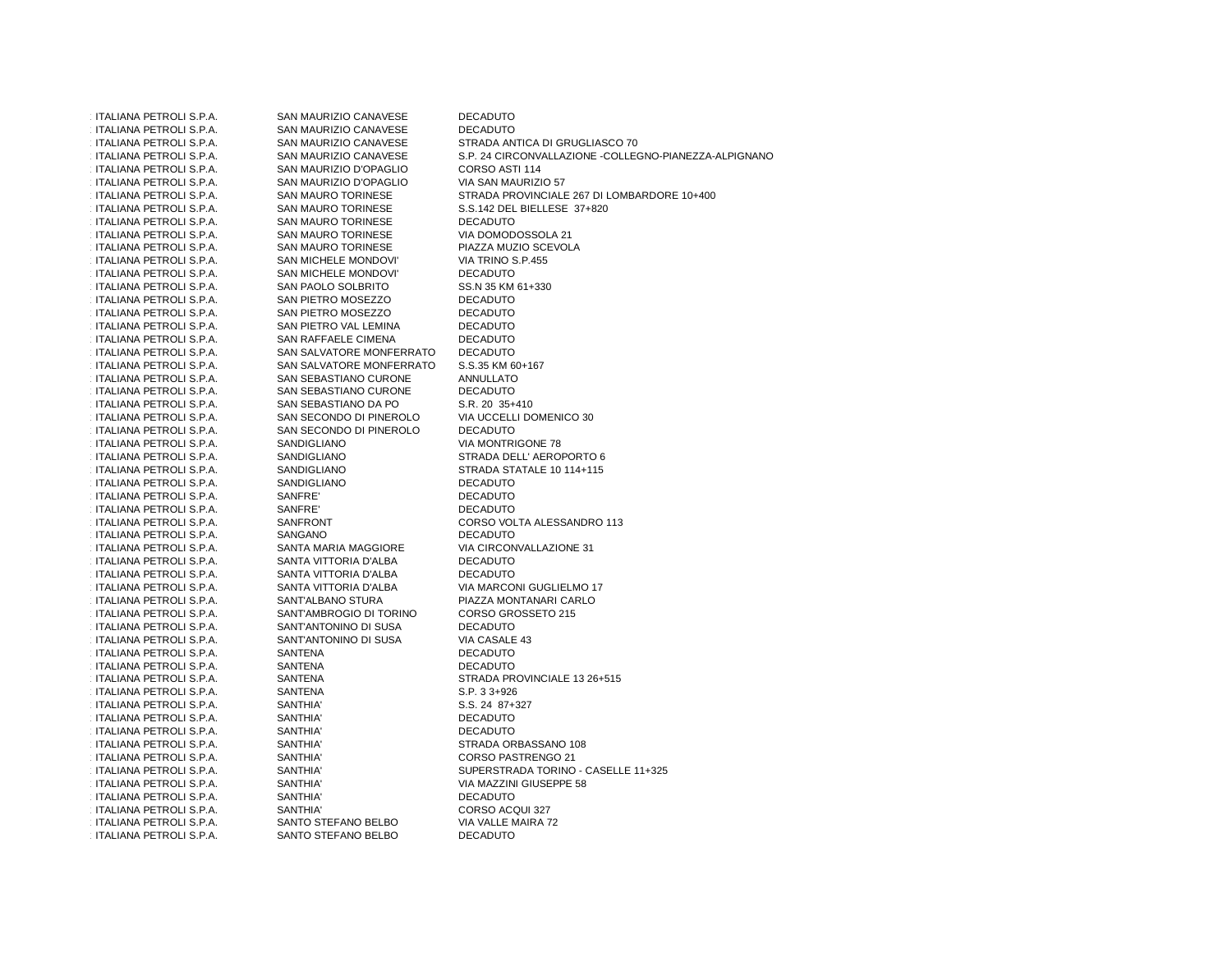ITALIANA PETROLI S.P.A. SAN MAURIZIO CANAVESE DECADUTO **DECADUTO** ITALIANA PETROLI S.P.A. SAN MAURIZIO CANAVESE<br>SAN MAURIZIO CANAVESE ITALIANA PETROLI S.P.A. SAN MAURIZIO CANAVESE STRADA ANTICA DI GRUGLIASCO 70 **ITALIANA PETROLI S.P.A. ITALIANA PETROLI S.P.A.** SAN MAURIZIO CANAVESE S.P. 24 CIRCONVALLAZIONE -COLLEGNO-PIANEZZA-ALPIGNANO<br>SAN MAURIZIO D'OPAGLIO CORSO ASTI 114 **ITALIANA PETROLI S.P.A.** ITALIANA PETROLIANA PERTROLIANA PERTROLIANA PERTANA PERTANA PERTANA PERTANA PERTROLIO ET<br>ITALIANA PERTROLIANA PERTROLIO CONTROLIO ETA SAN MAURIZIO 57 **ITALIANA PETROLI S.P.A.** SAN MAURIZIO D'OPAGLIO<br>SAN MAURO TORINESE ITALIANA PETROLI S.P.A. SAN MAURO TORINESE STRADA PROVINCIALE 267 DI LOMBARDORE 10+400<br>SAN MAURO TORINESE S.S.142 DEL BIELLESE 37+820 **ITALIANA PETROLI S.P.A.** SAN MAURO TORINESE S.S.142 DEL BIELLESE 37+820<br>SAN MAURO TORINESE DECADUTO 1.743 ITALIANA PETROLI S.P.A. SAN MAURO TORINESE DECADUTOVIA DOMODOSSOLA 21 1.744 ITALIANA PETROLI S.P.A. SAN MAURO TORINESE VIA DOMODOSSOLA 21 1.745 ITALIANA PETROLI S.P.A. SAN MAURO TORINESE PIAZZA MUZIO SCEVOLAITALIANA PETROLI S.P.A. SAN MICHELE MONDOVI' VIA TRINO S.P.455<br>
SAN MICHELE MONDOVI' DECADUTO **ITALIANA PETROLI S.P.A.** SAN MICHELE MONDOVI'<br>SAN PAOLO SOLBRITO SS.N 35 KM 61+330 1.748 ITALIANA PETROLI S.P.A. SAN PAOLO SOLBRITO SS.N 35 KM 61+330 1.749 ITALIANA PETROLI S.P.A. SAN PIETRO MOSEZZO DECADUTO**DECADUTO** 1.750 ITALIANA PETROLI S.P.A. SAN PIETRO MOSEZZO DECADUTO**DECADUTO** ITALIANA PETROLI S.P.A. SAN PIETRO VAL LEMINA **DECADUTO** ITALIANA PETROLI S.P.A. SAN RAFFAELE CIMENA DECADUTO ITALIANA PETROLI S.P.A. SAN SALVATORE MONFERRATO S.S.35 KM 60+167 **ITALIANA PETROLI S.P.A.** SAN SALVATORE MONFERRATO S.S.35 KM 60<br>SAN SEBASTIANO CURONE ANNULLATO **ITALIANA PETROLI S.P.A.** SAN SEBASTIANO CURONE **DECADUTO** ITALIANA PETROLI S.P.A. SAN SEBASTIANO CURONE S.R. 20 35+410 **ITALIANA PETROLI S.P.A.**  ITALIANA PETROLI S.P.A. SAN SEBASTIANO DA PO S.R. 20 35+410 **ITALIANA PETROLI S.P.A.** ITALIANA SECONDO DI PINEROLO VIA UCCELLI SAN SECONDO DI PINEROLO VIA UCCELLI ITALIANA PETROLI S.P.A. SAN SECONDO DI PINEROLO<br>SANDIGLIANO VIA MONTRIGONE 78 1.760 ITALIANA PETROLI S.P.A. SANDIGLIANO VIA MONTRIGONE 78 ITALIANA PETROLI S.P.A. SANDIGLIANO STRADA DELL' AEROPORTO 6<br>SANDIGLIANO STRADA STATALE 10 114+115 **ITALIANA PETROLI S.P.A.** SANDIGLIANO STRADA STATALE 10 114+115<br>
SANDIGLIANO SANDIGLIANO DECADUTO 1.763 ITALIANA PETROLI S.P.A. SANDIGLIANO DECADUTO**DECADUTO** 1.764 ITALIANA PETROLI S.P.A. SANFRE' DECADUTO**DECADUTO** 1.765 ITALIANA PETROLI S.P.A. SANFRE' DECADUTO ITALIANA PETROLI S.P.A. SANFRONT CORSO VOLTA ALESSANDRO 113 ITALIANA PETROLI S.P.A. 1.767 ITALIANA PETROLI S.P.A. SANGANO DECADUTO ITALIANA PETROLI S.P.A. SANTA MARIA MAGGIORE VIA CIRCONVALLAZIONE 31 **ITALIANA PETROLI S.P.A. ITALIANA PETROLI S.P.A.** SANTA VITTORIA D'ALBA DECADUTO **DECADUTO ITALIANA PETROLI S.P.A.** SANTA VITTORIA D'ALBA<br>SANTA VITTORIA D'ALBA ITALIANA PETROLI S.P.A. SANTA VITTORIA D'ALBA VIA MARCONI GUGLIELMO 17 ITALIANA PETROLI S.P.A. **ITALIANA PETROLI S.P.A.** SANT'ALBANO STURA PIAZZA MONTANARI CARLO<br>SANT'AMBROGIO DI TORINO CORSO GROSSETO 215 **ITALIANA PETROLI S.P.A.** SANT'AMBROGIO DI TORINO CORSO GROSSETO DI SANT'ANTONINO DI SUSA DE CORSO GROSSETTO 21 1.774 ITALIANA PETROLI S.P.A. SANT'ANTONINO DI SUSA DECADUTOVIA CASALE 43 1.775 ITALIANA PETROLI S.P.A. SANT'ANTONINO DI SUSA VIA CASALE 43 1.776 ITALIANA PETROLI S.P.A. SANTENA DECADUTO**DECADUTO** 1.777 ITALIANA PETROLI S.P.A. SANTENA DECADUTO ITALIANA PETROLI S.P.A. SANTENA STRADA PROVINCIALE 13 26+515 ITALIANA PETROLI S.P.A. 1.779 ITALIANA PETROLI S.P.A. SANTENA S.P. 3 3+926 1.780 ITALIANA PETROLI S.P.A. SANTHIA' S.S. 24 87+327 1.781 ITALIANA PETROLI S.P.A. SANTHIA' DECADUTO**DECADUTO** 1.782 ITALIANA PETROLI S.P.A. SANTHIA' DECADUTO ITALIANA PETROLI S.P.A. SANTHIA' STRADA ORBASSANO 108 **ITALIANA PETROLI S.P.A.** 1.784 ITALIANA PETROLI S.P.A. SANTHIA' CORSO PASTRENGO 21 ITALIANA PETROLI S.P.A. ITALIANA PETROLI S.P.A. SANTHIA' SUPERSTRADA TORINO - CASELLE 11+325 ITALIANA PETROLI S.P.A. ITALIANA PETROLI S.P.A. SANTHIA' VIA MAZZINI GIUSEPPE 58 1.787 ITALIANA PETROLI S.P.A. SANTHIA' DECADUTOCORSO ACQUI 327 1.788 ITALIANA PETROLI S.P.A. SANTHIA' CORSO ACQUI 327 **ITALIANA PETROLI S.P.A.** SANTO STEFANO BELBO VIA VALLE MAIRA 72<br>SANTO STEFANO BELBO VICADUTO **ITALIANA PETROLI S.P.A.** SANTO STEFANO BELBO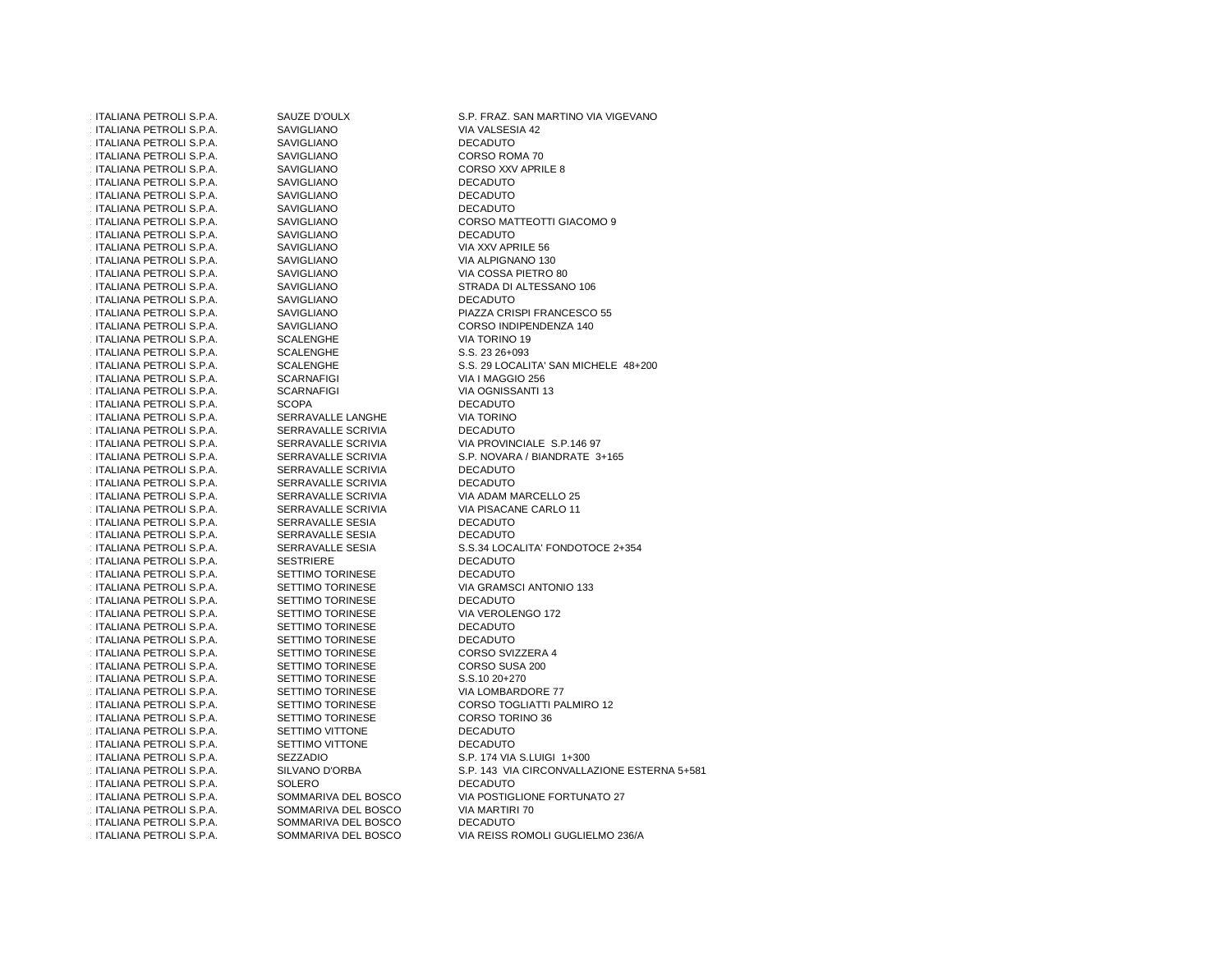ITALIANA PETROLI S.P.A. 1.792 ITALIANA PETROLI S.P.A. SAVIGLIANO VIA VALSESIA 42 ITALIANA PETROLI S.P.A. SAVIGLIANO SAVIGLIANO DECADUTO ITALIANA PETROLI S.P.A. SAVIGLIANO CORSO ROMA 70 1.174LIANA PETROLI S.P.A. SAVIGLIANO CORSO XXV APRILE 8 ITALIANA PETROLI S.P.A. SAVIGLIANO SAVIGLIANO DECADUTO 1.1797 ITALIANA PETROLI S.P.A. SAVIGLIANO SAVIGLIANO ITALIANA PETROLI S.P.A. SAVIGLIANO SAVIGLIANO DECADUTO **ITALIANA PETROLI S.P.A.** 1.1TALIANA PETROLI S.P.A. SAVIGLIANO SALI SARA DECADUTO ITALIANA PETROLI S.P.A. SAVIGLIANO SALISTA SARI VIA XXV APRILE 56 1.802 ITALIANA PETROLI S.P.A. SAVIGLIANO VIA ALPIGNANO 130 ITALIANA PETROLI S.P.A. SAVIGLIANO SAVIGLIANO VIA COSSA PIETRO 80 **ITALIANA PETROLI S.P.A.** 1.1TALIANA PETROLI S.P.A. SAVIGLIANO SALIS ESPONDITO ITALIANA PETROLI S.P.A. ITALIANA PETROLI S.P.A. ITALIANA PETROLI S.P.A. SCALENGHE VIA TORINO 19 ITALIANA PETROLI S.P.A. SCALENGHE S.S. 23 26+093 **ITALIANA PETROLI S.P.A.** ITALIANA PETROLI S.P.A. SCARNAFIGI SCARNA I MAGGIO 256 1.812 ITALIANA PETROLI S.P.A. SCARNAFIGI S.P.A. SCARNAFIGI VIA OGNISSANTI 13 ITALIANA PETROLI S.P.A. SCOPA DECADUTO 1.814 ITALIANA PETROLI S.P.A. SERRAVALLE LANGHE VIA TORINO1.815 ITALIANA PETROLI S.P.A. SERRAVALLE SCRIVIA DECADUTO ITALIANA PETROLI S.P.A. SERRAVALLE SCRIVIA VIA PROVINCIALE S.P.146 97 ITALIANA PETROLI S.P.A. ITALIANA PETROLI S.P.A. ITALIANA PETROLI S.P.A. SERRAVALLE SCRIVIA DECADUTO 1.1TALIANA PETROLI S.P.A. SERRAVALLE SCRIVIA DECADUTO ITALIANA PETROLI S.P.A. SERRAVALLE SCRIVIA VIA ADAM MARCELLO 25 **ITALIANA PETROLI S.P.A. ITALIANA PETROLI S.P.A.** 1.17ALIANA PETROLI S.P.A. SERRAVALLE SESIA DECADUTO 1.823 ITALIANA PETROLI S.P.A. SERRAVALLE SESIA DECADUTO**ITALIANA PETROLI S.P.A.** 1.17ALIANA PETROLI S.P.A. SESTRIERE SESTRIERE DECADUTO ITALIANA PETROLI S.P.A. SETTIMO TORINESE SERE DECADUTO ITALIANA PETROLI S.P.A. SETTIMO TORINESE VIA GRAMSCI ANTONIO 133 ITALIANA PETROLI S.P.A. ITALIANA PETROLI S.P.A. SETTIMO TORINESE SERE DECADUTO 1.829 ITALIANA PETROLI S.P.A. SETTIMO TORINESE SETTIMO TORINESE VIA VEROLENGO 172 ITALIANA PETROLI S.P.A. SETTIMO TORINESE SERE DECADUTO ITALIANA PETROLI S.P.A. SETTIMO TORINESE SERITORINESE DECADUTO 1.832 ITALIANA PETROLI S.P.A. SETTIMO TORINESE CORSO SVIZZERA 4 ITALIANA PETROLI S.P.A. SETTIMO TORINESE CORSO SUSA 200 ITALIANA PETROLI S.P.A. SETTIMO TORINESE S.S.10 20+270 1.835 ITALIANA PETROLI S.P.A. SETTIMO TORINESE VIA LOMBARDORE 77 **ITALIANA PETROLI S.P.A.** ITALIANA PETROLI S.P.A. SETTIMO TORINESE CORSO TORINO 36 ITALIANA PETROLI S.P.A. SETTIMO VITTONE DECADUTO 1.17ALIANA PETROLI S.P.A. SETTIMO VITTONE SERES DECADUTO ITALIANA PETROLI S.P.A. SEZZADIO S.P. 174 VIA S.LUIGI 1+300 **ITALIANA PETROLI S.P.A.** ITALIANA PETROLI S.P.A. 1.17ALIANA PETROLI S.P.A. SOLERO SOLERO DECADUTO **ITALIANA PETROLI S.P.A. ITALIANA PETROLI S.P.A. ITALIANA PETROLI S.P.A. ITALIANA PETROLI S.P.A.** 

ITALIANA SERRAVALLE SCRIVIA VIA PISACANE CARLO 11<br>ITALIANA VIA PISACANO VIA PISACANO DECADUTO SOMMARIVA DEL BOSCO VIA MARTIRI 70<br>SOMMARIVA DEL BOSCO DECADUTO SOMMARIVA DEL BOSCO SOMMARIVA DEL BOSCO

SAUZE D'OULX<br>
SAVIGLIANO<br>
VIA VALSESIA 42 CORSO ROMA 70 **DECADUTO DECADUTO** ITALIANA PETROLI S.P.A. SAVIGLIANO CORSO MATTEOTTI GIACOMO 9 VIA XXV APRILE 56 ITALIANA PETRADA DI ALTESSANO 106<br>INGLIANO SAVIGLIANO DECADUTO ITALIANA PETROLI S.P.A. SAVIGLIANO PIAZZA CRISPI FRANCESCO 55 SAVIGLIANO CORSO INDIPENDENZA 140<br>ITALIANA PERTANA PERTANA SCALENGHE ITALIANA PETROLIANA S.S. 29 LOCALITA' SAN MICHELE 48+200<br>ITALIANA PERROLI SCARNAFIGI **VIA TORINO DECADUTO** SERRAVALLE SCRIVIA S.P. NOVARA / BIANDRATE 3+165<br>SERRAVALLE SCRIVIA DECADUTO **DECADUTO DECADUTO**  ITALIANA PETROLI S.P.A. SERRAVALLE SESIA S.S.34 LOCALITA' FONDOTOCE 2+354 **DECADUTO** VIA VEROLENGO 172 **DECADUTO** CORSO SVIZZERA 4 SETTIMO TORINESE CORSO TOGLIATTI PALMIRO 12<br>SETTIMO TORINESE CORSO TORINO 36 **DECADUTO** SILVANO D'ORBA S.P. 143 VIA CIRCONVALLAZIONE ESTERNA 5+581<br>SOLERO DECADUTO ITALIANA PETROLI S.P.A. SOMMARIVA DEL BOSCO VIA POSTIGLIONE FORTUNATO 27 ITALIANA PETROLI S.P.A. SOMMARIVA DEL BOSCO VIA REISS ROMOLI GUGLIELMO 236/A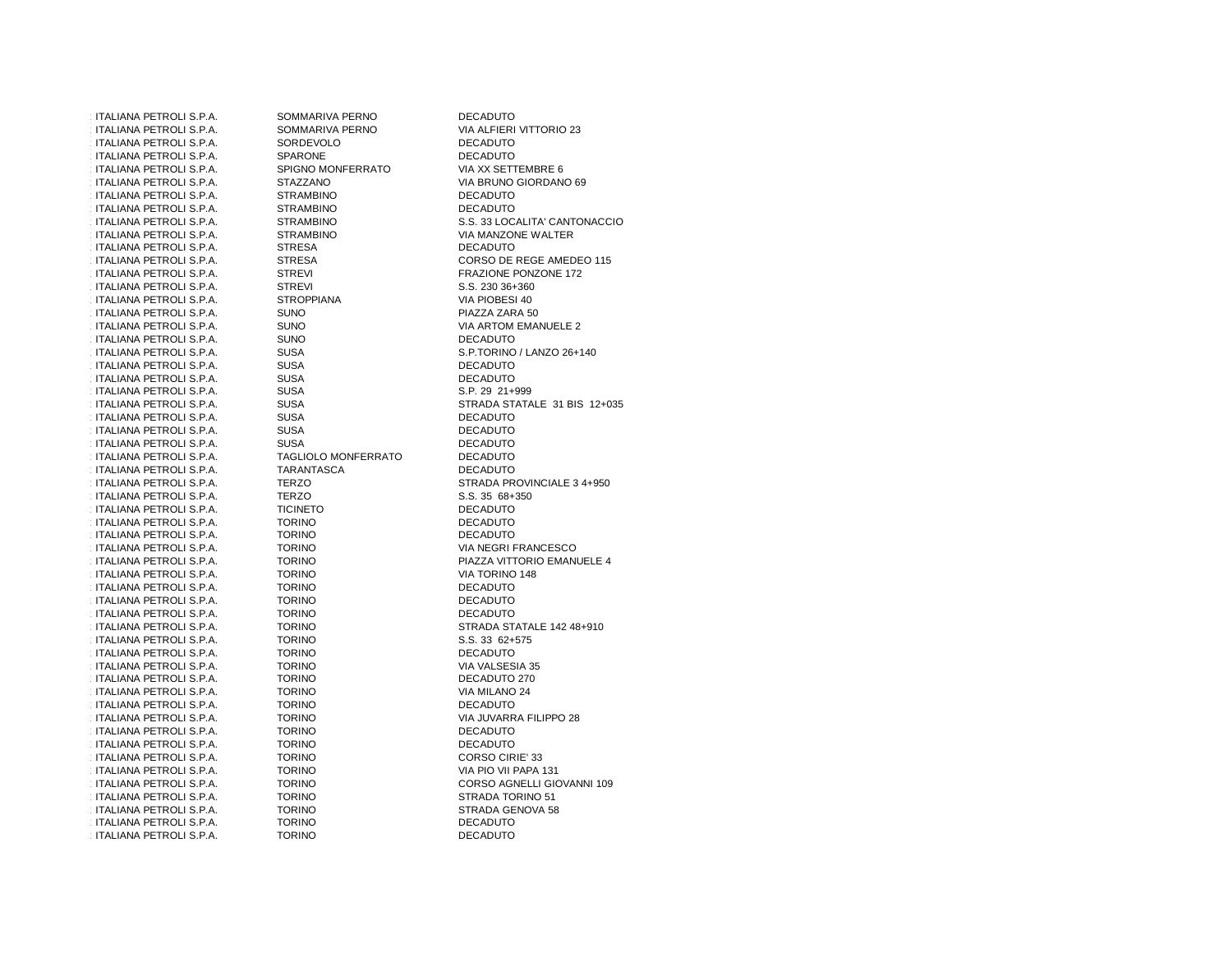| ITALIANA PETROLI S.P.A.        | SOMMARIVA PERNO            | <b>DECADUTO</b>               |
|--------------------------------|----------------------------|-------------------------------|
| ITALIANA PETROLI S.P.A.        | SOMMARIVA PERNO            | VIA ALFIERI VITTORIO 23       |
| ITALIANA PETROLI S.P.A.        | SORDEVOLO                  | <b>DECADUTO</b>               |
| ITALIANA PETROLI S.P.A.        | SPARONE                    | <b>DECADUTO</b>               |
| ITALIANA PETROLI S.P.A.        | SPIGNO MONFERRATO          | VIA XX SETTEMBRE 6            |
| ITALIANA PETROLI S.P.A.        | <b>STAZZANO</b>            | VIA BRUNO GIORDANO 69         |
| ITALIANA PETROLI S.P.A.        | <b>STRAMBINO</b>           | <b>DECADUTO</b>               |
| ITALIANA PETROLI S.P.A.        | <b>STRAMBINO</b>           | <b>DECADUTO</b>               |
| ITALIANA PETROLI S.P.A.        | <b>STRAMBINO</b>           | S.S. 33 LOCALITA' CANTONACCIO |
| ITALIANA PETROLI S.P.A.        | <b>STRAMBINO</b>           | VIA MANZONE WALTER            |
| ITALIANA PETROLI S.P.A.        | <b>STRESA</b>              | <b>DECADUTO</b>               |
|                                |                            |                               |
| ITALIANA PETROLI S.P.A.        | <b>STRESA</b>              | CORSO DE REGE AMEDEO 115      |
| <b>ITALIANA PETROLI S.P.A.</b> | <b>STREVI</b>              | FRAZIONE PONZONE 172          |
| ITALIANA PETROLI S.P.A.        | <b>STREVI</b>              | S.S. 230 36+360               |
| ITALIANA PETROLI S.P.A.        | <b>STROPPIANA</b>          | VIA PIOBESI 40                |
| ITALIANA PETROLI S.P.A.        | <b>SUNO</b>                | PIAZZA ZARA 50                |
| ITALIANA PETROLI S.P.A.        | <b>SUNO</b>                | VIA ARTOM EMANUELE 2          |
| ITALIANA PETROLI S.P.A.        | <b>SUNO</b>                | <b>DECADUTO</b>               |
| ITALIANA PETROLI S.P.A.        | <b>SUSA</b>                | S.P.TORINO / LANZO 26+140     |
| ITALIANA PETROLI S.P.A.        | <b>SUSA</b>                | <b>DECADUTO</b>               |
| ITALIANA PETROLI S.P.A.        | <b>SUSA</b>                | <b>DECADUTO</b>               |
| ITALIANA PETROLI S.P.A.        | <b>SUSA</b>                | S.P. 29 21+999                |
| ITALIANA PETROLI S.P.A.        | <b>SUSA</b>                | STRADA STATALE 31 BIS 12+035  |
| ITALIANA PETROLI S.P.A.        | <b>SUSA</b>                | <b>DECADUTO</b>               |
| ITALIANA PETROLI S.P.A.        | <b>SUSA</b>                | <b>DECADUTO</b>               |
| ITALIANA PETROLI S.P.A.        | <b>SUSA</b>                | <b>DECADUTO</b>               |
| ITALIANA PETROLI S.P.A.        | <b>TAGLIOLO MONFERRATO</b> | <b>DECADUTO</b>               |
| ITALIANA PETROLI S.P.A.        | TARANTASCA                 | <b>DECADUTO</b>               |
| ITALIANA PETROLI S.P.A.        | <b>TERZO</b>               | STRADA PROVINCIALE 3 4+950    |
| ITALIANA PETROLI S.P.A.        | <b>TERZO</b>               | S.S. 35 68+350                |
|                                |                            |                               |
| ITALIANA PETROLI S.P.A.        | <b>TICINETO</b>            | <b>DECADUTO</b>               |
| ITALIANA PETROLI S.P.A.        | <b>TORINO</b>              | <b>DECADUTO</b>               |
| ITALIANA PETROLI S.P.A.        | <b>TORINO</b>              | <b>DECADUTO</b>               |
| ITALIANA PETROLI S.P.A.        | <b>TORINO</b>              | VIA NEGRI FRANCESCO           |
| ITALIANA PETROLI S.P.A.        | <b>TORINO</b>              | PIAZZA VITTORIO EMANUELE 4    |
| ITALIANA PETROLI S.P.A.        | <b>TORINO</b>              | VIA TORINO 148                |
| ITALIANA PETROLI S.P.A.        | <b>TORINO</b>              | <b>DECADUTO</b>               |
| ITALIANA PETROLI S.P.A.        | <b>TORINO</b>              | <b>DECADUTO</b>               |
| ITALIANA PETROLI S.P.A.        | <b>TORINO</b>              | <b>DECADUTO</b>               |
| ITALIANA PETROLI S.P.A.        | <b>TORINO</b>              | STRADA STATALE 142 48+910     |
| ITALIANA PETROLI S.P.A.        | <b>TORINO</b>              | S.S. 33 62+575                |
| ITALIANA PETROLI S.P.A.        | <b>TORINO</b>              | <b>DECADUTO</b>               |
| ITALIANA PETROLI S.P.A.        | <b>TORINO</b>              | VIA VALSESIA 35               |
| ITALIANA PETROLI S.P.A.        | <b>TORINO</b>              | DECADUTO 270                  |
| ITALIANA PETROLI S.P.A.        | <b>TORINO</b>              | VIA MILANO 24                 |
| ITALIANA PETROLI S.P.A.        | <b>TORINO</b>              | <b>DECADUTO</b>               |
| ITALIANA PETROLI S.P.A.        | <b>TORINO</b>              | VIA JUVARRA FILIPPO 28        |
| ITALIANA PETROLI S.P.A.        | <b>TORINO</b>              | <b>DECADUTO</b>               |
| ITALIANA PETROLI S.P.A.        | <b>TORINO</b>              | <b>DECADUTO</b>               |
| ITALIANA PETROLI S.P.A.        | <b>TORINO</b>              | CORSO CIRIE' 33               |
| ITALIANA PETROLI S.P.A.        | <b>TORINO</b>              | VIA PIO VII PAPA 131          |
|                                |                            |                               |
| ITALIANA PETROLI S.P.A.        | <b>TORINO</b>              | CORSO AGNELLI GIOVANNI 109    |
| ITALIANA PETROLI S.P.A.        | <b>TORINO</b>              | STRADA TORINO 51              |
| ITALIANA PETROLI S.P.A.        | <b>TORINO</b>              | STRADA GENOVA 58              |
| ITALIANA PETROLI S.P.A.        | <b>TORINO</b>              | <b>DECADUTO</b>               |
| ITALIANA PETROLI S.P.A.        | <b>TORINO</b>              | <b>DECADUTO</b>               |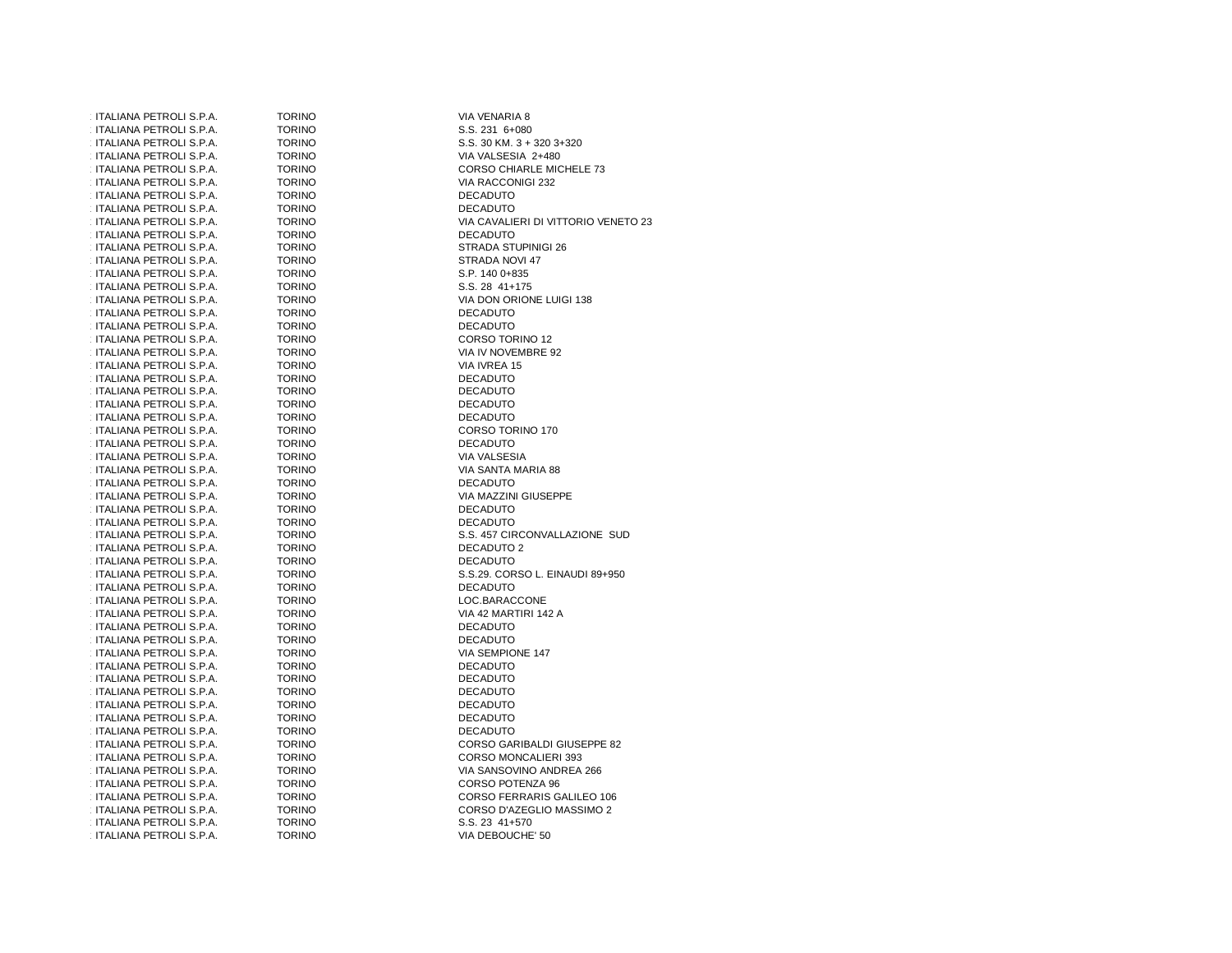| ITALIANA PETROLI S.P.A. | <b>TORINO</b> | VIA VENARIA 8                       |
|-------------------------|---------------|-------------------------------------|
| ITALIANA PETROLI S.P.A. | <b>TORINO</b> | S.S. 231 6+080                      |
| ITALIANA PETROLI S.P.A. | <b>TORINO</b> | S.S. 30 KM. 3 + 320 3+320           |
| ITALIANA PETROLI S.P.A. | <b>TORINO</b> | VIA VALSESIA 2+480                  |
| ITALIANA PETROLI S.P.A. | <b>TORINO</b> | <b>CORSO CHIARLE MICHELE 73</b>     |
| ITALIANA PETROLI S.P.A. | <b>TORINO</b> | VIA RACCONIGI 232                   |
| ITALIANA PETROLI S.P.A. | <b>TORINO</b> | <b>DECADUTO</b>                     |
| ITALIANA PETROLI S.P.A. | <b>TORINO</b> | <b>DECADUTO</b>                     |
| ITALIANA PETROLI S.P.A. | <b>TORINO</b> | VIA CAVALIERI DI VITTORIO VENETO 23 |
| ITALIANA PETROLI S.P.A. | <b>TORINO</b> | <b>DECADUTO</b>                     |
| ITALIANA PETROLI S.P.A. | <b>TORINO</b> | STRADA STUPINIGI 26                 |
| ITALIANA PETROLI S.P.A. | <b>TORINO</b> | STRADA NOVI 47                      |
| ITALIANA PETROLI S.P.A. | <b>TORINO</b> | S.P. 140 0+835                      |
| ITALIANA PETROLI S.P.A. | <b>TORINO</b> | S.S. 28 41+175                      |
| ITALIANA PETROLI S.P.A. | <b>TORINO</b> | VIA DON ORIONE LUIGI 138            |
| ITALIANA PETROLI S.P.A. | <b>TORINO</b> | <b>DECADUTO</b>                     |
| ITALIANA PETROLI S.P.A. | <b>TORINO</b> | <b>DECADUTO</b>                     |
| ITALIANA PETROLI S.P.A. | <b>TORINO</b> | CORSO TORINO 12                     |
| ITALIANA PETROLI S.P.A. | <b>TORINO</b> | VIA IV NOVEMBRE 92                  |
| ITALIANA PETROLI S.P.A. | <b>TORINO</b> | VIA IVREA 15                        |
| ITALIANA PETROLI S.P.A. | <b>TORINO</b> | <b>DECADUTO</b>                     |
| ITALIANA PETROLI S.P.A. | <b>TORINO</b> | <b>DECADUTO</b>                     |
| ITALIANA PETROLI S.P.A. | <b>TORINO</b> | <b>DECADUTO</b>                     |
| ITALIANA PETROLI S.P.A. | <b>TORINO</b> | <b>DECADUTO</b>                     |
| ITALIANA PETROLI S.P.A. | <b>TORINO</b> | CORSO TORINO 170                    |
| ITALIANA PETROLI S.P.A. | <b>TORINO</b> | <b>DECADUTO</b>                     |
| ITALIANA PETROLI S.P.A. | <b>TORINO</b> | VIA VALSESIA                        |
| ITALIANA PETROLI S.P.A. | <b>TORINO</b> | VIA SANTA MARIA 88                  |
| ITALIANA PETROLI S.P.A. | <b>TORINO</b> | <b>DECADUTO</b>                     |
| ITALIANA PETROLI S.P.A. | <b>TORINO</b> | VIA MAZZINI GIUSEPPE                |
| ITALIANA PETROLI S.P.A. | <b>TORINO</b> | <b>DECADUTO</b>                     |
| ITALIANA PETROLI S.P.A. | <b>TORINO</b> | <b>DECADUTO</b>                     |
| ITALIANA PETROLI S.P.A. | <b>TORINO</b> | S.S. 457 CIRCONVALLAZIONE SUD       |
| ITALIANA PETROLI S.P.A. | <b>TORINO</b> | DECADUTO 2                          |
| ITALIANA PETROLI S.P.A. | <b>TORINO</b> | <b>DECADUTO</b>                     |
| ITALIANA PETROLI S.P.A. | <b>TORINO</b> | S.S.29. CORSO L. EINAUDI 89+950     |
| ITALIANA PETROLI S.P.A. | <b>TORINO</b> | <b>DECADUTO</b>                     |
| ITALIANA PETROLI S.P.A. | <b>TORINO</b> | LOC.BARACCONE                       |
| ITALIANA PETROLI S.P.A. | <b>TORINO</b> | VIA 42 MARTIRI 142 A                |
| ITALIANA PETROLI S.P.A. | <b>TORINO</b> | <b>DECADUTO</b>                     |
| ITALIANA PETROLI S.P.A. | <b>TORINO</b> | <b>DECADUTO</b>                     |
| ITALIANA PETROLI S.P.A. | <b>TORINO</b> | VIA SEMPIONE 147                    |
| ITALIANA PETROLI S.P.A. | <b>TORINO</b> | <b>DECADUTO</b>                     |
| ITALIANA PETROLI S.P.A. | <b>TORINO</b> | <b>DECADUTO</b>                     |
| ITALIANA PETROLI S.P.A. | <b>TORINO</b> | <b>DECADUTO</b>                     |
| ITALIANA PETROLI S.P.A. | <b>TORINO</b> | <b>DECADUTO</b>                     |
| ITALIANA PETROLI S.P.A. | <b>TORINO</b> | <b>DECADUTO</b>                     |
| ITALIANA PETROLI S.P.A. | <b>TORINO</b> | <b>DECADUTO</b>                     |
| ITALIANA PETROLI S.P.A. | <b>TORINO</b> | CORSO GARIBALDI GIUSEPPE 82         |
| ITALIANA PETROLI S.P.A. | <b>TORINO</b> | CORSO MONCALIERI 393                |
| ITALIANA PETROLI S.P.A. | <b>TORINO</b> | VIA SANSOVINO ANDREA 266            |
| ITALIANA PETROLI S.P.A. | <b>TORINO</b> | CORSO POTENZA 96                    |
| ITALIANA PETROLI S.P.A. | <b>TORINO</b> | CORSO FERRARIS GALILEO 106          |
| ITALIANA PETROLI S.P.A. | <b>TORINO</b> | CORSO D'AZEGLIO MASSIMO 2           |
| ITALIANA PETROLI S.P.A. | <b>TORINO</b> | S.S. 23 41+570                      |
| ITALIANA PETROLI S.P.A. | <b>TORINO</b> | VIA DEBOUCHE' 50                    |
|                         |               |                                     |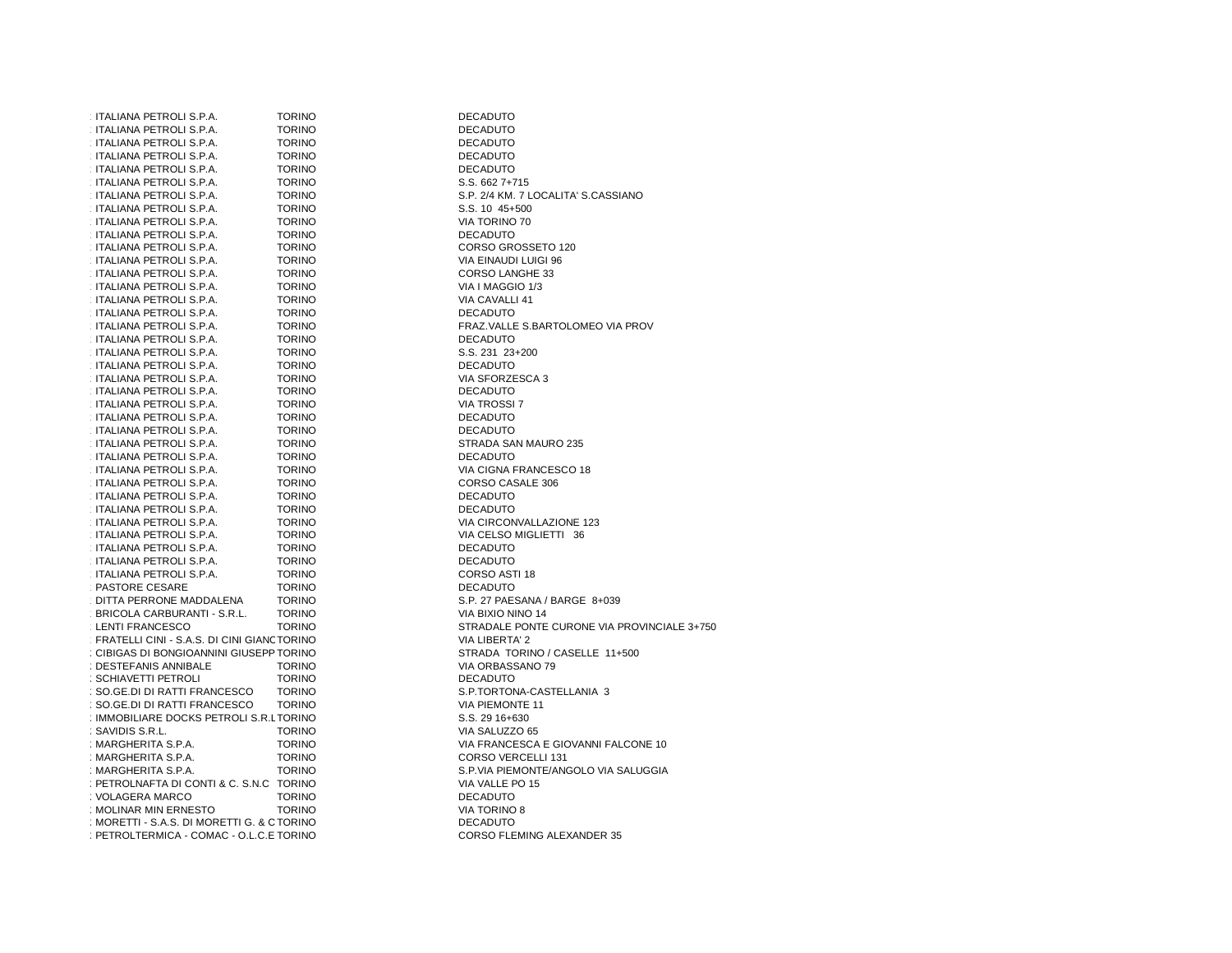| ITALIANA PETROLI S.P.A.                    | TORINO        | <b>DECADUTO</b>                     |
|--------------------------------------------|---------------|-------------------------------------|
| ITALIANA PETROLI S.P.A.                    | <b>TORINO</b> | <b>DECADUTO</b>                     |
| ITALIANA PETROLI S.P.A.                    | <b>TORINO</b> | <b>DECADUTO</b>                     |
| ITALIANA PETROLI S.P.A.                    | <b>TORINO</b> | <b>DECADUTO</b>                     |
| ITALIANA PETROLI S.P.A.                    | <b>TORINO</b> | <b>DECADUTO</b>                     |
| ITALIANA PETROLI S.P.A.                    | <b>TORINO</b> | S.S. 662 7+715                      |
| ITALIANA PETROLI S.P.A.                    | <b>TORINO</b> | S.P. 2/4 KM. 7 LOCALITA' S.CASSIANO |
| ITALIANA PETROLI S.P.A.                    | <b>TORINO</b> | S.S. 10 45+500                      |
| ITALIANA PETROLI S.P.A.                    | <b>TORINO</b> | VIA TORINO 70                       |
| ITALIANA PETROLI S.P.A.                    | <b>TORINO</b> | <b>DECADUTO</b>                     |
| ITALIANA PETROLI S.P.A.                    | <b>TORINO</b> | CORSO GROSSETO 120                  |
| ITALIANA PETROLI S.P.A.                    | <b>TORINO</b> | VIA EINAUDI LUIGI 96                |
|                                            |               |                                     |
| ITALIANA PETROLI S.P.A.                    | <b>TORINO</b> | CORSO LANGHE 33                     |
| ITALIANA PETROLI S.P.A.                    | <b>TORINO</b> | VIA I MAGGIO 1/3                    |
| ITALIANA PETROLI S.P.A.                    | <b>TORINO</b> | VIA CAVALLI 41                      |
| ITALIANA PETROLI S.P.A.                    | <b>TORINO</b> | <b>DECADUTO</b>                     |
| ITALIANA PETROLI S.P.A.                    | <b>TORINO</b> | FRAZ. VALLE S.BARTOLOMEO VIA PROV   |
| ITALIANA PETROLI S.P.A.                    | <b>TORINO</b> | <b>DECADUTO</b>                     |
| ITALIANA PETROLI S.P.A.                    | <b>TORINO</b> | S.S. 231 23+200                     |
| ITALIANA PETROLI S.P.A.                    | <b>TORINO</b> | <b>DECADUTO</b>                     |
| ITALIANA PETROLI S.P.A.                    | <b>TORINO</b> | VIA SFORZESCA 3                     |
| ITALIANA PETROLI S.P.A.                    | <b>TORINO</b> | <b>DECADUTO</b>                     |
| ITALIANA PETROLI S.P.A.                    | <b>TORINO</b> | <b>VIA TROSSI 7</b>                 |
| ITALIANA PETROLI S.P.A.                    | <b>TORINO</b> | <b>DECADUTO</b>                     |
| ITALIANA PETROLI S.P.A.                    | <b>TORINO</b> | <b>DECADUTO</b>                     |
| ITALIANA PETROLI S.P.A.                    | <b>TORINO</b> | STRADA SAN MAURO 235                |
| ITALIANA PETROLI S.P.A.                    | <b>TORINO</b> | <b>DECADUTO</b>                     |
| ITALIANA PETROLI S.P.A.                    | <b>TORINO</b> | VIA CIGNA FRANCESCO 18              |
| ITALIANA PETROLI S.P.A.                    | <b>TORINO</b> | CORSO CASALE 306                    |
| ITALIANA PETROLI S.P.A.                    | <b>TORINO</b> | <b>DECADUTO</b>                     |
|                                            |               |                                     |
| ITALIANA PETROLI S.P.A.                    | <b>TORINO</b> | <b>DECADUTO</b>                     |
| ITALIANA PETROLI S.P.A.                    | <b>TORINO</b> | VIA CIRCONVALLAZIONE 123            |
| ITALIANA PETROLI S.P.A.                    | <b>TORINO</b> | VIA CELSO MIGLIETTI 36              |
| ITALIANA PETROLI S.P.A.                    | <b>TORINO</b> | <b>DECADUTO</b>                     |
| ITALIANA PETROLI S.P.A.                    | <b>TORINO</b> | <b>DECADUTO</b>                     |
| ITALIANA PETROLI S.P.A.                    | <b>TORINO</b> | CORSO ASTI 18                       |
| PASTORE CESARE                             | <b>TORINO</b> | <b>DECADUTO</b>                     |
| DITTA PERRONE MADDALENA                    | <b>TORINO</b> | S.P. 27 PAESANA / BARGE 8+039       |
| BRICOLA CARBURANTI - S.R.L.                | <b>TORINO</b> | VIA BIXIO NINO 14                   |
| <b>LENTI FRANCESCO</b>                     | <b>TORINO</b> | STRADALE PONTE CURONE VIA PROVIN    |
| FRATELLI CINI - S.A.S. DI CINI GIANCTORINO |               | VIA LIBERTA' 2                      |
| CIBIGAS DI BONGIOANNINI GIUSEPP TORINO     |               | STRADA TORINO / CASELLE 11+500      |
| <b>DESTEFANIS ANNIBALE</b>                 | <b>TORINO</b> | VIA ORBASSANO 79                    |
| SCHIAVETTI PETROLI                         | <b>TORINO</b> | <b>DECADUTO</b>                     |
| SO.GE.DI DI RATTI FRANCESCO                | <b>TORINO</b> | S.P.TORTONA-CASTELLANIA 3           |
| SO GE DI DI RATTI FRANCESCO                | <b>TORINO</b> | <b>VIA PIEMONTE 11</b>              |
| IMMOBILIARE DOCKS PETROLI S.R.LTORINO      |               | S.S. 29 16+630                      |
| : SAVIDIS S.R.L.                           | <b>TORINO</b> | VIA SALUZZO 65                      |
| : MARGHERITA S.P.A.                        | <b>TORINO</b> | VIA FRANCESCA E GIOVANNI FALCONE    |
| : MARGHERITA S.P.A.                        | <b>TORINO</b> | CORSO VERCELLI 131                  |
|                                            | <b>TORINO</b> |                                     |
| : MARGHERITA S.P.A.                        |               | S.P.VIA PIEMONTE/ANGOLO VIA SALUGO  |
| : PETROLNAFTA DI CONTI & C. S.N.C TORINO   |               | VIA VALLE PO 15                     |
| <b>VOLAGERA MARCO</b>                      | <b>TORINO</b> | <b>DECADUTO</b>                     |
| : MOLINAR MIN ERNESTO                      | <b>TORINO</b> | VIA TORINO 8                        |
| MORETTI - S.A.S. DI MORETTI G. & CTORINO   |               | <b>DECADUTO</b>                     |
| PETROLTERMICA - COMAC - O.L.C.E TORINO     |               | <b>CORSO FLEMING ALEXANDER 35</b>   |

**DECADUTO DECADUTO DECADUTO DECADUTO** S.S. 662 7+715 S.P. 2/4 KM. 7 LOCALITA' S.CASSIANO S.S. 10 45+500 VIA TORINO 70<br>DECADUTO VIA EINAUDI LUIGI 96 CORSO LANGHE 33 VIA I MAGGIO 1/3 VIA CAVALLI 41<br>DECADUTO DECADUTO DECADUTO DECADUTO CORSO CASALE 306<br>DECADUTO **DECADUTO** VIA CELSO MIGLIETTI 36<br>DECADUTO DECADUTO VIA BIXIO NINO 14 STRADALE PONTE CURONE VIA PROVINCIALE 3+750<br>VIA LIBERTA' 2 STRADA TORINO / CASELLE 11+500 VIA ORBASSANO 79<br>DECADUTO VIA PIEMONTE 11 S.S. 29 16+630 VIA SALUZZO 65 VIA FRANCESCA E GIOVANNI FALCONE 10 CORSO VERCELLI 131 S.P.VIA PIEMONTE/ANGOLO VIA SALUGGIA VIA VALLE PO 15<br>DECADUTO VIA TORINO 8 TORINO **CORSO FLEMING ALEXANDER** 35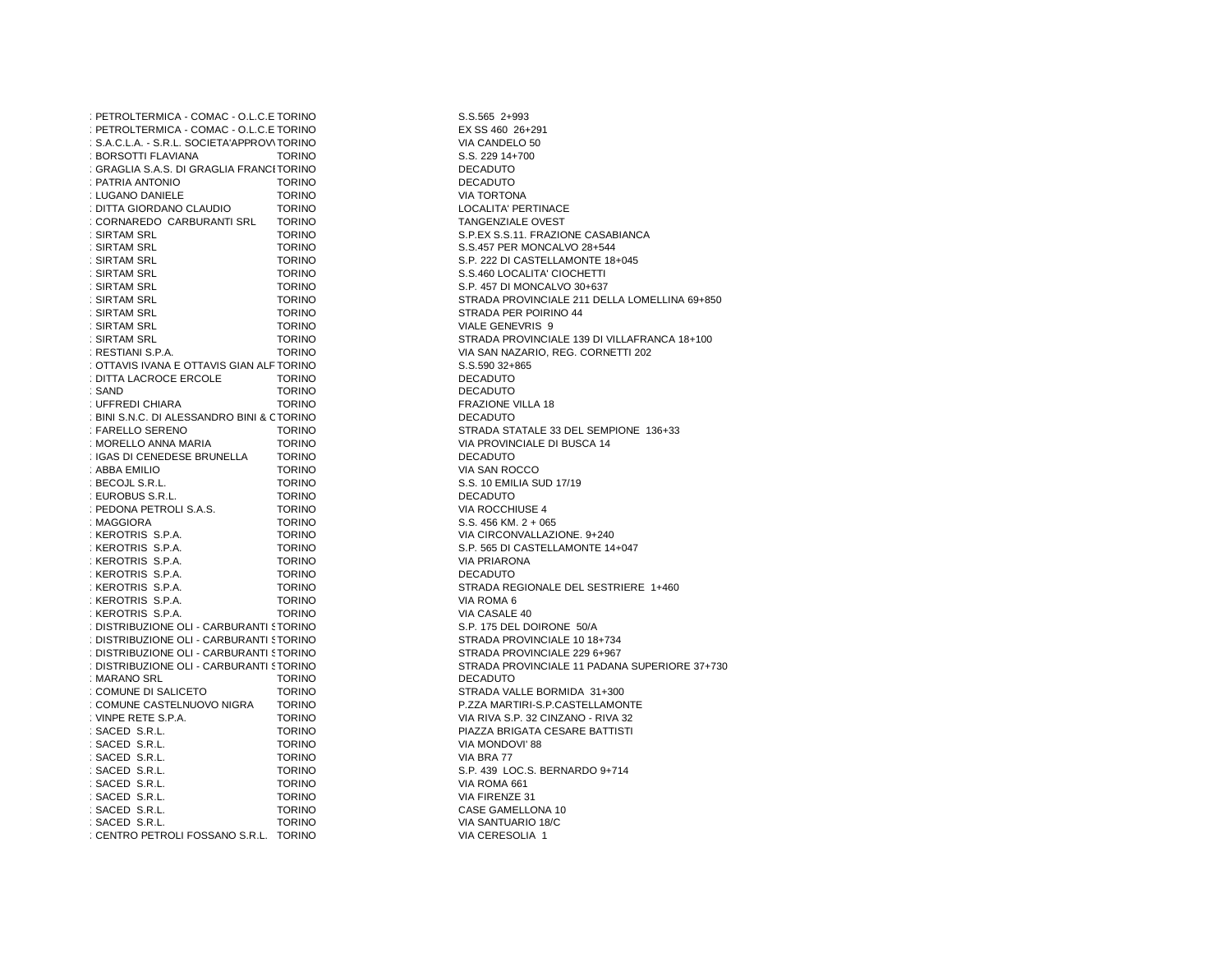| : PETROLTERMICA - COMAC - O.L.C.E TORINO    |               | S.S.565 2+993                         |
|---------------------------------------------|---------------|---------------------------------------|
| : PETROLTERMICA - COMAC - O.L.C.E TORINO    |               | EX SS 460 26+291                      |
| : S.A.C.L.A. - S.R.L. SOCIETA'APPROV\TORINO |               | VIA CANDELO 50                        |
| : BORSOTTI FLAVIANA                         | <b>TORINO</b> | S.S. 229 14+700                       |
| : GRAGLIA S.A.S. DI GRAGLIA FRANCITORINO    |               | <b>DECADUTO</b>                       |
| : PATRIA ANTONIO                            | <b>TORINO</b> | <b>DECADUTO</b>                       |
| : LUGANO DANIELE                            | <b>TORINO</b> | VIA TORTONA                           |
| : DITTA GIORDANO CLAUDIO                    | <b>TORINO</b> | LOCALITA' PERTINACE                   |
| : CORNAREDO CARBURANTI SRL                  | <b>TORINO</b> | TANGENZIALE OVEST                     |
| : SIRTAM SRL                                | <b>TORINO</b> | S.P.EX S.S.11. FRAZIONE CASABIANCA    |
| : SIRTAM SRL                                | <b>TORINO</b> | S.S.457 PER MONCALVO 28+544           |
| : SIRTAM SRL                                | <b>TORINO</b> | S.P. 222 DI CASTELLAMONTE 18+045      |
| : SIRTAM SRL                                | <b>TORINO</b> | S.S.460 LOCALITA' CIOCHETTI           |
| : SIRTAM SRL                                | <b>TORINO</b> | S.P. 457 DI MONCALVO 30+637           |
|                                             |               | STRADA PROVINCIALE 211 DELLA LOMELLIN |
| : SIRTAM SRL                                | <b>TORINO</b> |                                       |
| : SIRTAM SRL                                | <b>TORINO</b> | STRADA PER POIRINO 44                 |
| : SIRTAM SRL                                | <b>TORINO</b> | VIALE GENEVRIS 9                      |
| : SIRTAM SRL                                | <b>TORINO</b> | STRADA PROVINCIALE 139 DI VILLAFRANCA |
| : RESTIANI S.P.A.                           | <b>TORINO</b> | VIA SAN NAZARIO, REG. CORNETTI 202    |
| : OTTAVIS IVANA E OTTAVIS GIAN ALF TORINO   |               | S.S.590 32+865                        |
| : DITTA LACROCE ERCOLE                      | <b>TORINO</b> | <b>DECADUTO</b>                       |
| : SAND                                      | <b>TORINO</b> | <b>DECADUTO</b>                       |
| : UFFREDI CHIARA                            | <b>TORINO</b> | <b>FRAZIONE VILLA 18</b>              |
| : BINI S.N.C. DI ALESSANDRO BINI & CTORINO  |               | <b>DECADUTO</b>                       |
| : FARELLO SERENO                            | <b>TORINO</b> | STRADA STATALE 33 DEL SEMPIONE 136+33 |
| : MORELLO ANNA MARIA                        | <b>TORINO</b> | VIA PROVINCIALE DI BUSCA 14           |
| : IGAS DI CENEDESE BRUNELLA                 | <b>TORINO</b> | <b>DECADUTO</b>                       |
| : ABBA EMILIO                               | <b>TORINO</b> | VIA SAN ROCCO                         |
| : BECOJL S.R.L.                             | <b>TORINO</b> | S.S. 10 EMILIA SUD 17/19              |
| : EUROBUS S.R.L.                            | <b>TORINO</b> | <b>DECADUTO</b>                       |
| : PEDONA PETROLI S.A.S.                     | <b>TORINO</b> | VIA ROCCHIUSE 4                       |
| : MAGGIORA                                  | <b>TORINO</b> | S.S. 456 KM. $2 + 065$                |
| : KEROTRIS S.P.A.                           | <b>TORINO</b> | VIA CIRCONVALLAZIONE. 9+240           |
| : KEROTRIS S.P.A.                           | <b>TORINO</b> | S.P. 565 DI CASTELLAMONTE 14+047      |
| : KEROTRIS S.P.A.                           | <b>TORINO</b> | VIA PRIARONA                          |
| : KEROTRIS S.P.A.                           | <b>TORINO</b> | <b>DECADUTO</b>                       |
| : KEROTRIS S.P.A.                           | <b>TORINO</b> | STRADA REGIONALE DEL SESTRIERE 1+460  |
| : KEROTRIS S.P.A.                           | <b>TORINO</b> | VIA ROMA 6                            |
| : KEROTRIS S.P.A.                           | <b>TORINO</b> | VIA CASALE 40                         |
| : DISTRIBUZIONE OLI - CARBURANTI STORINO    |               | S.P. 175 DEL DOIRONE 50/A             |
| : DISTRIBUZIONE OLI - CARBURANTI STORINO    |               | STRADA PROVINCIALE 10 18+734          |
| : DISTRIBUZIONE OLI - CARBURANTI STORINO    |               |                                       |
|                                             |               | STRADA PROVINCIALE 229 6+967          |
| : DISTRIBUZIONE OLI - CARBURANTI STORINO    |               | STRADA PROVINCIALE 11 PADANA SUPERIOR |
| : MARANO SRL                                | <b>TORINO</b> | <b>DECADUTO</b>                       |
| : COMUNE DI SALICETO                        | <b>TORINO</b> | STRADA VALLE BORMIDA 31+300           |
| : COMUNE CASTELNUOVO NIGRA                  | <b>TORINO</b> | P.ZZA MARTIRI-S.P.CASTELLAMONTE       |
| : VINPE RETE S.P.A.                         | <b>TORINO</b> | VIA RIVA S.P. 32 CINZANO - RIVA 32    |
| : SACED S.R.L.                              | <b>TORINO</b> | PIAZZA BRIGATA CESARE BATTISTI        |
| : SACED S.R.L.                              | <b>TORINO</b> | VIA MONDOVI' 88                       |
| : SACED S.R.L.                              | <b>TORINO</b> | VIA BRA 77                            |
| : SACED S.R.L.                              | <b>TORINO</b> | S.P. 439 LOC.S. BERNARDO 9+714        |
| SACED S.R.L.                                | <b>TORINO</b> | VIA ROMA 661                          |
| : SACED S.R.L.                              | <b>TORINO</b> | VIA FIRENZE 31                        |
| : SACED S.R.L.                              | <b>TORINO</b> | CASE GAMELLONA 10                     |
| : SACED S.R.L.                              | <b>TORINO</b> | VIA SANTUARIO 18/C                    |
| : CENTRO PETROLI FOSSANO S.R.L. TORINO      |               | VIA CERESOLIA 1                       |

S.S.565 2+993 EX SS 460 26+291 VIA CANDELO 50 S.S. 229 14+700<br>DECADUTO **DECADUTO** S.S.457 PER MONCALVO 28+544 S.P. 222 DI CASTELLAMONTE 18+045 S.S.460 LOCALITA' CIOCHETTI S.P. 457 DI MONCALVO 30+637 STRADA PROVINCIALE 211 DELLA LOMELLINA 69+850 STRADA PER POIRINO 44 VIALE GENEVRIS 9 STRADA PROVINCIALE 139 DI VILLAFRANCA 18+100 VIA SAN NAZARIO, REG. CORNETTI 202 S.S.590 32+865<br>DECADUTO VIA PROVINCIALE DI BUSCA 14<br>DECADUTO  $S.S. 456 KM. 2 + 065$ VIA CIRCONVALLAZIONE. 9+240 S.P. 565 DI CASTELLAMONTE 14+047<br>VIA PRIARONA VIA CASALE 40 S.P. 175 DEL DOIRONE 50/A STRADA PROVINCIALE 229 6+967 STRADA PROVINCIALE 11 PADANA SUPERIORE 37+730<br>DECADUTO P.ZZA MARTIRI-S.P.CASTELLAMONTE VIA RIVA S.P. 32 CINZANO - RIVA 32 PIAZZA BRIGATA CESARE BATTISTI VIA MONDOVI' 88<br>VIA BRA 77 S.P. 439 LOC.S. BERNARDO 9+714 VIA ROMA 661 VIA FIRENZE 31 CASE GAMELLONA 10 VIA SANTUARIO 18/C VIA CERESOLIA 1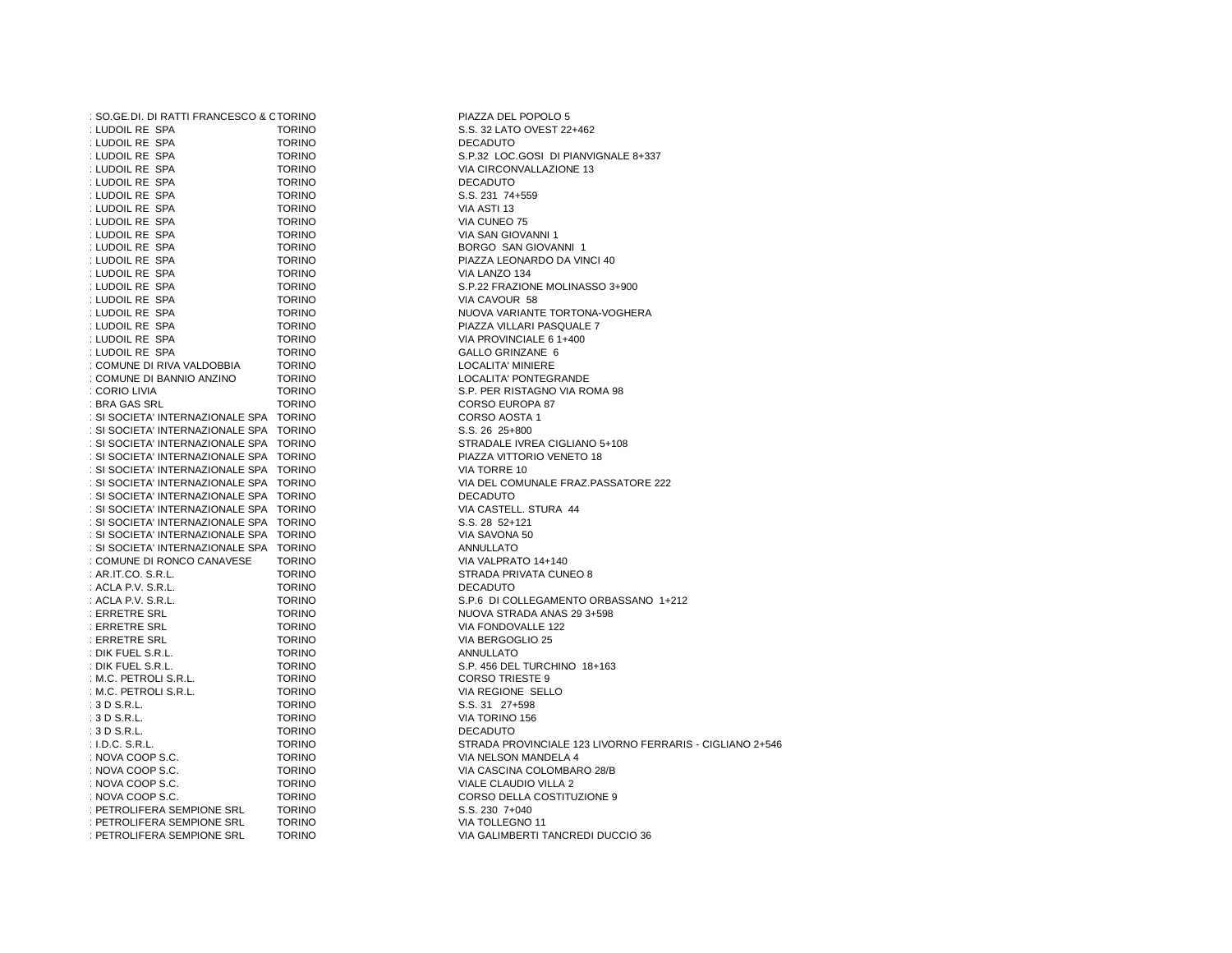| : SO.GE.DI. DI RATTI FRANCESCO & CTORINO |               | PIAZZA DEL POPOLO 5                    |
|------------------------------------------|---------------|----------------------------------------|
| : LUDOIL RE SPA                          | <b>TORINO</b> | S.S. 32 LATO OVEST 22+462              |
| : LUDOIL RE SPA                          | <b>TORINO</b> | <b>DECADUTO</b>                        |
| : LUDOIL RE SPA                          | <b>TORINO</b> | S.P.32 LOC.GOSI DI PIANVIGNALE 8+337   |
| : LUDOIL RE SPA                          | <b>TORINO</b> | VIA CIRCONVALLAZIONE 13                |
| : LUDOIL RE SPA                          | <b>TORINO</b> | <b>DECADUTO</b>                        |
| : LUDOIL RE SPA                          | <b>TORINO</b> | S.S. 231 74+559                        |
| : LUDOIL RE SPA                          | <b>TORINO</b> | VIA ASTI 13                            |
| : LUDOIL RE SPA                          | <b>TORINO</b> | VIA CUNEO 75                           |
| : LUDOIL RE SPA                          | <b>TORINO</b> | VIA SAN GIOVANNI 1                     |
| : LUDOIL RE SPA                          | <b>TORINO</b> | BORGO SAN GIOVANNI 1                   |
| : LUDOIL RE SPA                          | <b>TORINO</b> | PIAZZA LEONARDO DA VINCI 40            |
| : LUDOIL RE SPA                          | <b>TORINO</b> | VIA LANZO 134                          |
| : LUDOIL RE SPA                          | <b>TORINO</b> | S.P.22 FRAZIONE MOLINASSO 3+900        |
| : LUDOIL RE SPA                          | <b>TORINO</b> | VIA CAVOUR 58                          |
| : LUDOIL RE SPA                          |               | NUOVA VARIANTE TORTONA-VOGHERA         |
|                                          | <b>TORINO</b> |                                        |
| : LUDOIL RE SPA                          | <b>TORINO</b> | PIAZZA VILLARI PASQUALE 7              |
| : LUDOIL RE SPA                          | <b>TORINO</b> | VIA PROVINCIALE 6 1+400                |
| : LUDOIL RE SPA                          | <b>TORINO</b> | GALLO GRINZANE 6                       |
| : COMUNE DI RIVA VALDOBBIA               | <b>TORINO</b> | <b>LOCALITA' MINIERE</b>               |
| : COMUNE DI BANNIO ANZINO                | <b>TORINO</b> | LOCALITA' PONTEGRANDE                  |
| : CORIO LIVIA                            | <b>TORINO</b> | S.P. PER RISTAGNO VIA ROMA 98          |
| : BRA GAS SRL                            | <b>TORINO</b> | CORSO EUROPA 87                        |
| : SI SOCIETA' INTERNAZIONALE SPA TORINO  |               | CORSO AOSTA 1                          |
| : SI SOCIETA' INTERNAZIONALE SPA TORINO  |               | S.S. 26 25+800                         |
| : SI SOCIETA' INTERNAZIONALE SPA TORINO  |               | STRADALE IVREA CIGLIANO 5+108          |
| : SI SOCIETA' INTERNAZIONALE SPA TORINO  |               | PIAZZA VITTORIO VENETO 18              |
| : SI SOCIETA' INTERNAZIONALE SPA TORINO  |               | VIA TORRE 10                           |
| : SI SOCIETA' INTERNAZIONALE SPA TORINO  |               | VIA DEL COMUNALE FRAZ.PASSATORE 222    |
| : SI SOCIETA' INTERNAZIONALE SPA TORINO  |               | <b>DECADUTO</b>                        |
| : SI SOCIETA' INTERNAZIONALE SPA TORINO  |               | VIA CASTELL. STURA 44                  |
| : SI SOCIETA' INTERNAZIONALE SPA TORINO  |               | S.S. 28 52+121                         |
| : SI SOCIETA' INTERNAZIONALE SPA TORINO  |               | VIA SAVONA 50                          |
| : SI SOCIETA' INTERNAZIONALE SPA TORINO  |               | ANNULLATO                              |
| : COMUNE DI RONCO CANAVESE               | <b>TORINO</b> | VIA VALPRATO 14+140                    |
| : AR.IT.CO. S.R.L.                       | <b>TORINO</b> | STRADA PRIVATA CUNEO 8                 |
| : ACLA P.V. S.R.L.                       | <b>TORINO</b> | <b>DECADUTO</b>                        |
| : ACLA P.V. S.R.L.                       | <b>TORINO</b> | S.P.6 DI COLLEGAMENTO ORBASSANO 1+212  |
| : ERRETRE SRL                            | <b>TORINO</b> | NUOVA STRADA ANAS 29 3+598             |
| : ERRETRE SRL                            | <b>TORINO</b> | VIA FONDOVALLE 122                     |
| : ERRETRE SRL                            | <b>TORINO</b> | VIA BERGOGLIO 25                       |
| : DIK FUEL S.R.L.                        | <b>TORINO</b> | ANNULLATO                              |
| : DIK FUEL S.R.L.                        | <b>TORINO</b> | S.P. 456 DEL TURCHINO 18+163           |
| : M.C. PETROLI S.R.L.                    | <b>TORINO</b> | <b>CORSO TRIESTE 9</b>                 |
| : M.C. PETROLI S.R.L.                    | <b>TORINO</b> | VIA REGIONE SELLO                      |
| : 3 D S.R.L.                             | <b>TORINO</b> | S.S. 31 27+598                         |
| $:3D$ S.R.L.                             | <b>TORINO</b> | VIA TORINO 156                         |
| $:3D$ S.R.L.                             | <b>TORINO</b> | <b>DECADUTO</b>                        |
| $:$ I.D.C. S.R.L.                        | <b>TORINO</b> | STRADA PROVINCIALE 123 LIVORNO FERRARI |
| : NOVA COOP S.C.                         | <b>TORINO</b> | VIA NELSON MANDELA 4                   |
| : NOVA COOP S.C.                         | <b>TORINO</b> | VIA CASCINA COLOMBARO 28/B             |
| : NOVA COOP S.C.                         | <b>TORINO</b> | VIALE CLAUDIO VILLA 2                  |
| : NOVA COOP S.C.                         | <b>TORINO</b> | CORSO DELLA COSTITUZIONE 9             |
| : PETROLIFERA SEMPIONE SRL               | <b>TORINO</b> | S.S. 230 7+040                         |
| : PETROLIFERA SEMPIONE SRL               | <b>TORINO</b> | VIA TOLLEGNO 11                        |
|                                          | <b>TORINO</b> |                                        |
| : PETROLIFERA SEMPIONE SRL               |               | VIA GALIMBERTI TANCREDI DUCCIO 36      |

S.S. 32 LATO OVEST 22+462<br>DECADUTO VIA CIRCONVALLAZIONE 13<br>DECADUTO VIA SAN GIOVANNI 1 BORGO SAN GIOVANNI 1 PIAZZA LEONARDO DA VINCI 40 VIA LANZO 134 S.P.22 FRAZIONE MOLINASSO 3+900 VIA CAVOUR 58 NUOVA VARIANTE TORTONA-VOGHERA PIAZZA VILLARI PASQUALE 7 VIA PROVINCIALE 6 1+400 GALLO GRINZANE 6 LOCALITA' MINIERE CORSO EUROPA 87 CORSO AOSTA 1 S.S. 26 25+800 STRADALE IVREA CIGLIANO 5+108 PIAZZA VITTORIO VENETO 18 VIA TORRE 10 VIA DEL COMUNALE FRAZ.PASSATORE 222<br>DECADUTO S.S. 28 52+121 VIA SAVONA 50<br>ANNULLATO STRADA PRIVATA CUNEO 8<br>DECADUTO NUOVA STRADA ANAS 29 3+598 VIA FONDOVALLE 122 VIA BERGOGLIO 25<br>ANNULLATO CORSO TRIESTE 9 VIA REGIONE SELLO S.S. 31 27+598 VIA TORINO 156<br>DECADUTO I.D.C. S.R.L. TORINO STRADA PROVINCIALE 123 LIVORNO FERRARIS - CIGLIANO 2+546 VIA NELSON MANDELA 4 VIA CASCINA COLOMBARO 28/B VIALE CLAUDIO VILLA 2 CORSO DELLA COSTITUZIONE 9 S.S. 230 7+040 VIA TOLLEGNO 11 VIA GALIMBERTI TANCREDI DUCCIO 36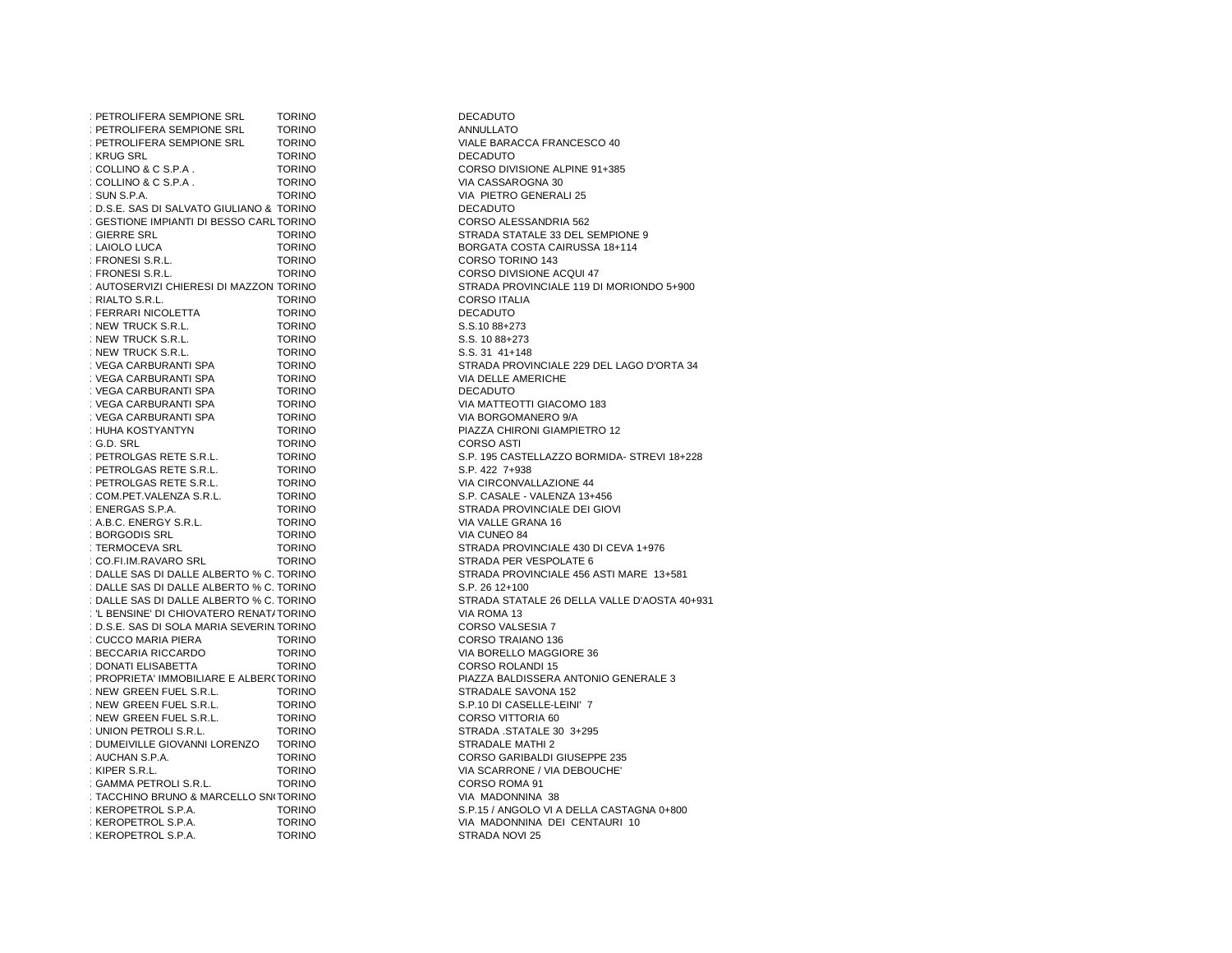| : PETROLIFERA SEMPIONE SRL                | <b>TORINO</b> | <b>DECADUTO</b>                 |
|-------------------------------------------|---------------|---------------------------------|
| : PETROLIFERA SEMPIONE SRL                | <b>TORINO</b> | <b>ANNULLATO</b>                |
| : PETROLIFERA SEMPIONE SRL                | <b>TORINO</b> | VIALE BARACCA FRANCESCO 40      |
| : KRUG SRL                                | <b>TORINO</b> | <b>DECADUTO</b>                 |
| : COLLINO & C S.P.A.                      | <b>TORINO</b> | CORSO DIVISIONE ALPINE 91+385   |
| : COLLINO & C S.P.A.                      | <b>TORINO</b> | VIA CASSAROGNA 30               |
| : SUN S.P.A.                              | <b>TORINO</b> | VIA PIETRO GENERALI 25          |
| : D.S.E. SAS DI SALVATO GIULIANO & TORINO |               | <b>DECADUTO</b>                 |
| : GESTIONE IMPIANTI DI BESSO CARLTORINO   |               | CORSO ALESSANDRIA 562           |
| : GIERRE SRL                              | <b>TORINO</b> | STRADA STATALE 33 DEL SEMPIC    |
| : LAIOLO LUCA                             | <b>TORINO</b> | BORGATA COSTA CAIRUSSA 18+1     |
| : FRONESI S.R.L.                          | <b>TORINO</b> | CORSO TORINO 143                |
| : FRONESI S.R.L.                          | <b>TORINO</b> | CORSO DIVISIONE ACQUI 47        |
| : AUTOSERVIZI CHIERESI DI MAZZON TORINO   |               | STRADA PROVINCIALE 119 DI MOI   |
| : RIALTO S.R.L.                           | <b>TORINO</b> | <b>CORSO ITALIA</b>             |
| : FERRARI NICOLETTA                       | <b>TORINO</b> | <b>DECADUTO</b>                 |
| : NEW TRUCK S.R.L.                        | <b>TORINO</b> | S.S.10 88+273                   |
|                                           |               |                                 |
| : NEW TRUCK S.R.L.                        | <b>TORINO</b> | S.S. 10 88+273                  |
| : NEW TRUCK S.R.L.                        | <b>TORINO</b> | S.S. 31 41+148                  |
| : VEGA CARBURANTI SPA                     | <b>TORINO</b> | STRADA PROVINCIALE 229 DEL LA   |
| : VEGA CARBURANTI SPA                     | <b>TORINO</b> | VIA DELLE AMERICHE              |
| : VEGA CARBURANTI SPA                     | <b>TORINO</b> | <b>DECADUTO</b>                 |
| : VEGA CARBURANTI SPA                     | <b>TORINO</b> | VIA MATTEOTTI GIACOMO 183       |
| : VEGA CARBURANTI SPA                     | <b>TORINO</b> | VIA BORGOMANERO 9/A             |
| : HUHA KOSTYANTYN                         | <b>TORINO</b> | PIAZZA CHIRONI GIAMPIETRO 12    |
| : G.D. SRL                                | <b>TORINO</b> | <b>CORSO ASTI</b>               |
| : PETROLGAS RETE S.R.L.                   | <b>TORINO</b> | S.P. 195 CASTELLAZZO BORMIDA    |
| : PETROLGAS RETE S.R.L.                   | <b>TORINO</b> | S.P. 422 7+938                  |
| : PETROLGAS RETE S.R.L.                   | <b>TORINO</b> | VIA CIRCONVALLAZIONE 44         |
| : COM.PET.VALENZA S.R.L.                  | <b>TORINO</b> | S.P. CASALE - VALENZA 13+456    |
| : ENERGAS S.P.A.                          | <b>TORINO</b> | STRADA PROVINCIALE DEI GIOVI    |
| : A.B.C. ENERGY S.R.L.                    | <b>TORINO</b> | VIA VALLE GRANA 16              |
| : BORGODIS SRL                            | <b>TORINO</b> | VIA CUNEO 84                    |
| : TERMOCEVA SRL                           | <b>TORINO</b> | STRADA PROVINCIALE 430 DI CE\   |
| : CO.FI.IM.RAVARO SRL                     | <b>TORINO</b> | STRADA PER VESPOLATE 6          |
| : DALLE SAS DI DALLE ALBERTO % C. TORINO  |               | STRADA PROVINCIALE 456 ASTI M   |
| : DALLE SAS DI DALLE ALBERTO % C. TORINO  |               | S.P. 26 12+100                  |
| : DALLE SAS DI DALLE ALBERTO % C. TORINO  |               | STRADA STATALE 26 DELLA VALL    |
| : 'L BENSINE' DI CHIOVATERO RENAT/TORINO  |               | VIA ROMA 13                     |
| : D.S.E. SAS DI SOLA MARIA SEVERIN.TORINO |               | CORSO VALSESIA 7                |
| : CUCCO MARIA PIERA                       | <b>TORINO</b> | CORSO TRAIANO 136               |
| : BECCARIA RICCARDO                       | <b>TORINO</b> | VIA BORELLO MAGGIORE 36         |
| : DONATI ELISABETTA                       | <b>TORINO</b> | CORSO ROLANDI 15                |
| : PROPRIETA' IMMOBILIARE E ALBER(TORINO   |               | PIAZZA BALDISSERA ANTONIO GE    |
| : NEW GREEN FUEL S.R.L.                   | <b>TORINO</b> | STRADALE SAVONA 152             |
| : NEW GREEN FUEL S.R.L.                   | <b>TORINO</b> | S.P.10 DI CASELLE-LEINI' 7      |
| : NEW GREEN FUEL S.R.L.                   | <b>TORINO</b> | CORSO VITTORIA 60               |
| : UNION PETROLI S.R.L.                    | <b>TORINO</b> | STRADA .STATALE 30 3+295        |
| : DUMEIVILLE GIOVANNI LORENZO             | <b>TORINO</b> | STRADALE MATHI 2                |
| : AUCHAN S.P.A.                           | <b>TORINO</b> | CORSO GARIBALDI GIUSEPPE 235    |
| : KIPER S.R.L.                            | <b>TORINO</b> | VIA SCARRONE / VIA DEBOUCHE'    |
| : GAMMA PETROLI S.R.L.                    | <b>TORINO</b> | CORSO ROMA 91                   |
| : TACCHINO BRUNO & MARCELLO SN(TORINO     |               | VIA MADONNINA 38                |
| : KEROPETROL S.P.A.                       | <b>TORINO</b> | S.P.15 / ANGOLO VI A DELLA CAST |
| : KEROPETROL S.P.A.                       | <b>TORINO</b> | VIA MADONNINA DEI CENTAURI      |
| : KEROPETROL S.P.A.                       | <b>TORINO</b> | STRADA NOVI 25                  |
|                                           |               |                                 |

ANNULLATO VIA CASSAROGNA 30 VIA PIETRO GENERALI 25<br>DECADUTO TORINO CORSO ALESSANDRIA 562 STRADA STATALE 33 DEL SEMPIONE 9 BORGATA COSTA CAIRUSSA 18+114 CORSO TORINO 143 CORSO DIVISIONE ACQUI 47 STRADA PROVINCIALE 119 DI MORIONDO 5+900 CORSO ITALIA<br>DECADUTO S.S. 10 88+273 S.S. 31 41+148 STRADA PROVINCIALE 229 DEL LAGO D'ORTA 34 VIA DELLE AMERICHE<br>DECADUTO VIA BORGOMANERO 9/A S.P. 195 CASTELLAZZO BORMIDA- STREVI 18+228 S.P. 422 7+938 VIA CIRCONVALLAZIONE 44 S.P. CASALE - VALENZA 13+456 STRADA PROVINCIALE DEI GIOVI VIA VALLE GRANA 16 VIA CUNEO 84 STRADA PROVINCIALE 430 DI CEVA 1+976 STRADA PER VESPOLATE 6 STRADA PROVINCIALE 456 ASTI MARE 13+581 S.P. 26 12+100 STRADA STATALE 26 DELLA VALLE D'AOSTA 40+931<br>VIA ROMA 13 CORSO VALSESIA 7 CORSO TRAIANO 136 VIA BORELLO MAGGIORE 36 CORSO ROLANDI 15 PIAZZA BALDISSERA ANTONIO GENERALE 3 STRADALE SAVONA 152 S.P.10 DI CASELLE-LEINI' 7 CORSO VITTORIA 60 STRADA .STATALE 30 3+295 STRADALE MATHI 2 CORSO GARIBALDI GIUSEPPE 235 VIA SCARRONE / VIA DEBOUCHE' CORSO ROMA 91 VIA MADONNINA 38 S.P.15 / ANGOLO VI A DELLA CASTAGNA 0+800 VIA MADONNINA DEI CENTAURI 10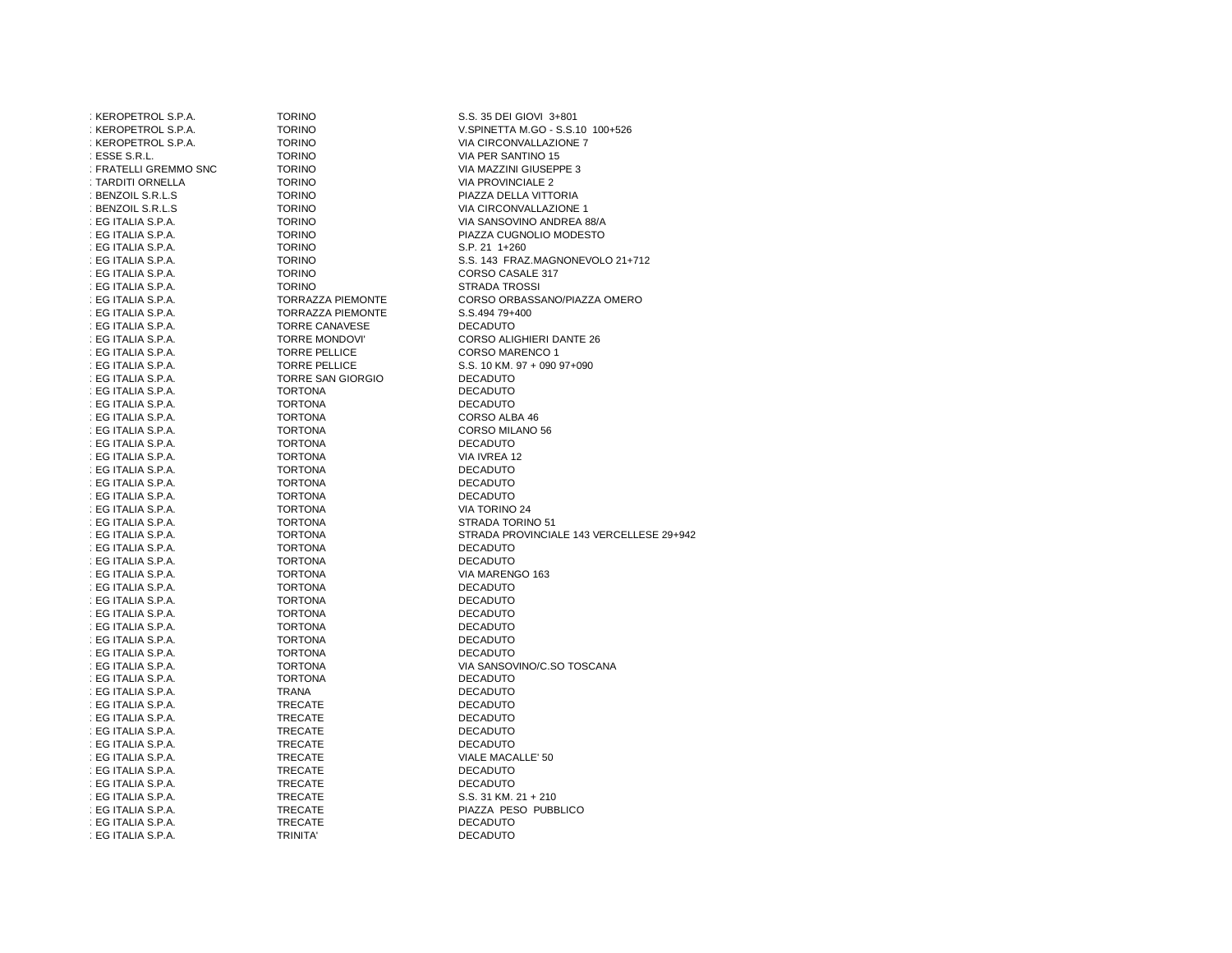| : KEROPETROL S.P.A.   | <b>TORINO</b>            | S.S. 35 DEI GIOVI 3+801                  |
|-----------------------|--------------------------|------------------------------------------|
| : KEROPETROL S.P.A.   | <b>TORINO</b>            | V.SPINETTA M.GO - S.S.10 100+526         |
| : KEROPETROL S.P.A.   | <b>TORINO</b>            | VIA CIRCONVALLAZIONE 7                   |
| : ESSE S.R.L.         | <b>TORINO</b>            | VIA PER SANTINO 15                       |
| : FRATELLI GREMMO SNC | <b>TORINO</b>            | VIA MAZZINI GIUSEPPE 3                   |
| : TARDITI ORNELLA     | <b>TORINO</b>            | VIA PROVINCIALE 2                        |
| : BENZOIL S.R.L.S     | <b>TORINO</b>            | PIAZZA DELLA VITTORIA                    |
| : BENZOIL S.R.L.S     | <b>TORINO</b>            | VIA CIRCONVALLAZIONE 1                   |
| : EG ITALIA S.P.A.    | <b>TORINO</b>            | VIA SANSOVINO ANDREA 88/A                |
| : EG ITALIA S.P.A.    | <b>TORINO</b>            | PIAZZA CUGNOLIO MODESTO                  |
| : EG ITALIA S.P.A.    | <b>TORINO</b>            | S.P. 21 1+260                            |
| : EG ITALIA S.P.A.    | <b>TORINO</b>            | S.S. 143 FRAZ.MAGNONEVOLO 21+712         |
| : EG ITALIA S.P.A.    | <b>TORINO</b>            | CORSO CASALE 317                         |
| : EG ITALIA S.P.A.    | <b>TORINO</b>            | <b>STRADA TROSSI</b>                     |
| : EG ITALIA S.P.A.    | <b>TORRAZZA PIEMONTE</b> | CORSO ORBASSANO/PIAZZA OMERO             |
| : EG ITALIA S.P.A.    | <b>TORRAZZA PIEMONTE</b> | S.S.494 79+400                           |
| : EG ITALIA S.P.A.    | <b>TORRE CANAVESE</b>    | <b>DECADUTO</b>                          |
| : EG ITALIA S.P.A.    | <b>TORRE MONDOVI'</b>    | CORSO ALIGHIERI DANTE 26                 |
| : EG ITALIA S.P.A.    | <b>TORRE PELLICE</b>     | <b>CORSO MARENCO 1</b>                   |
| : EG ITALIA S.P.A.    | <b>TORRE PELLICE</b>     | S.S. 10 KM. 97 + 090 97+090              |
| : EG ITALIA S.P.A.    | <b>TORRE SAN GIORGIO</b> | <b>DECADUTO</b>                          |
| : EG ITALIA S.P.A.    | <b>TORTONA</b>           | <b>DECADUTO</b>                          |
| : EG ITALIA S.P.A.    | <b>TORTONA</b>           | <b>DECADUTO</b>                          |
| : EG ITALIA S.P.A.    | <b>TORTONA</b>           | CORSO ALBA 46                            |
| : EG ITALIA S.P.A.    | <b>TORTONA</b>           | CORSO MILANO 56                          |
| : EG ITALIA S.P.A.    | <b>TORTONA</b>           | <b>DECADUTO</b>                          |
| : EG ITALIA S.P.A.    | <b>TORTONA</b>           | VIA IVREA 12                             |
| : EG ITALIA S.P.A.    | <b>TORTONA</b>           | <b>DECADUTO</b>                          |
| : EG ITALIA S.P.A.    | <b>TORTONA</b>           | <b>DECADUTO</b>                          |
| : EG ITALIA S.P.A.    | <b>TORTONA</b>           | <b>DECADUTO</b>                          |
| : EG ITALIA S.P.A.    | <b>TORTONA</b>           | VIA TORINO 24                            |
| : EG ITALIA S.P.A.    | <b>TORTONA</b>           | STRADA TORINO 51                         |
| : EG ITALIA S.P.A.    | <b>TORTONA</b>           | STRADA PROVINCIALE 143 VERCELLESE 29+942 |
| : EG ITALIA S.P.A.    | <b>TORTONA</b>           | <b>DECADUTO</b>                          |
| : EG ITALIA S.P.A.    | <b>TORTONA</b>           | <b>DECADUTO</b>                          |
| : EG ITALIA S.P.A.    | <b>TORTONA</b>           | VIA MARENGO 163                          |
| : EG ITALIA S.P.A.    | <b>TORTONA</b>           | <b>DECADUTO</b>                          |
| : EG ITALIA S.P.A.    | <b>TORTONA</b>           | <b>DECADUTO</b>                          |
| : EG ITALIA S.P.A.    | <b>TORTONA</b>           | <b>DECADUTO</b>                          |
| : EG ITALIA S.P.A.    | <b>TORTONA</b>           | <b>DECADUTO</b>                          |
| : EG ITALIA S.P.A.    | <b>TORTONA</b>           | <b>DECADUTO</b>                          |
| : EG ITALIA S.P.A.    | <b>TORTONA</b>           | <b>DECADUTO</b>                          |
| : EG ITALIA S.P.A.    | <b>TORTONA</b>           | VIA SANSOVINO/C.SO TOSCANA               |
| : EG ITALIA S.P.A.    | <b>TORTONA</b>           | <b>DECADUTO</b>                          |
| : EG ITALIA S.P.A.    | <b>TRANA</b>             | <b>DECADUTO</b>                          |
| : EG ITALIA S.P.A.    | <b>TRECATE</b>           | <b>DECADUTO</b>                          |
| : EG ITALIA S.P.A.    | <b>TRECATE</b>           | <b>DECADUTO</b>                          |
| : EG ITALIA S.P.A.    | <b>TRECATE</b>           | <b>DECADUTO</b>                          |
| : EG ITALIA S.P.A.    | <b>TRECATE</b>           | <b>DECADUTO</b>                          |
| : EG ITALIA S.P.A.    | <b>TRECATE</b>           | VIALE MACALLE' 50                        |
| : EG ITALIA S.P.A.    | <b>TRECATE</b>           | <b>DECADUTO</b>                          |
| : EG ITALIA S.P.A.    | <b>TRECATE</b>           | <b>DECADUTO</b>                          |
| : EG ITALIA S.P.A.    | <b>TRECATE</b>           | S.S. 31 KM. 21 + 210                     |
| : EG ITALIA S.P.A.    | <b>TRECATE</b>           | PIAZZA PESO PUBBLICO                     |
| : EG ITALIA S.P.A.    | <b>TRECATE</b>           | <b>DECADUTO</b>                          |
| : EG ITALIA S.P.A.    | <b>TRINITA'</b>          | <b>DECADUTO</b>                          |
|                       |                          |                                          |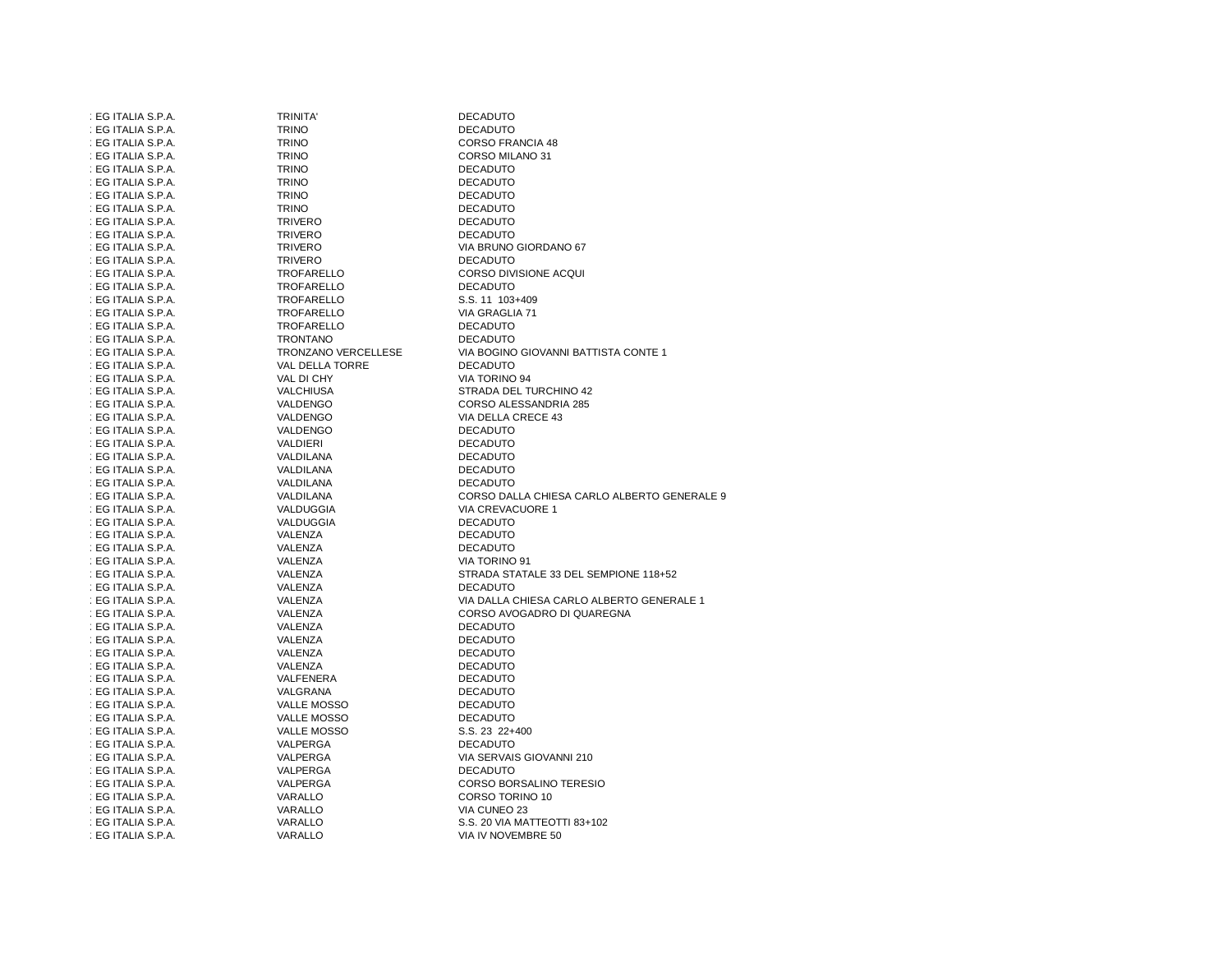| : EG ITALIA S.P.A. | <b>TRINITA'</b>            | <b>DECADUTO</b>                             |
|--------------------|----------------------------|---------------------------------------------|
| : EG ITALIA S.P.A. | <b>TRINO</b>               | <b>DECADUTO</b>                             |
| : EG ITALIA S.P.A. | <b>TRINO</b>               | <b>CORSO FRANCIA 48</b>                     |
| : EG ITALIA S.P.A. | <b>TRINO</b>               | CORSO MILANO 31                             |
| : EG ITALIA S.P.A. | <b>TRINO</b>               | <b>DECADUTO</b>                             |
| : EG ITALIA S.P.A. | <b>TRINO</b>               | <b>DECADUTO</b>                             |
| : EG ITALIA S.P.A. | <b>TRINO</b>               | <b>DECADUTO</b>                             |
| : EG ITALIA S.P.A. | <b>TRINO</b>               | <b>DECADUTO</b>                             |
| : EG ITALIA S.P.A. | <b>TRIVERO</b>             | <b>DECADUTO</b>                             |
| : EG ITALIA S.P.A. | <b>TRIVERO</b>             | <b>DECADUTO</b>                             |
| : EG ITALIA S.P.A. | <b>TRIVERO</b>             | VIA BRUNO GIORDANO 67                       |
| : EG ITALIA S.P.A. | <b>TRIVERO</b>             | <b>DECADUTO</b>                             |
| : EG ITALIA S.P.A. | TROFARELLO                 | CORSO DIVISIONE ACQUI                       |
| : EG ITALIA S.P.A. | TROFARELLO                 | <b>DECADUTO</b>                             |
| : EG ITALIA S.P.A. | TROFARELLO                 | S.S. 11 103+409                             |
| : EG ITALIA S.P.A. | TROFARELLO                 | VIA GRAGLIA 71                              |
| : EG ITALIA S.P.A. | TROFARELLO                 | <b>DECADUTO</b>                             |
|                    |                            |                                             |
| : EG ITALIA S.P.A. | <b>TRONTANO</b>            | <b>DECADUTO</b>                             |
| : EG ITALIA S.P.A. | <b>TRONZANO VERCELLESE</b> | VIA BOGINO GIOVANNI BATTISTA CONTE 1        |
| : EG ITALIA S.P.A. | VAL DELLA TORRE            | <b>DECADUTO</b>                             |
| : EG ITALIA S.P.A. | VAL DI CHY                 | VIA TORINO 94                               |
| : EG ITALIA S.P.A. | VALCHIUSA                  | STRADA DEL TURCHINO 42                      |
| : EG ITALIA S.P.A. | VALDENGO                   | CORSO ALESSANDRIA 285                       |
| : EG ITALIA S.P.A. | VALDENGO                   | VIA DELLA CRECE 43                          |
| : EG ITALIA S.P.A. | VALDENGO                   | <b>DECADUTO</b>                             |
| : EG ITALIA S.P.A. | VALDIERI                   | <b>DECADUTO</b>                             |
| : EG ITALIA S.P.A. | VALDILANA                  | <b>DECADUTO</b>                             |
| : EG ITALIA S.P.A. | VALDILANA                  | <b>DECADUTO</b>                             |
| : EG ITALIA S.P.A. | VALDILANA                  | <b>DECADUTO</b>                             |
| : EG ITALIA S.P.A. | VALDILANA                  | CORSO DALLA CHIESA CARLO ALBERTO GENERALE 9 |
| : EG ITALIA S.P.A. | VALDUGGIA                  | VIA CREVACUORE 1                            |
| : EG ITALIA S.P.A. | VALDUGGIA                  | <b>DECADUTO</b>                             |
| : EG ITALIA S.P.A. | VALENZA                    | <b>DECADUTO</b>                             |
| : EG ITALIA S.P.A. | VALENZA                    | <b>DECADUTO</b>                             |
| : EG ITALIA S.P.A. | VALENZA                    | VIA TORINO 91                               |
| : EG ITALIA S.P.A. | VALENZA                    | STRADA STATALE 33 DEL SEMPIONE 118+52       |
| : EG ITALIA S.P.A. | VALENZA                    | <b>DECADUTO</b>                             |
| : EG ITALIA S.P.A. | VALENZA                    | VIA DALLA CHIESA CARLO ALBERTO GENERALE 1   |
| : EG ITALIA S.P.A. | VALENZA                    | CORSO AVOGADRO DI QUAREGNA                  |
| : EG ITALIA S.P.A. | VALENZA                    | <b>DECADUTO</b>                             |
| : EG ITALIA S.P.A. | VALENZA                    | <b>DECADUTO</b>                             |
| : EG ITALIA S.P.A. | VALENZA                    | <b>DECADUTO</b>                             |
| : EG ITALIA S.P.A. | VALENZA                    | <b>DECADUTO</b>                             |
| : EG ITALIA S.P.A. | VALFENERA                  | <b>DECADUTO</b>                             |
| : EG ITALIA S.P.A. | VALGRANA                   | <b>DECADUTO</b>                             |
| : EG ITALIA S.P.A. | <b>VALLE MOSSO</b>         | <b>DECADUTO</b>                             |
| : EG ITALIA S.P.A. | <b>VALLE MOSSO</b>         | <b>DECADUTO</b>                             |
| : EG ITALIA S.P.A. | <b>VALLE MOSSO</b>         | S.S. 23 22+400                              |
| : EG ITALIA S.P.A. | VALPERGA                   | <b>DECADUTO</b>                             |
| : EG ITALIA S.P.A. | VALPERGA                   | VIA SERVAIS GIOVANNI 210                    |
| : EG ITALIA S.P.A. | VALPERGA                   | <b>DECADUTO</b>                             |
| : EG ITALIA S.P.A. | VALPERGA                   | CORSO BORSALINO TERESIO                     |
| : EG ITALIA S.P.A. | VARALLO                    | CORSO TORINO 10                             |
| : EG ITALIA S.P.A. | VARALLO                    | VIA CUNEO 23                                |
| : EG ITALIA S.P.A. | VARALLO                    | S.S. 20 VIA MATTEOTTI 83+102                |
| : EG ITALIA S.P.A. | VARALLO                    | VIA IV NOVEMBRE 50                          |
|                    |                            |                                             |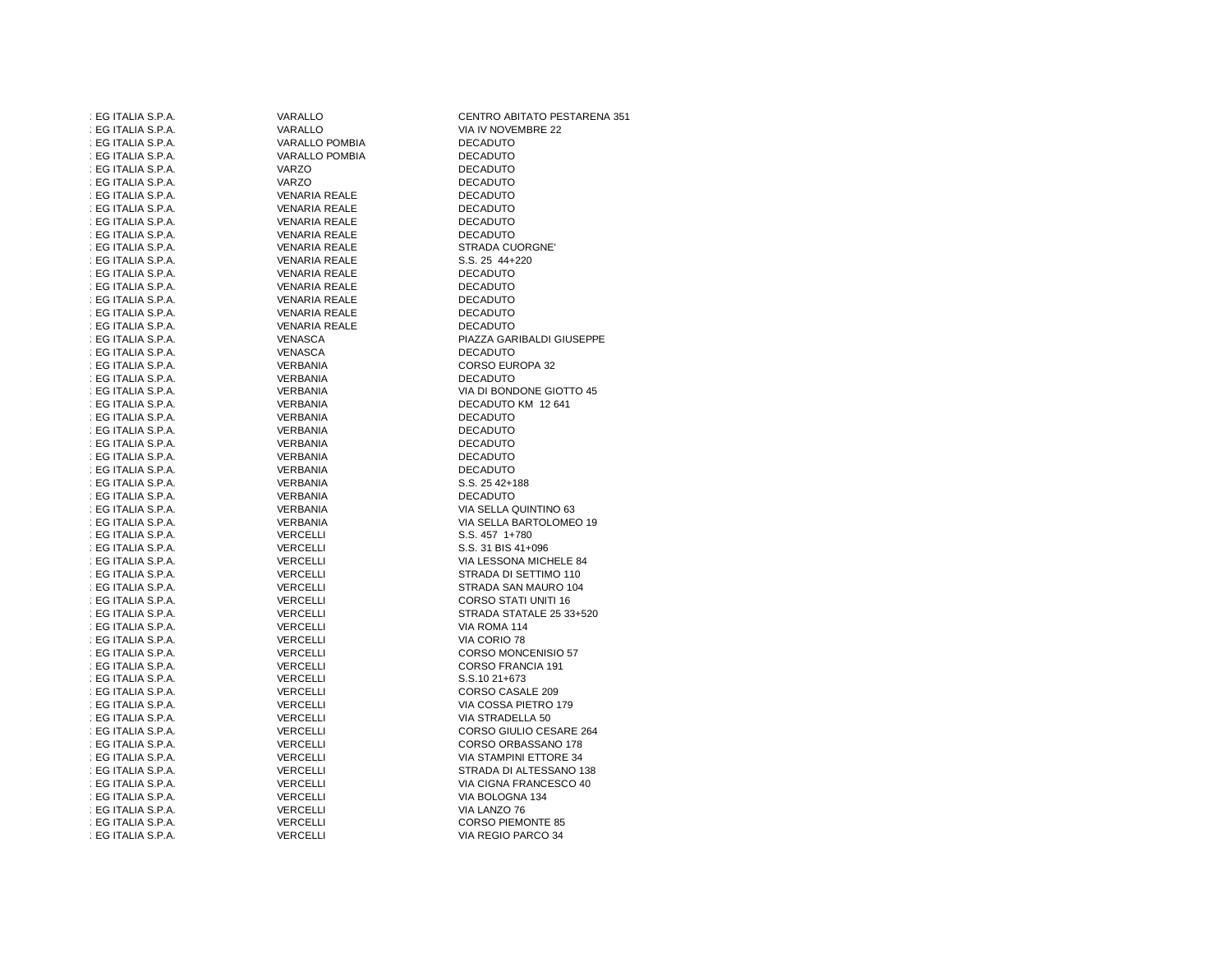| : EG ITALIA S.P.A. | VARALLO              | CENTRO ABITATO PESTARENA 351 |
|--------------------|----------------------|------------------------------|
| : EG ITALIA S.P.A. | VARALLO              | VIA IV NOVEMBRE 22           |
| : EG ITALIA S.P.A. | VARALLO POMBIA       | <b>DECADUTO</b>              |
| : EG ITALIA S.P.A. | VARALLO POMBIA       | <b>DECADUTO</b>              |
| : EG ITALIA S.P.A. | VARZO                | <b>DECADUTO</b>              |
| : EG ITALIA S.P.A. | VARZO                | <b>DECADUTO</b>              |
| : EG ITALIA S.P.A. | VENARIA REALE        | <b>DECADUTO</b>              |
| : EG ITALIA S.P.A. | <b>VENARIA REALE</b> | <b>DECADUTO</b>              |
| : EG ITALIA S.P.A. | VENARIA REALE        | <b>DECADUTO</b>              |
| : EG ITALIA S.P.A. | VENARIA REALE        | <b>DECADUTO</b>              |
| : EG ITALIA S.P.A. | VENARIA REALE        | STRADA CUORGNE'              |
| : EG ITALIA S.P.A. | VENARIA REALE        | S.S. 25 44+220               |
| : EG ITALIA S.P.A. | VENARIA REALE        | <b>DECADUTO</b>              |
| : EG ITALIA S.P.A. | VENARIA REALE        | <b>DECADUTO</b>              |
| : EG ITALIA S.P.A. | VENARIA REALE        | <b>DECADUTO</b>              |
| : EG ITALIA S.P.A. | VENARIA REALE        | <b>DECADUTO</b>              |
| : EG ITALIA S.P.A. | <b>VENARIA REALE</b> | <b>DECADUTO</b>              |
|                    |                      |                              |
| : EG ITALIA S.P.A. | VENASCA              | PIAZZA GARIBALDI GIUSEPPE    |
| : EG ITALIA S.P.A. | VENASCA              | <b>DECADUTO</b>              |
| : EG ITALIA S.P.A. | VERBANIA             | CORSO EUROPA 32              |
| : EG ITALIA S.P.A. | VERBANIA             | <b>DECADUTO</b>              |
| : EG ITALIA S.P.A. | VERBANIA             | VIA DI BONDONE GIOTTO 45     |
| : EG ITALIA S.P.A. | VERBANIA             | DECADUTO KM 12 641           |
| : EG ITALIA S.P.A. | VERBANIA             | <b>DECADUTO</b>              |
| : EG ITALIA S.P.A. | VERBANIA             | <b>DECADUTO</b>              |
| : EG ITALIA S.P.A. | VERBANIA             | <b>DECADUTO</b>              |
| : EG ITALIA S.P.A. | VERBANIA             | <b>DECADUTO</b>              |
| : EG ITALIA S.P.A. | VERBANIA             | <b>DECADUTO</b>              |
| : EG ITALIA S.P.A. | VERBANIA             | S.S. 25 42+188               |
| : EG ITALIA S.P.A. | VERBANIA             | <b>DECADUTO</b>              |
| : EG ITALIA S.P.A. | VERBANIA             | VIA SELLA QUINTINO 63        |
| : EG ITALIA S.P.A. | VERBANIA             | VIA SELLA BARTOLOMEO 19      |
| : EG ITALIA S.P.A. | VERCELLI             | S.S. 457 1+780               |
| : EG ITALIA S.P.A. | VERCELLI             | S.S. 31 BIS 41+096           |
| : EG ITALIA S.P.A. | VERCELLI             | VIA LESSONA MICHELE 84       |
| : EG ITALIA S.P.A. | VERCELLI             | STRADA DI SETTIMO 110        |
| : EG ITALIA S.P.A. | VERCELLI             | STRADA SAN MAURO 104         |
| : EG ITALIA S.P.A. | VERCELLI             | CORSO STATI UNITI 16         |
| : EG ITALIA S.P.A. | VERCELLI             | STRADA STATALE 25 33+520     |
| : EG ITALIA S.P.A. | VERCELLI             | VIA ROMA 114                 |
| : EG ITALIA S.P.A. | VERCELLI             | VIA CORIO 78                 |
| : EG ITALIA S.P.A. | VERCELLI             | <b>CORSO MONCENISIO 57</b>   |
| : EG ITALIA S.P.A. | VERCELLI             | CORSO FRANCIA 191            |
| : EG ITALIA S.P.A. | VERCELLI             | S.S.10 21+673                |
| : EG ITALIA S.P.A. | VERCELLI             | CORSO CASALE 209             |
| : EG ITALIA S.P.A. | VERCELLI             | VIA COSSA PIETRO 179         |
| : EG ITALIA S.P.A. | VERCELLI             | VIA STRADELLA 50             |
| : EG ITALIA S.P.A. | VERCELLI             | CORSO GIULIO CESARE 264      |
| : EG ITALIA S.P.A. | VERCELLI             | CORSO ORBASSANO 178          |
| : EG ITALIA S.P.A. | VERCELLI             | VIA STAMPINI ETTORE 34       |
| : EG ITALIA S.P.A. | VERCELLI             | STRADA DI ALTESSANO 138      |
| : EG ITALIA S.P.A. | VERCELLI             | VIA CIGNA FRANCESCO 40       |
| : EG ITALIA S.P.A. | VERCELLI             | VIA BOLOGNA 134              |
| : EG ITALIA S.P.A. | <b>VERCELLI</b>      | VIA LANZO 76                 |
| : EG ITALIA S.P.A. | <b>VERCELLI</b>      | <b>CORSO PIEMONTE 85</b>     |
| : EG ITALIA S.P.A. | <b>VERCELLI</b>      | VIA REGIO PARCO 34           |
|                    |                      |                              |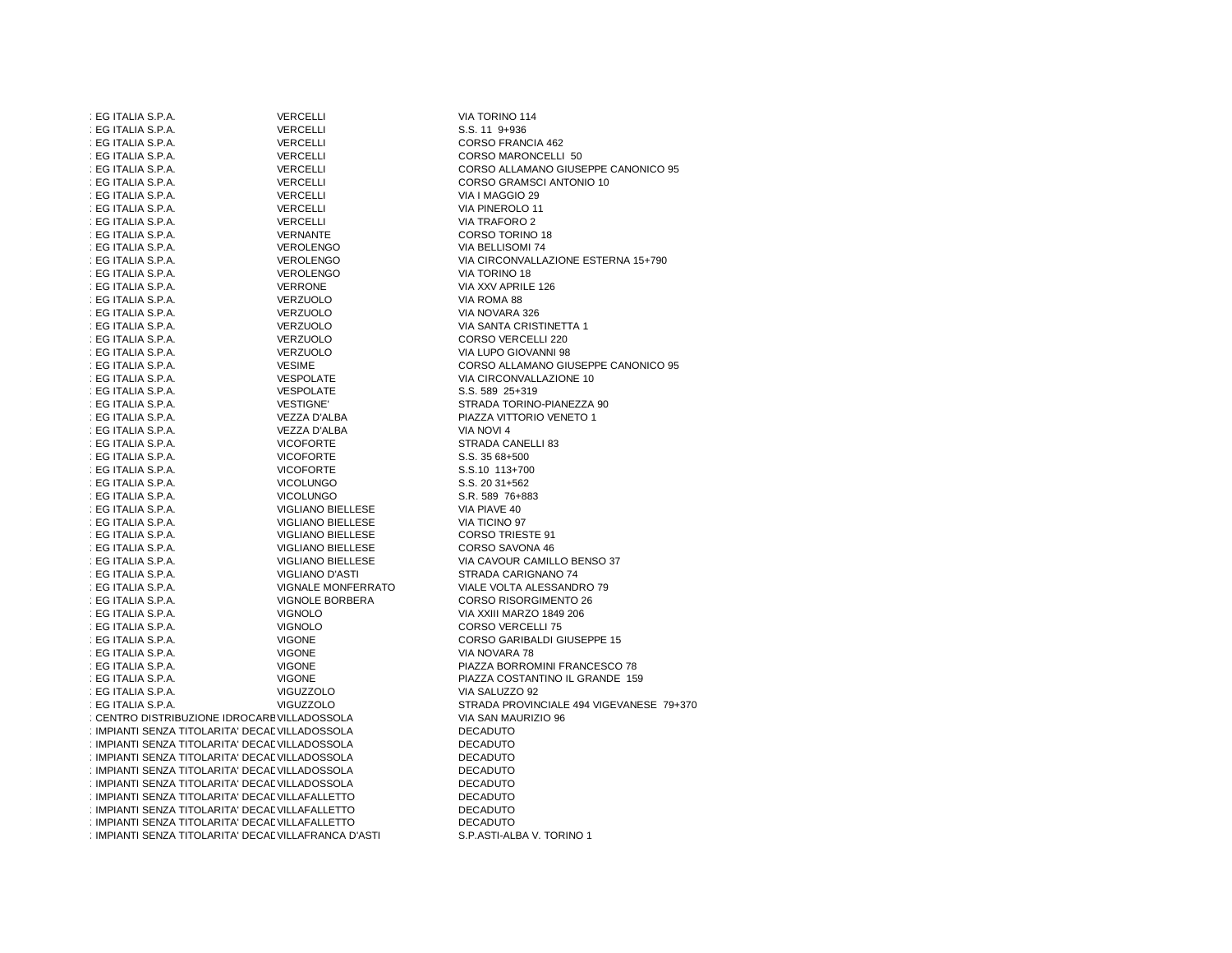| : EG ITALIA S.P.A.                                    | <b>VERCELLI</b>          | VIA TORINO 114                           |
|-------------------------------------------------------|--------------------------|------------------------------------------|
| : EG ITALIA S.P.A.                                    | VERCELLI                 | $S.S. 11$ $9+936$                        |
| : EG ITALIA S.P.A.                                    | VERCELLI                 | <b>CORSO FRANCIA 462</b>                 |
| : EG ITALIA S.P.A.                                    | VERCELLI                 | CORSO MARONCELLI 50                      |
| : EG ITALIA S.P.A.                                    | VERCELLI                 | CORSO ALLAMANO GIUSEPPE CANONICO 95      |
| : EG ITALIA S.P.A.                                    | VERCELLI                 | CORSO GRAMSCI ANTONIO 10                 |
| : EG ITALIA S.P.A.                                    | VERCELLI                 | VIA I MAGGIO 29                          |
| : EG ITALIA S.P.A.                                    | VERCELLI                 | VIA PINEROLO 11                          |
| : EG ITALIA S.P.A.                                    | VERCELLI                 | <b>VIA TRAFORO 2</b>                     |
| : EG ITALIA S.P.A.                                    | VERNANTE                 | CORSO TORINO 18                          |
|                                                       |                          |                                          |
| : EG ITALIA S.P.A.                                    | <b>VEROLENGO</b>         | VIA BELLISOMI 74                         |
| : EG ITALIA S.P.A.                                    | <b>VEROLENGO</b>         | VIA CIRCONVALLAZIONE ESTERNA 15+790      |
| : EG ITALIA S.P.A.                                    | VEROLENGO                | VIA TORINO 18                            |
| : EG ITALIA S.P.A.                                    | <b>VERRONE</b>           | VIA XXV APRILE 126                       |
| : EG ITALIA S.P.A.                                    | VERZUOLO                 | VIA ROMA 88                              |
| : EG ITALIA S.P.A.                                    | VERZUOLO                 | VIA NOVARA 326                           |
| : EG ITALIA S.P.A.                                    | VERZUOLO                 | VIA SANTA CRISTINETTA 1                  |
| : EG ITALIA S.P.A.                                    | VERZUOLO                 | CORSO VERCELLI 220                       |
| : EG ITALIA S.P.A.                                    | VERZUOLO                 | VIA LUPO GIOVANNI 98                     |
| : EG ITALIA S.P.A.                                    | <b>VESIME</b>            | CORSO ALLAMANO GIUSEPPE CANONICO 95      |
| : EG ITALIA S.P.A.                                    | <b>VESPOLATE</b>         | VIA CIRCONVALLAZIONE 10                  |
| : EG ITALIA S.P.A.                                    | VESPOLATE                | S.S. 589 25+319                          |
| : EG ITALIA S.P.A.                                    | <b>VESTIGNE'</b>         | STRADA TORINO-PIANEZZA 90                |
| : EG ITALIA S.P.A.                                    | VEZZA D'ALBA             | PIAZZA VITTORIO VENETO 1                 |
| : EG ITALIA S.P.A.                                    | VEZZA D'ALBA             | VIA NOVI 4                               |
| : EG ITALIA S.P.A.                                    | <b>VICOFORTE</b>         | STRADA CANELLI 83                        |
| : EG ITALIA S.P.A.                                    | <b>VICOFORTE</b>         | $S.S.3568+500$                           |
| : EG ITALIA S.P.A.                                    | <b>VICOFORTE</b>         | S.S.10 113+700                           |
| : EG ITALIA S.P.A.                                    | <b>VICOLUNGO</b>         | S.S. 20 31+562                           |
| : EG ITALIA S.P.A.                                    | <b>VICOLUNGO</b>         | S.R. 589 76+883                          |
| : EG ITALIA S.P.A.                                    | VIGLIANO BIELLESE        | VIA PIAVE 40                             |
| : EG ITALIA S.P.A.                                    | VIGLIANO BIELLESE        | VIA TICINO 97                            |
| : EG ITALIA S.P.A.                                    | <b>VIGLIANO BIELLESE</b> | <b>CORSO TRIESTE 91</b>                  |
| : EG ITALIA S.P.A.                                    | VIGLIANO BIELLESE        | CORSO SAVONA 46                          |
| : EG ITALIA S.P.A.                                    | <b>VIGLIANO BIELLESE</b> | VIA CAVOUR CAMILLO BENSO 37              |
| : EG ITALIA S.P.A.                                    | <b>VIGLIANO D'ASTI</b>   | STRADA CARIGNANO 74                      |
| : EG ITALIA S.P.A.                                    | VIGNALE MONFERRATO       | VIALE VOLTA ALESSANDRO 79                |
| : EG ITALIA S.P.A.                                    | VIGNOLE BORBERA          | <b>CORSO RISORGIMENTO 26</b>             |
| : EG ITALIA S.P.A.                                    | <b>VIGNOLO</b>           | VIA XXIII MARZO 1849 206                 |
| : EG ITALIA S.P.A.                                    | <b>VIGNOLO</b>           | <b>CORSO VERCELLI 75</b>                 |
| : EG ITALIA S.P.A.                                    | <b>VIGONE</b>            | CORSO GARIBALDI GIUSEPPE 15              |
|                                                       |                          |                                          |
| : EG ITALIA S.P.A.                                    | <b>VIGONE</b>            | VIA NOVARA 78                            |
| : EG ITALIA S.P.A.                                    | <b>VIGONE</b>            | PIAZZA BORROMINI FRANCESCO 78            |
| : EG ITALIA S.P.A.                                    | <b>VIGONE</b>            | PIAZZA COSTANTINO IL GRANDE 159          |
| : EG ITALIA S.P.A.                                    | VIGUZZOLO                | VIA SALUZZO 92                           |
| : EG ITALIA S.P.A.                                    | <b>VIGUZZOLO</b>         | STRADA PROVINCIALE 494 VIGEVANESE 79+370 |
| : CENTRO DISTRIBUZIONE IDROCAREVILLADOSSOLA           |                          | VIA SAN MAURIZIO 96                      |
| : IMPIANTI SENZA TITOLARITA' DECALVILLADOSSOLA        |                          | <b>DECADUTO</b>                          |
| : IMPIANTI SENZA TITOLARITA' DECALVILLADOSSOLA        |                          | <b>DECADUTO</b>                          |
| : IMPIANTI SENZA TITOLARITA' DECALVILLADOSSOLA        |                          | <b>DECADUTO</b>                          |
| : IMPIANTI SENZA TITOLARITA' DECALVILLADOSSOLA        |                          | <b>DECADUTO</b>                          |
| : IMPIANTI SENZA TITOLARITA' DECALVILLADOSSOLA        |                          | <b>DECADUTO</b>                          |
| : IMPIANTI SENZA TITOLARITA' DECALVILLAFALLETTO       |                          | <b>DECADUTO</b>                          |
| : IMPIANTI SENZA TITOLARITA' DECALVILLAFALLETTO       |                          | <b>DECADUTO</b>                          |
| : IMPIANTI SENZA TITOLARITA' DECALVILLAFALLETTO       |                          | <b>DECADUTO</b>                          |
| : IMPIANTI SENZA TITOLARITA' DECAL VILLAFRANCA D'ASTI |                          | S.P.ASTI-ALBA V. TORINO 1                |
|                                                       |                          |                                          |